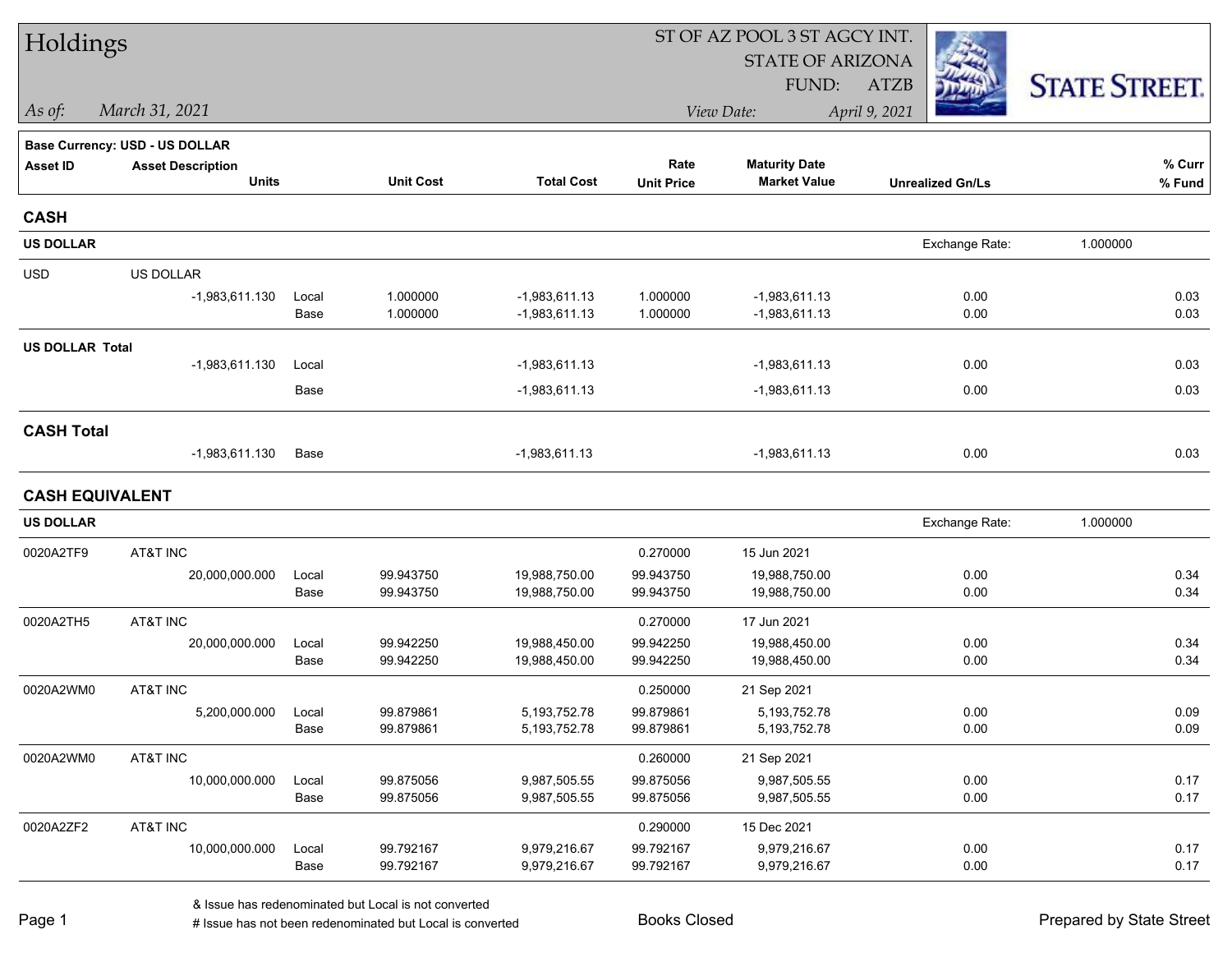| Holdings               |                                       |       |                  |                   | ST OF AZ POOL 3 ST AGCY INT. |                         |                         |                      |  |  |  |
|------------------------|---------------------------------------|-------|------------------|-------------------|------------------------------|-------------------------|-------------------------|----------------------|--|--|--|
|                        |                                       |       |                  |                   |                              | <b>STATE OF ARIZONA</b> |                         |                      |  |  |  |
|                        |                                       |       |                  |                   |                              | FUND:                   | <b>ATZB</b>             | <b>STATE STREET.</b> |  |  |  |
| $\vert$ As of:         | March 31, 2021                        |       |                  |                   |                              | View Date:              | April 9, 2021           |                      |  |  |  |
|                        | <b>Base Currency: USD - US DOLLAR</b> |       |                  |                   |                              |                         |                         |                      |  |  |  |
| <b>Asset ID</b>        | <b>Asset Description</b>              |       |                  |                   | Rate                         | <b>Maturity Date</b>    |                         | % Curr               |  |  |  |
|                        | <b>Units</b>                          |       | <b>Unit Cost</b> | <b>Total Cost</b> | <b>Unit Price</b>            | <b>Market Value</b>     | <b>Unrealized Gn/Ls</b> | $%$ Fund             |  |  |  |
| <b>CASH</b>            |                                       |       |                  |                   |                              |                         |                         |                      |  |  |  |
| <b>US DOLLAR</b>       |                                       |       |                  |                   |                              |                         | Exchange Rate:          | 1.000000             |  |  |  |
| <b>USD</b>             | US DOLLAR                             |       |                  |                   |                              |                         |                         |                      |  |  |  |
|                        | $-1,983,611.130$                      | Local | 1.000000         | $-1,983,611.13$   | 1.000000                     | $-1,983,611.13$         | 0.00                    | 0.03                 |  |  |  |
|                        |                                       | Base  | 1.000000         | $-1,983,611.13$   | 1.000000                     | $-1,983,611.13$         | 0.00                    | 0.03                 |  |  |  |
| <b>US DOLLAR Total</b> |                                       |       |                  |                   |                              |                         |                         |                      |  |  |  |
|                        | $-1,983,611.130$                      | Local |                  | $-1,983,611.13$   |                              | $-1,983,611.13$         | 0.00                    | 0.03                 |  |  |  |
|                        |                                       | Base  |                  | $-1,983,611.13$   |                              | $-1,983,611.13$         | 0.00                    | 0.03                 |  |  |  |
| <b>CASH Total</b>      |                                       |       |                  |                   |                              |                         |                         |                      |  |  |  |
|                        | $-1,983,611.130$                      | Base  |                  | $-1,983,611.13$   |                              | $-1,983,611.13$         | 0.00                    | 0.03                 |  |  |  |
| <b>CASH EQUIVALENT</b> |                                       |       |                  |                   |                              |                         |                         |                      |  |  |  |
| <b>US DOLLAR</b>       |                                       |       |                  |                   |                              |                         | Exchange Rate:          | 1.000000             |  |  |  |
| 0020A2TF9              | AT&T INC                              |       |                  |                   | 0.270000                     | 15 Jun 2021             |                         |                      |  |  |  |
|                        | 20,000,000.000                        | Local | 99.943750        | 19,988,750.00     | 99.943750                    | 19,988,750.00           | 0.00                    | 0.34                 |  |  |  |
|                        |                                       | Base  | 99.943750        | 19,988,750.00     | 99.943750                    | 19,988,750.00           | 0.00                    | 0.34                 |  |  |  |
| 0020A2TH5              | AT&T INC                              |       |                  |                   | 0.270000                     | 17 Jun 2021             |                         |                      |  |  |  |
|                        | 20,000,000.000                        | Local | 99.942250        | 19,988,450.00     | 99.942250                    | 19,988,450.00           | 0.00                    | 0.34                 |  |  |  |
|                        |                                       | Base  | 99.942250        | 19,988,450.00     | 99.942250                    | 19,988,450.00           | 0.00                    | 0.34                 |  |  |  |
| 0020A2WM0              | AT&T INC                              |       |                  |                   | 0.250000                     | 21 Sep 2021             |                         |                      |  |  |  |
|                        | 5,200,000.000                         | Local | 99.879861        | 5, 193, 752. 78   | 99.879861                    | 5,193,752.78            | 0.00                    | 0.09                 |  |  |  |
|                        |                                       | Base  | 99.879861        | 5,193,752.78      | 99.879861                    | 5,193,752.78            | 0.00                    | 0.09                 |  |  |  |
| 0020A2WM0              | AT&T INC                              |       |                  |                   | 0.260000                     | 21 Sep 2021             |                         |                      |  |  |  |
|                        | 10,000,000.000                        | Local | 99.875056        | 9,987,505.55      | 99.875056                    | 9,987,505.55            | 0.00                    | 0.17                 |  |  |  |
|                        |                                       | Base  | 99.875056        | 9,987,505.55      | 99.875056                    | 9,987,505.55            | 0.00                    | 0.17                 |  |  |  |
| 0020A2ZF2              | AT&T INC                              |       |                  |                   | 0.290000                     | 15 Dec 2021             |                         |                      |  |  |  |
|                        | 10,000,000.000                        | Local | 99.792167        | 9,979,216.67      | 99.792167                    | 9,979,216.67            | 0.00                    | 0.17                 |  |  |  |
|                        |                                       | Base  | 99.792167        | 9,979,216.67      | 99.792167                    | 9,979,216.67            | 0.00                    | 0.17                 |  |  |  |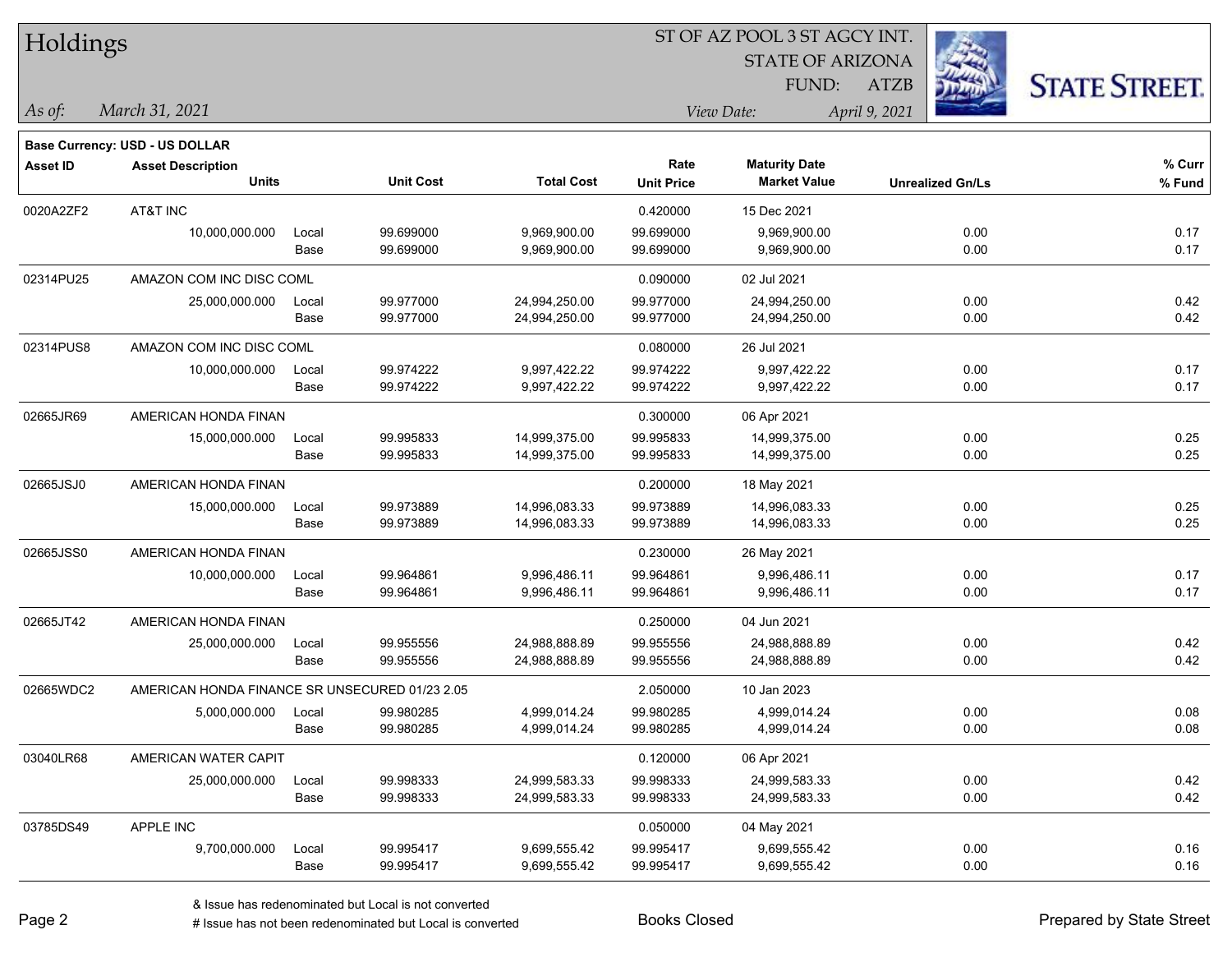| Holdings        |                                                |       |                  | ST OF AZ POOL 3 ST AGCY INT. |                   |                         |                         |                      |  |  |
|-----------------|------------------------------------------------|-------|------------------|------------------------------|-------------------|-------------------------|-------------------------|----------------------|--|--|
|                 |                                                |       |                  |                              |                   | <b>STATE OF ARIZONA</b> |                         |                      |  |  |
|                 |                                                |       |                  |                              |                   | FUND:                   | <b>ATZB</b>             | <b>STATE STREET.</b> |  |  |
| As of:          | March 31, 2021                                 |       |                  |                              |                   | View Date:              | April 9, 2021           |                      |  |  |
|                 | <b>Base Currency: USD - US DOLLAR</b>          |       |                  |                              |                   |                         |                         |                      |  |  |
| <b>Asset ID</b> | <b>Asset Description</b>                       |       |                  |                              | Rate              | <b>Maturity Date</b>    |                         | % Curr               |  |  |
|                 | <b>Units</b>                                   |       | <b>Unit Cost</b> | <b>Total Cost</b>            | <b>Unit Price</b> | <b>Market Value</b>     | <b>Unrealized Gn/Ls</b> | % Fund               |  |  |
| 0020A2ZF2       | AT&T INC                                       |       |                  |                              | 0.420000          | 15 Dec 2021             |                         |                      |  |  |
|                 | 10,000,000.000                                 | Local | 99.699000        | 9,969,900.00                 | 99.699000         | 9,969,900.00            | 0.00                    | 0.17                 |  |  |
|                 |                                                | Base  | 99.699000        | 9,969,900.00                 | 99.699000         | 9,969,900.00            | 0.00                    | 0.17                 |  |  |
| 02314PU25       | AMAZON COM INC DISC COML                       |       |                  |                              | 0.090000          | 02 Jul 2021             |                         |                      |  |  |
|                 | 25,000,000.000                                 | Local | 99.977000        | 24,994,250.00                | 99.977000         | 24,994,250.00           | 0.00                    | 0.42                 |  |  |
|                 |                                                | Base  | 99.977000        | 24,994,250.00                | 99.977000         | 24,994,250.00           | 0.00                    | 0.42                 |  |  |
| 02314PUS8       | AMAZON COM INC DISC COML                       |       |                  |                              | 0.080000          | 26 Jul 2021             |                         |                      |  |  |
|                 | 10,000,000.000                                 | Local | 99.974222        | 9,997,422.22                 | 99.974222         | 9,997,422.22            | 0.00                    | 0.17                 |  |  |
|                 |                                                | Base  | 99.974222        | 9,997,422.22                 | 99.974222         | 9,997,422.22            | 0.00                    | 0.17                 |  |  |
| 02665JR69       | AMERICAN HONDA FINAN                           |       |                  |                              | 0.300000          | 06 Apr 2021             |                         |                      |  |  |
|                 | 15,000,000.000                                 | Local | 99.995833        | 14,999,375.00                | 99.995833         | 14,999,375.00           | 0.00                    | 0.25                 |  |  |
|                 |                                                | Base  | 99.995833        | 14,999,375.00                | 99.995833         | 14,999,375.00           | 0.00                    | 0.25                 |  |  |
| 02665JSJ0       | AMERICAN HONDA FINAN                           |       |                  |                              | 0.200000          | 18 May 2021             |                         |                      |  |  |
|                 | 15,000,000.000                                 | Local | 99.973889        | 14,996,083.33                | 99.973889         | 14,996,083.33           | 0.00                    | 0.25                 |  |  |
|                 |                                                | Base  | 99.973889        | 14,996,083.33                | 99.973889         | 14,996,083.33           | 0.00                    | 0.25                 |  |  |
| 02665JSS0       | AMERICAN HONDA FINAN                           |       |                  |                              | 0.230000          | 26 May 2021             |                         |                      |  |  |
|                 | 10,000,000.000                                 | Local | 99.964861        | 9,996,486.11                 | 99.964861         | 9,996,486.11            | 0.00                    | 0.17                 |  |  |
|                 |                                                | Base  | 99.964861        | 9,996,486.11                 | 99.964861         | 9,996,486.11            | 0.00                    | 0.17                 |  |  |
| 02665JT42       | AMERICAN HONDA FINAN                           |       |                  |                              | 0.250000          | 04 Jun 2021             |                         |                      |  |  |
|                 | 25,000,000.000                                 | Local | 99.955556        | 24,988,888.89                | 99.955556         | 24,988,888.89           | 0.00                    | 0.42                 |  |  |
|                 |                                                | Base  | 99.955556        | 24,988,888.89                | 99.955556         | 24,988,888.89           | 0.00                    | 0.42                 |  |  |
| 02665WDC2       | AMERICAN HONDA FINANCE SR UNSECURED 01/23 2.05 |       |                  |                              | 2.050000          | 10 Jan 2023             |                         |                      |  |  |
|                 | 5,000,000.000                                  | Local | 99.980285        | 4,999,014.24                 | 99.980285         | 4,999,014.24            | 0.00                    | 0.08                 |  |  |
|                 |                                                | Base  | 99.980285        | 4,999,014.24                 | 99.980285         | 4,999,014.24            | 0.00                    | 0.08                 |  |  |
| 03040LR68       | AMERICAN WATER CAPIT                           |       |                  |                              | 0.120000          | 06 Apr 2021             |                         |                      |  |  |
|                 | 25,000,000.000                                 | Local | 99.998333        | 24,999,583.33                | 99.998333         | 24,999,583.33           | 0.00                    | 0.42                 |  |  |
|                 |                                                | Base  | 99.998333        | 24,999,583.33                | 99.998333         | 24,999,583.33           | 0.00                    | 0.42                 |  |  |
| 03785DS49       | APPLE INC                                      |       |                  |                              | 0.050000          | 04 May 2021             |                         |                      |  |  |
|                 | 9,700,000.000                                  | Local | 99.995417        | 9,699,555.42                 | 99.995417         | 9,699,555.42            | 0.00                    | 0.16                 |  |  |
|                 |                                                | Base  | 99.995417        | 9,699,555.42                 | 99.995417         | 9,699,555.42            | 0.00                    | 0.16                 |  |  |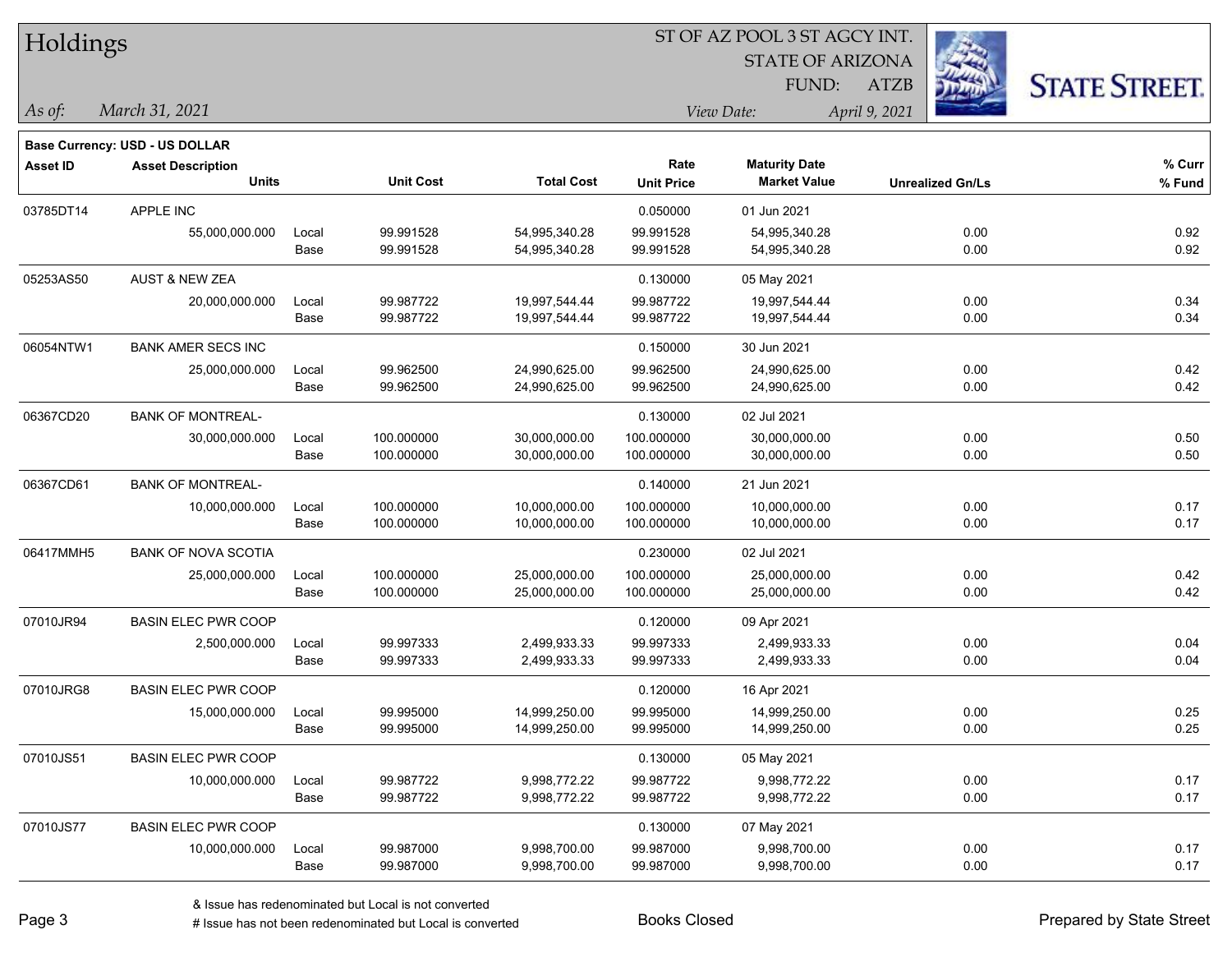| Holdings        |                                       |       |                  |                   |                   |                         |                         |                      |
|-----------------|---------------------------------------|-------|------------------|-------------------|-------------------|-------------------------|-------------------------|----------------------|
|                 |                                       |       |                  |                   |                   | <b>STATE OF ARIZONA</b> |                         |                      |
|                 |                                       |       |                  |                   |                   | FUND:                   | <b>ATZB</b>             | <b>STATE STREET.</b> |
| As of:          | March 31, 2021                        |       |                  |                   |                   | View Date:              | April 9, 2021           |                      |
|                 | <b>Base Currency: USD - US DOLLAR</b> |       |                  |                   |                   |                         |                         |                      |
| <b>Asset ID</b> | <b>Asset Description</b>              |       |                  |                   | Rate              | <b>Maturity Date</b>    |                         | % Curr               |
|                 | <b>Units</b>                          |       | <b>Unit Cost</b> | <b>Total Cost</b> | <b>Unit Price</b> | <b>Market Value</b>     | <b>Unrealized Gn/Ls</b> | % Fund               |
| 03785DT14       | <b>APPLE INC</b>                      |       |                  |                   | 0.050000          | 01 Jun 2021             |                         |                      |
|                 | 55,000,000.000                        | Local | 99.991528        | 54,995,340.28     | 99.991528         | 54,995,340.28           | 0.00                    | 0.92                 |
|                 |                                       | Base  | 99.991528        | 54,995,340.28     | 99.991528         | 54,995,340.28           | 0.00                    | 0.92                 |
| 05253AS50       | <b>AUST &amp; NEW ZEA</b>             |       |                  |                   | 0.130000          | 05 May 2021             |                         |                      |
|                 | 20,000,000.000                        | Local | 99.987722        | 19,997,544.44     | 99.987722         | 19,997,544.44           | 0.00                    | 0.34                 |
|                 |                                       | Base  | 99.987722        | 19,997,544.44     | 99.987722         | 19,997,544.44           | 0.00                    | 0.34                 |
| 06054NTW1       | <b>BANK AMER SECS INC</b>             |       |                  |                   | 0.150000          | 30 Jun 2021             |                         |                      |
|                 | 25,000,000.000                        | Local | 99.962500        | 24,990,625.00     | 99.962500         | 24,990,625.00           | 0.00                    | 0.42                 |
|                 |                                       | Base  | 99.962500        | 24,990,625.00     | 99.962500         | 24,990,625.00           | 0.00                    | 0.42                 |
| 06367CD20       | <b>BANK OF MONTREAL-</b>              |       |                  |                   | 0.130000          | 02 Jul 2021             |                         |                      |
|                 | 30,000,000.000                        | Local | 100.000000       | 30,000,000.00     | 100.000000        | 30,000,000.00           | 0.00                    | 0.50                 |
|                 |                                       | Base  | 100.000000       | 30,000,000.00     | 100.000000        | 30,000,000.00           | 0.00                    | 0.50                 |
| 06367CD61       | <b>BANK OF MONTREAL-</b>              |       |                  |                   | 0.140000          | 21 Jun 2021             |                         |                      |
|                 | 10,000,000.000                        | Local | 100.000000       | 10,000,000.00     | 100.000000        | 10,000,000.00           | 0.00                    | 0.17                 |
|                 |                                       | Base  | 100.000000       | 10,000,000.00     | 100.000000        | 10,000,000.00           | 0.00                    | 0.17                 |
| 06417MMH5       | <b>BANK OF NOVA SCOTIA</b>            |       |                  |                   | 0.230000          | 02 Jul 2021             |                         |                      |
|                 | 25,000,000.000                        | Local | 100.000000       | 25,000,000.00     | 100.000000        | 25,000,000.00           | 0.00                    | 0.42                 |
|                 |                                       | Base  | 100.000000       | 25,000,000.00     | 100.000000        | 25,000,000.00           | 0.00                    | 0.42                 |
| 07010JR94       | <b>BASIN ELEC PWR COOP</b>            |       |                  |                   | 0.120000          | 09 Apr 2021             |                         |                      |
|                 | 2,500,000.000                         | Local | 99.997333        | 2,499,933.33      | 99.997333         | 2,499,933.33            | 0.00                    | 0.04                 |
|                 |                                       | Base  | 99.997333        | 2,499,933.33      | 99.997333         | 2,499,933.33            | 0.00                    | 0.04                 |
| 07010JRG8       | <b>BASIN ELEC PWR COOP</b>            |       |                  |                   | 0.120000          | 16 Apr 2021             |                         |                      |
|                 | 15,000,000.000                        | Local | 99.995000        | 14,999,250.00     | 99.995000         | 14,999,250.00           | 0.00                    | 0.25                 |
|                 |                                       | Base  | 99.995000        | 14,999,250.00     | 99.995000         | 14,999,250.00           | 0.00                    | 0.25                 |
| 07010JS51       | <b>BASIN ELEC PWR COOP</b>            |       |                  |                   | 0.130000          | 05 May 2021             |                         |                      |
|                 | 10,000,000.000                        | Local | 99.987722        | 9,998,772.22      | 99.987722         | 9,998,772.22            | 0.00                    | 0.17                 |
|                 |                                       | Base  | 99.987722        | 9,998,772.22      | 99.987722         | 9,998,772.22            | 0.00                    | 0.17                 |
| 07010JS77       | <b>BASIN ELEC PWR COOP</b>            |       |                  |                   | 0.130000          | 07 May 2021             |                         |                      |
|                 | 10,000,000.000                        | Local | 99.987000        | 9,998,700.00      | 99.987000         | 9,998,700.00            | 0.00                    | 0.17                 |
|                 |                                       | Base  | 99.987000        | 9,998,700.00      | 99.987000         | 9,998,700.00            | 0.00                    | 0.17                 |

 $\overline{\phantom{a}}$ 

 $\overline{\phantom{0}}$ 

 $\overline{\phantom{0}}$ 

 $\overline{\phantom{0}}$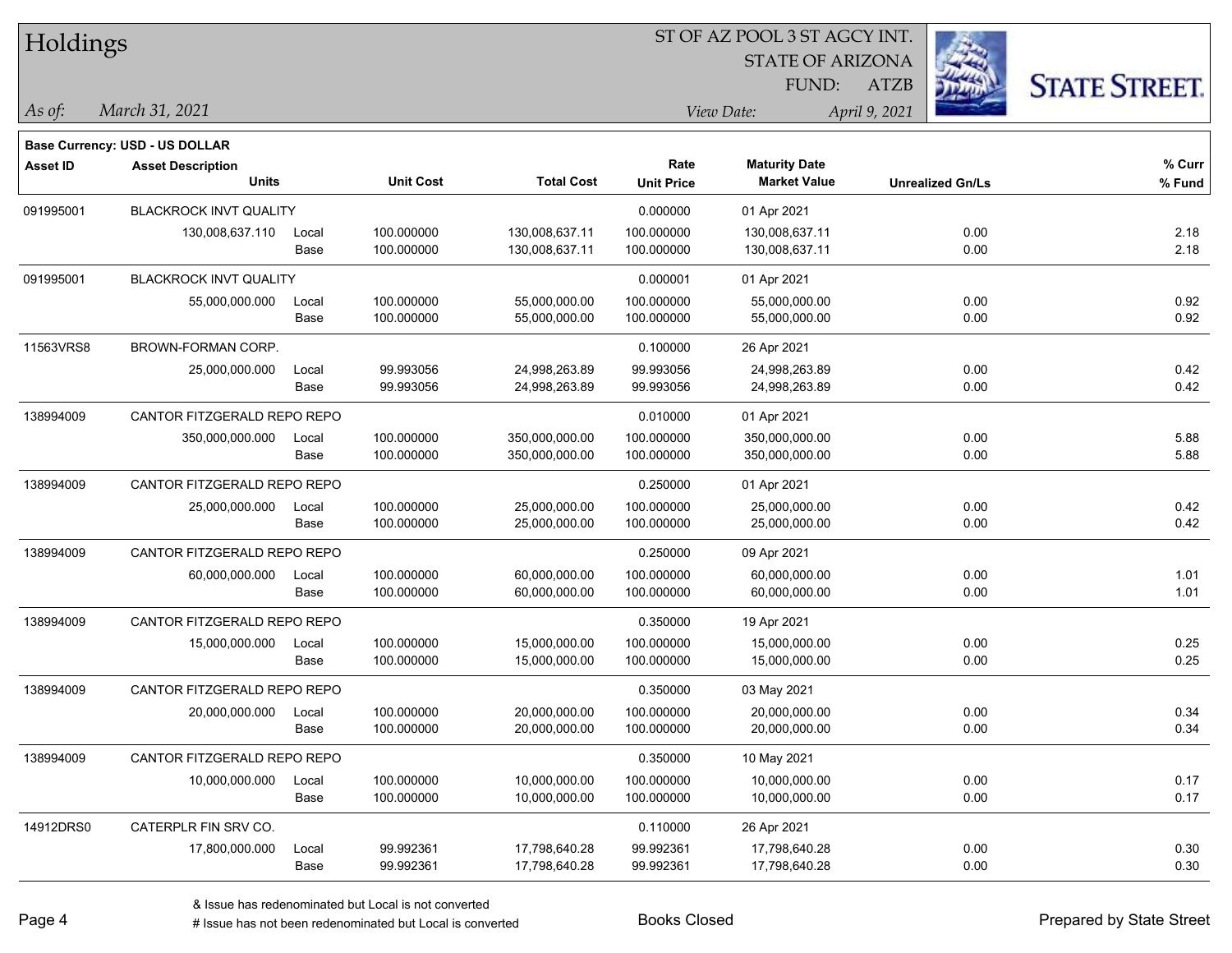STATE OF ARIZONA *March 31, 2021 As of: View Date: April 9, 2021* ST OF AZ POOL 3 ST AGCY INT. FUND: Holdings **Asset ID Asset Description Rate Base Currency: USD - US DOLLAR Maturity Date** 091995001 BLACKROCK INVT QUALITY 0.000000 01 Apr 2021



ATZB

| Asset ID  | <b>Asset Description</b><br><b>Units</b> |               | <b>Unit Cost</b>         | <b>Total Cost</b>                | Rate<br><b>Unit Price</b> | <b>Maturity Date</b><br><b>Market Value</b> | <b>Unrealized Gn/Ls</b> | % Curr<br>% Fund |
|-----------|------------------------------------------|---------------|--------------------------|----------------------------------|---------------------------|---------------------------------------------|-------------------------|------------------|
| 091995001 | <b>BLACKROCK INVT QUALITY</b>            |               |                          |                                  | 0.000000                  | 01 Apr 2021                                 |                         |                  |
|           | 130,008,637.110                          | Local<br>Base | 100.000000<br>100.000000 | 130,008,637.11<br>130,008,637.11 | 100.000000<br>100.000000  | 130,008,637.11<br>130,008,637.11            | 0.00<br>0.00            | 2.18<br>2.18     |
| 091995001 | <b>BLACKROCK INVT QUALITY</b>            |               |                          |                                  | 0.000001                  | 01 Apr 2021                                 |                         |                  |
|           | 55,000,000.000                           | Local<br>Base | 100.000000<br>100.000000 | 55,000,000.00<br>55,000,000.00   | 100.000000<br>100.000000  | 55,000,000.00<br>55,000,000.00              | 0.00<br>0.00            | 0.92<br>0.92     |
| 11563VRS8 | BROWN-FORMAN CORP.                       |               |                          |                                  | 0.100000                  | 26 Apr 2021                                 |                         |                  |
|           | 25,000,000.000                           | Local<br>Base | 99.993056<br>99.993056   | 24,998,263.89<br>24,998,263.89   | 99.993056<br>99.993056    | 24,998,263.89<br>24,998,263.89              | 0.00<br>0.00            | 0.42<br>0.42     |
| 138994009 | CANTOR FITZGERALD REPO REPO              |               |                          |                                  | 0.010000                  | 01 Apr 2021                                 |                         |                  |
|           | 350,000,000.000                          | Local<br>Base | 100.000000<br>100.000000 | 350,000,000.00<br>350,000,000.00 | 100.000000<br>100.000000  | 350,000,000.00<br>350,000,000.00            | 0.00<br>0.00            | 5.88<br>5.88     |
| 138994009 | CANTOR FITZGERALD REPO REPO              |               |                          |                                  | 0.250000                  | 01 Apr 2021                                 |                         |                  |
|           | 25,000,000.000                           | Local<br>Base | 100.000000<br>100.000000 | 25,000,000.00<br>25,000,000.00   | 100.000000<br>100.000000  | 25,000,000.00<br>25,000,000.00              | 0.00<br>0.00            | 0.42<br>0.42     |
| 138994009 | CANTOR FITZGERALD REPO REPO              |               |                          |                                  | 0.250000                  | 09 Apr 2021                                 |                         |                  |
|           | 60,000,000.000                           | Local<br>Base | 100.000000<br>100.000000 | 60,000,000.00<br>60,000,000.00   | 100.000000<br>100.000000  | 60,000,000.00<br>60,000,000.00              | 0.00<br>0.00            | 1.01<br>1.01     |
| 138994009 | CANTOR FITZGERALD REPO REPO              |               |                          |                                  | 0.350000                  | 19 Apr 2021                                 |                         |                  |
|           | 15,000,000.000                           | Local<br>Base | 100.000000<br>100.000000 | 15,000,000.00<br>15,000,000.00   | 100.000000<br>100.000000  | 15,000,000.00<br>15,000,000.00              | 0.00<br>0.00            | 0.25<br>0.25     |
| 138994009 | CANTOR FITZGERALD REPO REPO              |               |                          |                                  | 0.350000                  | 03 May 2021                                 |                         |                  |
|           | 20,000,000.000                           | Local<br>Base | 100.000000<br>100.000000 | 20,000,000.00<br>20,000,000.00   | 100.000000<br>100.000000  | 20,000,000.00<br>20,000,000.00              | 0.00<br>0.00            | 0.34<br>0.34     |
| 138994009 | CANTOR FITZGERALD REPO REPO              |               |                          |                                  | 0.350000                  | 10 May 2021                                 |                         |                  |
|           | 10,000,000.000                           | Local<br>Base | 100.000000<br>100.000000 | 10,000,000.00<br>10,000,000.00   | 100.000000<br>100.000000  | 10,000,000.00<br>10,000,000.00              | 0.00<br>0.00            | 0.17<br>0.17     |
| 14912DRS0 | CATERPLR FIN SRV CO.                     |               |                          |                                  | 0.110000                  | 26 Apr 2021                                 |                         |                  |
|           | 17,800,000.000                           | Local<br>Base | 99.992361<br>99.992361   | 17,798,640.28<br>17,798,640.28   | 99.992361<br>99.992361    | 17,798,640.28<br>17,798,640.28              | 0.00<br>0.00            | 0.30<br>0.30     |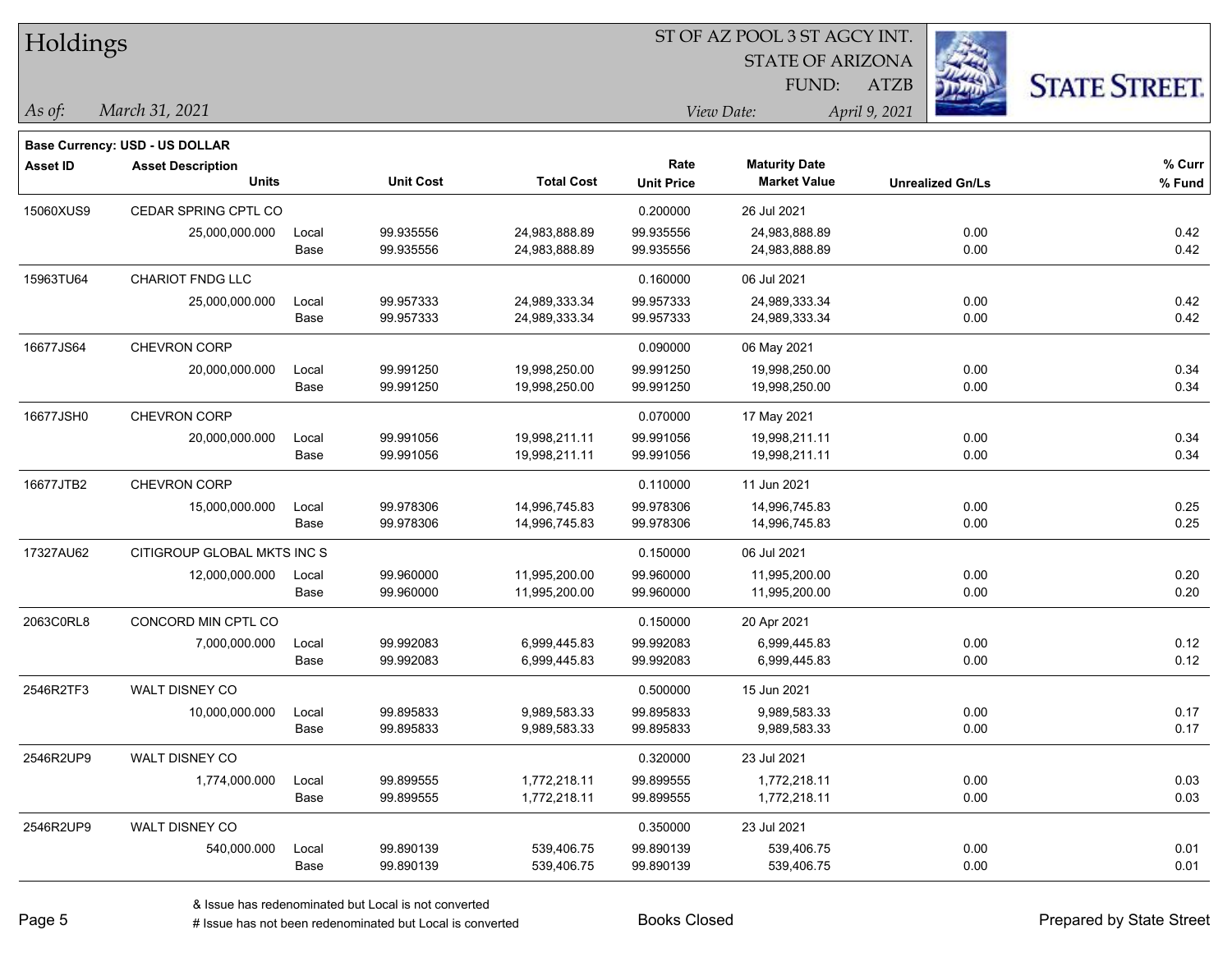| Holdings        |                                |       |                  |                   |                   |                         |                         |                      |
|-----------------|--------------------------------|-------|------------------|-------------------|-------------------|-------------------------|-------------------------|----------------------|
|                 |                                |       |                  |                   |                   | <b>STATE OF ARIZONA</b> |                         |                      |
|                 |                                |       |                  |                   |                   | FUND:                   | <b>ATZB</b>             | <b>STATE STREET.</b> |
| As of:          | March 31, 2021                 |       |                  |                   |                   | View Date:              | April 9, 2021           |                      |
|                 | Base Currency: USD - US DOLLAR |       |                  |                   |                   |                         |                         |                      |
| <b>Asset ID</b> | <b>Asset Description</b>       |       |                  |                   | Rate              | <b>Maturity Date</b>    |                         | % Curr               |
|                 | <b>Units</b>                   |       | <b>Unit Cost</b> | <b>Total Cost</b> | <b>Unit Price</b> | <b>Market Value</b>     | <b>Unrealized Gn/Ls</b> | % Fund               |
| 15060XUS9       | CEDAR SPRING CPTL CO           |       |                  |                   | 0.200000          | 26 Jul 2021             |                         |                      |
|                 | 25,000,000.000                 | Local | 99.935556        | 24,983,888.89     | 99.935556         | 24,983,888.89           | 0.00                    | 0.42                 |
|                 |                                | Base  | 99.935556        | 24,983,888.89     | 99.935556         | 24,983,888.89           | 0.00                    | 0.42                 |
| 15963TU64       | CHARIOT FNDG LLC               |       |                  |                   | 0.160000          | 06 Jul 2021             |                         |                      |
|                 | 25,000,000.000                 | Local | 99.957333        | 24,989,333.34     | 99.957333         | 24,989,333.34           | 0.00                    | 0.42                 |
|                 |                                | Base  | 99.957333        | 24,989,333.34     | 99.957333         | 24,989,333.34           | 0.00                    | 0.42                 |
| 16677JS64       | CHEVRON CORP                   |       |                  |                   | 0.090000          | 06 May 2021             |                         |                      |
|                 | 20,000,000.000                 | Local | 99.991250        | 19,998,250.00     | 99.991250         | 19,998,250.00           | 0.00                    | 0.34                 |
|                 |                                | Base  | 99.991250        | 19,998,250.00     | 99.991250         | 19,998,250.00           | 0.00                    | 0.34                 |
| 16677JSH0       | CHEVRON CORP                   |       |                  |                   | 0.070000          | 17 May 2021             |                         |                      |
|                 | 20,000,000.000                 | Local | 99.991056        | 19,998,211.11     | 99.991056         | 19,998,211.11           | 0.00                    | 0.34                 |
|                 |                                | Base  | 99.991056        | 19,998,211.11     | 99.991056         | 19,998,211.11           | 0.00                    | 0.34                 |
| 16677JTB2       | CHEVRON CORP                   |       |                  |                   | 0.110000          | 11 Jun 2021             |                         |                      |
|                 | 15,000,000.000                 | Local | 99.978306        | 14,996,745.83     | 99.978306         | 14,996,745.83           | 0.00                    | 0.25                 |
|                 |                                | Base  | 99.978306        | 14,996,745.83     | 99.978306         | 14,996,745.83           | 0.00                    | 0.25                 |
| 17327AU62       | CITIGROUP GLOBAL MKTS INC S    |       |                  |                   | 0.150000          | 06 Jul 2021             |                         |                      |
|                 | 12,000,000.000                 | Local | 99.960000        | 11,995,200.00     | 99.960000         | 11,995,200.00           | 0.00                    | 0.20                 |
|                 |                                | Base  | 99.960000        | 11,995,200.00     | 99.960000         | 11,995,200.00           | 0.00                    | 0.20                 |
| 2063C0RL8       | CONCORD MIN CPTL CO            |       |                  |                   | 0.150000          | 20 Apr 2021             |                         |                      |
|                 | 7,000,000.000                  | Local | 99.992083        | 6,999,445.83      | 99.992083         | 6,999,445.83            | 0.00                    | 0.12                 |
|                 |                                | Base  | 99.992083        | 6,999,445.83      | 99.992083         | 6,999,445.83            | 0.00                    | 0.12                 |
| 2546R2TF3       | WALT DISNEY CO                 |       |                  |                   | 0.500000          | 15 Jun 2021             |                         |                      |
|                 | 10,000,000.000                 | Local | 99.895833        | 9,989,583.33      | 99.895833         | 9,989,583.33            | 0.00                    | 0.17                 |
|                 |                                | Base  | 99.895833        | 9,989,583.33      | 99.895833         | 9,989,583.33            | 0.00                    | 0.17                 |
| 2546R2UP9       | WALT DISNEY CO                 |       |                  |                   | 0.320000          | 23 Jul 2021             |                         |                      |
|                 | 1,774,000.000                  | Local | 99.899555        | 1,772,218.11      | 99.899555         | 1,772,218.11            | 0.00                    | 0.03                 |
|                 |                                | Base  | 99.899555        | 1,772,218.11      | 99.899555         | 1,772,218.11            | 0.00                    | 0.03                 |
| 2546R2UP9       | WALT DISNEY CO                 |       |                  |                   | 0.350000          | 23 Jul 2021             |                         |                      |
|                 | 540,000.000                    | Local | 99.890139        | 539,406.75        | 99.890139         | 539,406.75              | 0.00                    | 0.01                 |
|                 |                                | Base  | 99.890139        | 539,406.75        | 99.890139         | 539,406.75              | 0.00                    | 0.01                 |

 $\overline{\phantom{a}}$ 

 $\overline{\phantom{0}}$ 

 $\overline{\phantom{0}}$ 

 $\overline{\phantom{a}}$ 

 $\overline{\phantom{a}}$ 

 $\overline{\phantom{0}}$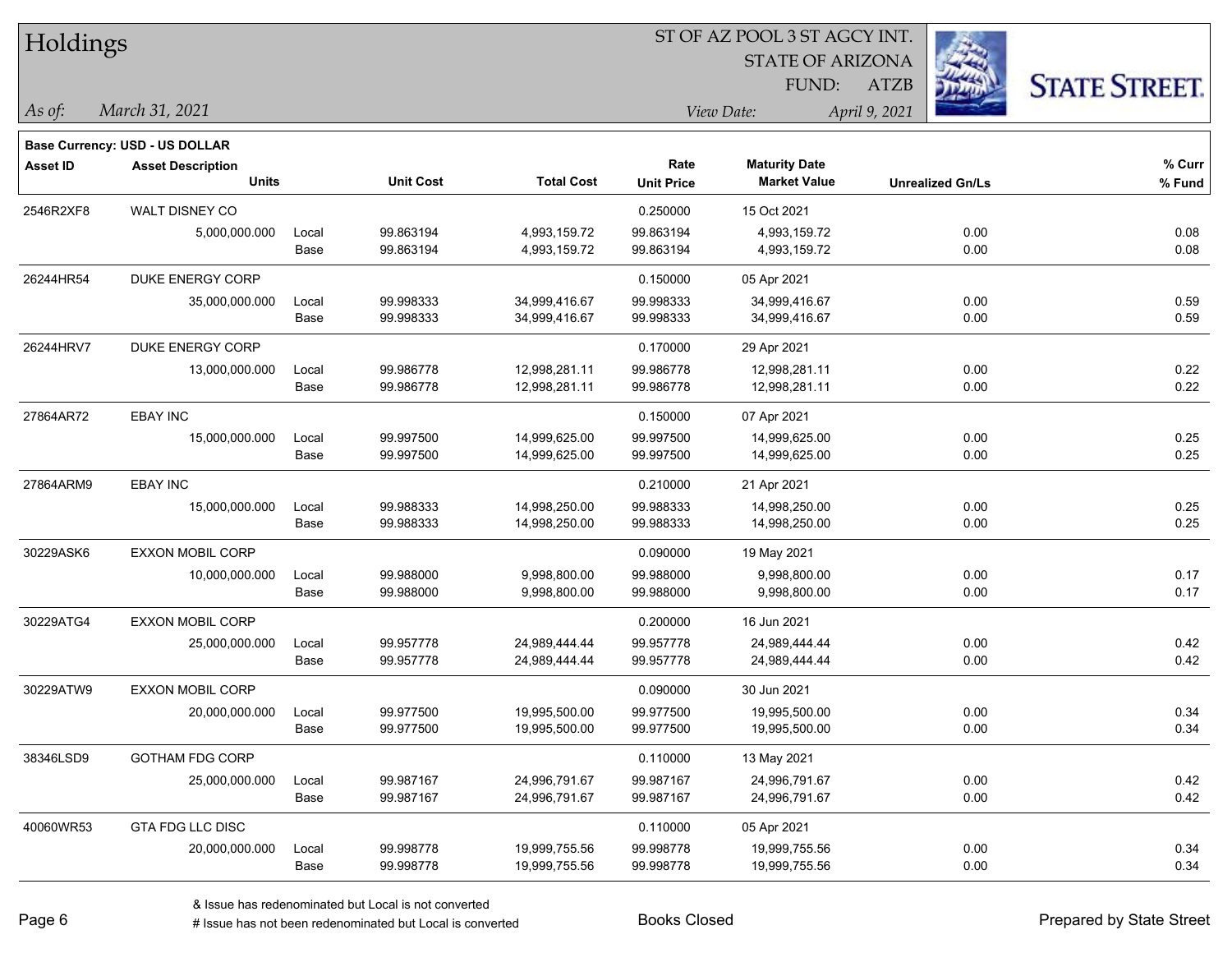| Holdings        |                                          |               |                        |                                |                           |                                             |               |                         |                      |
|-----------------|------------------------------------------|---------------|------------------------|--------------------------------|---------------------------|---------------------------------------------|---------------|-------------------------|----------------------|
|                 |                                          |               |                        |                                |                           | <b>STATE OF ARIZONA</b>                     |               |                         |                      |
|                 |                                          |               |                        |                                |                           | FUND:                                       | <b>ATZB</b>   |                         | <b>STATE STREET.</b> |
| $\vert$ As of:  | March 31, 2021                           |               |                        |                                |                           | View Date:                                  | April 9, 2021 |                         |                      |
|                 |                                          |               |                        |                                |                           |                                             |               |                         |                      |
|                 | <b>Base Currency: USD - US DOLLAR</b>    |               |                        |                                |                           |                                             |               |                         |                      |
| <b>Asset ID</b> | <b>Asset Description</b><br><b>Units</b> |               | <b>Unit Cost</b>       | <b>Total Cost</b>              | Rate<br><b>Unit Price</b> | <b>Maturity Date</b><br><b>Market Value</b> |               | <b>Unrealized Gn/Ls</b> | % Curr<br>% Fund     |
|                 |                                          |               |                        |                                |                           |                                             |               |                         |                      |
| 2546R2XF8       | WALT DISNEY CO                           |               |                        |                                | 0.250000                  | 15 Oct 2021                                 |               |                         |                      |
|                 | 5,000,000.000                            | Local<br>Base | 99.863194<br>99.863194 | 4,993,159.72<br>4,993,159.72   | 99.863194<br>99.863194    | 4,993,159.72<br>4,993,159.72                |               | 0.00<br>0.00            | 0.08<br>0.08         |
|                 |                                          |               |                        |                                |                           |                                             |               |                         |                      |
| 26244HR54       | DUKE ENERGY CORP                         |               |                        |                                | 0.150000                  | 05 Apr 2021                                 |               |                         |                      |
|                 | 35,000,000.000                           | Local<br>Base | 99.998333<br>99.998333 | 34,999,416.67<br>34,999,416.67 | 99.998333<br>99.998333    | 34,999,416.67<br>34,999,416.67              |               | 0.00<br>0.00            | 0.59<br>0.59         |
|                 |                                          |               |                        |                                |                           |                                             |               |                         |                      |
| 26244HRV7       | DUKE ENERGY CORP                         |               |                        |                                | 0.170000                  | 29 Apr 2021                                 |               |                         |                      |
|                 | 13,000,000.000                           | Local<br>Base | 99.986778<br>99.986778 | 12,998,281.11<br>12,998,281.11 | 99.986778<br>99.986778    | 12,998,281.11<br>12,998,281.11              |               | 0.00<br>0.00            | 0.22<br>0.22         |
|                 |                                          |               |                        |                                |                           |                                             |               |                         |                      |
| 27864AR72       | <b>EBAY INC</b>                          |               |                        |                                | 0.150000                  | 07 Apr 2021                                 |               |                         |                      |
|                 | 15,000,000.000                           | Local         | 99.997500<br>99.997500 | 14,999,625.00<br>14,999,625.00 | 99.997500<br>99.997500    | 14,999,625.00<br>14,999,625.00              |               | 0.00<br>0.00            | 0.25<br>0.25         |
|                 |                                          | Base          |                        |                                |                           |                                             |               |                         |                      |
| 27864ARM9       | <b>EBAY INC</b>                          |               |                        |                                | 0.210000                  | 21 Apr 2021                                 |               |                         |                      |
|                 | 15,000,000.000                           | Local         | 99.988333              | 14,998,250.00                  | 99.988333                 | 14,998,250.00                               |               | 0.00                    | 0.25                 |
|                 |                                          | Base          | 99.988333              | 14,998,250.00                  | 99.988333                 | 14,998,250.00                               |               | 0.00                    | 0.25                 |
| 30229ASK6       | <b>EXXON MOBIL CORP</b>                  |               |                        |                                | 0.090000                  | 19 May 2021                                 |               |                         |                      |
|                 | 10,000,000.000                           | Local         | 99.988000              | 9,998,800.00                   | 99.988000                 | 9,998,800.00                                |               | 0.00                    | 0.17                 |
|                 |                                          | Base          | 99.988000              | 9,998,800.00                   | 99.988000                 | 9,998,800.00                                |               | 0.00                    | 0.17                 |
| 30229ATG4       | <b>EXXON MOBIL CORP</b>                  |               |                        |                                | 0.200000                  | 16 Jun 2021                                 |               |                         |                      |
|                 | 25,000,000.000                           | Local         | 99.957778              | 24,989,444.44                  | 99.957778                 | 24,989,444.44                               |               | 0.00                    | 0.42                 |
|                 |                                          | Base          | 99.957778              | 24,989,444.44                  | 99.957778                 | 24,989,444.44                               |               | 0.00                    | 0.42                 |
| 30229ATW9       | <b>EXXON MOBIL CORP</b>                  |               |                        |                                | 0.090000                  | 30 Jun 2021                                 |               |                         |                      |
|                 | 20,000,000.000                           | Local         | 99.977500              | 19,995,500.00                  | 99.977500                 | 19,995,500.00                               |               | 0.00                    | 0.34                 |
|                 |                                          | Base          | 99.977500              | 19,995,500.00                  | 99.977500                 | 19,995,500.00                               |               | 0.00                    | 0.34                 |
| 38346LSD9       | <b>GOTHAM FDG CORP</b>                   |               |                        |                                | 0.110000                  | 13 May 2021                                 |               |                         |                      |
|                 | 25,000,000.000                           | Local         | 99.987167              | 24,996,791.67                  | 99.987167                 | 24,996,791.67                               |               | 0.00                    | 0.42                 |
|                 |                                          | Base          | 99.987167              | 24,996,791.67                  | 99.987167                 | 24,996,791.67                               |               | 0.00                    | 0.42                 |
| 40060WR53       | <b>GTA FDG LLC DISC</b>                  |               |                        |                                | 0.110000                  | 05 Apr 2021                                 |               |                         |                      |
|                 | 20,000,000.000                           | Local         | 99.998778              | 19,999,755.56                  | 99.998778                 | 19,999,755.56                               |               | 0.00                    | 0.34                 |
|                 |                                          | Base          | 99.998778              | 19,999,755.56                  | 99.998778                 | 19,999,755.56                               |               | 0.00                    | 0.34                 |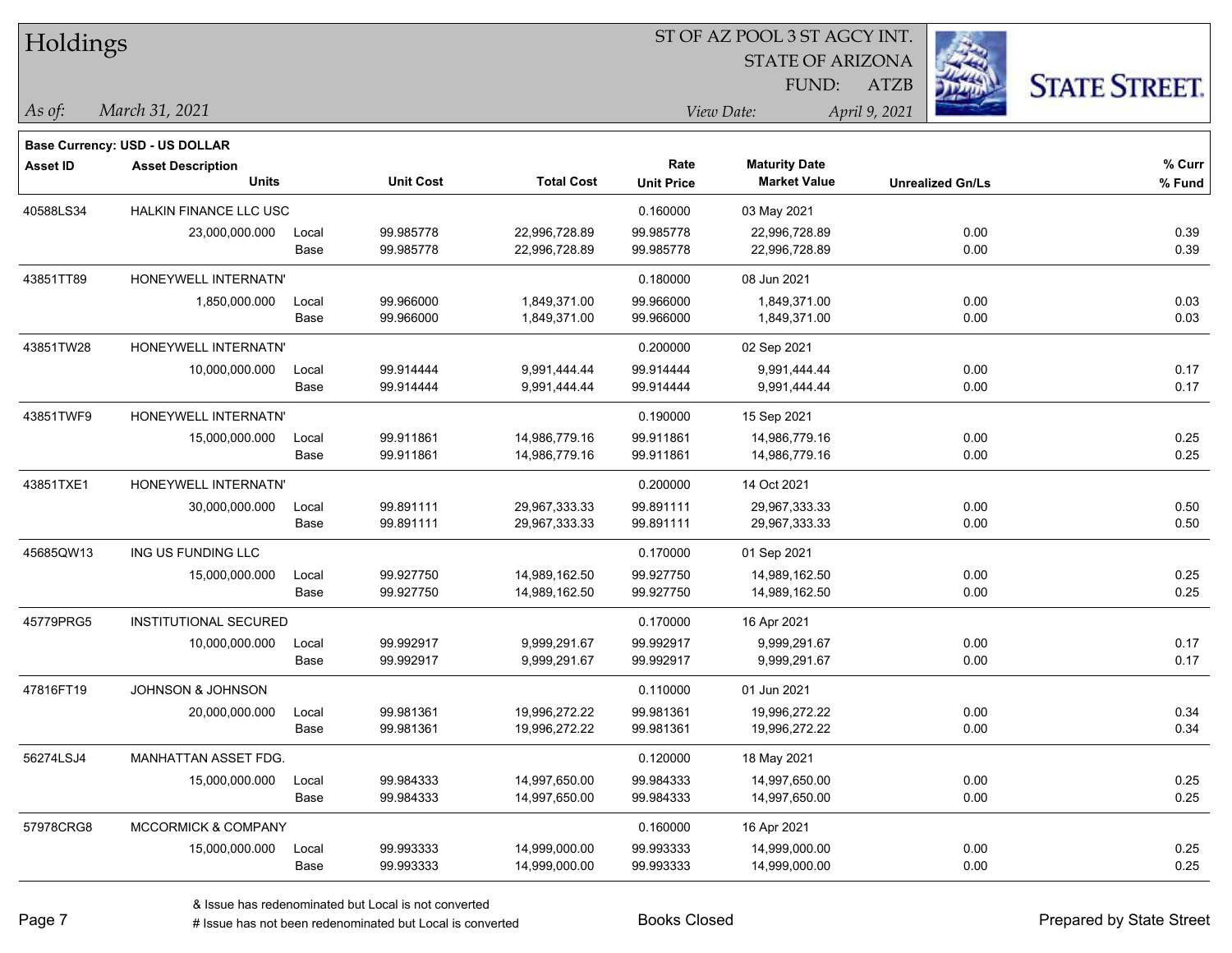| Holdings        |                                |       |                  | ST OF AZ POOL 3 ST AGCY INT. |                   |                         |                         |                      |  |  |
|-----------------|--------------------------------|-------|------------------|------------------------------|-------------------|-------------------------|-------------------------|----------------------|--|--|
|                 |                                |       |                  |                              |                   | <b>STATE OF ARIZONA</b> |                         |                      |  |  |
|                 |                                |       |                  |                              |                   | FUND:                   | <b>ATZB</b>             | <b>STATE STREET.</b> |  |  |
| As of:          | March 31, 2021                 |       |                  |                              |                   | View Date:              | April 9, 2021           |                      |  |  |
|                 | Base Currency: USD - US DOLLAR |       |                  |                              |                   |                         |                         |                      |  |  |
| <b>Asset ID</b> | <b>Asset Description</b>       |       |                  |                              | Rate              | <b>Maturity Date</b>    |                         | % Curr               |  |  |
|                 | <b>Units</b>                   |       | <b>Unit Cost</b> | <b>Total Cost</b>            | <b>Unit Price</b> | <b>Market Value</b>     | <b>Unrealized Gn/Ls</b> | % Fund               |  |  |
| 40588LS34       | HALKIN FINANCE LLC USC         |       |                  |                              | 0.160000          | 03 May 2021             |                         |                      |  |  |
|                 | 23,000,000.000                 | Local | 99.985778        | 22,996,728.89                | 99.985778         | 22,996,728.89           | 0.00                    | 0.39                 |  |  |
|                 |                                | Base  | 99.985778        | 22,996,728.89                | 99.985778         | 22,996,728.89           | 0.00                    | 0.39                 |  |  |
| 43851TT89       | HONEYWELL INTERNATN'           |       |                  |                              | 0.180000          | 08 Jun 2021             |                         |                      |  |  |
|                 | 1,850,000.000                  | Local | 99.966000        | 1,849,371.00                 | 99.966000         | 1,849,371.00            | 0.00                    | 0.03                 |  |  |
|                 |                                | Base  | 99.966000        | 1,849,371.00                 | 99.966000         | 1,849,371.00            | 0.00                    | 0.03                 |  |  |
| 43851TW28       | HONEYWELL INTERNATN'           |       |                  |                              | 0.200000          | 02 Sep 2021             |                         |                      |  |  |
|                 | 10,000,000.000                 | Local | 99.914444        | 9,991,444.44                 | 99.914444         | 9,991,444.44            | 0.00                    | 0.17                 |  |  |
|                 |                                | Base  | 99.914444        | 9,991,444.44                 | 99.914444         | 9,991,444.44            | 0.00                    | 0.17                 |  |  |
| 43851TWF9       | HONEYWELL INTERNATN'           |       |                  |                              | 0.190000          | 15 Sep 2021             |                         |                      |  |  |
|                 | 15,000,000.000                 | Local | 99.911861        | 14,986,779.16                | 99.911861         | 14,986,779.16           | 0.00                    | 0.25                 |  |  |
|                 |                                | Base  | 99.911861        | 14,986,779.16                | 99.911861         | 14,986,779.16           | 0.00                    | 0.25                 |  |  |
| 43851TXE1       | HONEYWELL INTERNATN'           |       |                  |                              | 0.200000          | 14 Oct 2021             |                         |                      |  |  |
|                 | 30,000,000.000                 | Local | 99.891111        | 29,967,333.33                | 99.891111         | 29,967,333.33           | 0.00                    | 0.50                 |  |  |
|                 |                                | Base  | 99.891111        | 29,967,333.33                | 99.891111         | 29,967,333.33           | 0.00                    | 0.50                 |  |  |
| 45685QW13       | ING US FUNDING LLC             |       |                  |                              | 0.170000          | 01 Sep 2021             |                         |                      |  |  |
|                 | 15,000,000.000                 | Local | 99.927750        | 14,989,162.50                | 99.927750         | 14,989,162.50           | 0.00                    | 0.25                 |  |  |
|                 |                                | Base  | 99.927750        | 14,989,162.50                | 99.927750         | 14,989,162.50           | 0.00                    | 0.25                 |  |  |
| 45779PRG5       | INSTITUTIONAL SECURED          |       |                  |                              | 0.170000          | 16 Apr 2021             |                         |                      |  |  |
|                 | 10,000,000.000                 | Local | 99.992917        | 9,999,291.67                 | 99.992917         | 9,999,291.67            | 0.00                    | 0.17                 |  |  |
|                 |                                | Base  | 99.992917        | 9,999,291.67                 | 99.992917         | 9,999,291.67            | 0.00                    | 0.17                 |  |  |
| 47816FT19       | JOHNSON & JOHNSON              |       |                  |                              | 0.110000          | 01 Jun 2021             |                         |                      |  |  |
|                 | 20,000,000.000                 | Local | 99.981361        | 19,996,272.22                | 99.981361         | 19,996,272.22           | 0.00                    | 0.34                 |  |  |
|                 |                                | Base  | 99.981361        | 19,996,272.22                | 99.981361         | 19,996,272.22           | 0.00                    | 0.34                 |  |  |
| 56274LSJ4       | MANHATTAN ASSET FDG.           |       |                  |                              | 0.120000          | 18 May 2021             |                         |                      |  |  |
|                 | 15,000,000.000                 | Local | 99.984333        | 14,997,650.00                | 99.984333         | 14,997,650.00           | 0.00                    | 0.25                 |  |  |
|                 |                                | Base  | 99.984333        | 14,997,650.00                | 99.984333         | 14,997,650.00           | 0.00                    | 0.25                 |  |  |
| 57978CRG8       | <b>MCCORMICK &amp; COMPANY</b> |       |                  |                              | 0.160000          | 16 Apr 2021             |                         |                      |  |  |
|                 | 15,000,000.000                 | Local | 99.993333        | 14,999,000.00                | 99.993333         | 14,999,000.00           | 0.00                    | 0.25                 |  |  |
|                 |                                | Base  | 99.993333        | 14,999,000.00                | 99.993333         | 14,999,000.00           | 0.00                    | 0.25                 |  |  |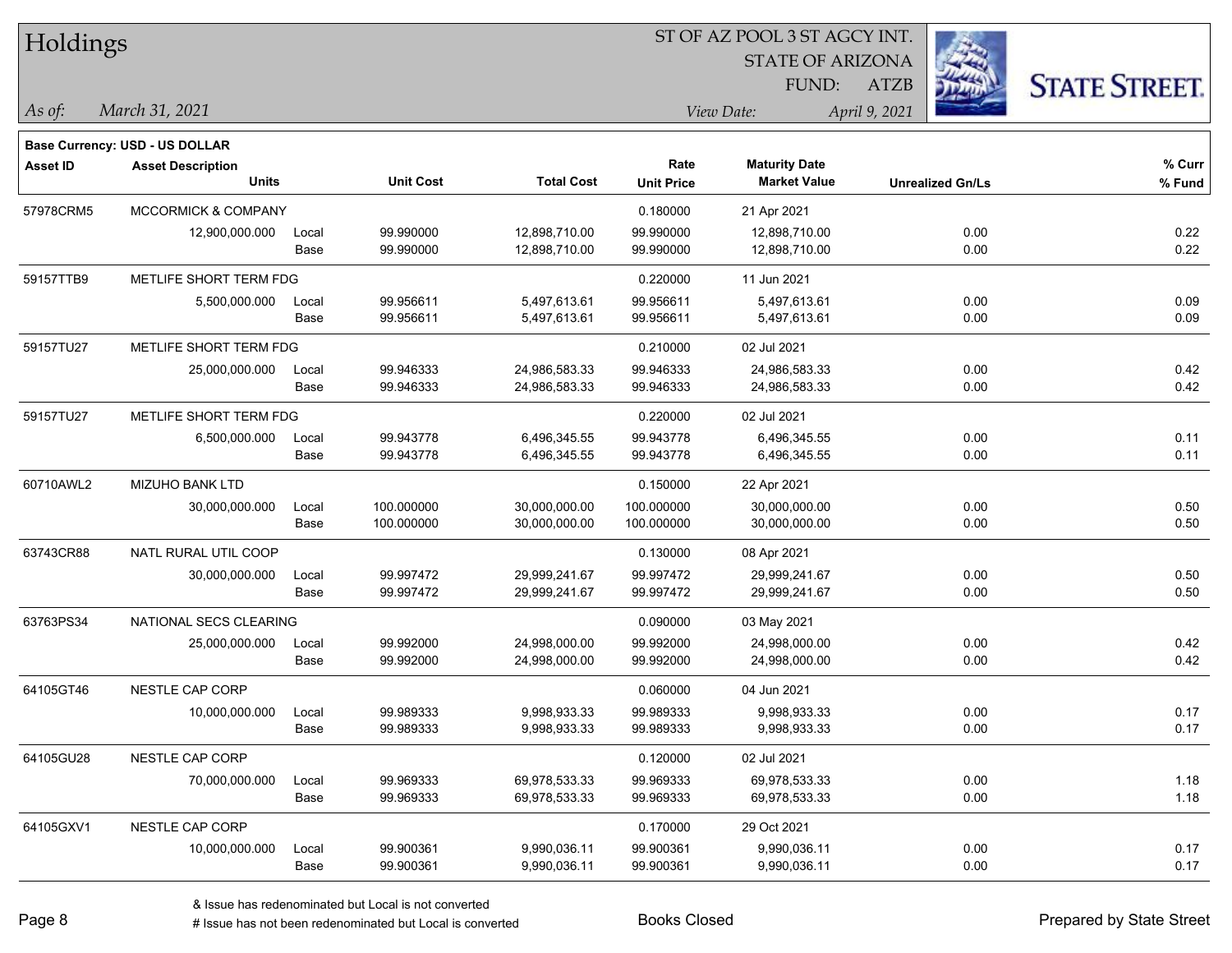| Holdings        |                                          |       |                  |                   |                   |                                  |                         |                      |
|-----------------|------------------------------------------|-------|------------------|-------------------|-------------------|----------------------------------|-------------------------|----------------------|
|                 |                                          |       |                  |                   |                   | <b>STATE OF ARIZONA</b><br>FUND: | <b>ATZB</b>             |                      |
| As of:          | March 31, 2021                           |       |                  |                   |                   | View Date:                       | April 9, 2021           | <b>STATE STREET.</b> |
|                 |                                          |       |                  |                   |                   |                                  |                         |                      |
|                 | Base Currency: USD - US DOLLAR           |       |                  |                   | Rate              | <b>Maturity Date</b>             |                         | % Curr               |
| <b>Asset ID</b> | <b>Asset Description</b><br><b>Units</b> |       | <b>Unit Cost</b> | <b>Total Cost</b> | <b>Unit Price</b> | <b>Market Value</b>              | <b>Unrealized Gn/Ls</b> | % Fund               |
| 57978CRM5       | <b>MCCORMICK &amp; COMPANY</b>           |       |                  |                   | 0.180000          | 21 Apr 2021                      |                         |                      |
|                 | 12,900,000.000                           | Local | 99.990000        | 12,898,710.00     | 99.990000         | 12,898,710.00                    | 0.00                    | 0.22                 |
|                 |                                          | Base  | 99.990000        | 12,898,710.00     | 99.990000         | 12,898,710.00                    | 0.00                    | 0.22                 |
| 59157TTB9       | METLIFE SHORT TERM FDG                   |       |                  |                   | 0.220000          | 11 Jun 2021                      |                         |                      |
|                 | 5,500,000.000                            | Local | 99.956611        | 5,497,613.61      | 99.956611         | 5,497,613.61                     | 0.00                    | 0.09                 |
|                 |                                          | Base  | 99.956611        | 5,497,613.61      | 99.956611         | 5,497,613.61                     | 0.00                    | 0.09                 |
| 59157TU27       | METLIFE SHORT TERM FDG                   |       |                  |                   | 0.210000          | 02 Jul 2021                      |                         |                      |
|                 | 25,000,000.000                           | Local | 99.946333        | 24,986,583.33     | 99.946333         | 24,986,583.33                    | 0.00                    | 0.42                 |
|                 |                                          | Base  | 99.946333        | 24,986,583.33     | 99.946333         | 24,986,583.33                    | 0.00                    | 0.42                 |
| 59157TU27       | METLIFE SHORT TERM FDG                   |       |                  |                   | 0.220000          | 02 Jul 2021                      |                         |                      |
|                 | 6,500,000.000                            | Local | 99.943778        | 6,496,345.55      | 99.943778         | 6,496,345.55                     | 0.00                    | 0.11                 |
|                 |                                          | Base  | 99.943778        | 6,496,345.55      | 99.943778         | 6,496,345.55                     | 0.00                    | 0.11                 |
| 60710AWL2       | MIZUHO BANK LTD                          |       |                  |                   | 0.150000          | 22 Apr 2021                      |                         |                      |
|                 | 30,000,000.000                           | Local | 100.000000       | 30,000,000.00     | 100.000000        | 30,000,000.00                    | 0.00                    | 0.50                 |
|                 |                                          | Base  | 100.000000       | 30,000,000.00     | 100.000000        | 30,000,000.00                    | 0.00                    | 0.50                 |
| 63743CR88       | NATL RURAL UTIL COOP                     |       |                  |                   | 0.130000          | 08 Apr 2021                      |                         |                      |
|                 | 30,000,000.000                           | Local | 99.997472        | 29,999,241.67     | 99.997472         | 29,999,241.67                    | 0.00                    | 0.50                 |
|                 |                                          | Base  | 99.997472        | 29,999,241.67     | 99.997472         | 29,999,241.67                    | 0.00                    | 0.50                 |
| 63763PS34       | NATIONAL SECS CLEARING                   |       |                  |                   | 0.090000          | 03 May 2021                      |                         |                      |
|                 | 25,000,000.000                           | Local | 99.992000        | 24,998,000.00     | 99.992000         | 24,998,000.00                    | 0.00                    | 0.42                 |
|                 |                                          | Base  | 99.992000        | 24,998,000.00     | 99.992000         | 24,998,000.00                    | 0.00                    | 0.42                 |
| 64105GT46       | NESTLE CAP CORP                          |       |                  |                   | 0.060000          | 04 Jun 2021                      |                         |                      |
|                 | 10,000,000.000                           | Local | 99.989333        | 9,998,933.33      | 99.989333         | 9,998,933.33                     | 0.00                    | 0.17                 |
|                 |                                          | Base  | 99.989333        | 9,998,933.33      | 99.989333         | 9,998,933.33                     | 0.00                    | 0.17                 |
| 64105GU28       | NESTLE CAP CORP                          |       |                  |                   | 0.120000          | 02 Jul 2021                      |                         |                      |
|                 | 70,000,000.000                           | Local | 99.969333        | 69,978,533.33     | 99.969333         | 69,978,533.33                    | 0.00                    | 1.18                 |
|                 |                                          | Base  | 99.969333        | 69,978,533.33     | 99.969333         | 69,978,533.33                    | 0.00                    | 1.18                 |
| 64105GXV1       | NESTLE CAP CORP                          |       |                  |                   | 0.170000          | 29 Oct 2021                      |                         |                      |
|                 | 10,000,000.000                           | Local | 99.900361        | 9,990,036.11      | 99.900361         | 9,990,036.11                     | 0.00                    | 0.17                 |
|                 |                                          | Base  | 99.900361        | 9,990,036.11      | 99.900361         | 9,990,036.11                     | 0.00                    | 0.17                 |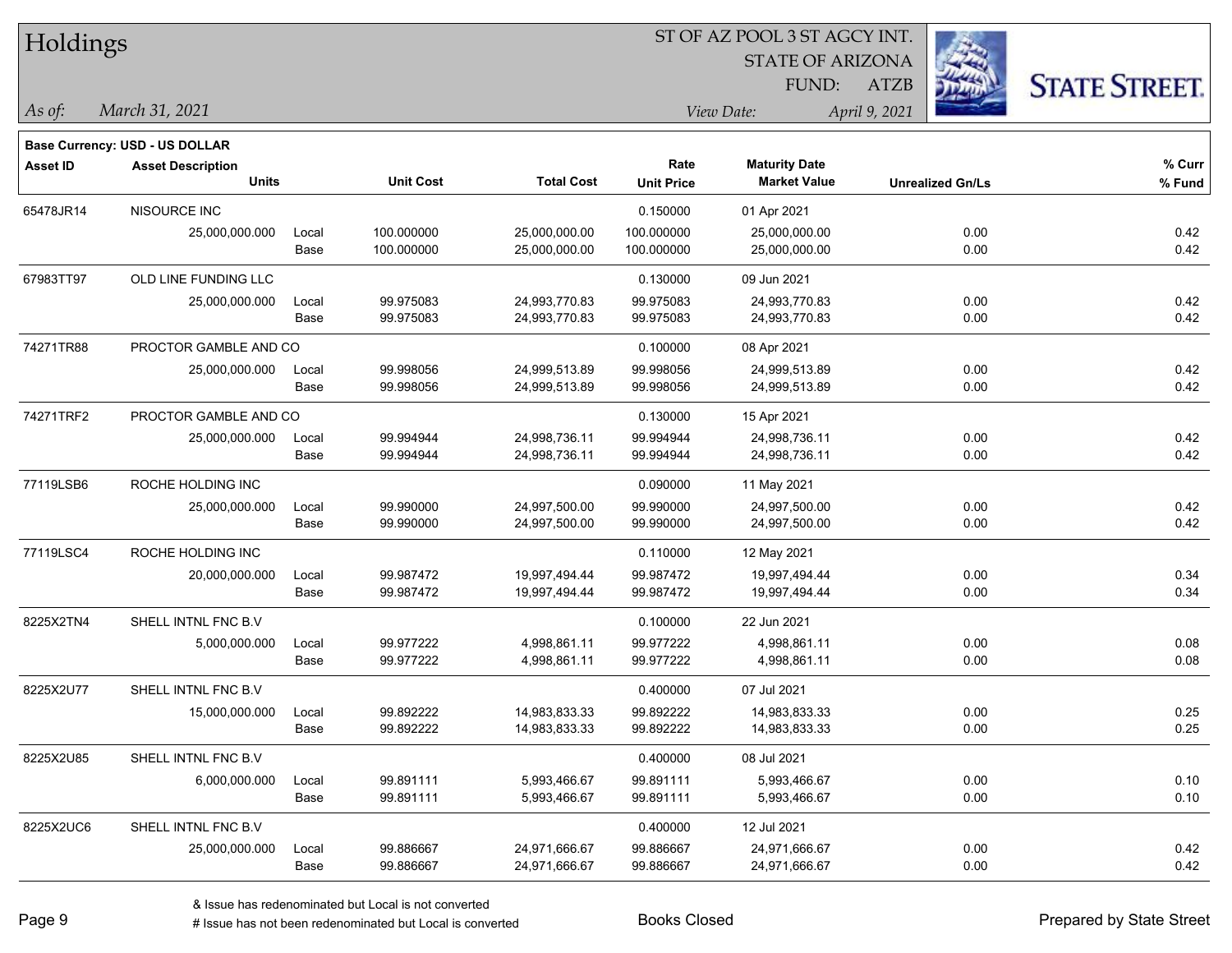| Holdings        |                                       |       |                  | ST OF AZ POOL 3 ST AGCY INT. |                   |                         |                         |                      |  |  |  |
|-----------------|---------------------------------------|-------|------------------|------------------------------|-------------------|-------------------------|-------------------------|----------------------|--|--|--|
|                 |                                       |       |                  |                              |                   | <b>STATE OF ARIZONA</b> |                         |                      |  |  |  |
|                 |                                       |       |                  |                              |                   | FUND:                   | ATZB                    | <b>STATE STREET.</b> |  |  |  |
| $\vert$ As of:  | March 31, 2021                        |       |                  |                              |                   | View Date:              | April 9, 2021           |                      |  |  |  |
|                 | <b>Base Currency: USD - US DOLLAR</b> |       |                  |                              |                   |                         |                         |                      |  |  |  |
| <b>Asset ID</b> | <b>Asset Description</b>              |       |                  |                              | Rate              | <b>Maturity Date</b>    |                         | $%$ Curr             |  |  |  |
|                 | <b>Units</b>                          |       | <b>Unit Cost</b> | <b>Total Cost</b>            | <b>Unit Price</b> | <b>Market Value</b>     | <b>Unrealized Gn/Ls</b> | % Fund               |  |  |  |
| 65478JR14       | NISOURCE INC                          |       |                  |                              | 0.150000          | 01 Apr 2021             |                         |                      |  |  |  |
|                 | 25,000,000.000                        | Local | 100.000000       | 25,000,000.00                | 100.000000        | 25,000,000.00           | 0.00                    | 0.42                 |  |  |  |
|                 |                                       | Base  | 100.000000       | 25,000,000.00                | 100.000000        | 25,000,000.00           | 0.00                    | 0.42                 |  |  |  |
| 67983TT97       | OLD LINE FUNDING LLC                  |       |                  |                              | 0.130000          | 09 Jun 2021             |                         |                      |  |  |  |
|                 | 25,000,000.000                        | Local | 99.975083        | 24,993,770.83                | 99.975083         | 24,993,770.83           | 0.00                    | 0.42                 |  |  |  |
|                 |                                       | Base  | 99.975083        | 24,993,770.83                | 99.975083         | 24,993,770.83           | 0.00                    | 0.42                 |  |  |  |
| 74271TR88       | PROCTOR GAMBLE AND CO                 |       |                  |                              | 0.100000          | 08 Apr 2021             |                         |                      |  |  |  |
|                 | 25,000,000.000                        | Local | 99.998056        | 24,999,513.89                | 99.998056         | 24,999,513.89           | 0.00                    | 0.42                 |  |  |  |
|                 |                                       | Base  | 99.998056        | 24,999,513.89                | 99.998056         | 24,999,513.89           | 0.00                    | 0.42                 |  |  |  |
| 74271TRF2       | PROCTOR GAMBLE AND CO                 |       |                  |                              | 0.130000          | 15 Apr 2021             |                         |                      |  |  |  |
|                 | 25,000,000.000                        | Local | 99.994944        | 24,998,736.11                | 99.994944         | 24,998,736.11           | 0.00                    | 0.42                 |  |  |  |
|                 |                                       | Base  | 99.994944        | 24,998,736.11                | 99.994944         | 24,998,736.11           | 0.00                    | 0.42                 |  |  |  |
| 77119LSB6       | ROCHE HOLDING INC                     |       |                  |                              | 0.090000          | 11 May 2021             |                         |                      |  |  |  |
|                 | 25,000,000.000                        | Local | 99.990000        | 24,997,500.00                | 99.990000         | 24,997,500.00           | 0.00                    | 0.42                 |  |  |  |
|                 |                                       | Base  | 99.990000        | 24,997,500.00                | 99.990000         | 24,997,500.00           | 0.00                    | 0.42                 |  |  |  |
| 77119LSC4       | ROCHE HOLDING INC                     |       |                  |                              | 0.110000          | 12 May 2021             |                         |                      |  |  |  |
|                 | 20,000,000.000                        | Local | 99.987472        | 19,997,494.44                | 99.987472         | 19,997,494.44           | 0.00                    | 0.34                 |  |  |  |
|                 |                                       | Base  | 99.987472        | 19,997,494.44                | 99.987472         | 19,997,494.44           | 0.00                    | 0.34                 |  |  |  |
| 8225X2TN4       | SHELL INTNL FNC B.V                   |       |                  |                              | 0.100000          | 22 Jun 2021             |                         |                      |  |  |  |
|                 | 5,000,000.000                         | Local | 99.977222        | 4,998,861.11                 | 99.977222         | 4,998,861.11            | 0.00                    | 0.08                 |  |  |  |
|                 |                                       | Base  | 99.977222        | 4,998,861.11                 | 99.977222         | 4,998,861.11            | 0.00                    | 0.08                 |  |  |  |
| 8225X2U77       | SHELL INTNL FNC B.V                   |       |                  |                              | 0.400000          | 07 Jul 2021             |                         |                      |  |  |  |
|                 | 15,000,000.000                        | Local | 99.892222        | 14,983,833.33                | 99.892222         | 14,983,833.33           | 0.00                    | 0.25                 |  |  |  |
|                 |                                       | Base  | 99.892222        | 14,983,833.33                | 99.892222         | 14,983,833.33           | 0.00                    | 0.25                 |  |  |  |
| 8225X2U85       | SHELL INTNL FNC B.V                   |       |                  |                              | 0.400000          | 08 Jul 2021             |                         |                      |  |  |  |
|                 | 6,000,000.000                         | Local | 99.891111        | 5,993,466.67                 | 99.891111         | 5,993,466.67            | 0.00                    | 0.10                 |  |  |  |
|                 |                                       | Base  | 99.891111        | 5,993,466.67                 | 99.891111         | 5,993,466.67            | 0.00                    | 0.10                 |  |  |  |
| 8225X2UC6       | SHELL INTNL FNC B.V                   |       |                  |                              | 0.400000          | 12 Jul 2021             |                         |                      |  |  |  |
|                 | 25,000,000.000                        | Local | 99.886667        | 24,971,666.67                | 99.886667         | 24,971,666.67           | 0.00                    | 0.42                 |  |  |  |
|                 |                                       | Base  | 99.886667        | 24,971,666.67                | 99.886667         | 24,971,666.67           | 0.00                    | 0.42                 |  |  |  |

## ST OF AZ POOL 3 ST AGCY INT.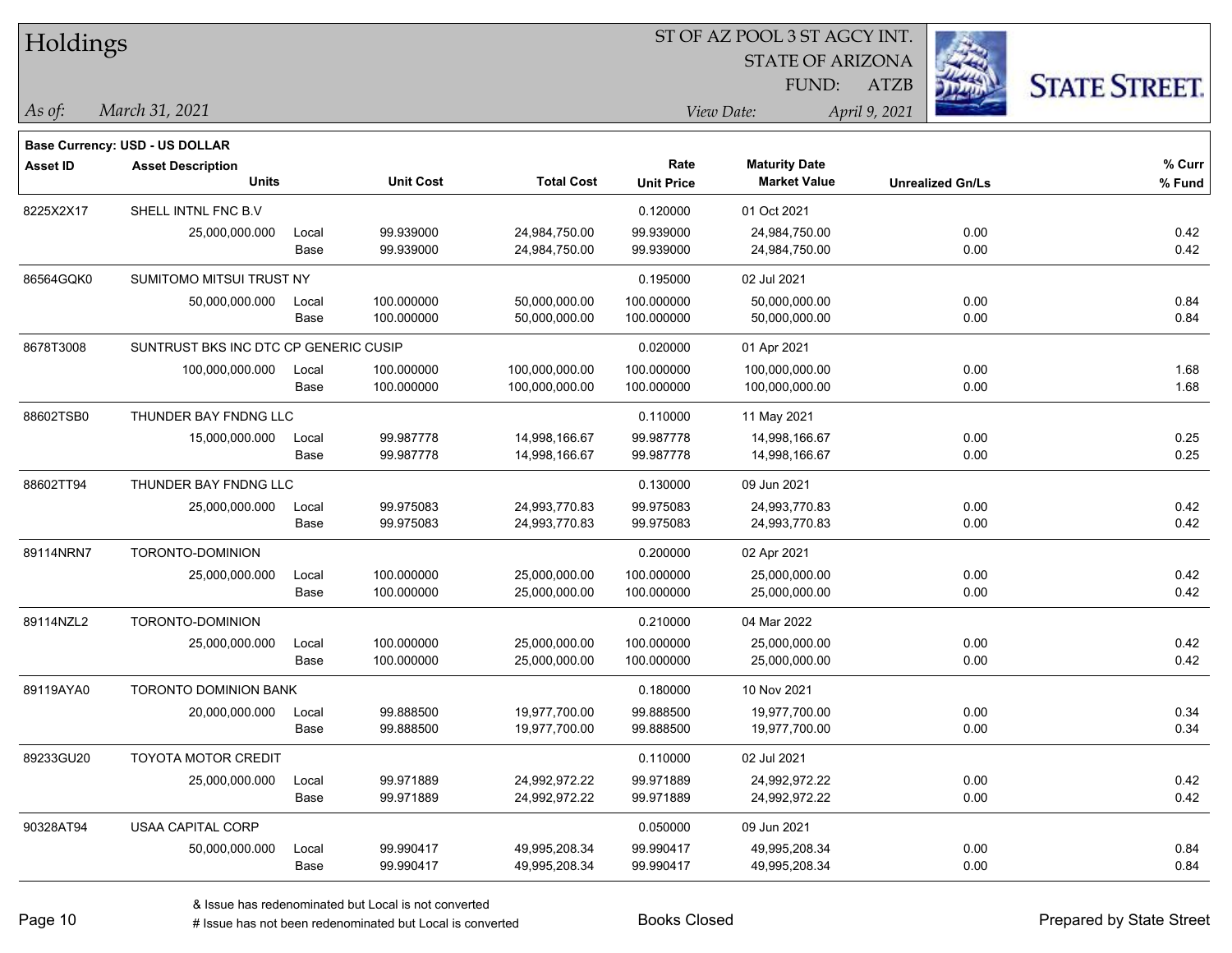| Holdings        |                                          |               |                  | ST OF AZ POOL 3 ST AGCY INT. |                           |                                             |                         |                      |  |  |
|-----------------|------------------------------------------|---------------|------------------|------------------------------|---------------------------|---------------------------------------------|-------------------------|----------------------|--|--|
|                 |                                          |               |                  |                              |                           |                                             |                         |                      |  |  |
|                 |                                          |               |                  |                              |                           | FUND:                                       | <b>ATZB</b>             | <b>STATE STREET.</b> |  |  |
| As of:          | March 31, 2021                           |               |                  |                              |                           | View Date:                                  | April 9, 2021           |                      |  |  |
|                 |                                          |               |                  |                              |                           |                                             |                         |                      |  |  |
|                 | Base Currency: USD - US DOLLAR           |               |                  |                              |                           |                                             |                         |                      |  |  |
| <b>Asset ID</b> | <b>Asset Description</b><br><b>Units</b> |               | <b>Unit Cost</b> | <b>Total Cost</b>            | Rate<br><b>Unit Price</b> | <b>Maturity Date</b><br><b>Market Value</b> | <b>Unrealized Gn/Ls</b> | % Curr<br>% Fund     |  |  |
| 8225X2X17       | SHELL INTNL FNC B.V                      |               |                  |                              |                           | 01 Oct 2021                                 |                         |                      |  |  |
|                 |                                          |               | 99.939000        | 24,984,750.00                | 0.120000<br>99.939000     | 24,984,750.00                               | 0.00                    | 0.42                 |  |  |
|                 | 25,000,000.000                           | Local<br>Base | 99.939000        | 24,984,750.00                | 99.939000                 | 24,984,750.00                               | 0.00                    | 0.42                 |  |  |
| 86564GQK0       | SUMITOMO MITSUI TRUST NY                 |               |                  |                              | 0.195000                  | 02 Jul 2021                                 |                         |                      |  |  |
|                 | 50,000,000.000                           | Local         | 100.000000       | 50,000,000.00                | 100.000000                | 50,000,000.00                               | 0.00                    | 0.84                 |  |  |
|                 |                                          | Base          | 100.000000       | 50,000,000.00                | 100.000000                | 50,000,000.00                               | 0.00                    | 0.84                 |  |  |
| 8678T3008       | SUNTRUST BKS INC DTC CP GENERIC CUSIP    |               |                  |                              | 0.020000                  | 01 Apr 2021                                 |                         |                      |  |  |
|                 | 100,000,000.000                          | Local         | 100.000000       | 100,000,000.00               | 100.000000                | 100,000,000.00                              | 0.00                    | 1.68                 |  |  |
|                 |                                          | Base          | 100.000000       | 100,000,000.00               | 100.000000                | 100,000,000.00                              | 0.00                    | 1.68                 |  |  |
| 88602TSB0       | THUNDER BAY FNDNG LLC                    |               |                  |                              | 0.110000                  | 11 May 2021                                 |                         |                      |  |  |
|                 | 15,000,000.000                           | Local         | 99.987778        | 14,998,166.67                | 99.987778                 | 14,998,166.67                               | 0.00                    | 0.25                 |  |  |
|                 |                                          | Base          | 99.987778        | 14,998,166.67                | 99.987778                 | 14,998,166.67                               | 0.00                    | 0.25                 |  |  |
| 88602TT94       | THUNDER BAY FNDNG LLC                    |               |                  |                              | 0.130000                  | 09 Jun 2021                                 |                         |                      |  |  |
|                 | 25,000,000.000                           | Local         | 99.975083        | 24,993,770.83                | 99.975083                 | 24,993,770.83                               | 0.00                    | 0.42                 |  |  |
|                 |                                          | Base          | 99.975083        | 24,993,770.83                | 99.975083                 | 24,993,770.83                               | 0.00                    | 0.42                 |  |  |
| 89114NRN7       | TORONTO-DOMINION                         |               |                  |                              | 0.200000                  | 02 Apr 2021                                 |                         |                      |  |  |
|                 | 25,000,000.000                           | Local         | 100.000000       | 25,000,000.00                | 100.000000                | 25,000,000.00                               | 0.00                    | 0.42                 |  |  |
|                 |                                          | Base          | 100.000000       | 25,000,000.00                | 100.000000                | 25,000,000.00                               | 0.00                    | 0.42                 |  |  |
| 89114NZL2       | TORONTO-DOMINION                         |               |                  |                              | 0.210000                  | 04 Mar 2022                                 |                         |                      |  |  |
|                 | 25,000,000.000                           | Local         | 100.000000       | 25,000,000.00                | 100.000000                | 25,000,000.00                               | 0.00                    | 0.42                 |  |  |
|                 |                                          | Base          | 100.000000       | 25,000,000.00                | 100.000000                | 25,000,000.00                               | 0.00                    | 0.42                 |  |  |
| 89119AYA0       | TORONTO DOMINION BANK                    |               |                  |                              | 0.180000                  | 10 Nov 2021                                 |                         |                      |  |  |
|                 | 20,000,000.000                           | Local         | 99.888500        | 19,977,700.00                | 99.888500                 | 19,977,700.00                               | 0.00                    | 0.34                 |  |  |
|                 |                                          | Base          | 99.888500        | 19,977,700.00                | 99.888500                 | 19,977,700.00                               | 0.00                    | 0.34                 |  |  |
| 89233GU20       | <b>TOYOTA MOTOR CREDIT</b>               |               |                  |                              | 0.110000                  | 02 Jul 2021                                 |                         |                      |  |  |
|                 | 25,000,000.000                           | Local         | 99.971889        | 24,992,972.22                | 99.971889                 | 24,992,972.22                               | 0.00                    | 0.42                 |  |  |
|                 |                                          | Base          | 99.971889        | 24,992,972.22                | 99.971889                 | 24,992,972.22                               | 0.00                    | 0.42                 |  |  |
| 90328AT94       | USAA CAPITAL CORP                        |               |                  |                              | 0.050000                  | 09 Jun 2021                                 |                         |                      |  |  |
|                 | 50,000,000.000                           | Local         | 99.990417        | 49,995,208.34                | 99.990417                 | 49,995,208.34                               | 0.00                    | 0.84                 |  |  |
|                 |                                          | Base          | 99.990417        | 49,995,208.34                | 99.990417                 | 49,995,208.34                               | 0.00                    | 0.84                 |  |  |

# Issue has not been redenominated but Local is converted Books Closed Prepared by State Street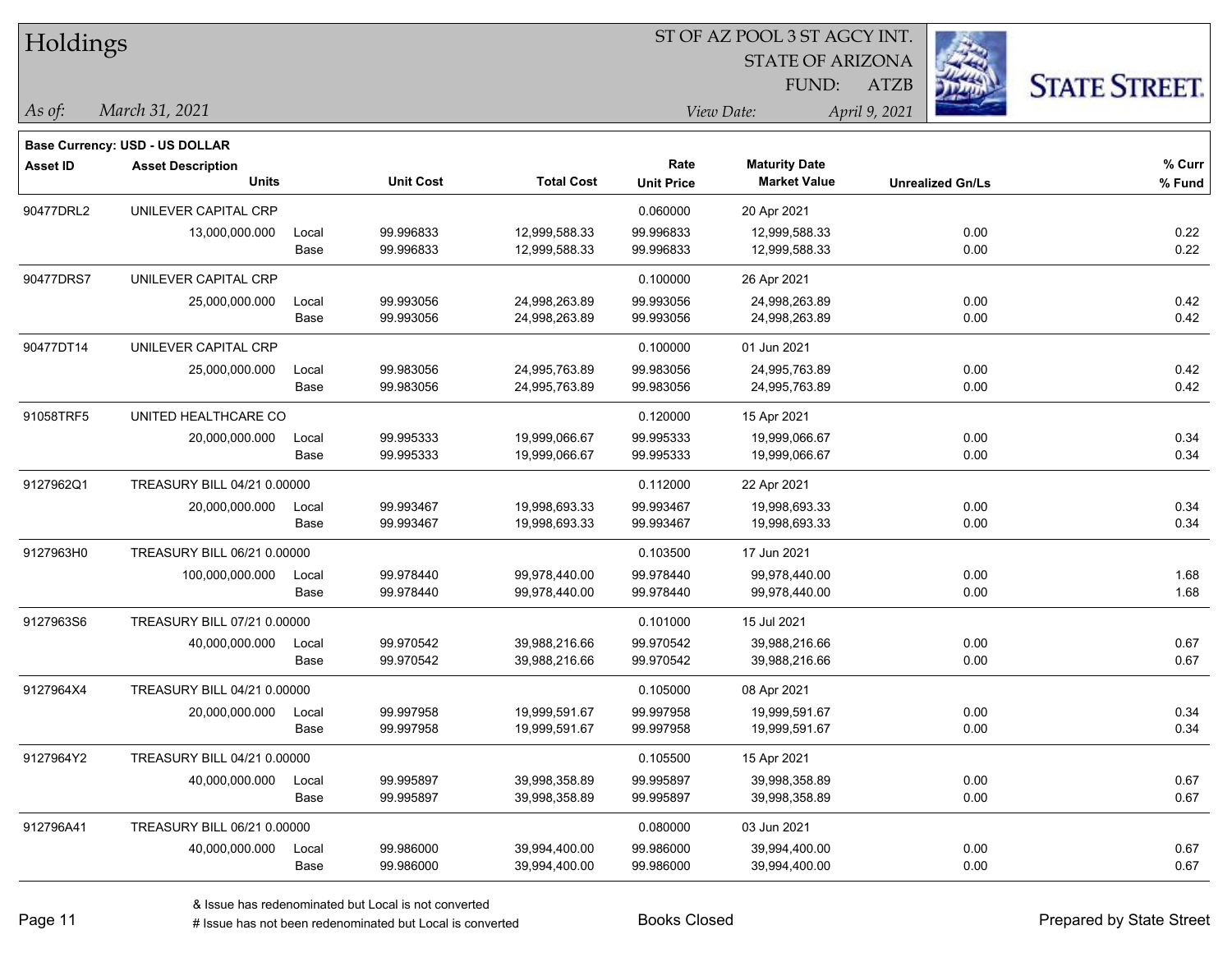| Holdings        |                                       |       |                  |                   |                   |                         |                         |                      |
|-----------------|---------------------------------------|-------|------------------|-------------------|-------------------|-------------------------|-------------------------|----------------------|
|                 |                                       |       |                  |                   |                   | <b>STATE OF ARIZONA</b> |                         |                      |
|                 |                                       |       |                  |                   |                   | <b>FUND:</b>            | <b>ATZB</b>             | <b>STATE STREET.</b> |
| As of:          | March 31, 2021                        |       |                  |                   | View Date:        |                         | April 9, 2021           |                      |
|                 | <b>Base Currency: USD - US DOLLAR</b> |       |                  |                   |                   |                         |                         |                      |
| <b>Asset ID</b> | <b>Asset Description</b>              |       |                  |                   | Rate              | <b>Maturity Date</b>    |                         | % Curr               |
|                 | <b>Units</b>                          |       | <b>Unit Cost</b> | <b>Total Cost</b> | <b>Unit Price</b> | <b>Market Value</b>     | <b>Unrealized Gn/Ls</b> | % Fund               |
| 90477DRL2       | UNILEVER CAPITAL CRP                  |       |                  |                   | 0.060000          | 20 Apr 2021             |                         |                      |
|                 | 13,000,000.000                        | Local | 99.996833        | 12,999,588.33     | 99.996833         | 12,999,588.33           | 0.00                    | 0.22                 |
|                 |                                       | Base  | 99.996833        | 12,999,588.33     | 99.996833         | 12,999,588.33           | 0.00                    | 0.22                 |
| 90477DRS7       | UNILEVER CAPITAL CRP                  |       |                  |                   | 0.100000          | 26 Apr 2021             |                         |                      |
|                 | 25,000,000.000                        | Local | 99.993056        | 24,998,263.89     | 99.993056         | 24,998,263.89           | 0.00                    | 0.42                 |
|                 |                                       | Base  | 99.993056        | 24,998,263.89     | 99.993056         | 24,998,263.89           | 0.00                    | 0.42                 |
| 90477DT14       | UNILEVER CAPITAL CRP                  |       |                  |                   | 0.100000          | 01 Jun 2021             |                         |                      |
|                 | 25,000,000.000                        | Local | 99.983056        | 24,995,763.89     | 99.983056         | 24,995,763.89           | 0.00                    | 0.42                 |
|                 |                                       | Base  | 99.983056        | 24,995,763.89     | 99.983056         | 24,995,763.89           | 0.00                    | 0.42                 |
| 91058TRF5       | UNITED HEALTHCARE CO                  |       |                  |                   | 0.120000          | 15 Apr 2021             |                         |                      |
|                 | 20,000,000.000                        | Local | 99.995333        | 19,999,066.67     | 99.995333         | 19,999,066.67           | 0.00                    | 0.34                 |
|                 |                                       | Base  | 99.995333        | 19,999,066.67     | 99.995333         | 19,999,066.67           | 0.00                    | 0.34                 |
| 9127962Q1       | TREASURY BILL 04/21 0.00000           |       |                  |                   | 0.112000          | 22 Apr 2021             |                         |                      |
|                 | 20,000,000.000                        | Local | 99.993467        | 19,998,693.33     | 99.993467         | 19,998,693.33           | 0.00                    | 0.34                 |
|                 |                                       | Base  | 99.993467        | 19,998,693.33     | 99.993467         | 19,998,693.33           | 0.00                    | 0.34                 |
| 9127963H0       | TREASURY BILL 06/21 0.00000           |       |                  |                   | 0.103500          | 17 Jun 2021             |                         |                      |
|                 | 100,000,000.000                       | Local | 99.978440        | 99,978,440.00     | 99.978440         | 99,978,440.00           | 0.00                    | 1.68                 |
|                 |                                       | Base  | 99.978440        | 99,978,440.00     | 99.978440         | 99,978,440.00           | 0.00                    | 1.68                 |
| 9127963S6       | TREASURY BILL 07/21 0.00000           |       |                  |                   | 0.101000          | 15 Jul 2021             |                         |                      |
|                 | 40,000,000.000                        | Local | 99.970542        | 39,988,216.66     | 99.970542         | 39,988,216.66           | 0.00                    | 0.67                 |
|                 |                                       | Base  | 99.970542        | 39,988,216.66     | 99.970542         | 39,988,216.66           | 0.00                    | 0.67                 |
| 9127964X4       | TREASURY BILL 04/21 0.00000           |       |                  |                   | 0.105000          | 08 Apr 2021             |                         |                      |
|                 | 20,000,000.000                        | Local | 99.997958        | 19,999,591.67     | 99.997958         | 19,999,591.67           | 0.00                    | 0.34                 |
|                 |                                       | Base  | 99.997958        | 19,999,591.67     | 99.997958         | 19,999,591.67           | 0.00                    | 0.34                 |
| 9127964Y2       | TREASURY BILL 04/21 0.00000           |       |                  |                   | 0.105500          | 15 Apr 2021             |                         |                      |
|                 | 40,000,000.000                        | Local | 99.995897        | 39,998,358.89     | 99.995897         | 39,998,358.89           | 0.00                    | 0.67                 |
|                 |                                       | Base  | 99.995897        | 39,998,358.89     | 99.995897         | 39,998,358.89           | 0.00                    | 0.67                 |
| 912796A41       | TREASURY BILL 06/21 0.00000           |       |                  |                   | 0.080000          | 03 Jun 2021             |                         |                      |
|                 | 40,000,000.000                        | Local | 99.986000        | 39,994,400.00     | 99.986000         | 39,994,400.00           | 0.00                    | 0.67                 |
|                 |                                       | Base  | 99.986000        | 39,994,400.00     | 99.986000         | 39,994,400.00           | 0.00                    | 0.67                 |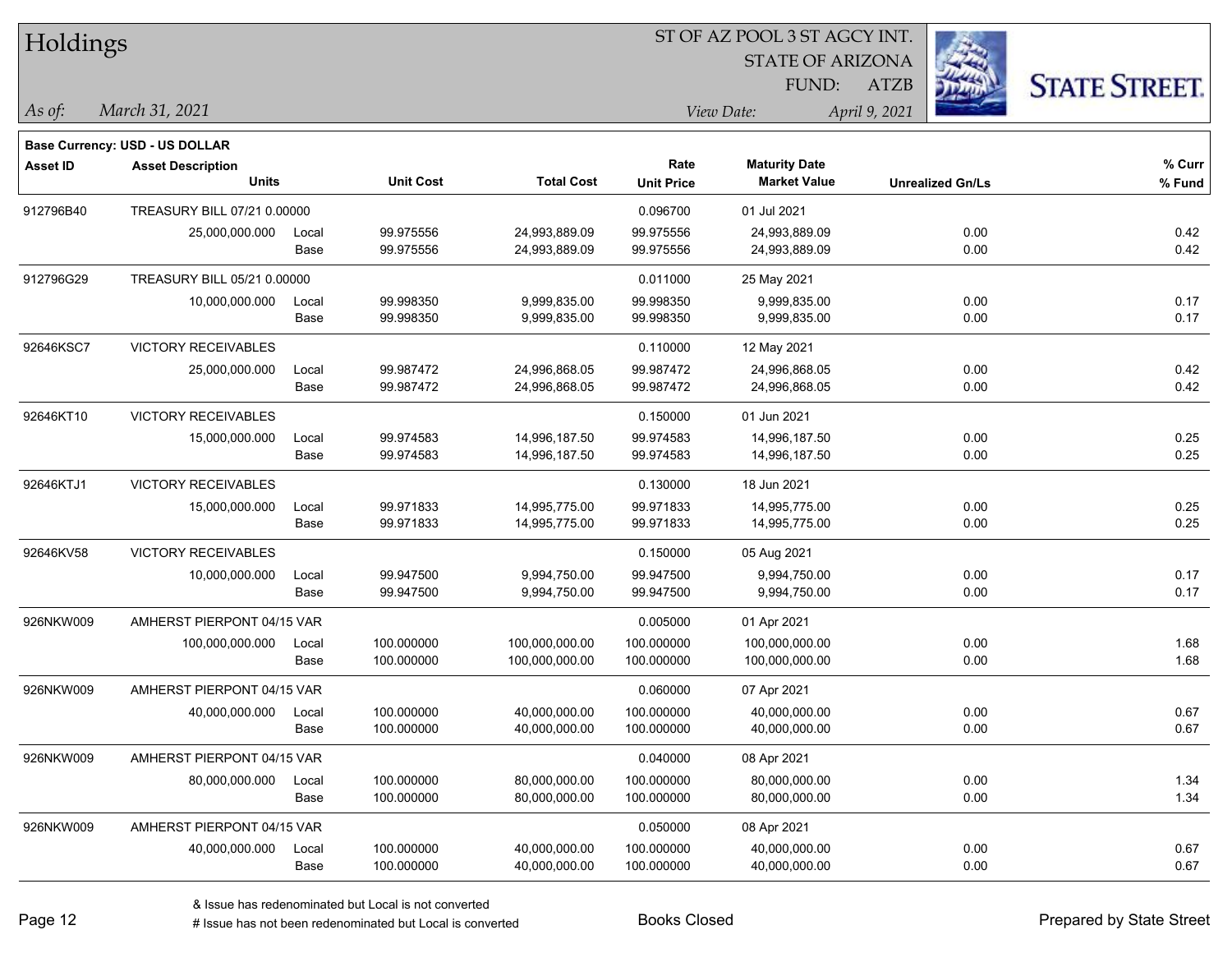| Holdings        |                                       |       |                  |                   | ST OF AZ POOL 3 ST AGCY INT. |                         |                         |                      |  |  |  |
|-----------------|---------------------------------------|-------|------------------|-------------------|------------------------------|-------------------------|-------------------------|----------------------|--|--|--|
|                 |                                       |       |                  |                   |                              | <b>STATE OF ARIZONA</b> |                         |                      |  |  |  |
|                 |                                       |       |                  |                   |                              | FUND:                   | <b>ATZB</b>             | <b>STATE STREET.</b> |  |  |  |
| As of:          | March 31, 2021                        |       |                  |                   |                              | View Date:              | April 9, 2021           |                      |  |  |  |
|                 | <b>Base Currency: USD - US DOLLAR</b> |       |                  |                   |                              |                         |                         |                      |  |  |  |
| <b>Asset ID</b> | <b>Asset Description</b>              |       |                  |                   | Rate                         | <b>Maturity Date</b>    |                         | % Curr               |  |  |  |
|                 | <b>Units</b>                          |       | <b>Unit Cost</b> | <b>Total Cost</b> | <b>Unit Price</b>            | <b>Market Value</b>     | <b>Unrealized Gn/Ls</b> | % Fund               |  |  |  |
| 912796B40       | TREASURY BILL 07/21 0.00000           |       |                  |                   | 0.096700                     | 01 Jul 2021             |                         |                      |  |  |  |
|                 | 25,000,000.000                        | Local | 99.975556        | 24,993,889.09     | 99.975556                    | 24,993,889.09           | 0.00                    | 0.42                 |  |  |  |
|                 |                                       | Base  | 99.975556        | 24,993,889.09     | 99.975556                    | 24,993,889.09           | 0.00                    | 0.42                 |  |  |  |
| 912796G29       | TREASURY BILL 05/21 0.00000           |       |                  |                   | 0.011000                     | 25 May 2021             |                         |                      |  |  |  |
|                 | 10,000,000.000                        | Local | 99.998350        | 9,999,835.00      | 99.998350                    | 9,999,835.00            | 0.00                    | 0.17                 |  |  |  |
|                 |                                       | Base  | 99.998350        | 9,999,835.00      | 99.998350                    | 9,999,835.00            | 0.00                    | 0.17                 |  |  |  |
| 92646KSC7       | <b>VICTORY RECEIVABLES</b>            |       |                  |                   | 0.110000                     | 12 May 2021             |                         |                      |  |  |  |
|                 | 25,000,000.000                        | Local | 99.987472        | 24,996,868.05     | 99.987472                    | 24,996,868.05           | 0.00                    | 0.42                 |  |  |  |
|                 |                                       | Base  | 99.987472        | 24,996,868.05     | 99.987472                    | 24,996,868.05           | 0.00                    | 0.42                 |  |  |  |
| 92646KT10       | <b>VICTORY RECEIVABLES</b>            |       |                  |                   | 0.150000                     | 01 Jun 2021             |                         |                      |  |  |  |
|                 | 15,000,000.000                        | Local | 99.974583        | 14,996,187.50     | 99.974583                    | 14,996,187.50           | 0.00                    | 0.25                 |  |  |  |
|                 |                                       | Base  | 99.974583        | 14,996,187.50     | 99.974583                    | 14,996,187.50           | 0.00                    | 0.25                 |  |  |  |
| 92646KTJ1       | <b>VICTORY RECEIVABLES</b>            |       |                  |                   | 0.130000                     | 18 Jun 2021             |                         |                      |  |  |  |
|                 | 15,000,000.000                        | Local | 99.971833        | 14,995,775.00     | 99.971833                    | 14,995,775.00           | 0.00                    | 0.25                 |  |  |  |
|                 |                                       | Base  | 99.971833        | 14,995,775.00     | 99.971833                    | 14,995,775.00           | 0.00                    | 0.25                 |  |  |  |
| 92646KV58       | <b>VICTORY RECEIVABLES</b>            |       |                  |                   | 0.150000                     | 05 Aug 2021             |                         |                      |  |  |  |
|                 | 10,000,000.000                        | Local | 99.947500        | 9,994,750.00      | 99.947500                    | 9,994,750.00            | 0.00                    | 0.17                 |  |  |  |
|                 |                                       | Base  | 99.947500        | 9,994,750.00      | 99.947500                    | 9,994,750.00            | 0.00                    | 0.17                 |  |  |  |
| 926NKW009       | AMHERST PIERPONT 04/15 VAR            |       |                  |                   | 0.005000                     | 01 Apr 2021             |                         |                      |  |  |  |
|                 | 100,000,000.000                       | Local | 100.000000       | 100,000,000.00    | 100.000000                   | 100,000,000.00          | 0.00                    | 1.68                 |  |  |  |
|                 |                                       | Base  | 100.000000       | 100,000,000.00    | 100.000000                   | 100,000,000.00          | 0.00                    | 1.68                 |  |  |  |
| 926NKW009       | AMHERST PIERPONT 04/15 VAR            |       |                  |                   | 0.060000                     | 07 Apr 2021             |                         |                      |  |  |  |
|                 | 40,000,000.000 Local                  |       | 100.000000       | 40,000,000.00     | 100.000000                   | 40,000,000.00           | 0.00                    | 0.67                 |  |  |  |
|                 |                                       | Base  | 100.000000       | 40,000,000.00     | 100.000000                   | 40,000,000.00           | 0.00                    | 0.67                 |  |  |  |
| 926NKW009       | AMHERST PIERPONT 04/15 VAR            |       |                  |                   | 0.040000                     | 08 Apr 2021             |                         |                      |  |  |  |
|                 | 80,000,000.000                        | Local | 100.000000       | 80,000,000.00     | 100.000000                   | 80,000,000.00           | 0.00                    | 1.34                 |  |  |  |
|                 |                                       | Base  | 100.000000       | 80,000,000.00     | 100.000000                   | 80,000,000.00           | 0.00                    | 1.34                 |  |  |  |
| 926NKW009       | AMHERST PIERPONT 04/15 VAR            |       |                  |                   | 0.050000                     | 08 Apr 2021             |                         |                      |  |  |  |
|                 | 40,000,000.000                        | Local | 100.000000       | 40,000,000.00     | 100.000000                   | 40,000,000.00           | 0.00                    | 0.67                 |  |  |  |
|                 |                                       | Base  | 100.000000       | 40,000,000.00     | 100.000000                   | 40,000,000.00           | 0.00                    | 0.67                 |  |  |  |

 $\overline{\phantom{a}}$ 

 $\overline{\phantom{0}}$ 

 $\overline{\phantom{a}}$ 

 $\overline{\phantom{a}}$ 

 $\overline{\phantom{0}}$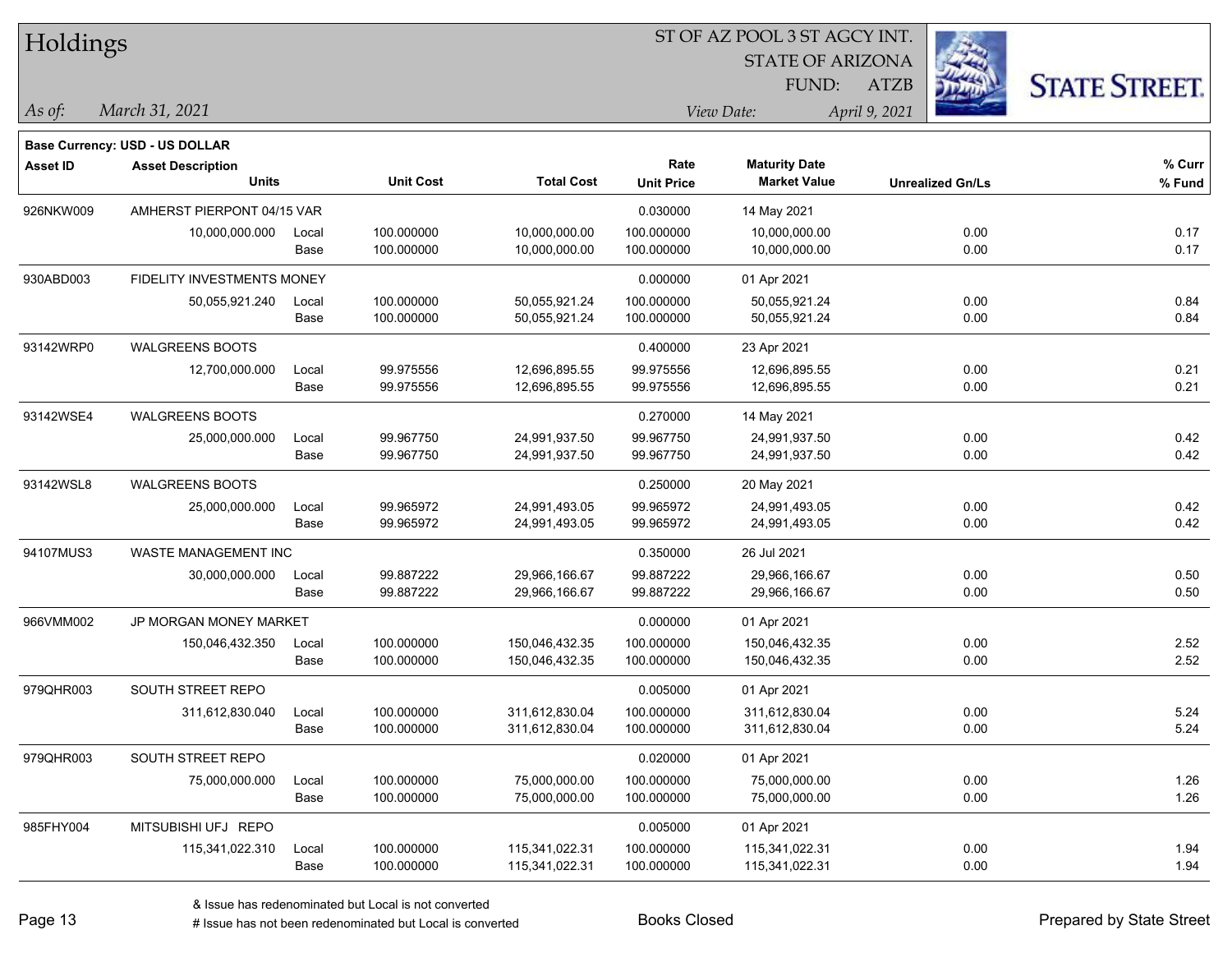| Holdings        |                                                                   |       |                  |                   |                   | ST OF AZ POOL 3 ST AGCY INT. |                         |      |                      |
|-----------------|-------------------------------------------------------------------|-------|------------------|-------------------|-------------------|------------------------------|-------------------------|------|----------------------|
|                 |                                                                   |       |                  |                   |                   | <b>STATE OF ARIZONA</b>      |                         |      |                      |
|                 |                                                                   |       |                  |                   |                   | FUND:                        | <b>ATZB</b>             |      | <b>STATE STREET.</b> |
| $\vert$ As of:  | March 31, 2021                                                    |       |                  |                   |                   | View Date:                   | April 9, 2021           |      |                      |
|                 |                                                                   |       |                  |                   |                   |                              |                         |      |                      |
| <b>Asset ID</b> | <b>Base Currency: USD - US DOLLAR</b><br><b>Asset Description</b> |       |                  |                   | Rate              | <b>Maturity Date</b>         |                         |      | $%$ Curr             |
|                 | <b>Units</b>                                                      |       | <b>Unit Cost</b> | <b>Total Cost</b> | <b>Unit Price</b> | <b>Market Value</b>          | <b>Unrealized Gn/Ls</b> |      | % Fund               |
| 926NKW009       | AMHERST PIERPONT 04/15 VAR                                        |       |                  |                   | 0.030000          | 14 May 2021                  |                         |      |                      |
|                 | 10,000,000.000                                                    | Local | 100.000000       | 10,000,000.00     | 100.000000        | 10,000,000.00                |                         | 0.00 | 0.17                 |
|                 |                                                                   | Base  | 100.000000       | 10,000,000.00     | 100.000000        | 10,000,000.00                |                         | 0.00 | 0.17                 |
| 930ABD003       | FIDELITY INVESTMENTS MONEY                                        |       |                  |                   | 0.000000          | 01 Apr 2021                  |                         |      |                      |
|                 | 50,055,921.240                                                    | Local | 100.000000       | 50,055,921.24     | 100.000000        | 50,055,921.24                |                         | 0.00 | 0.84                 |
|                 |                                                                   | Base  | 100.000000       | 50,055,921.24     | 100.000000        | 50,055,921.24                |                         | 0.00 | 0.84                 |
| 93142WRP0       | <b>WALGREENS BOOTS</b>                                            |       |                  |                   | 0.400000          | 23 Apr 2021                  |                         |      |                      |
|                 | 12,700,000.000                                                    | Local | 99.975556        | 12,696,895.55     | 99.975556         | 12,696,895.55                |                         | 0.00 | 0.21                 |
|                 |                                                                   | Base  | 99.975556        | 12,696,895.55     | 99.975556         | 12,696,895.55                |                         | 0.00 | 0.21                 |
| 93142WSE4       | <b>WALGREENS BOOTS</b>                                            |       |                  |                   | 0.270000          | 14 May 2021                  |                         |      |                      |
|                 | 25,000,000.000                                                    | Local | 99.967750        | 24,991,937.50     | 99.967750         | 24,991,937.50                |                         | 0.00 | 0.42                 |
|                 |                                                                   | Base  | 99.967750        | 24,991,937.50     | 99.967750         | 24,991,937.50                |                         | 0.00 | 0.42                 |
| 93142WSL8       | <b>WALGREENS BOOTS</b>                                            |       |                  |                   | 0.250000          | 20 May 2021                  |                         |      |                      |
|                 | 25,000,000.000                                                    | Local | 99.965972        | 24,991,493.05     | 99.965972         | 24,991,493.05                |                         | 0.00 | 0.42                 |
|                 |                                                                   | Base  | 99.965972        | 24,991,493.05     | 99.965972         | 24,991,493.05                |                         | 0.00 | 0.42                 |
| 94107MUS3       | WASTE MANAGEMENT INC                                              |       |                  |                   | 0.350000          | 26 Jul 2021                  |                         |      |                      |
|                 | 30,000,000.000                                                    | Local | 99.887222        | 29,966,166.67     | 99.887222         | 29,966,166.67                |                         | 0.00 | 0.50                 |
|                 |                                                                   | Base  | 99.887222        | 29,966,166.67     | 99.887222         | 29,966,166.67                |                         | 0.00 | 0.50                 |
| 966VMM002       | JP MORGAN MONEY MARKET                                            |       |                  |                   | 0.000000          | 01 Apr 2021                  |                         |      |                      |
|                 | 150,046,432.350                                                   | Local | 100.000000       | 150,046,432.35    | 100.000000        | 150,046,432.35               |                         | 0.00 | 2.52                 |
|                 |                                                                   | Base  | 100.000000       | 150,046,432.35    | 100.000000        | 150,046,432.35               |                         | 0.00 | 2.52                 |
| 979QHR003       | SOUTH STREET REPO                                                 |       |                  |                   | 0.005000          | 01 Apr 2021                  |                         |      |                      |
|                 | 311,612,830.040                                                   | Local | 100.000000       | 311,612,830.04    | 100.000000        | 311,612,830.04               |                         | 0.00 | 5.24                 |
|                 |                                                                   | Base  | 100.000000       | 311,612,830.04    | 100.000000        | 311,612,830.04               |                         | 0.00 | 5.24                 |
| 979QHR003       | SOUTH STREET REPO                                                 |       |                  |                   | 0.020000          | 01 Apr 2021                  |                         |      |                      |
|                 | 75,000,000.000                                                    | Local | 100.000000       | 75,000,000.00     | 100.000000        | 75,000,000.00                |                         | 0.00 | 1.26                 |
|                 |                                                                   | Base  | 100.000000       | 75,000,000.00     | 100.000000        | 75,000,000.00                |                         | 0.00 | 1.26                 |
| 985FHY004       | MITSUBISHI UFJ REPO                                               |       |                  |                   | 0.005000          | 01 Apr 2021                  |                         |      |                      |
|                 | 115,341,022.310                                                   | Local | 100.000000       | 115,341,022.31    | 100.000000        | 115,341,022.31               |                         | 0.00 | 1.94                 |
|                 |                                                                   | Base  | 100.000000       | 115,341,022.31    | 100.000000        | 115,341,022.31               |                         | 0.00 | 1.94                 |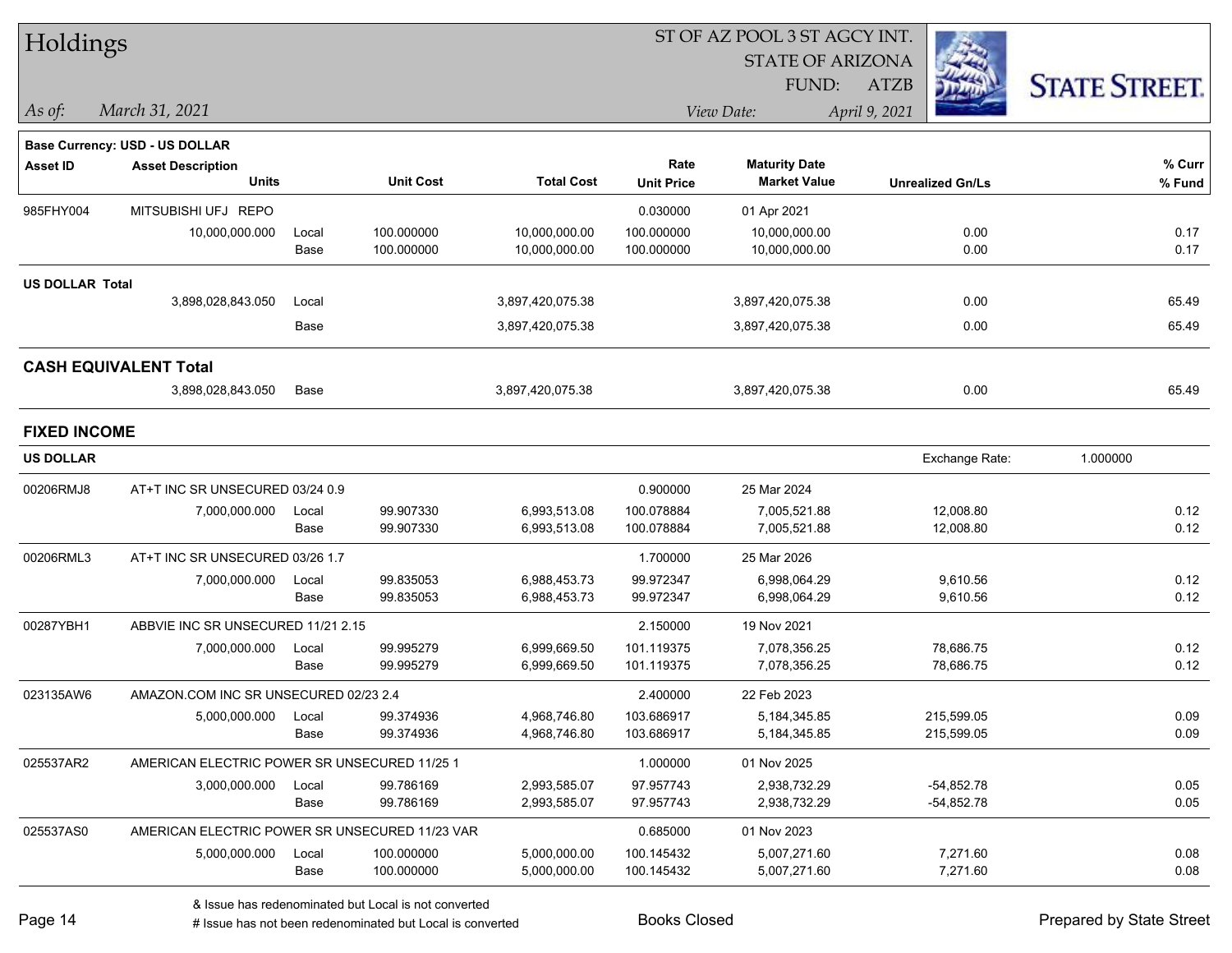| Holdings               |                                                |       | ST OF AZ POOL 3 ST AGCY INT. |                   |                   |                         |                         |                      |  |  |  |  |
|------------------------|------------------------------------------------|-------|------------------------------|-------------------|-------------------|-------------------------|-------------------------|----------------------|--|--|--|--|
|                        |                                                |       |                              |                   |                   | <b>STATE OF ARIZONA</b> |                         |                      |  |  |  |  |
|                        |                                                |       |                              |                   |                   | FUND:                   | ATZB                    | <b>STATE STREET.</b> |  |  |  |  |
| $\vert$ As of:         | March 31, 2021                                 |       |                              |                   |                   | View Date:              | April 9, 2021           |                      |  |  |  |  |
|                        | <b>Base Currency: USD - US DOLLAR</b>          |       |                              |                   |                   |                         |                         |                      |  |  |  |  |
| <b>Asset ID</b>        | <b>Asset Description</b>                       |       |                              |                   | Rate              | <b>Maturity Date</b>    |                         | % Curr               |  |  |  |  |
|                        | <b>Units</b>                                   |       | <b>Unit Cost</b>             | <b>Total Cost</b> | <b>Unit Price</b> | <b>Market Value</b>     | <b>Unrealized Gn/Ls</b> | % Fund               |  |  |  |  |
| 985FHY004              | MITSUBISHI UFJ REPO                            |       |                              |                   | 0.030000          | 01 Apr 2021             |                         |                      |  |  |  |  |
|                        | 10,000,000.000                                 | Local | 100.000000                   | 10,000,000.00     | 100.000000        | 10,000,000.00           | 0.00                    | 0.17                 |  |  |  |  |
|                        |                                                | Base  | 100.000000                   | 10,000,000.00     | 100.000000        | 10,000,000.00           | 0.00                    | 0.17                 |  |  |  |  |
| <b>US DOLLAR Total</b> |                                                |       |                              |                   |                   |                         |                         |                      |  |  |  |  |
|                        | 3,898,028,843.050                              | Local |                              | 3,897,420,075.38  |                   | 3,897,420,075.38        | 0.00                    | 65.49                |  |  |  |  |
|                        |                                                | Base  |                              | 3,897,420,075.38  |                   | 3,897,420,075.38        | 0.00                    | 65.49                |  |  |  |  |
|                        | <b>CASH EQUIVALENT Total</b>                   |       |                              |                   |                   |                         |                         |                      |  |  |  |  |
|                        | 3,898,028,843.050                              | Base  |                              | 3,897,420,075.38  |                   | 3,897,420,075.38        | 0.00                    | 65.49                |  |  |  |  |
| <b>FIXED INCOME</b>    |                                                |       |                              |                   |                   |                         |                         |                      |  |  |  |  |
| <b>US DOLLAR</b>       |                                                |       |                              |                   |                   |                         | Exchange Rate:          | 1.000000             |  |  |  |  |
| 00206RMJ8              | AT+T INC SR UNSECURED 03/24 0.9                |       |                              |                   | 0.900000          | 25 Mar 2024             |                         |                      |  |  |  |  |
|                        | 7,000,000.000                                  | Local | 99.907330                    | 6,993,513.08      | 100.078884        | 7,005,521.88            | 12,008.80               | 0.12                 |  |  |  |  |
|                        |                                                | Base  | 99.907330                    | 6,993,513.08      | 100.078884        | 7,005,521.88            | 12,008.80               | 0.12                 |  |  |  |  |
| 00206RML3              | AT+T INC SR UNSECURED 03/26 1.7                |       |                              |                   | 1.700000          | 25 Mar 2026             |                         |                      |  |  |  |  |
|                        | 7,000,000.000                                  | Local | 99.835053                    | 6,988,453.73      | 99.972347         | 6,998,064.29            | 9,610.56                | 0.12                 |  |  |  |  |
|                        |                                                | Base  | 99.835053                    | 6,988,453.73      | 99.972347         | 6,998,064.29            | 9,610.56                | 0.12                 |  |  |  |  |
| 00287YBH1              | ABBVIE INC SR UNSECURED 11/21 2.15             |       |                              |                   | 2.150000          | 19 Nov 2021             |                         |                      |  |  |  |  |
|                        | 7,000,000.000                                  | Local | 99.995279                    | 6,999,669.50      | 101.119375        | 7,078,356.25            | 78,686.75               | 0.12                 |  |  |  |  |
|                        |                                                | Base  | 99.995279                    | 6,999,669.50      | 101.119375        | 7,078,356.25            | 78,686.75               | 0.12                 |  |  |  |  |
| 023135AW6              | AMAZON COM INC SR UNSECURED 02/23 2.4          |       |                              |                   | 2.400000          | 22 Feb 2023             |                         |                      |  |  |  |  |
|                        | 5,000,000.000                                  | Local | 99.374936                    | 4,968,746.80      | 103.686917        | 5, 184, 345.85          | 215,599.05              | 0.09                 |  |  |  |  |
|                        |                                                | Base  | 99.374936                    | 4,968,746.80      | 103.686917        | 5,184,345.85            | 215,599.05              | 0.09                 |  |  |  |  |
| 025537AR2              | AMERICAN ELECTRIC POWER SR UNSECURED 11/25 1   |       |                              |                   | 1.000000          | 01 Nov 2025             |                         |                      |  |  |  |  |
|                        | 3,000,000.000                                  | Local | 99.786169                    | 2,993,585.07      | 97.957743         | 2,938,732.29            | $-54,852.78$            | 0.05                 |  |  |  |  |
|                        |                                                | Base  | 99.786169                    | 2,993,585.07      | 97.957743         | 2,938,732.29            | $-54,852.78$            | 0.05                 |  |  |  |  |
| 025537AS0              | AMERICAN ELECTRIC POWER SR UNSECURED 11/23 VAR |       |                              |                   | 0.685000          | 01 Nov 2023             |                         |                      |  |  |  |  |
|                        | 5,000,000.000                                  | Local | 100.000000                   | 5,000,000.00      | 100.145432        | 5,007,271.60            | 7,271.60                | 0.08                 |  |  |  |  |
|                        |                                                | Base  | 100.000000                   | 5,000,000.00      | 100.145432        | 5,007,271.60            | 7,271.60                | 0.08                 |  |  |  |  |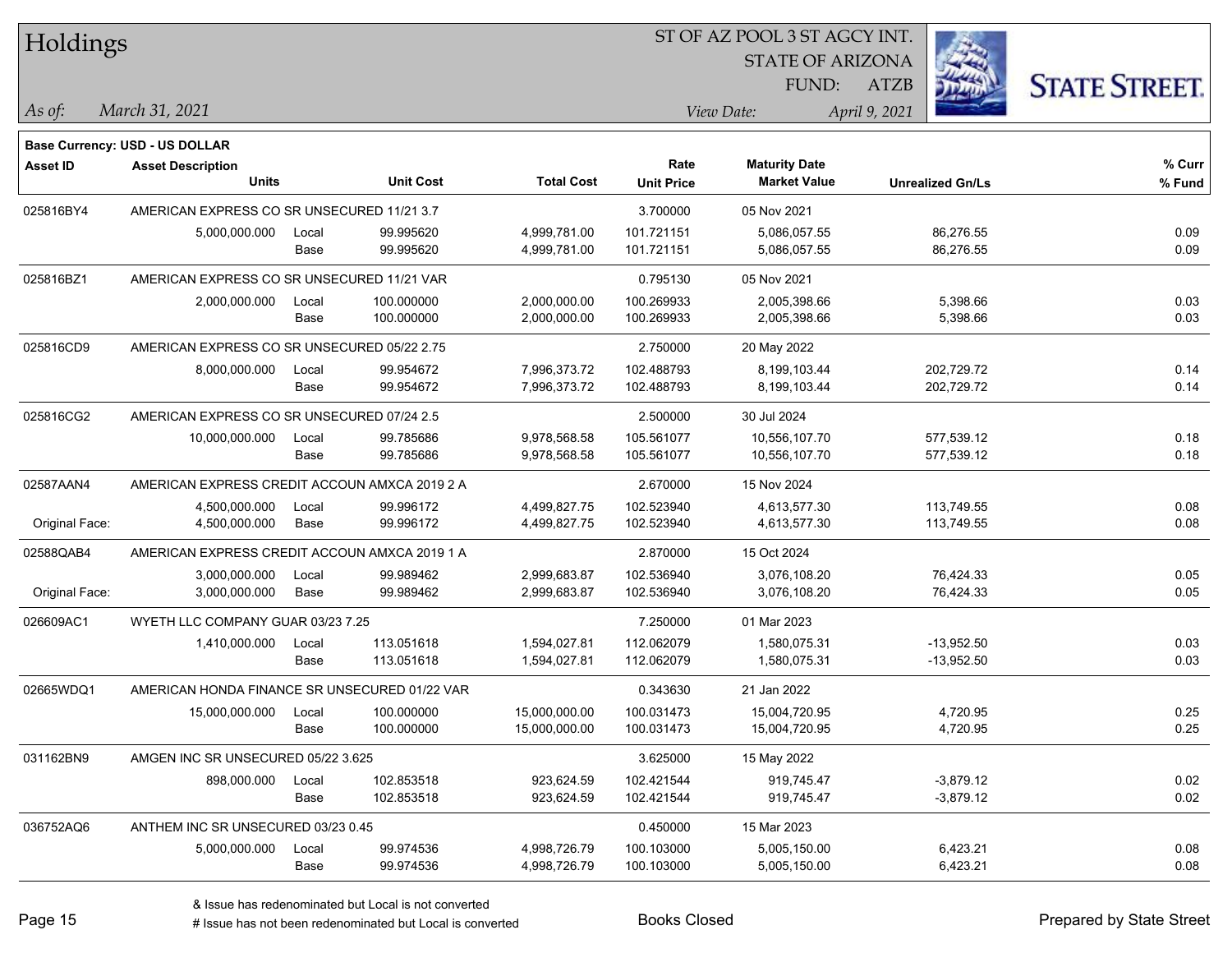| Holdings        |                                               |       |                  |                   |                   | ST OF AZ POOL 3 ST AGCY INT. |                         |                      |  |
|-----------------|-----------------------------------------------|-------|------------------|-------------------|-------------------|------------------------------|-------------------------|----------------------|--|
|                 |                                               |       |                  |                   |                   | <b>STATE OF ARIZONA</b>      |                         |                      |  |
|                 |                                               |       |                  |                   |                   | FUND:                        | <b>ATZB</b>             | <b>STATE STREET.</b> |  |
| As of:          | March 31, 2021                                |       |                  |                   |                   | View Date:                   | April 9, 2021           |                      |  |
|                 | <b>Base Currency: USD - US DOLLAR</b>         |       |                  |                   |                   |                              |                         |                      |  |
| <b>Asset ID</b> | <b>Asset Description</b>                      |       |                  |                   | Rate              | <b>Maturity Date</b>         |                         | % Curr               |  |
|                 | <b>Units</b>                                  |       | <b>Unit Cost</b> | <b>Total Cost</b> | <b>Unit Price</b> | <b>Market Value</b>          | <b>Unrealized Gn/Ls</b> | % Fund               |  |
| 025816BY4       | AMERICAN EXPRESS CO SR UNSECURED 11/21 3.7    |       |                  |                   | 3.700000          | 05 Nov 2021                  |                         |                      |  |
|                 | 5,000,000.000                                 | Local | 99.995620        | 4,999,781.00      | 101.721151        | 5,086,057.55                 | 86,276.55               | 0.09                 |  |
|                 |                                               | Base  | 99.995620        | 4,999,781.00      | 101.721151        | 5,086,057.55                 | 86,276.55               | 0.09                 |  |
| 025816BZ1       | AMERICAN EXPRESS CO SR UNSECURED 11/21 VAR    |       |                  |                   | 0.795130          | 05 Nov 2021                  |                         |                      |  |
|                 | 2,000,000.000                                 | Local | 100.000000       | 2,000,000.00      | 100.269933        | 2,005,398.66                 | 5,398.66                | 0.03                 |  |
|                 |                                               | Base  | 100.000000       | 2,000,000.00      | 100.269933        | 2,005,398.66                 | 5,398.66                | 0.03                 |  |
| 025816CD9       | AMERICAN EXPRESS CO SR UNSECURED 05/22 2.75   |       |                  |                   | 2.750000          | 20 May 2022                  |                         |                      |  |
|                 | 8,000,000.000                                 | Local | 99.954672        | 7,996,373.72      | 102.488793        | 8,199,103.44                 | 202,729.72              | 0.14                 |  |
|                 |                                               | Base  | 99.954672        | 7,996,373.72      | 102.488793        | 8,199,103.44                 | 202,729.72              | 0.14                 |  |
| 025816CG2       | AMERICAN EXPRESS CO SR UNSECURED 07/24 2.5    |       |                  |                   | 2.500000          | 30 Jul 2024                  |                         |                      |  |
|                 | 10,000,000.000                                | Local | 99.785686        | 9,978,568.58      | 105.561077        | 10,556,107.70                | 577,539.12              | 0.18                 |  |
|                 |                                               | Base  | 99.785686        | 9,978,568.58      | 105.561077        | 10,556,107.70                | 577,539.12              | 0.18                 |  |
| 02587AAN4       | AMERICAN EXPRESS CREDIT ACCOUN AMXCA 2019 2 A |       |                  |                   | 2.670000          | 15 Nov 2024                  |                         |                      |  |
|                 | 4,500,000.000                                 | Local | 99.996172        | 4,499,827.75      | 102.523940        | 4,613,577.30                 | 113,749.55              | 0.08                 |  |
| Original Face:  | 4,500,000.000                                 | Base  | 99.996172        | 4,499,827.75      | 102.523940        | 4,613,577.30                 | 113,749.55              | 0.08                 |  |
| 02588QAB4       | AMERICAN EXPRESS CREDIT ACCOUN AMXCA 2019 1 A |       |                  |                   | 2.870000          | 15 Oct 2024                  |                         |                      |  |
|                 | 3,000,000.000                                 | Local | 99.989462        | 2,999,683.87      | 102.536940        | 3,076,108.20                 | 76,424.33               | 0.05                 |  |
| Original Face:  | 3,000,000.000                                 | Base  | 99.989462        | 2,999,683.87      | 102.536940        | 3,076,108.20                 | 76,424.33               | 0.05                 |  |
| 026609AC1       | WYETH LLC COMPANY GUAR 03/23 7.25             |       |                  |                   | 7.250000          | 01 Mar 2023                  |                         |                      |  |
|                 | 1,410,000.000                                 | Local | 113.051618       | 1,594,027.81      | 112.062079        | 1,580,075.31                 | $-13,952.50$            | 0.03                 |  |
|                 |                                               | Base  | 113.051618       | 1,594,027.81      | 112.062079        | 1,580,075.31                 | $-13,952.50$            | 0.03                 |  |
| 02665WDQ1       | AMERICAN HONDA FINANCE SR UNSECURED 01/22 VAR |       |                  |                   | 0.343630          | 21 Jan 2022                  |                         |                      |  |
|                 | 15,000,000.000                                | Local | 100.000000       | 15,000,000.00     | 100.031473        | 15,004,720.95                | 4,720.95                | 0.25                 |  |
|                 |                                               | Base  | 100.000000       | 15,000,000.00     | 100.031473        | 15,004,720.95                | 4,720.95                | 0.25                 |  |
| 031162BN9       | AMGEN INC SR UNSECURED 05/22 3.625            |       |                  |                   | 3.625000          | 15 May 2022                  |                         |                      |  |
|                 | 898,000.000                                   | Local | 102.853518       | 923,624.59        | 102.421544        | 919,745.47                   | $-3,879.12$             | 0.02                 |  |
|                 |                                               | Base  | 102.853518       | 923,624.59        | 102.421544        | 919,745.47                   | $-3,879.12$             | 0.02                 |  |
| 036752AQ6       | ANTHEM INC SR UNSECURED 03/23 0.45            |       |                  |                   | 0.450000          | 15 Mar 2023                  |                         |                      |  |
|                 | 5,000,000.000                                 | Local | 99.974536        | 4,998,726.79      | 100.103000        | 5,005,150.00                 | 6,423.21                | 0.08                 |  |
|                 |                                               | Base  | 99.974536        | 4,998,726.79      | 100.103000        | 5,005,150.00                 | 6,423.21                | 0.08                 |  |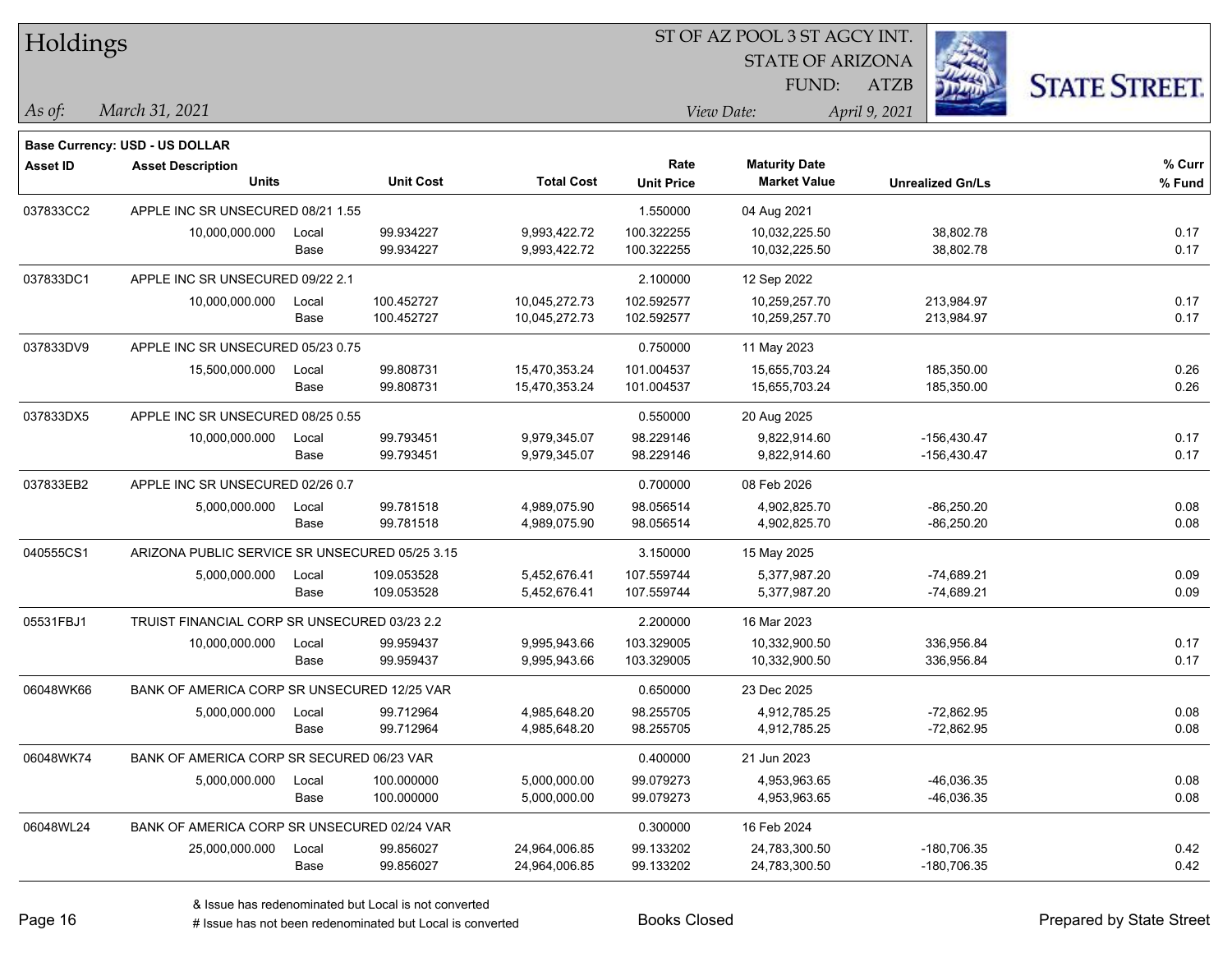| Holdings       |                                                |       |                  |                   |                   | ST OF AZ POOL 3 ST AGCY INT.                |                         |                      |
|----------------|------------------------------------------------|-------|------------------|-------------------|-------------------|---------------------------------------------|-------------------------|----------------------|
|                |                                                |       |                  |                   |                   | <b>STATE OF ARIZONA</b>                     |                         |                      |
|                |                                                |       |                  |                   |                   | FUND:                                       | <b>ATZB</b>             | <b>STATE STREET.</b> |
| $\vert$ As of: | March 31, 2021                                 |       |                  |                   |                   | View Date:                                  | April 9, 2021           |                      |
|                |                                                |       |                  |                   |                   |                                             |                         |                      |
|                | Base Currency: USD - US DOLLAR                 |       |                  |                   | Rate              |                                             |                         | % Curr               |
| Asset ID       | <b>Asset Description</b><br><b>Units</b>       |       | <b>Unit Cost</b> | <b>Total Cost</b> | <b>Unit Price</b> | <b>Maturity Date</b><br><b>Market Value</b> | <b>Unrealized Gn/Ls</b> | % Fund               |
| 037833CC2      | APPLE INC SR UNSECURED 08/21 1.55              |       |                  |                   | 1.550000          | 04 Aug 2021                                 |                         |                      |
|                | 10,000,000.000                                 | Local | 99.934227        | 9,993,422.72      | 100.322255        | 10,032,225.50                               | 38,802.78               | 0.17                 |
|                |                                                | Base  | 99.934227        | 9,993,422.72      | 100.322255        | 10,032,225.50                               | 38,802.78               | 0.17                 |
| 037833DC1      | APPLE INC SR UNSECURED 09/22 2.1               |       |                  |                   | 2.100000          | 12 Sep 2022                                 |                         |                      |
|                | 10,000,000.000                                 | Local | 100.452727       | 10,045,272.73     | 102.592577        | 10,259,257.70                               | 213,984.97              | 0.17                 |
|                |                                                | Base  | 100.452727       | 10,045,272.73     | 102.592577        | 10,259,257.70                               | 213,984.97              | 0.17                 |
| 037833DV9      | APPLE INC SR UNSECURED 05/23 0.75              |       |                  |                   | 0.750000          | 11 May 2023                                 |                         |                      |
|                | 15,500,000.000                                 | Local | 99.808731        | 15,470,353.24     | 101.004537        | 15,655,703.24                               | 185,350.00              | 0.26                 |
|                |                                                | Base  | 99.808731        | 15,470,353.24     | 101.004537        | 15,655,703.24                               | 185,350.00              | 0.26                 |
| 037833DX5      | APPLE INC SR UNSECURED 08/25 0.55              |       |                  |                   | 0.550000          | 20 Aug 2025                                 |                         |                      |
|                | 10,000,000.000                                 | Local | 99.793451        | 9,979,345.07      | 98.229146         | 9,822,914.60                                | $-156,430.47$           | 0.17                 |
|                |                                                | Base  | 99.793451        | 9,979,345.07      | 98.229146         | 9,822,914.60                                | $-156,430.47$           | 0.17                 |
| 037833EB2      | APPLE INC SR UNSECURED 02/26 0.7               |       |                  |                   | 0.700000          | 08 Feb 2026                                 |                         |                      |
|                | 5,000,000.000                                  | Local | 99.781518        | 4,989,075.90      | 98.056514         | 4,902,825.70                                | $-86,250.20$            | 0.08                 |
|                |                                                | Base  | 99.781518        | 4,989,075.90      | 98.056514         | 4,902,825.70                                | $-86,250.20$            | 0.08                 |
| 040555CS1      | ARIZONA PUBLIC SERVICE SR UNSECURED 05/25 3.15 |       |                  |                   | 3.150000          | 15 May 2025                                 |                         |                      |
|                | 5,000,000.000                                  | Local | 109.053528       | 5,452,676.41      | 107.559744        | 5,377,987.20                                | $-74,689.21$            | 0.09                 |
|                |                                                | Base  | 109.053528       | 5,452,676.41      | 107.559744        | 5,377,987.20                                | -74,689.21              | 0.09                 |
| 05531FBJ1      | TRUIST FINANCIAL CORP SR UNSECURED 03/23 2.2   |       |                  |                   | 2.200000          | 16 Mar 2023                                 |                         |                      |
|                | 10,000,000.000                                 | Local | 99.959437        | 9,995,943.66      | 103.329005        | 10,332,900.50                               | 336,956.84              | 0.17                 |
|                |                                                | Base  | 99.959437        | 9,995,943.66      | 103.329005        | 10,332,900.50                               | 336,956.84              | 0.17                 |
| 06048WK66      | BANK OF AMERICA CORP SR UNSECURED 12/25 VAR    |       |                  |                   | 0.650000          | 23 Dec 2025                                 |                         |                      |
|                | 5,000,000.000                                  | Local | 99.712964        | 4,985,648.20      | 98.255705         | 4,912,785.25                                | $-72,862.95$            | 0.08                 |
|                |                                                | Base  | 99.712964        | 4,985,648.20      | 98.255705         | 4,912,785.25                                | $-72,862.95$            | 0.08                 |
| 06048WK74      | BANK OF AMERICA CORP SR SECURED 06/23 VAR      |       |                  |                   | 0.400000          | 21 Jun 2023                                 |                         |                      |
|                | 5,000,000.000                                  | Local | 100.000000       | 5,000,000.00      | 99.079273         | 4,953,963.65                                | $-46,036.35$            | 0.08                 |
|                |                                                | Base  | 100.000000       | 5,000,000.00      | 99.079273         | 4,953,963.65                                | $-46,036.35$            | 0.08                 |
| 06048WL24      | BANK OF AMERICA CORP SR UNSECURED 02/24 VAR    |       |                  |                   | 0.300000          | 16 Feb 2024                                 |                         |                      |
|                | 25,000,000.000                                 | Local | 99.856027        | 24,964,006.85     | 99.133202         | 24,783,300.50                               | -180,706.35             | 0.42                 |
|                |                                                | Base  | 99.856027        | 24,964,006.85     | 99.133202         | 24,783,300.50                               | -180,706.35             | 0.42                 |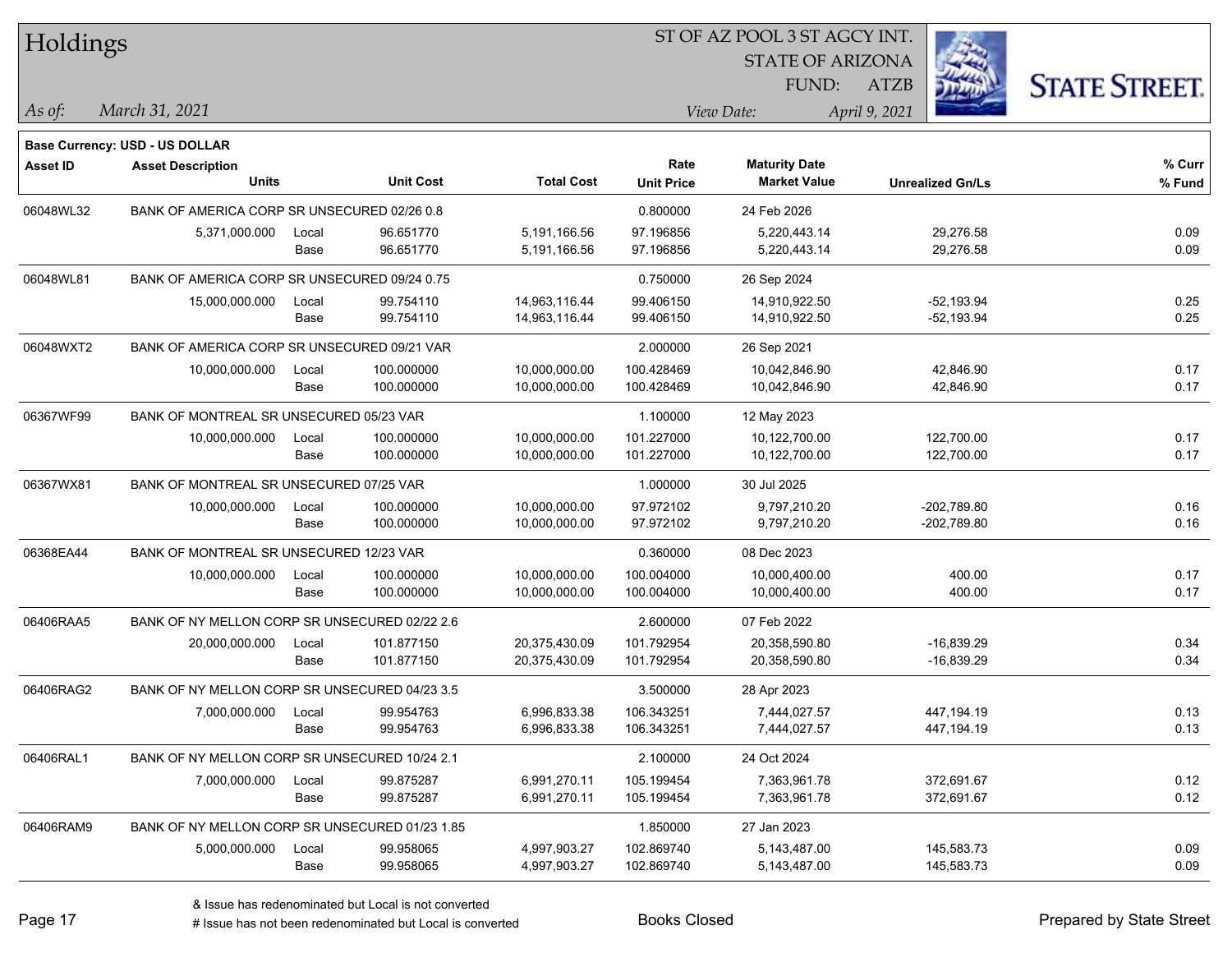| Holdings        |                                                |       |                  |                   |                   | 51 OF AZ POOL 3 51 AGCY INT. |                         |                      |
|-----------------|------------------------------------------------|-------|------------------|-------------------|-------------------|------------------------------|-------------------------|----------------------|
|                 |                                                |       |                  |                   |                   | <b>STATE OF ARIZONA</b>      | Ź.                      |                      |
|                 |                                                |       |                  |                   |                   | FUND:                        | ATZB                    | <b>STATE STREET.</b> |
| As of:          | March 31, 2021                                 |       |                  |                   |                   | View Date:                   | April 9, 2021           |                      |
|                 | <b>Base Currency: USD - US DOLLAR</b>          |       |                  |                   |                   |                              |                         |                      |
| <b>Asset ID</b> | <b>Asset Description</b>                       |       |                  |                   | Rate              | <b>Maturity Date</b>         |                         | % Curr               |
|                 | <b>Units</b>                                   |       | <b>Unit Cost</b> | <b>Total Cost</b> | <b>Unit Price</b> | <b>Market Value</b>          | <b>Unrealized Gn/Ls</b> | % Fund               |
| 06048WL32       | BANK OF AMERICA CORP SR UNSECURED 02/26 0.8    |       |                  |                   | 0.800000          | 24 Feb 2026                  |                         |                      |
|                 | 5,371,000.000                                  | Local | 96.651770        | 5,191,166.56      | 97.196856         | 5,220,443.14                 | 29,276.58               | 0.09                 |
|                 |                                                | Base  | 96.651770        | 5,191,166.56      | 97.196856         | 5,220,443.14                 | 29,276.58               | 0.09                 |
| 06048WL81       | BANK OF AMERICA CORP SR UNSECURED 09/24 0.75   |       |                  |                   | 0.750000          | 26 Sep 2024                  |                         |                      |
|                 | 15,000,000.000                                 | Local | 99.754110        | 14,963,116.44     | 99.406150         | 14,910,922.50                | $-52,193.94$            | 0.25                 |
|                 |                                                | Base  | 99.754110        | 14,963,116.44     | 99.406150         | 14,910,922.50                | $-52,193.94$            | 0.25                 |
| 06048WXT2       | BANK OF AMERICA CORP SR UNSECURED 09/21 VAR    |       |                  |                   | 2.000000          | 26 Sep 2021                  |                         |                      |
|                 | 10,000,000.000                                 | Local | 100.000000       | 10,000,000.00     | 100.428469        | 10,042,846.90                | 42,846.90               | 0.17                 |
|                 |                                                | Base  | 100.000000       | 10,000,000.00     | 100.428469        | 10,042,846.90                | 42,846.90               | 0.17                 |
| 06367WF99       | BANK OF MONTREAL SR UNSECURED 05/23 VAR        |       |                  |                   | 1.100000          | 12 May 2023                  |                         |                      |
|                 | 10,000,000.000                                 | Local | 100.000000       | 10,000,000.00     | 101.227000        | 10,122,700.00                | 122,700.00              | 0.17                 |
|                 |                                                | Base  | 100.000000       | 10,000,000.00     | 101.227000        | 10,122,700.00                | 122,700.00              | 0.17                 |
| 06367WX81       | BANK OF MONTREAL SR UNSECURED 07/25 VAR        |       |                  |                   | 1.000000          | 30 Jul 2025                  |                         |                      |
|                 | 10,000,000.000                                 | Local | 100.000000       | 10,000,000.00     | 97.972102         | 9,797,210.20                 | $-202,789.80$           | 0.16                 |
|                 |                                                | Base  | 100.000000       | 10,000,000.00     | 97.972102         | 9,797,210.20                 | -202,789.80             | 0.16                 |
| 06368EA44       | BANK OF MONTREAL SR UNSECURED 12/23 VAR        |       |                  |                   | 0.360000          | 08 Dec 2023                  |                         |                      |
|                 | 10,000,000.000                                 | Local | 100.000000       | 10,000,000.00     | 100.004000        | 10,000,400.00                | 400.00                  | 0.17                 |
|                 |                                                | Base  | 100.000000       | 10,000,000.00     | 100.004000        | 10,000,400.00                | 400.00                  | 0.17                 |
| 06406RAA5       | BANK OF NY MELLON CORP SR UNSECURED 02/22 2.6  |       |                  |                   | 2.600000          | 07 Feb 2022                  |                         |                      |
|                 | 20,000,000.000                                 | Local | 101.877150       | 20,375,430.09     | 101.792954        | 20,358,590.80                | $-16,839.29$            | 0.34                 |
|                 |                                                | Base  | 101.877150       | 20,375,430.09     | 101.792954        | 20,358,590.80                | $-16,839.29$            | 0.34                 |
| 06406RAG2       | BANK OF NY MELLON CORP SR UNSECURED 04/23 3.5  |       |                  |                   | 3.500000          | 28 Apr 2023                  |                         |                      |
|                 | 7,000,000.000                                  | Local | 99.954763        | 6,996,833.38      | 106.343251        | 7,444,027.57                 | 447,194.19              | 0.13                 |
|                 |                                                | Base  | 99.954763        | 6,996,833.38      | 106.343251        | 7,444,027.57                 | 447,194.19              | 0.13                 |
| 06406RAL1       | BANK OF NY MELLON CORP SR UNSECURED 10/24 2.1  |       |                  |                   | 2.100000          | 24 Oct 2024                  |                         |                      |
|                 | 7,000,000.000                                  | Local | 99.875287        | 6,991,270.11      | 105.199454        | 7,363,961.78                 | 372,691.67              | 0.12                 |
|                 |                                                | Base  | 99.875287        | 6,991,270.11      | 105.199454        | 7,363,961.78                 | 372,691.67              | 0.12                 |
| 06406RAM9       | BANK OF NY MELLON CORP SR UNSECURED 01/23 1.85 |       |                  |                   | 1.850000          | 27 Jan 2023                  |                         |                      |
|                 | 5,000,000.000                                  | Local | 99.958065        | 4,997,903.27      | 102.869740        | 5,143,487.00                 | 145,583.73              | 0.09                 |
|                 |                                                | Base  | 99.958065        | 4,997,903.27      | 102.869740        | 5,143,487.00                 | 145,583.73              | 0.09                 |
|                 |                                                |       |                  |                   |                   |                              |                         |                      |

ST OF A Z POOL 2 ST ACCV INT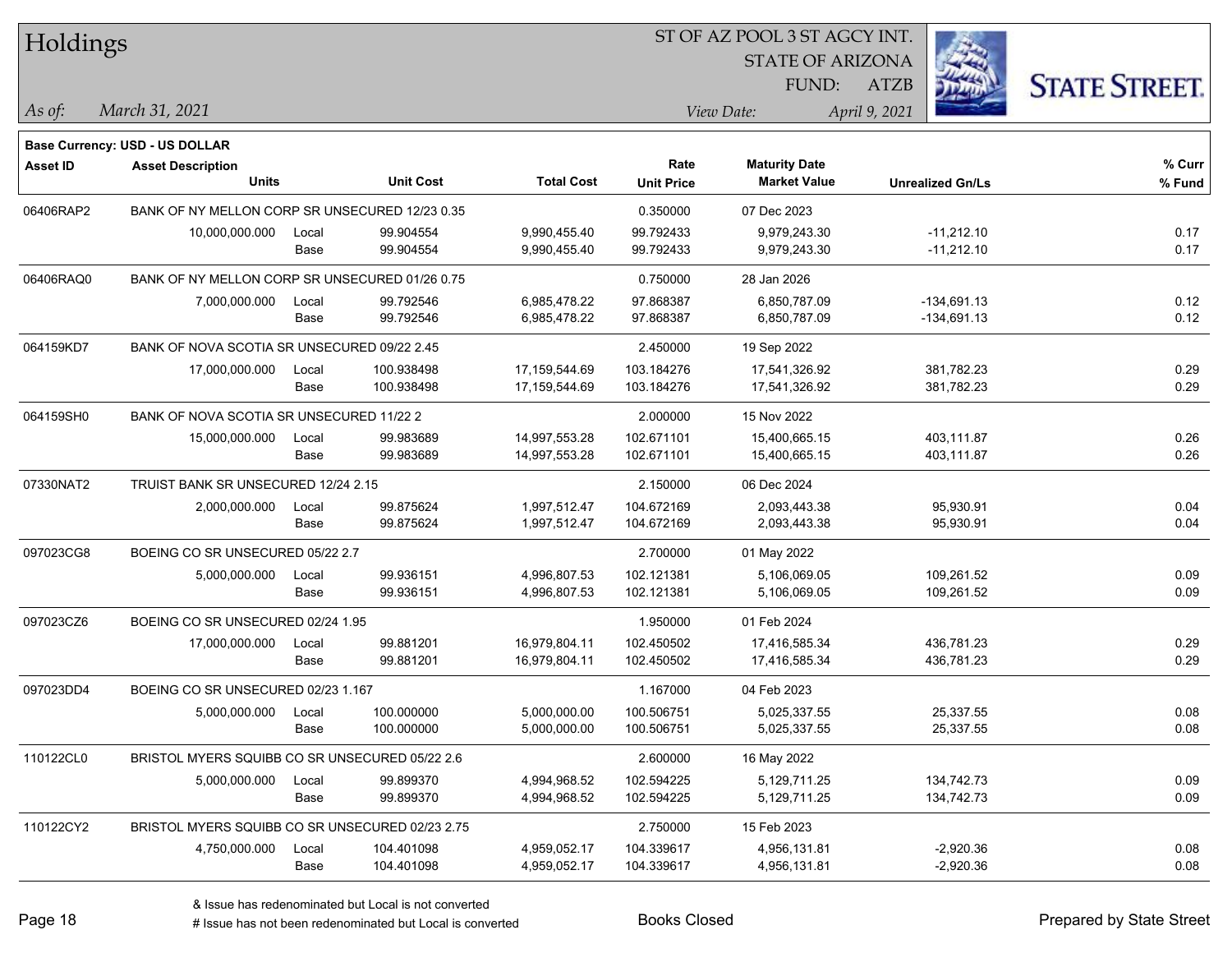| Holdings        |                                                 |       |                  |                   |                   | ST OF AZ POOL 3 ST AGCY INT. |                         |                      |
|-----------------|-------------------------------------------------|-------|------------------|-------------------|-------------------|------------------------------|-------------------------|----------------------|
|                 |                                                 |       |                  |                   |                   | <b>STATE OF ARIZONA</b>      |                         |                      |
|                 |                                                 |       |                  |                   |                   | FUND:                        | <b>ATZB</b>             | <b>STATE STREET.</b> |
| As of:          | March 31, 2021                                  |       |                  |                   |                   | View Date:                   | April 9, 2021           |                      |
|                 | <b>Base Currency: USD - US DOLLAR</b>           |       |                  |                   |                   |                              |                         |                      |
| <b>Asset ID</b> | <b>Asset Description</b>                        |       |                  |                   | Rate              | <b>Maturity Date</b>         |                         | % Curr               |
|                 | <b>Units</b>                                    |       | <b>Unit Cost</b> | <b>Total Cost</b> | <b>Unit Price</b> | <b>Market Value</b>          | <b>Unrealized Gn/Ls</b> | % Fund               |
| 06406RAP2       | BANK OF NY MELLON CORP SR UNSECURED 12/23 0.35  |       |                  |                   | 0.350000          | 07 Dec 2023                  |                         |                      |
|                 | 10,000,000.000                                  | Local | 99.904554        | 9,990,455.40      | 99.792433         | 9,979,243.30                 | $-11,212.10$            | 0.17                 |
|                 |                                                 | Base  | 99.904554        | 9,990,455.40      | 99.792433         | 9,979,243.30                 | $-11,212.10$            | 0.17                 |
| 06406RAQ0       | BANK OF NY MELLON CORP SR UNSECURED 01/26 0.75  |       |                  |                   | 0.750000          | 28 Jan 2026                  |                         |                      |
|                 | 7,000,000.000                                   | Local | 99.792546        | 6,985,478.22      | 97.868387         | 6,850,787.09                 | $-134,691.13$           | 0.12                 |
|                 |                                                 | Base  | 99.792546        | 6,985,478.22      | 97.868387         | 6,850,787.09                 | $-134,691.13$           | 0.12                 |
| 064159KD7       | BANK OF NOVA SCOTIA SR UNSECURED 09/22 2.45     |       |                  |                   | 2.450000          | 19 Sep 2022                  |                         |                      |
|                 | 17,000,000.000                                  | Local | 100.938498       | 17,159,544.69     | 103.184276        | 17,541,326.92                | 381,782.23              | 0.29                 |
|                 |                                                 | Base  | 100.938498       | 17,159,544.69     | 103.184276        | 17,541,326.92                | 381,782.23              | 0.29                 |
| 064159SH0       | BANK OF NOVA SCOTIA SR UNSECURED 11/22 2        |       |                  |                   | 2.000000          | 15 Nov 2022                  |                         |                      |
|                 | 15,000,000.000                                  | Local | 99.983689        | 14,997,553.28     | 102.671101        | 15,400,665.15                | 403,111.87              | 0.26                 |
|                 |                                                 | Base  | 99.983689        | 14,997,553.28     | 102.671101        | 15,400,665.15                | 403,111.87              | 0.26                 |
| 07330NAT2       | TRUIST BANK SR UNSECURED 12/24 2.15             |       |                  |                   | 2.150000          | 06 Dec 2024                  |                         |                      |
|                 | 2,000,000.000                                   | Local | 99.875624        | 1,997,512.47      | 104.672169        | 2,093,443.38                 | 95,930.91               | 0.04                 |
|                 |                                                 | Base  | 99.875624        | 1,997,512.47      | 104.672169        | 2,093,443.38                 | 95,930.91               | 0.04                 |
| 097023CG8       | BOEING CO SR UNSECURED 05/22 2.7                |       |                  |                   | 2.700000          | 01 May 2022                  |                         |                      |
|                 | 5,000,000.000                                   | Local | 99.936151        | 4,996,807.53      | 102.121381        | 5,106,069.05                 | 109,261.52              | 0.09                 |
|                 |                                                 | Base  | 99.936151        | 4,996,807.53      | 102.121381        | 5,106,069.05                 | 109,261.52              | 0.09                 |
| 097023CZ6       | BOEING CO SR UNSECURED 02/24 1.95               |       |                  |                   | 1.950000          | 01 Feb 2024                  |                         |                      |
|                 | 17,000,000.000                                  | Local | 99.881201        | 16,979,804.11     | 102.450502        | 17,416,585.34                | 436,781.23              | 0.29                 |
|                 |                                                 | Base  | 99.881201        | 16,979,804.11     | 102.450502        | 17,416,585.34                | 436,781.23              | 0.29                 |
| 097023DD4       | BOEING CO SR UNSECURED 02/23 1.167              |       |                  |                   | 1.167000          | 04 Feb 2023                  |                         |                      |
|                 | 5,000,000.000                                   | Local | 100.000000       | 5,000,000.00      | 100.506751        | 5,025,337.55                 | 25,337.55               | 0.08                 |
|                 |                                                 | Base  | 100.000000       | 5,000,000.00      | 100.506751        | 5,025,337.55                 | 25,337.55               | 0.08                 |
| 110122CL0       | BRISTOL MYERS SQUIBB CO SR UNSECURED 05/22 2.6  |       |                  |                   | 2.600000          | 16 May 2022                  |                         |                      |
|                 | 5,000,000.000                                   | Local | 99.899370        | 4,994,968.52      | 102.594225        | 5,129,711.25                 | 134,742.73              | 0.09                 |
|                 |                                                 | Base  | 99.899370        | 4,994,968.52      | 102.594225        | 5,129,711.25                 | 134,742.73              | 0.09                 |
| 110122CY2       | BRISTOL MYERS SQUIBB CO SR UNSECURED 02/23 2.75 |       |                  |                   | 2.750000          | 15 Feb 2023                  |                         |                      |
|                 | 4,750,000.000                                   | Local | 104.401098       | 4,959,052.17      | 104.339617        | 4,956,131.81                 | $-2,920.36$             | 0.08                 |
|                 |                                                 | Base  | 104.401098       | 4,959,052.17      | 104.339617        | 4,956,131.81                 | $-2,920.36$             | 0.08                 |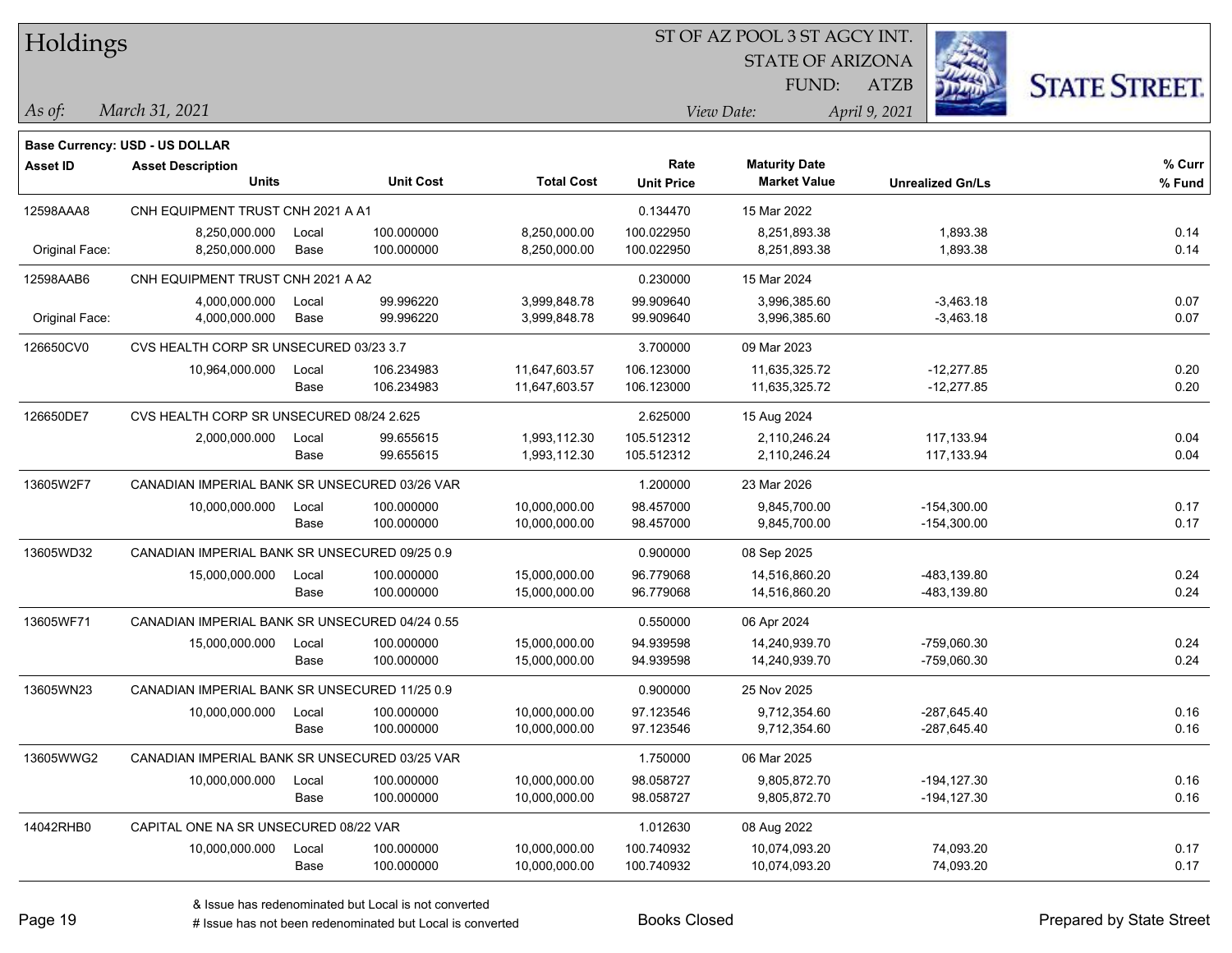| Holdings        |                                                |       |                  |                   |                   | ST OF AZ POOL 3 ST AGCY INT. |                         |                      |
|-----------------|------------------------------------------------|-------|------------------|-------------------|-------------------|------------------------------|-------------------------|----------------------|
|                 |                                                |       |                  |                   |                   | <b>STATE OF ARIZONA</b>      |                         |                      |
|                 |                                                |       |                  |                   |                   | FUND:                        | <b>ATZB</b>             | <b>STATE STREET.</b> |
| $\vert$ As of:  | March 31, 2021                                 |       |                  |                   |                   | View Date:                   | April 9, 2021           |                      |
|                 | <b>Base Currency: USD - US DOLLAR</b>          |       |                  |                   |                   |                              |                         |                      |
| <b>Asset ID</b> | <b>Asset Description</b>                       |       |                  |                   | Rate              | <b>Maturity Date</b>         |                         | % Curr               |
|                 | <b>Units</b>                                   |       | <b>Unit Cost</b> | <b>Total Cost</b> | <b>Unit Price</b> | <b>Market Value</b>          | <b>Unrealized Gn/Ls</b> | % Fund               |
| 12598AAA8       | CNH EQUIPMENT TRUST CNH 2021 A A1              |       |                  |                   | 0.134470          | 15 Mar 2022                  |                         |                      |
|                 | 8,250,000.000                                  | Local | 100.000000       | 8,250,000.00      | 100.022950        | 8,251,893.38                 | 1,893.38                | 0.14                 |
| Original Face:  | 8,250,000.000                                  | Base  | 100.000000       | 8,250,000.00      | 100.022950        | 8,251,893.38                 | 1,893.38                | 0.14                 |
| 12598AAB6       | CNH EQUIPMENT TRUST CNH 2021 A A2              |       |                  |                   | 0.230000          | 15 Mar 2024                  |                         |                      |
|                 | 4,000,000.000                                  | Local | 99.996220        | 3,999,848.78      | 99.909640         | 3,996,385.60                 | $-3,463.18$             | 0.07                 |
| Original Face:  | 4,000,000.000                                  | Base  | 99.996220        | 3,999,848.78      | 99.909640         | 3,996,385.60                 | $-3,463.18$             | 0.07                 |
| 126650CV0       | CVS HEALTH CORP SR UNSECURED 03/23 3.7         |       |                  |                   | 3.700000          | 09 Mar 2023                  |                         |                      |
|                 | 10,964,000.000                                 | Local | 106.234983       | 11,647,603.57     | 106.123000        | 11,635,325.72                | $-12,277.85$            | 0.20                 |
|                 |                                                | Base  | 106.234983       | 11,647,603.57     | 106.123000        | 11,635,325.72                | $-12,277.85$            | 0.20                 |
| 126650DE7       | CVS HEALTH CORP SR UNSECURED 08/24 2.625       |       |                  |                   | 2.625000          | 15 Aug 2024                  |                         |                      |
|                 | 2,000,000.000                                  | Local | 99.655615        | 1,993,112.30      | 105.512312        | 2,110,246.24                 | 117,133.94              | 0.04                 |
|                 |                                                | Base  | 99.655615        | 1,993,112.30      | 105.512312        | 2,110,246.24                 | 117,133.94              | 0.04                 |
| 13605W2F7       | CANADIAN IMPERIAL BANK SR UNSECURED 03/26 VAR  |       |                  |                   | 1.200000          | 23 Mar 2026                  |                         |                      |
|                 | 10,000,000.000                                 | Local | 100.000000       | 10,000,000.00     | 98.457000         | 9,845,700.00                 | $-154,300.00$           | 0.17                 |
|                 |                                                | Base  | 100.000000       | 10,000,000.00     | 98.457000         | 9,845,700.00                 | $-154,300.00$           | 0.17                 |
| 13605WD32       | CANADIAN IMPERIAL BANK SR UNSECURED 09/25 0.9  |       |                  |                   | 0.900000          | 08 Sep 2025                  |                         |                      |
|                 | 15,000,000.000                                 | Local | 100.000000       | 15,000,000.00     | 96.779068         | 14,516,860.20                | -483,139.80             | 0.24                 |
|                 |                                                | Base  | 100.000000       | 15,000,000.00     | 96.779068         | 14,516,860.20                | -483,139.80             | 0.24                 |
| 13605WF71       | CANADIAN IMPERIAL BANK SR UNSECURED 04/24 0.55 |       |                  |                   | 0.550000          | 06 Apr 2024                  |                         |                      |
|                 | 15,000,000.000                                 | Local | 100.000000       | 15,000,000.00     | 94.939598         | 14,240,939.70                | -759,060.30             | 0.24                 |
|                 |                                                | Base  | 100.000000       | 15,000,000.00     | 94.939598         | 14,240,939.70                | -759,060.30             | 0.24                 |
| 13605WN23       | CANADIAN IMPERIAL BANK SR UNSECURED 11/25 0.9  |       |                  |                   | 0.900000          | 25 Nov 2025                  |                         |                      |
|                 | 10,000,000.000                                 | Local | 100.000000       | 10,000,000.00     | 97.123546         | 9,712,354.60                 | $-287,645.40$           | 0.16                 |
|                 |                                                | Base  | 100.000000       | 10,000,000.00     | 97.123546         | 9,712,354.60                 | -287,645.40             | 0.16                 |
| 13605WWG2       | CANADIAN IMPERIAL BANK SR UNSECURED 03/25 VAR  |       |                  |                   | 1.750000          | 06 Mar 2025                  |                         |                      |
|                 | 10,000,000.000                                 | Local | 100.000000       | 10,000,000.00     | 98.058727         | 9,805,872.70                 | $-194, 127.30$          | 0.16                 |
|                 |                                                | Base  | 100.000000       | 10,000,000.00     | 98.058727         | 9,805,872.70                 | $-194, 127.30$          | 0.16                 |
| 14042RHB0       | CAPITAL ONE NA SR UNSECURED 08/22 VAR          |       |                  |                   | 1.012630          | 08 Aug 2022                  |                         |                      |
|                 | 10,000,000.000                                 | Local | 100.000000       | 10,000,000.00     | 100.740932        | 10,074,093.20                | 74,093.20               | 0.17                 |
|                 |                                                | Base  | 100.000000       | 10,000,000.00     | 100.740932        | 10,074,093.20                | 74,093.20               | 0.17                 |

# Issue has not been redenominated but Local is converted Books Closed Prepared by State Street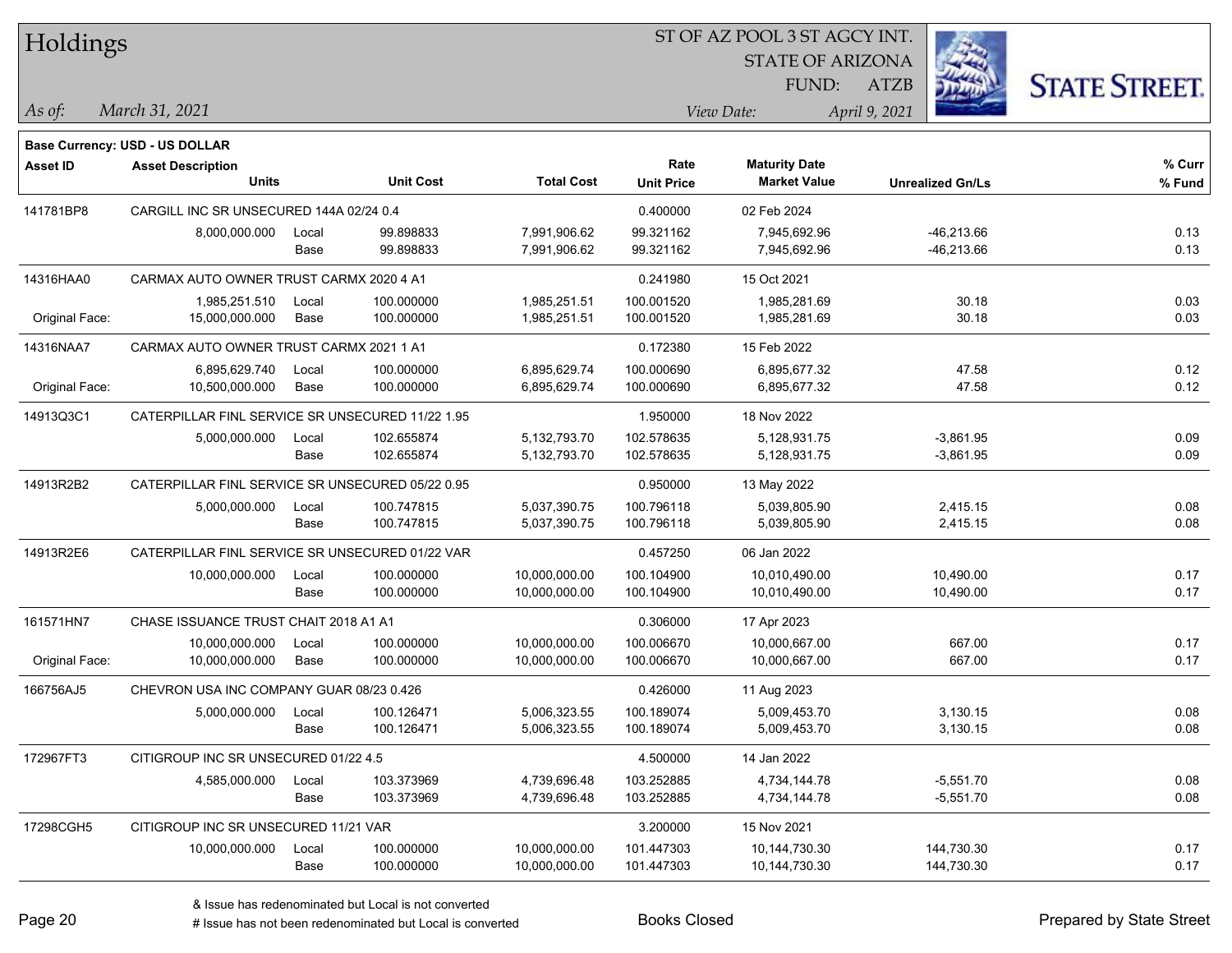| Holdings       |                                                            |       |                  |                   |                   | ST OF AZ POOL 3 ST AGCY INT. |                         |                      |
|----------------|------------------------------------------------------------|-------|------------------|-------------------|-------------------|------------------------------|-------------------------|----------------------|
|                |                                                            |       |                  |                   |                   | <b>STATE OF ARIZONA</b>      |                         |                      |
|                |                                                            |       |                  |                   |                   | FUND:                        | <b>ATZB</b>             | <b>STATE STREET.</b> |
| As of:         | March 31, 2021                                             |       |                  |                   |                   | View Date:                   | April 9, 2021           |                      |
|                |                                                            |       |                  |                   |                   |                              |                         |                      |
| Asset ID       | Base Currency: USD - US DOLLAR<br><b>Asset Description</b> |       |                  |                   | Rate              | <b>Maturity Date</b>         |                         | % Curr               |
|                | <b>Units</b>                                               |       | <b>Unit Cost</b> | <b>Total Cost</b> | <b>Unit Price</b> | <b>Market Value</b>          | <b>Unrealized Gn/Ls</b> | % Fund               |
| 141781BP8      | CARGILL INC SR UNSECURED 144A 02/24 0.4                    |       |                  |                   | 0.400000          | 02 Feb 2024                  |                         |                      |
|                | 8,000,000.000                                              | Local | 99.898833        | 7,991,906.62      | 99.321162         | 7,945,692.96                 | $-46,213.66$            | 0.13                 |
|                |                                                            | Base  | 99.898833        | 7,991,906.62      | 99.321162         | 7,945,692.96                 | $-46,213.66$            | 0.13                 |
| 14316HAA0      | CARMAX AUTO OWNER TRUST CARMX 2020 4 A1                    |       |                  |                   | 0.241980          | 15 Oct 2021                  |                         |                      |
|                | 1,985,251.510                                              | Local | 100.000000       | 1,985,251.51      | 100.001520        | 1,985,281.69                 | 30.18                   | 0.03                 |
| Original Face: | 15,000,000.000                                             | Base  | 100.000000       | 1,985,251.51      | 100.001520        | 1,985,281.69                 | 30.18                   | 0.03                 |
| 14316NAA7      | CARMAX AUTO OWNER TRUST CARMX 2021 1 A1                    |       |                  |                   | 0.172380          | 15 Feb 2022                  |                         |                      |
|                | 6,895,629.740                                              | Local | 100.000000       | 6,895,629.74      | 100.000690        | 6,895,677.32                 | 47.58                   | 0.12                 |
| Original Face: | 10,500,000.000                                             | Base  | 100.000000       | 6,895,629.74      | 100.000690        | 6,895,677.32                 | 47.58                   | 0.12                 |
| 14913Q3C1      | CATERPILLAR FINL SERVICE SR UNSECURED 11/22 1.95           |       |                  |                   | 1.950000          | 18 Nov 2022                  |                         |                      |
|                | 5,000,000.000                                              | Local | 102.655874       | 5,132,793.70      | 102.578635        | 5,128,931.75                 | $-3,861.95$             | 0.09                 |
|                |                                                            | Base  | 102.655874       | 5,132,793.70      | 102.578635        | 5,128,931.75                 | $-3,861.95$             | 0.09                 |
| 14913R2B2      | CATERPILLAR FINL SERVICE SR UNSECURED 05/22 0.95           |       |                  |                   | 0.950000          | 13 May 2022                  |                         |                      |
|                | 5,000,000.000                                              | Local | 100.747815       | 5,037,390.75      | 100.796118        | 5,039,805.90                 | 2,415.15                | 0.08                 |
|                |                                                            | Base  | 100.747815       | 5,037,390.75      | 100.796118        | 5,039,805.90                 | 2,415.15                | 0.08                 |
| 14913R2E6      | CATERPILLAR FINL SERVICE SR UNSECURED 01/22 VAR            |       |                  |                   | 0.457250          | 06 Jan 2022                  |                         |                      |
|                | 10,000,000.000                                             | Local | 100.000000       | 10,000,000.00     | 100.104900        | 10,010,490.00                | 10,490.00               | 0.17                 |
|                |                                                            | Base  | 100.000000       | 10,000,000.00     | 100.104900        | 10,010,490.00                | 10,490.00               | 0.17                 |
| 161571HN7      | CHASE ISSUANCE TRUST CHAIT 2018 A1 A1                      |       |                  |                   | 0.306000          | 17 Apr 2023                  |                         |                      |
|                | 10,000,000.000                                             | Local | 100.000000       | 10,000,000.00     | 100.006670        | 10,000,667.00                | 667.00                  | 0.17                 |
| Original Face: | 10,000,000.000                                             | Base  | 100.000000       | 10,000,000.00     | 100.006670        | 10,000,667.00                | 667.00                  | 0.17                 |
| 166756AJ5      | CHEVRON USA INC COMPANY GUAR 08/23 0.426                   |       |                  |                   | 0.426000          | 11 Aug 2023                  |                         |                      |
|                | 5,000,000.000                                              | Local | 100.126471       | 5,006,323.55      | 100.189074        | 5,009,453.70                 | 3,130.15                | 0.08                 |
|                |                                                            | Base  | 100.126471       | 5,006,323.55      | 100.189074        | 5,009,453.70                 | 3,130.15                | 0.08                 |
| 172967FT3      | CITIGROUP INC SR UNSECURED 01/22 4.5                       |       |                  |                   | 4.500000          | 14 Jan 2022                  |                         |                      |
|                | 4,585,000.000                                              | Local | 103.373969       | 4,739,696.48      | 103.252885        | 4,734,144.78                 | $-5,551.70$             | 0.08                 |
|                |                                                            | Base  | 103.373969       | 4,739,696.48      | 103.252885        | 4,734,144.78                 | $-5,551.70$             | 0.08                 |
| 17298CGH5      | CITIGROUP INC SR UNSECURED 11/21 VAR                       |       |                  |                   | 3.200000          | 15 Nov 2021                  |                         |                      |
|                | 10,000,000.000                                             | Local | 100.000000       | 10,000,000.00     | 101.447303        | 10,144,730.30                | 144,730.30              | 0.17                 |
|                |                                                            | Base  | 100.000000       | 10,000,000.00     | 101.447303        | 10,144,730.30                | 144,730.30              | 0.17                 |

# Issue has not been redenominated but Local is converted Books Closed Prepared by State Street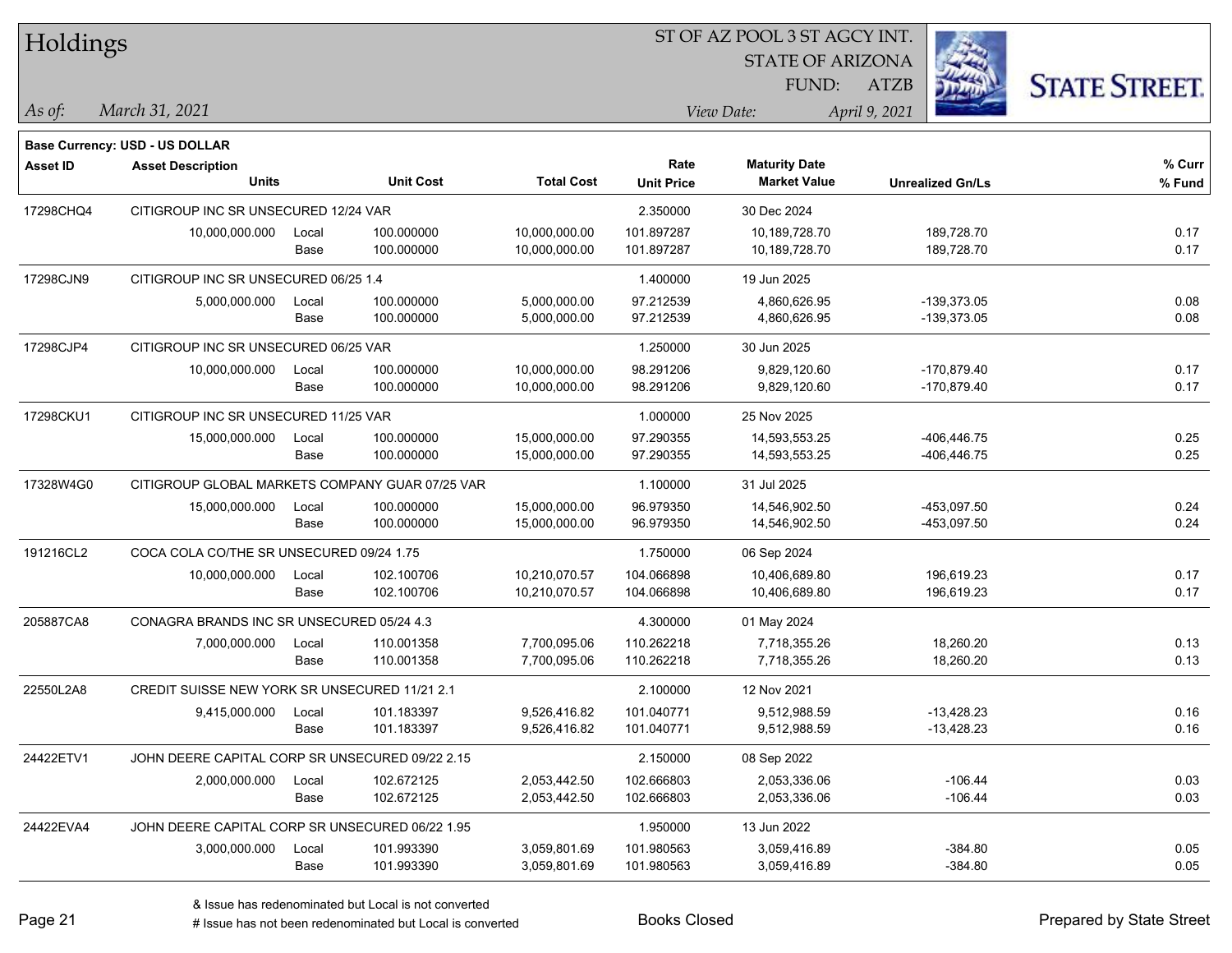| Holdings                                                     |                  |                   |                   | <b>STATE OF ARIZONA</b> |                         |                      |
|--------------------------------------------------------------|------------------|-------------------|-------------------|-------------------------|-------------------------|----------------------|
|                                                              |                  |                   |                   |                         |                         |                      |
|                                                              |                  |                   |                   | FUND:                   | <b>ATZB</b>             | <b>STATE STREET.</b> |
| March 31, 2021<br>As of:                                     |                  |                   |                   | View Date:              | April 9, 2021           |                      |
| Base Currency: USD - US DOLLAR                               |                  |                   |                   |                         |                         |                      |
| <b>Asset ID</b><br><b>Asset Description</b>                  |                  |                   | Rate              | <b>Maturity Date</b>    |                         | % Curr               |
| <b>Units</b>                                                 | <b>Unit Cost</b> | <b>Total Cost</b> | <b>Unit Price</b> | <b>Market Value</b>     | <b>Unrealized Gn/Ls</b> | % Fund               |
| 17298CHQ4<br>CITIGROUP INC SR UNSECURED 12/24 VAR            |                  |                   | 2.350000          | 30 Dec 2024             |                         |                      |
| 10,000,000.000<br>Local                                      | 100.000000       | 10,000,000.00     | 101.897287        | 10,189,728.70           | 189,728.70              | 0.17                 |
| Base                                                         | 100.000000       | 10,000,000.00     | 101.897287        | 10,189,728.70           | 189,728.70              | 0.17                 |
| 17298CJN9<br>CITIGROUP INC SR UNSECURED 06/25 1.4            |                  |                   | 1.400000          | 19 Jun 2025             |                         |                      |
| 5,000,000.000<br>Local                                       | 100.000000       | 5,000,000.00      | 97.212539         | 4,860,626.95            | $-139,373.05$           | 0.08                 |
| Base                                                         | 100.000000       | 5,000,000.00      | 97.212539         | 4,860,626.95            | $-139,373.05$           | 0.08                 |
| 17298CJP4<br>CITIGROUP INC SR UNSECURED 06/25 VAR            |                  |                   | 1.250000          | 30 Jun 2025             |                         |                      |
| 10,000,000.000<br>Local                                      | 100.000000       | 10,000,000.00     | 98.291206         | 9,829,120.60            | $-170,879.40$           | 0.17                 |
| Base                                                         | 100.000000       | 10,000,000.00     | 98.291206         | 9,829,120.60            | -170,879.40             | 0.17                 |
| 17298CKU1<br>CITIGROUP INC SR UNSECURED 11/25 VAR            |                  |                   | 1.000000          | 25 Nov 2025             |                         |                      |
| 15,000,000.000<br>Local                                      | 100.000000       | 15,000,000.00     | 97.290355         | 14,593,553.25           | -406,446.75             | 0.25                 |
| Base                                                         | 100.000000       | 15,000,000.00     | 97.290355         | 14,593,553.25           | -406,446.75             | 0.25                 |
| 17328W4G0<br>CITIGROUP GLOBAL MARKETS COMPANY GUAR 07/25 VAR |                  |                   | 1.100000          | 31 Jul 2025             |                         |                      |
| 15,000,000.000<br>Local                                      | 100.000000       | 15,000,000.00     | 96.979350         | 14,546,902.50           | -453,097.50             | 0.24                 |
| Base                                                         | 100.000000       | 15,000,000.00     | 96.979350         | 14,546,902.50           | -453,097.50             | 0.24                 |
| 191216CL2<br>COCA COLA CO/THE SR UNSECURED 09/24 1.75        |                  |                   | 1.750000          | 06 Sep 2024             |                         |                      |
| 10,000,000.000<br>Local                                      | 102.100706       | 10,210,070.57     | 104.066898        | 10,406,689.80           | 196,619.23              | 0.17                 |
| Base                                                         | 102.100706       | 10,210,070.57     | 104.066898        | 10,406,689.80           | 196,619.23              | 0.17                 |
| 205887CA8<br>CONAGRA BRANDS INC SR UNSECURED 05/24 4.3       |                  |                   | 4.300000          | 01 May 2024             |                         |                      |
| 7,000,000.000<br>Local                                       | 110.001358       | 7,700,095.06      | 110.262218        | 7,718,355.26            | 18,260.20               | 0.13                 |
| Base                                                         | 110.001358       | 7,700,095.06      | 110.262218        | 7,718,355.26            | 18,260.20               | 0.13                 |
| 22550L2A8<br>CREDIT SUISSE NEW YORK SR UNSECURED 11/21 2.1   |                  |                   | 2.100000          | 12 Nov 2021             |                         |                      |
| 9,415,000.000<br>Local                                       | 101.183397       | 9,526,416.82      | 101.040771        | 9.512.988.59            | $-13,428.23$            | 0.16                 |
| Base                                                         | 101.183397       | 9,526,416.82      | 101.040771        | 9,512,988.59            | $-13,428.23$            | 0.16                 |
| 24422ETV1<br>JOHN DEERE CAPITAL CORP SR UNSECURED 09/22 2.15 |                  |                   | 2.150000          | 08 Sep 2022             |                         |                      |
| 2,000,000.000<br>Local                                       | 102.672125       | 2,053,442.50      | 102.666803        | 2,053,336.06            | $-106.44$               | 0.03                 |
| Base                                                         | 102.672125       | 2,053,442.50      | 102.666803        | 2,053,336.06            | $-106.44$               | 0.03                 |
| 24422EVA4<br>JOHN DEERE CAPITAL CORP SR UNSECURED 06/22 1.95 |                  |                   | 1.950000          | 13 Jun 2022             |                         |                      |
| 3,000,000.000<br>Local                                       | 101.993390       | 3,059,801.69      | 101.980563        | 3,059,416.89            | $-384.80$               | 0.05                 |
| Base                                                         | 101.993390       | 3,059,801.69      | 101.980563        | 3,059,416.89            | $-384.80$               | 0.05                 |

 $STOTAT$   $17 DOOT$  3  $ST A GOCH$ 

# Issue has not been redenominated but Local is converted Books Closed Prepared by State Street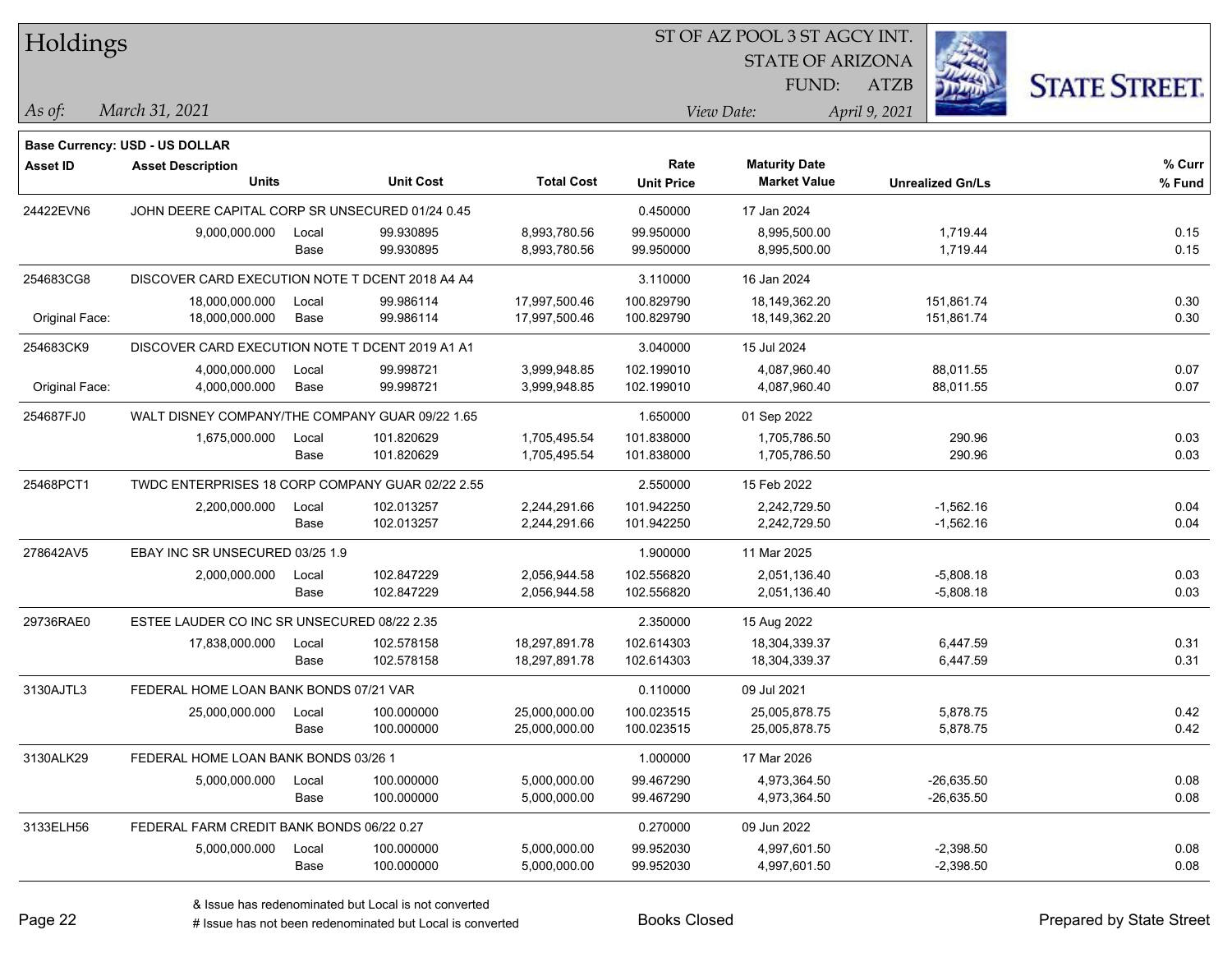| Holdings |
|----------|
|----------|

#### ST OF AZ POOL 3 ST AGCY INT.

STATE OF ARIZONA FUND:



*March 31, 2021 As of: View Date: April 9, 2021*

**Base Currency: USD - US DOLLAR**

ATZB

| <b>Asset ID</b> | <b>Asset Description</b>                         |       |                  |                   | Rate              | <b>Maturity Date</b> |                         | % Curr |
|-----------------|--------------------------------------------------|-------|------------------|-------------------|-------------------|----------------------|-------------------------|--------|
|                 | <b>Units</b>                                     |       | <b>Unit Cost</b> | <b>Total Cost</b> | <b>Unit Price</b> | <b>Market Value</b>  | <b>Unrealized Gn/Ls</b> | % Fund |
| 24422EVN6       | JOHN DEERE CAPITAL CORP SR UNSECURED 01/24 0.45  |       |                  |                   | 0.450000          | 17 Jan 2024          |                         |        |
|                 | 9,000,000.000                                    | Local | 99.930895        | 8,993,780.56      | 99.950000         | 8,995,500.00         | 1,719.44                | 0.15   |
|                 |                                                  | Base  | 99.930895        | 8,993,780.56      | 99.950000         | 8,995,500.00         | 1,719.44                | 0.15   |
| 254683CG8       | DISCOVER CARD EXECUTION NOTE T DCENT 2018 A4 A4  |       |                  |                   | 3.110000          | 16 Jan 2024          |                         |        |
|                 | 18,000,000.000                                   | Local | 99.986114        | 17,997,500.46     | 100.829790        | 18,149,362.20        | 151,861.74              | 0.30   |
| Original Face:  | 18,000,000.000                                   | Base  | 99.986114        | 17,997,500.46     | 100.829790        | 18,149,362.20        | 151,861.74              | 0.30   |
| 254683CK9       | DISCOVER CARD EXECUTION NOTE T DCENT 2019 A1 A1  |       |                  |                   | 3.040000          | 15 Jul 2024          |                         |        |
|                 | 4,000,000.000                                    | Local | 99.998721        | 3,999,948.85      | 102.199010        | 4,087,960.40         | 88,011.55               | 0.07   |
| Original Face:  | 4,000,000.000                                    | Base  | 99.998721        | 3,999,948.85      | 102.199010        | 4,087,960.40         | 88,011.55               | 0.07   |
| 254687FJ0       | WALT DISNEY COMPANY/THE COMPANY GUAR 09/22 1.65  |       |                  |                   | 1.650000          | 01 Sep 2022          |                         |        |
|                 | 1,675,000.000                                    | Local | 101.820629       | 1,705,495.54      | 101.838000        | 1,705,786.50         | 290.96                  | 0.03   |
|                 |                                                  | Base  | 101.820629       | 1,705,495.54      | 101.838000        | 1,705,786.50         | 290.96                  | 0.03   |
| 25468PCT1       | TWDC ENTERPRISES 18 CORP COMPANY GUAR 02/22 2.55 |       |                  |                   | 2.550000          | 15 Feb 2022          |                         |        |
|                 | 2,200,000.000                                    | Local | 102.013257       | 2,244,291.66      | 101.942250        | 2,242,729.50         | $-1,562.16$             | 0.04   |
|                 |                                                  | Base  | 102.013257       | 2,244,291.66      | 101.942250        | 2,242,729.50         | $-1,562.16$             | 0.04   |
| 278642AV5       | EBAY INC SR UNSECURED 03/25 1.9                  |       |                  |                   | 1.900000          | 11 Mar 2025          |                         |        |
|                 | 2,000,000.000                                    | Local | 102.847229       | 2,056,944.58      | 102.556820        | 2,051,136.40         | $-5,808.18$             | 0.03   |
|                 |                                                  | Base  | 102.847229       | 2,056,944.58      | 102.556820        | 2,051,136.40         | $-5,808.18$             | 0.03   |
| 29736RAE0       | ESTEE LAUDER CO INC SR UNSECURED 08/22 2.35      |       |                  |                   | 2.350000          | 15 Aug 2022          |                         |        |
|                 | 17,838,000.000                                   | Local | 102.578158       | 18,297,891.78     | 102.614303        | 18,304,339.37        | 6.447.59                | 0.31   |
|                 |                                                  | Base  | 102.578158       | 18,297,891.78     | 102.614303        | 18,304,339.37        | 6,447.59                | 0.31   |
| 3130AJTL3       | FEDERAL HOME LOAN BANK BONDS 07/21 VAR           |       |                  |                   | 0.110000          | 09 Jul 2021          |                         |        |
|                 | 25,000,000.000                                   | Local | 100.000000       | 25,000,000.00     | 100.023515        | 25,005,878.75        | 5,878.75                | 0.42   |
|                 |                                                  | Base  | 100.000000       | 25,000,000.00     | 100.023515        | 25,005,878.75        | 5,878.75                | 0.42   |
| 3130ALK29       | FEDERAL HOME LOAN BANK BONDS 03/26 1             |       |                  |                   | 1.000000          | 17 Mar 2026          |                         |        |
|                 | 5,000,000.000                                    | Local | 100.000000       | 5,000,000.00      | 99.467290         | 4,973,364.50         | $-26,635.50$            | 0.08   |
|                 |                                                  | Base  | 100.000000       | 5,000,000.00      | 99.467290         | 4,973,364.50         | $-26,635.50$            | 0.08   |
| 3133ELH56       | FEDERAL FARM CREDIT BANK BONDS 06/22 0.27        |       |                  |                   | 0.270000          | 09 Jun 2022          |                         |        |

5,000,000.000 Local 100.000000 5,000,000.00 99.952030 4,997,601.50 -2,398.50 0.08

Base 100.000000 5,000,000.00 99.952030 4,997,601.50 -2,398.50 0.08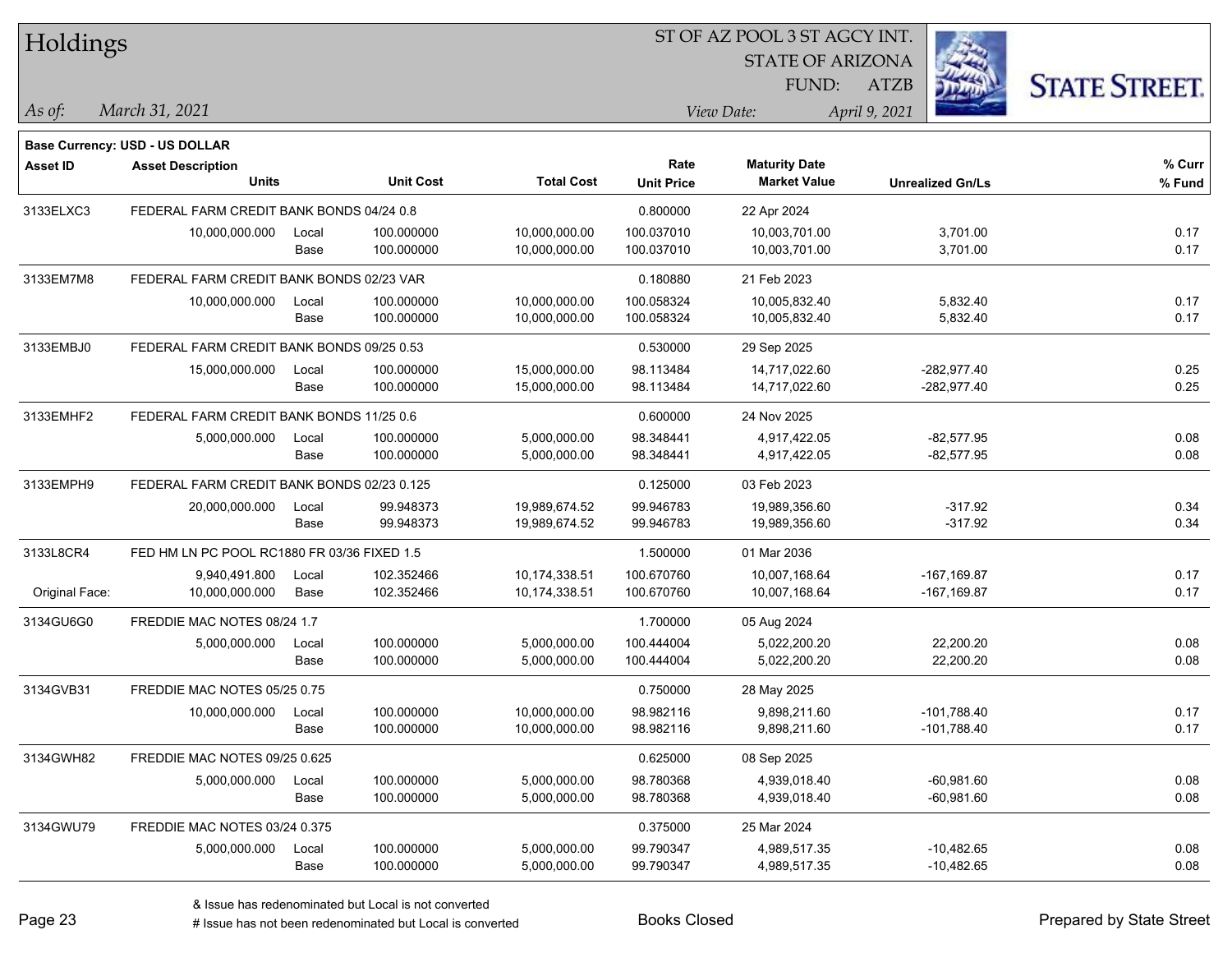| Holdings        |                                             |       |                  |                   |                   | ST OF AZ POOL 3 ST AGCY INT. |                         |                      |
|-----------------|---------------------------------------------|-------|------------------|-------------------|-------------------|------------------------------|-------------------------|----------------------|
|                 |                                             |       |                  |                   |                   | <b>STATE OF ARIZONA</b>      |                         |                      |
|                 |                                             |       |                  |                   |                   | FUND:                        | <b>ATZB</b>             | <b>STATE STREET.</b> |
| As of:          | March 31, 2021                              |       |                  |                   |                   | View Date:                   | April 9, 2021           |                      |
|                 | <b>Base Currency: USD - US DOLLAR</b>       |       |                  |                   |                   |                              |                         |                      |
| <b>Asset ID</b> | <b>Asset Description</b>                    |       |                  |                   | Rate              | <b>Maturity Date</b>         |                         | % Curr               |
|                 | <b>Units</b>                                |       | <b>Unit Cost</b> | <b>Total Cost</b> | <b>Unit Price</b> | <b>Market Value</b>          | <b>Unrealized Gn/Ls</b> | % Fund               |
| 3133ELXC3       | FEDERAL FARM CREDIT BANK BONDS 04/24 0.8    |       |                  |                   | 0.800000          | 22 Apr 2024                  |                         |                      |
|                 | 10,000,000.000                              | Local | 100.000000       | 10,000,000.00     | 100.037010        | 10,003,701.00                | 3,701.00                | 0.17                 |
|                 |                                             | Base  | 100.000000       | 10,000,000.00     | 100.037010        | 10,003,701.00                | 3,701.00                | 0.17                 |
| 3133EM7M8       | FEDERAL FARM CREDIT BANK BONDS 02/23 VAR    |       |                  |                   | 0.180880          | 21 Feb 2023                  |                         |                      |
|                 | 10,000,000.000                              | Local | 100.000000       | 10,000,000.00     | 100.058324        | 10,005,832.40                | 5,832.40                | 0.17                 |
|                 |                                             | Base  | 100.000000       | 10,000,000.00     | 100.058324        | 10,005,832.40                | 5,832.40                | 0.17                 |
| 3133EMBJ0       | FEDERAL FARM CREDIT BANK BONDS 09/25 0.53   |       |                  |                   | 0.530000          | 29 Sep 2025                  |                         |                      |
|                 | 15,000,000.000                              | Local | 100.000000       | 15,000,000.00     | 98.113484         | 14,717,022.60                | $-282,977.40$           | 0.25                 |
|                 |                                             | Base  | 100.000000       | 15,000,000.00     | 98.113484         | 14,717,022.60                | $-282,977.40$           | 0.25                 |
| 3133EMHF2       | FEDERAL FARM CREDIT BANK BONDS 11/25 0.6    |       |                  |                   | 0.600000          | 24 Nov 2025                  |                         |                      |
|                 | 5,000,000.000                               | Local | 100.000000       | 5,000,000.00      | 98.348441         | 4,917,422.05                 | $-82,577.95$            | 0.08                 |
|                 |                                             | Base  | 100.000000       | 5,000,000.00      | 98.348441         | 4,917,422.05                 | $-82,577.95$            | 0.08                 |
| 3133EMPH9       | FEDERAL FARM CREDIT BANK BONDS 02/23 0.125  |       |                  |                   | 0.125000          | 03 Feb 2023                  |                         |                      |
|                 | 20,000,000.000                              | Local | 99.948373        | 19,989,674.52     | 99.946783         | 19,989,356.60                | $-317.92$               | 0.34                 |
|                 |                                             | Base  | 99.948373        | 19,989,674.52     | 99.946783         | 19,989,356.60                | $-317.92$               | 0.34                 |
| 3133L8CR4       | FED HM LN PC POOL RC1880 FR 03/36 FIXED 1.5 |       |                  |                   | 1.500000          | 01 Mar 2036                  |                         |                      |
|                 | 9,940,491.800                               | Local | 102.352466       | 10,174,338.51     | 100.670760        | 10,007,168.64                | $-167,169.87$           | 0.17                 |
| Original Face:  | 10,000,000.000                              | Base  | 102.352466       | 10,174,338.51     | 100.670760        | 10,007,168.64                | $-167, 169.87$          | 0.17                 |
| 3134GU6G0       | FREDDIE MAC NOTES 08/24 1.7                 |       |                  |                   | 1.700000          | 05 Aug 2024                  |                         |                      |
|                 | 5,000,000.000                               | Local | 100.000000       | 5,000,000.00      | 100.444004        | 5,022,200.20                 | 22,200.20               | 0.08                 |
|                 |                                             | Base  | 100.000000       | 5,000,000.00      | 100.444004        | 5,022,200.20                 | 22,200.20               | 0.08                 |
| 3134GVB31       | FREDDIE MAC NOTES 05/25 0.75                |       |                  |                   | 0.750000          | 28 May 2025                  |                         |                      |
|                 | 10,000,000.000                              | Local | 100.000000       | 10,000,000.00     | 98.982116         | 9,898,211.60                 | $-101,788.40$           | 0.17                 |
|                 |                                             | Base  | 100.000000       | 10,000,000.00     | 98.982116         | 9,898,211.60                 | $-101,788.40$           | 0.17                 |
| 3134GWH82       | FREDDIE MAC NOTES 09/25 0.625               |       |                  |                   | 0.625000          | 08 Sep 2025                  |                         |                      |
|                 | 5,000,000.000                               | Local | 100.000000       | 5,000,000.00      | 98.780368         | 4,939,018.40                 | $-60,981.60$            | 0.08                 |
|                 |                                             | Base  | 100.000000       | 5,000,000.00      | 98.780368         | 4,939,018.40                 | $-60,981.60$            | 0.08                 |
| 3134GWU79       | FREDDIE MAC NOTES 03/24 0.375               |       |                  |                   | 0.375000          | 25 Mar 2024                  |                         |                      |
|                 | 5,000,000.000                               | Local | 100.000000       | 5,000,000.00      | 99.790347         | 4,989,517.35                 | $-10,482.65$            | 0.08                 |
|                 |                                             | Base  | 100.000000       | 5,000,000.00      | 99.790347         | 4,989,517.35                 | $-10,482.65$            | 0.08                 |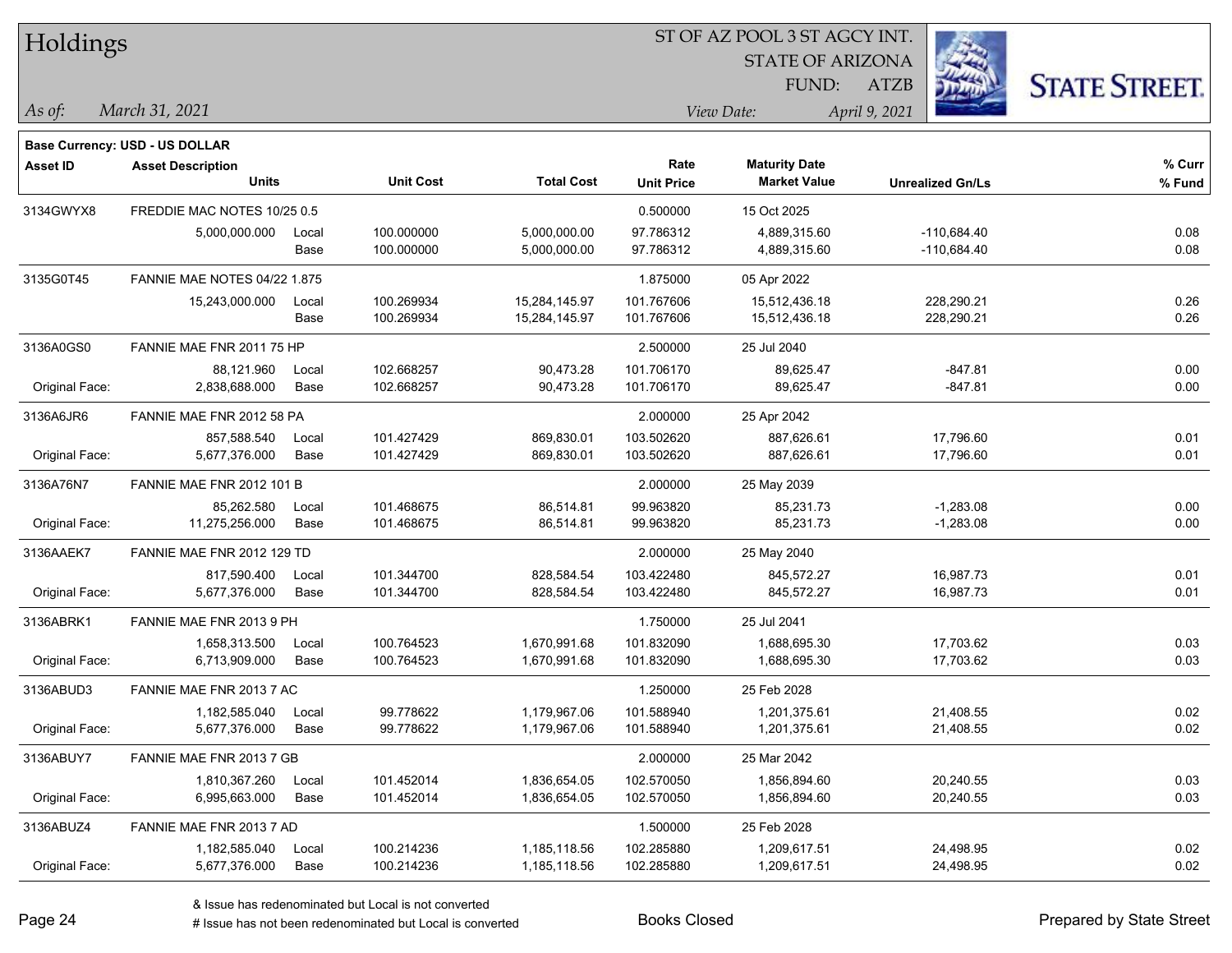| Holdings        |                                     |       |                  | ST OF AZ POOL 3 ST AGCY INT. |                   |                         |                         |                      |  |  |  |
|-----------------|-------------------------------------|-------|------------------|------------------------------|-------------------|-------------------------|-------------------------|----------------------|--|--|--|
|                 |                                     |       |                  |                              |                   | <b>STATE OF ARIZONA</b> |                         |                      |  |  |  |
|                 |                                     |       |                  |                              |                   | FUND:                   | <b>ATZB</b>             | <b>STATE STREET.</b> |  |  |  |
| As of:          | March 31, 2021                      |       |                  |                              | View Date:        |                         | April 9, 2021           |                      |  |  |  |
|                 | Base Currency: USD - US DOLLAR      |       |                  |                              |                   |                         |                         |                      |  |  |  |
| <b>Asset ID</b> | <b>Asset Description</b>            |       |                  |                              | Rate              | <b>Maturity Date</b>    |                         | % Curr               |  |  |  |
|                 | <b>Units</b>                        |       | <b>Unit Cost</b> | <b>Total Cost</b>            | <b>Unit Price</b> | <b>Market Value</b>     | <b>Unrealized Gn/Ls</b> | % Fund               |  |  |  |
| 3134GWYX8       | FREDDIE MAC NOTES 10/25 0.5         |       |                  |                              | 0.500000          | 15 Oct 2025             |                         |                      |  |  |  |
|                 | 5,000,000.000                       | Local | 100.000000       | 5,000,000.00                 | 97.786312         | 4,889,315.60            | $-110,684.40$           | 0.08                 |  |  |  |
|                 |                                     | Base  | 100.000000       | 5,000,000.00                 | 97.786312         | 4,889,315.60            | $-110,684.40$           | 0.08                 |  |  |  |
| 3135G0T45       | <b>FANNIE MAE NOTES 04/22 1.875</b> |       |                  |                              | 1.875000          | 05 Apr 2022             |                         |                      |  |  |  |
|                 | 15,243,000.000                      | Local | 100.269934       | 15,284,145.97                | 101.767606        | 15,512,436.18           | 228,290.21              | 0.26                 |  |  |  |
|                 |                                     | Base  | 100.269934       | 15,284,145.97                | 101.767606        | 15,512,436.18           | 228,290.21              | 0.26                 |  |  |  |
| 3136A0GS0       | FANNIE MAE FNR 2011 75 HP           |       |                  |                              | 2.500000          | 25 Jul 2040             |                         |                      |  |  |  |
|                 | 88,121.960                          | Local | 102.668257       | 90,473.28                    | 101.706170        | 89,625.47               | $-847.81$               | 0.00                 |  |  |  |
| Original Face:  | 2,838,688.000                       | Base  | 102.668257       | 90,473.28                    | 101.706170        | 89,625.47               | $-847.81$               | 0.00                 |  |  |  |
| 3136A6JR6       | FANNIE MAE FNR 2012 58 PA           |       |                  |                              | 2.000000          | 25 Apr 2042             |                         |                      |  |  |  |
|                 | 857,588.540                         | Local | 101.427429       | 869,830.01                   | 103.502620        | 887,626.61              | 17,796.60               | 0.01                 |  |  |  |
| Original Face:  | 5,677,376.000                       | Base  | 101.427429       | 869,830.01                   | 103.502620        | 887,626.61              | 17,796.60               | 0.01                 |  |  |  |
| 3136A76N7       | FANNIE MAE FNR 2012 101 B           |       |                  |                              | 2.000000          | 25 May 2039             |                         |                      |  |  |  |
|                 | 85,262.580                          | Local | 101.468675       | 86,514.81                    | 99.963820         | 85,231.73               | $-1,283.08$             | 0.00                 |  |  |  |
| Original Face:  | 11,275,256.000                      | Base  | 101.468675       | 86,514.81                    | 99.963820         | 85,231.73               | $-1,283.08$             | 0.00                 |  |  |  |
| 3136AAEK7       | FANNIE MAE FNR 2012 129 TD          |       |                  |                              | 2.000000          | 25 May 2040             |                         |                      |  |  |  |
|                 | 817,590.400                         | Local | 101.344700       | 828,584.54                   | 103.422480        | 845,572.27              | 16,987.73               | 0.01                 |  |  |  |
| Original Face:  | 5,677,376.000                       | Base  | 101.344700       | 828,584.54                   | 103.422480        | 845,572.27              | 16,987.73               | 0.01                 |  |  |  |
| 3136ABRK1       | FANNIE MAE FNR 2013 9 PH            |       |                  |                              | 1.750000          | 25 Jul 2041             |                         |                      |  |  |  |
|                 | 1,658,313.500                       | Local | 100.764523       | 1,670,991.68                 | 101.832090        | 1,688,695.30            | 17,703.62               | 0.03                 |  |  |  |
| Original Face:  | 6,713,909.000                       | Base  | 100.764523       | 1,670,991.68                 | 101.832090        | 1,688,695.30            | 17,703.62               | 0.03                 |  |  |  |
| 3136ABUD3       | FANNIE MAE FNR 2013 7 AC            |       |                  |                              | 1.250000          | 25 Feb 2028             |                         |                      |  |  |  |
|                 | 1,182,585.040                       | Local | 99.778622        | 1,179,967.06                 | 101.588940        | 1,201,375.61            | 21,408.55               | 0.02                 |  |  |  |
| Original Face:  | 5,677,376.000                       | Base  | 99.778622        | 1,179,967.06                 | 101.588940        | 1,201,375.61            | 21,408.55               | 0.02                 |  |  |  |
| 3136ABUY7       | FANNIE MAE FNR 2013 7 GB            |       |                  |                              | 2.000000          | 25 Mar 2042             |                         |                      |  |  |  |
|                 | 1,810,367.260                       | Local | 101.452014       | 1,836,654.05                 | 102.570050        | 1,856,894.60            | 20,240.55               | 0.03                 |  |  |  |
| Original Face:  | 6,995,663.000                       | Base  | 101.452014       | 1,836,654.05                 | 102.570050        | 1,856,894.60            | 20,240.55               | 0.03                 |  |  |  |
| 3136ABUZ4       | FANNIE MAE FNR 2013 7 AD            |       |                  |                              | 1.500000          | 25 Feb 2028             |                         |                      |  |  |  |
|                 | 1,182,585.040                       | Local | 100.214236       | 1,185,118.56                 | 102.285880        | 1,209,617.51            | 24,498.95               | 0.02                 |  |  |  |
| Original Face:  | 5,677,376.000                       | Base  | 100.214236       | 1,185,118.56                 | 102.285880        | 1,209,617.51            | 24,498.95               | 0.02                 |  |  |  |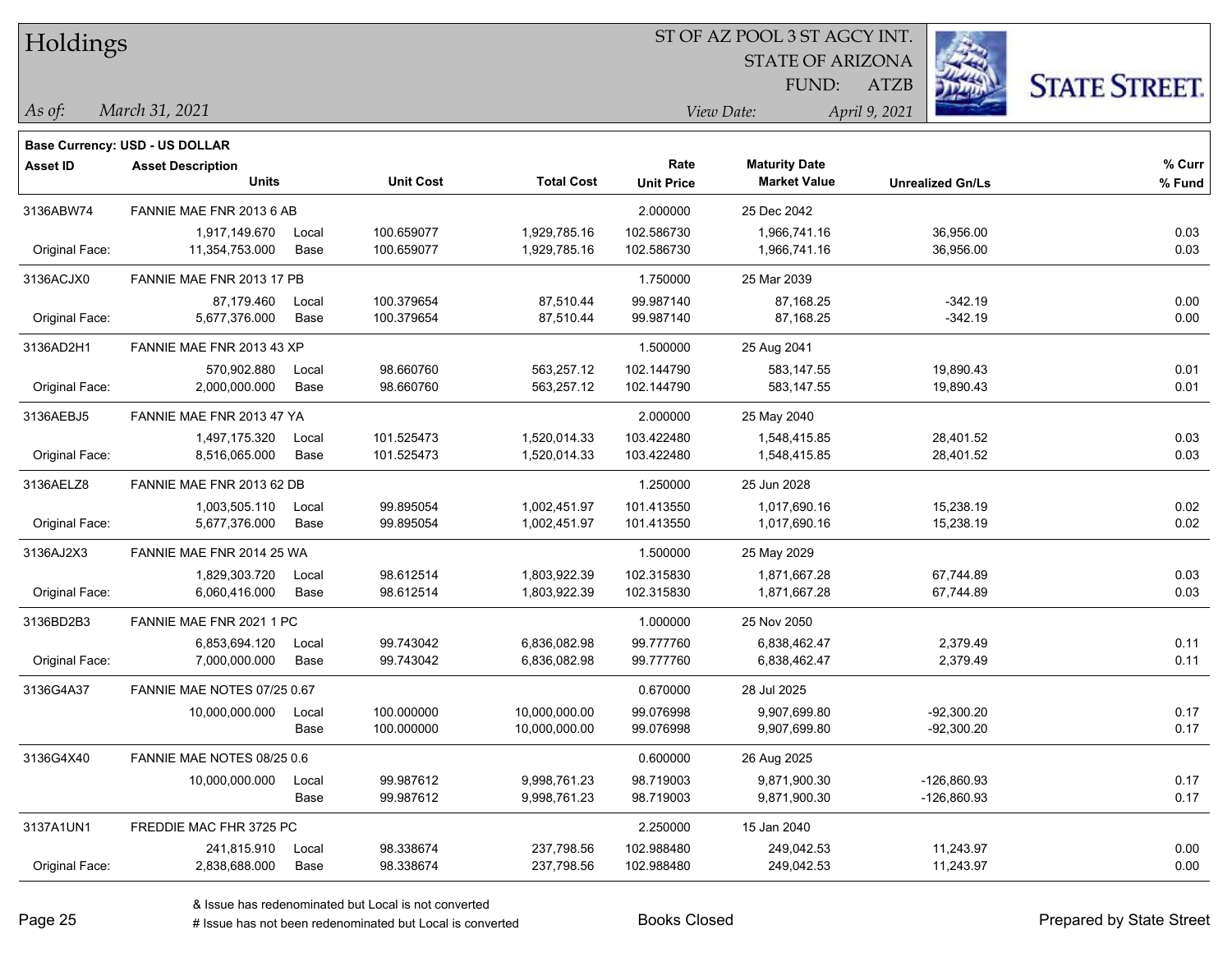| Holdings |  |
|----------|--|
|----------|--|

#### ST OF AZ POOL 3 ST AGCY INT.

**Maturity Date**

STATE OF ARIZONA FUND:



**% Fund**

**% Curr**

*March 31, 2021 As of: View Date: April 9, 2021*

**Base Currency: USD - US DOLLAR**

ATZB

|                | 1,917,149.670               | Local | 100.659077 | 1,929,785.16  | 102.586730 | 1,966,741.16 | 36,956.00     | 0.03 |
|----------------|-----------------------------|-------|------------|---------------|------------|--------------|---------------|------|
| Original Face: | 11,354,753.000              | Base  | 100.659077 | 1,929,785.16  | 102.586730 | 1,966,741.16 | 36,956.00     | 0.03 |
| 3136ACJX0      | FANNIE MAE FNR 2013 17 PB   |       |            |               | 1.750000   | 25 Mar 2039  |               |      |
|                | 87.179.460                  | Local | 100.379654 | 87,510.44     | 99.987140  | 87,168.25    | $-342.19$     | 0.00 |
| Original Face: | 5,677,376.000               | Base  | 100.379654 | 87,510.44     | 99.987140  | 87,168.25    | $-342.19$     | 0.00 |
| 3136AD2H1      | FANNIE MAE FNR 2013 43 XP   |       |            |               | 1.500000   | 25 Aug 2041  |               |      |
|                | 570,902.880                 | Local | 98.660760  | 563,257.12    | 102.144790 | 583,147.55   | 19,890.43     | 0.01 |
| Original Face: | 2,000,000.000               | Base  | 98.660760  | 563,257.12    | 102.144790 | 583,147.55   | 19,890.43     | 0.01 |
| 3136AEBJ5      | FANNIE MAE FNR 2013 47 YA   |       |            |               | 2.000000   | 25 May 2040  |               |      |
|                | 1,497,175.320               | Local | 101.525473 | 1,520,014.33  | 103.422480 | 1,548,415.85 | 28,401.52     | 0.03 |
| Original Face: | 8,516,065.000               | Base  | 101.525473 | 1,520,014.33  | 103.422480 | 1,548,415.85 | 28,401.52     | 0.03 |
| 3136AELZ8      | FANNIE MAE FNR 2013 62 DB   |       |            |               | 1.250000   | 25 Jun 2028  |               |      |
|                | 1,003,505.110               | Local | 99.895054  | 1,002,451.97  | 101.413550 | 1,017,690.16 | 15,238.19     | 0.02 |
| Original Face: | 5,677,376.000               | Base  | 99.895054  | 1,002,451.97  | 101.413550 | 1,017,690.16 | 15,238.19     | 0.02 |
| 3136AJ2X3      | FANNIE MAE FNR 2014 25 WA   |       |            |               | 1.500000   | 25 May 2029  |               |      |
|                | 1,829,303.720               | Local | 98.612514  | 1,803,922.39  | 102.315830 | 1,871,667.28 | 67,744.89     | 0.03 |
| Original Face: | 6,060,416.000               | Base  | 98.612514  | 1,803,922.39  | 102.315830 | 1,871,667.28 | 67,744.89     | 0.03 |
| 3136BD2B3      | FANNIE MAE FNR 2021 1 PC    |       |            |               | 1.000000   | 25 Nov 2050  |               |      |
|                | 6,853,694.120               | Local | 99.743042  | 6,836,082.98  | 99.777760  | 6,838,462.47 | 2,379.49      | 0.11 |
| Original Face: | 7,000,000.000               | Base  | 99.743042  | 6,836,082.98  | 99.777760  | 6,838,462.47 | 2,379.49      | 0.11 |
| 3136G4A37      | FANNIE MAE NOTES 07/25 0.67 |       |            |               | 0.670000   | 28 Jul 2025  |               |      |
|                | 10,000,000.000              | Local | 100.000000 | 10,000,000.00 | 99.076998  | 9,907,699.80 | $-92,300.20$  | 0.17 |
|                |                             | Base  | 100.000000 | 10,000,000.00 | 99.076998  | 9,907,699.80 | $-92,300.20$  | 0.17 |
| 3136G4X40      | FANNIE MAE NOTES 08/25 0.6  |       |            |               | 0.600000   | 26 Aug 2025  |               |      |
|                | 10,000,000.000              | Local | 99.987612  | 9,998,761.23  | 98.719003  | 9,871,900.30 | $-126,860.93$ | 0.17 |
|                |                             | Base  | 99.987612  | 9,998,761.23  | 98.719003  | 9,871,900.30 | $-126,860.93$ | 0.17 |
|                |                             |       |            |               |            |              |               |      |

**Units Unit Cost Total Cost Unit Price Market Value Unrealized Gn/Ls**

3137A1UN1 FREDDIE MAC FHR 3725 PC 2.250000 15 Jan 2040

**Asset ID Asset Description Rate**

3136ABW74 FANNIE MAE FNR 2013 6 AB 2.000000 25 Dec 2042

Original Face: 2,838,688.000 Base 98.338674 237,798.56 102.988480 249,042.53 11,243.97 0.00

241,815.910 Local 98.338674 237,798.56 102.988480 249,042.53 11,243.97 0.00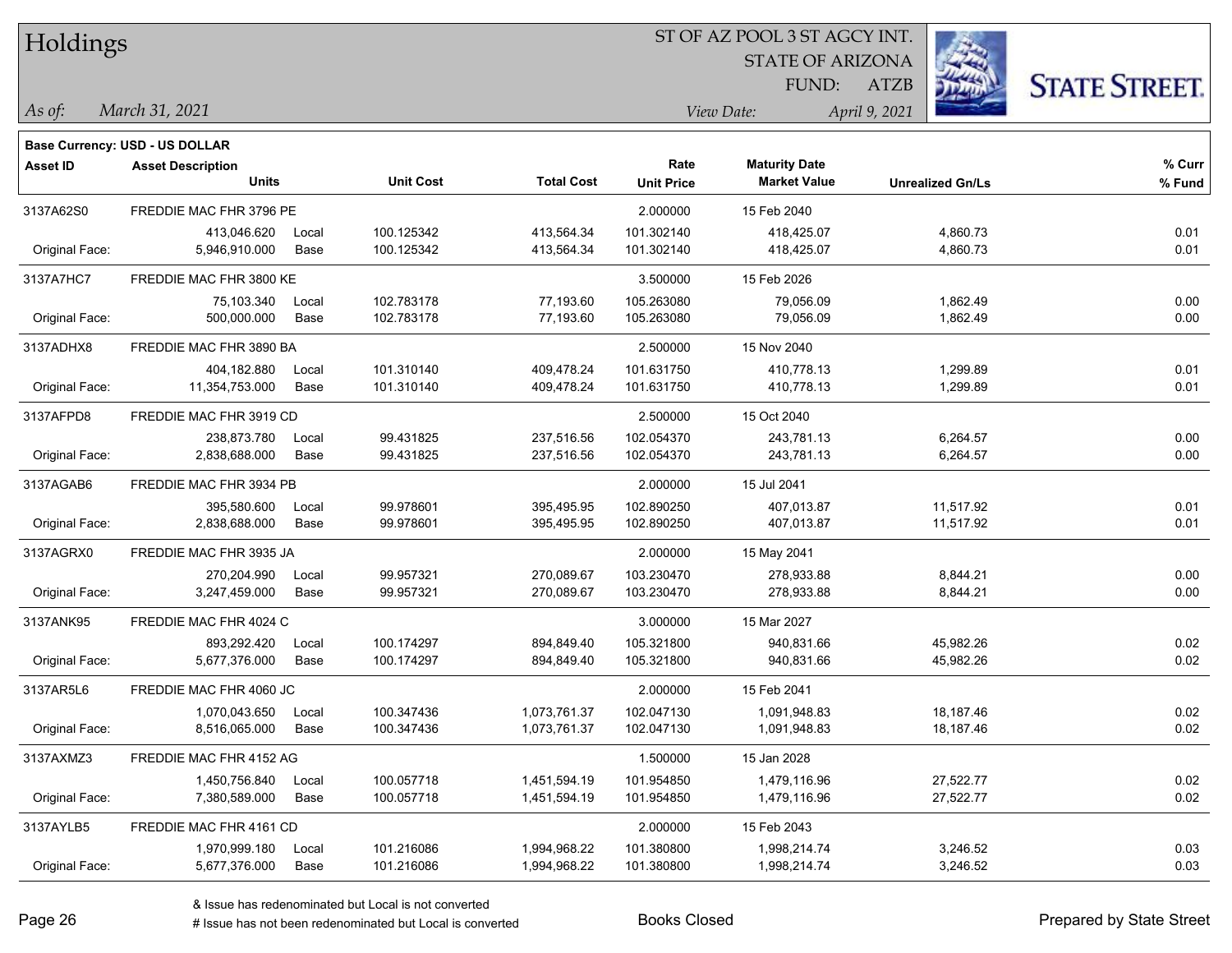Holdings

#### ST OF AZ POOL 3 ST AGCY INT.

**Maturity Date**

STATE OF ARIZONA

ATZB



**% Fund**

**% Curr**

*March 31, 2021 As of: View Date: April 9, 2021*

**Base Currency: USD - US DOLLAR**

FUND:

| 3137A62S0      | FREDDIE MAC FHR 3796 PE        |               |                          |                              | 2.000000                 | 15 Feb 2040                  |                        |              |
|----------------|--------------------------------|---------------|--------------------------|------------------------------|--------------------------|------------------------------|------------------------|--------------|
| Original Face: | 413.046.620<br>5,946,910.000   | Local<br>Base | 100.125342<br>100.125342 | 413,564.34<br>413,564.34     | 101.302140<br>101.302140 | 418,425.07<br>418,425.07     | 4,860.73<br>4,860.73   | 0.01<br>0.01 |
| 3137A7HC7      | FREDDIE MAC FHR 3800 KE        |               |                          |                              | 3.500000                 | 15 Feb 2026                  |                        |              |
| Original Face: | 75,103.340<br>500,000.000      | Local<br>Base | 102.783178<br>102.783178 | 77,193.60<br>77,193.60       | 105.263080<br>105.263080 | 79,056.09<br>79,056.09       | 1,862.49<br>1,862.49   | 0.00<br>0.00 |
| 3137ADHX8      | FREDDIE MAC FHR 3890 BA        |               |                          |                              | 2.500000                 | 15 Nov 2040                  |                        |              |
| Original Face: | 404,182.880<br>11,354,753.000  | Local<br>Base | 101.310140<br>101.310140 | 409,478.24<br>409,478.24     | 101.631750<br>101.631750 | 410,778.13<br>410,778.13     | 1,299.89<br>1,299.89   | 0.01<br>0.01 |
| 3137AFPD8      | FREDDIE MAC FHR 3919 CD        |               |                          |                              | 2.500000                 | 15 Oct 2040                  |                        |              |
| Original Face: | 238,873.780<br>2,838,688.000   | Local<br>Base | 99.431825<br>99.431825   | 237,516.56<br>237,516.56     | 102.054370<br>102.054370 | 243,781.13<br>243,781.13     | 6,264.57<br>6,264.57   | 0.00<br>0.00 |
| 3137AGAB6      | FREDDIE MAC FHR 3934 PB        |               |                          |                              | 2.000000                 | 15 Jul 2041                  |                        |              |
| Original Face: | 395,580.600<br>2,838,688.000   | Local<br>Base | 99.978601<br>99.978601   | 395,495.95<br>395,495.95     | 102.890250<br>102.890250 | 407,013.87<br>407,013.87     | 11,517.92<br>11,517.92 | 0.01<br>0.01 |
| 3137AGRX0      | FREDDIE MAC FHR 3935 JA        |               |                          |                              | 2.000000                 | 15 May 2041                  |                        |              |
| Original Face: | 270,204.990<br>3.247.459.000   | Local<br>Base | 99.957321<br>99.957321   | 270,089.67<br>270,089.67     | 103.230470<br>103.230470 | 278,933.88<br>278,933.88     | 8,844.21<br>8,844.21   | 0.00<br>0.00 |
| 3137ANK95      | FREDDIE MAC FHR 4024 C         |               |                          |                              | 3.000000                 | 15 Mar 2027                  |                        |              |
| Original Face: | 893,292.420<br>5,677,376.000   | Local<br>Base | 100.174297<br>100.174297 | 894,849.40<br>894,849.40     | 105.321800<br>105.321800 | 940,831.66<br>940,831.66     | 45,982.26<br>45,982.26 | 0.02<br>0.02 |
| 3137AR5L6      | FREDDIE MAC FHR 4060 JC        |               |                          |                              | 2.000000                 | 15 Feb 2041                  |                        |              |
| Original Face: | 1,070,043.650<br>8,516,065.000 | Local<br>Base | 100.347436<br>100.347436 | 1,073,761.37<br>1,073,761.37 | 102.047130<br>102.047130 | 1,091,948.83<br>1,091,948.83 | 18,187.46<br>18,187.46 | 0.02<br>0.02 |
| 3137AXMZ3      | FREDDIE MAC FHR 4152 AG        |               |                          |                              | 1.500000                 | 15 Jan 2028                  |                        |              |
| Original Face: | 1,450,756.840<br>7,380,589.000 | Local<br>Base | 100.057718<br>100.057718 | 1,451,594.19<br>1,451,594.19 | 101.954850<br>101.954850 | 1,479,116.96<br>1,479,116.96 | 27,522.77<br>27,522.77 | 0.02<br>0.02 |
| 3137AYLB5      | FREDDIE MAC FHR 4161 CD        |               |                          |                              | 2.000000                 | 15 Feb 2043                  |                        |              |
|                | 1,970,999.180                  | Local         | 101.216086               | 1,994,968.22                 | 101.380800               | 1,998,214.74                 | 3,246.52               | 0.03         |

**Units Unit Cost Total Cost Unit Price Market Value Unrealized Gn/Ls**

**Asset ID Asset Description Rate**

Original Face: 5,677,376.000 Base 101.216086 1,994,968.22 101.380800 1,998,214.74 3,246.52 0.03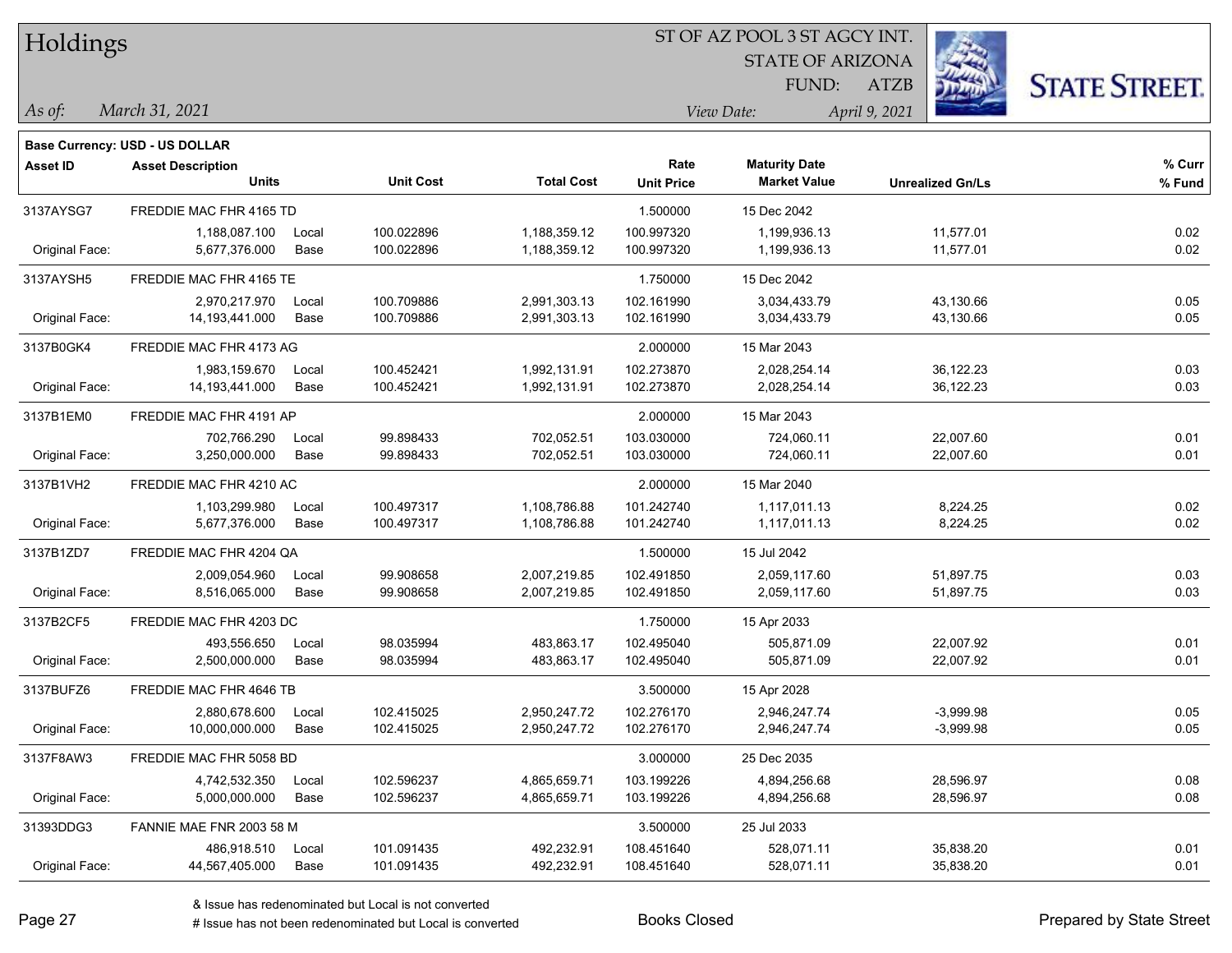|  |  | Holdings |  |
|--|--|----------|--|
|--|--|----------|--|

#### ST OF AZ POOL 3 ST AGCY INT.

**Maturity Date**

STATE OF ARIZONA FUND:



**% Fund**

**% Curr**

*March 31, 2021 As of: View Date: April 9, 2021*

**Base Currency: USD - US DOLLAR**

ATZB

| 3137AYSG7      | FREDDIE MAC FHR 4165 TD        |               |                          |                              | 1.500000                 | 15 Dec 2042                  |                        |              |
|----------------|--------------------------------|---------------|--------------------------|------------------------------|--------------------------|------------------------------|------------------------|--------------|
| Original Face: | 1,188,087.100<br>5,677,376.000 | Local<br>Base | 100.022896<br>100.022896 | 1,188,359.12<br>1,188,359.12 | 100.997320<br>100.997320 | 1,199,936.13<br>1,199,936.13 | 11,577.01<br>11,577.01 | 0.02<br>0.02 |
| 3137AYSH5      | FREDDIE MAC FHR 4165 TE        |               |                          |                              | 1.750000                 | 15 Dec 2042                  |                        |              |
|                | 2.970.217.970                  | Local         | 100.709886               | 2,991,303.13                 | 102.161990               | 3,034,433.79                 | 43,130.66              | 0.05         |
| Original Face: | 14,193,441.000                 | Base          | 100.709886               | 2,991,303.13                 | 102.161990               | 3,034,433.79                 | 43,130.66              | 0.05         |
| 3137B0GK4      | FREDDIE MAC FHR 4173 AG        |               |                          |                              | 2.000000                 | 15 Mar 2043                  |                        |              |
|                | 1,983,159.670                  | Local         | 100.452421               | 1,992,131.91                 | 102.273870               | 2,028,254.14                 | 36,122.23              | 0.03         |
| Original Face: | 14, 193, 441.000               | Base          | 100.452421               | 1,992,131.91                 | 102.273870               | 2,028,254.14                 | 36,122.23              | 0.03         |
| 3137B1EM0      | FREDDIE MAC FHR 4191 AP        |               |                          |                              | 2.000000                 | 15 Mar 2043                  |                        |              |
|                | 702,766.290                    | Local         | 99.898433                | 702,052.51                   | 103.030000               | 724,060.11                   | 22,007.60              | 0.01         |
| Original Face: | 3,250,000.000                  | Base          | 99.898433                | 702,052.51                   | 103.030000               | 724,060.11                   | 22,007.60              | 0.01         |
| 3137B1VH2      | FREDDIE MAC FHR 4210 AC        |               |                          |                              | 2.000000                 | 15 Mar 2040                  |                        |              |
|                | 1.103.299.980                  | Local         | 100.497317               | 1,108,786.88                 | 101.242740               | 1,117,011.13                 | 8.224.25               | 0.02         |
| Original Face: | 5,677,376.000                  | Base          | 100.497317               | 1,108,786.88                 | 101.242740               | 1,117,011.13                 | 8,224.25               | 0.02         |
| 3137B1ZD7      | FREDDIE MAC FHR 4204 QA        |               |                          |                              | 1.500000                 | 15 Jul 2042                  |                        |              |
|                | 2,009,054.960                  | Local         | 99.908658                | 2,007,219.85                 | 102.491850               | 2.059.117.60                 | 51,897.75              | 0.03         |
| Original Face: | 8,516,065.000                  | Base          | 99.908658                | 2,007,219.85                 | 102.491850               | 2,059,117.60                 | 51,897.75              | 0.03         |
| 3137B2CF5      | FREDDIE MAC FHR 4203 DC        |               |                          |                              | 1.750000                 | 15 Apr 2033                  |                        |              |
|                | 493,556.650                    | Local         | 98.035994                | 483,863.17                   | 102.495040               | 505,871.09                   | 22,007.92              | 0.01         |
| Original Face: | 2,500,000.000                  | Base          | 98.035994                | 483,863.17                   | 102.495040               | 505,871.09                   | 22,007.92              | 0.01         |
| 3137BUFZ6      | FREDDIE MAC FHR 4646 TB        |               |                          |                              | 3.500000                 | 15 Apr 2028                  |                        |              |
|                | 2,880,678.600                  | Local         | 102.415025               | 2,950,247.72                 | 102.276170               | 2,946,247.74                 | $-3,999.98$            | 0.05         |
| Original Face: | 10,000,000.000                 | Base          | 102.415025               | 2,950,247.72                 | 102.276170               | 2,946,247.74                 | $-3,999.98$            | 0.05         |
| 3137F8AW3      | FREDDIE MAC FHR 5058 BD        |               |                          |                              | 3.000000                 | 25 Dec 2035                  |                        |              |
|                | 4,742,532.350                  | Local         | 102.596237               | 4,865,659.71                 | 103.199226               | 4,894,256.68                 | 28,596.97              | 0.08         |
| Original Face: | 5,000,000.000                  | Base          | 102.596237               | 4,865,659.71                 | 103.199226               | 4,894,256.68                 | 28,596.97              | 0.08         |
| 31393DDG3      | FANNIE MAE FNR 2003 58 M       |               |                          |                              | 3.500000                 | 25 Jul 2033                  |                        |              |

**Units Unit Cost Total Cost Unit Price Market Value Unrealized Gn/Ls**

**Asset ID Asset Description Rate**

Original Face: 44,567,405.000 Base 101.091435 492,232.91 108.451640 528,071.11 35,838.20 0.01

486,918.510 Local 101.091435 492,232.91 108.451640 528,071.11 35,838.20 0.01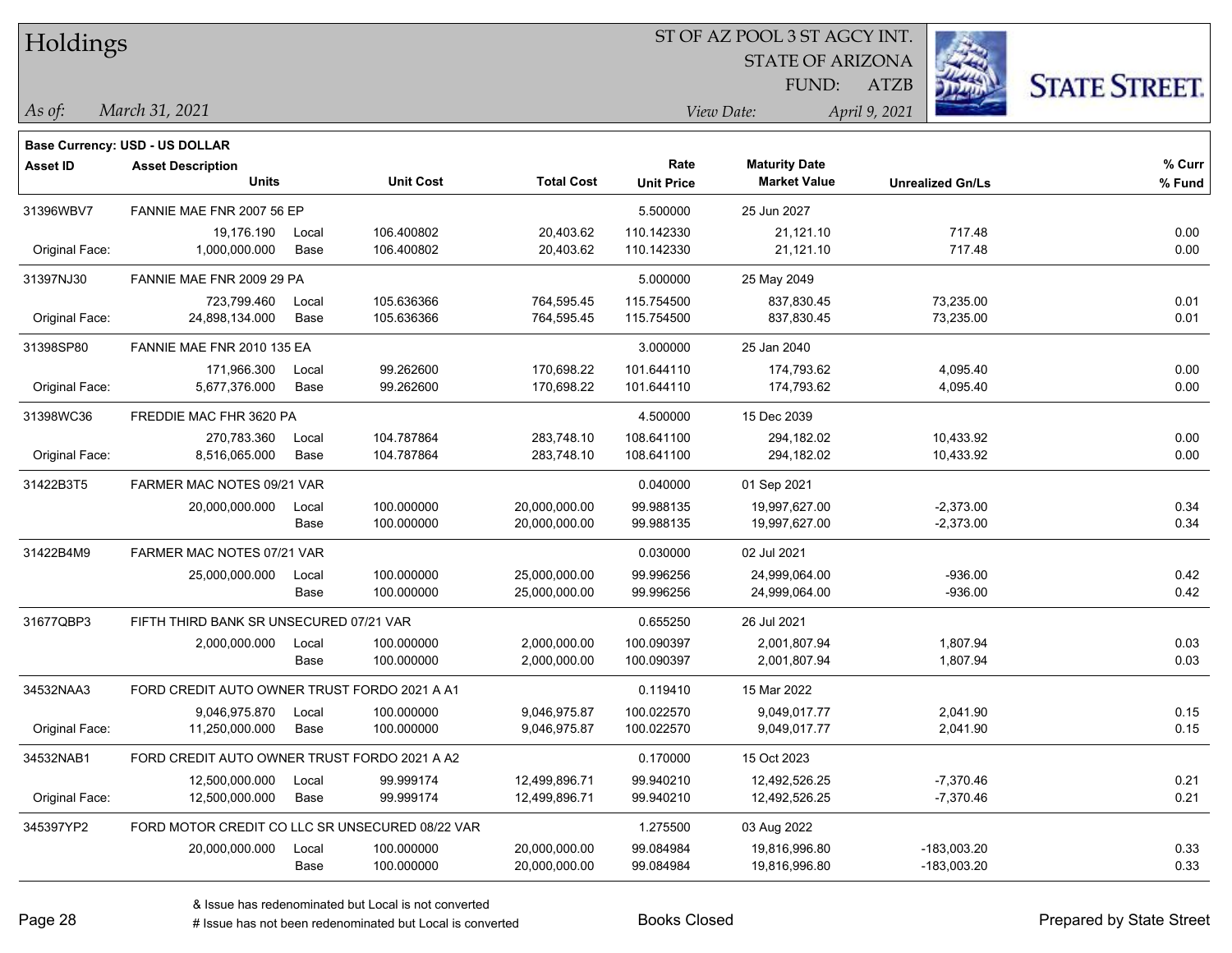| Holdings        |                                                 |               |                          |                          |                           |                                             |                         |                      |
|-----------------|-------------------------------------------------|---------------|--------------------------|--------------------------|---------------------------|---------------------------------------------|-------------------------|----------------------|
|                 |                                                 |               |                          |                          |                           | <b>STATE OF ARIZONA</b>                     |                         |                      |
|                 |                                                 |               |                          |                          |                           | FUND:                                       | <b>ATZB</b>             | <b>STATE STREET.</b> |
| $\vert$ As of:  | March 31, 2021                                  |               |                          |                          |                           | View Date:                                  | April 9, 2021           |                      |
|                 |                                                 |               |                          |                          |                           |                                             |                         |                      |
|                 | Base Currency: USD - US DOLLAR                  |               |                          |                          |                           |                                             |                         |                      |
| <b>Asset ID</b> | <b>Asset Description</b><br><b>Units</b>        |               | <b>Unit Cost</b>         | <b>Total Cost</b>        | Rate<br><b>Unit Price</b> | <b>Maturity Date</b><br><b>Market Value</b> | <b>Unrealized Gn/Ls</b> | % Curr<br>% Fund     |
|                 |                                                 |               |                          |                          |                           |                                             |                         |                      |
| 31396WBV7       | FANNIE MAE FNR 2007 56 EP                       |               |                          |                          | 5.500000                  | 25 Jun 2027                                 |                         |                      |
| Original Face:  | 19,176.190<br>1,000,000.000                     | Local<br>Base | 106.400802<br>106.400802 | 20,403.62<br>20,403.62   | 110.142330<br>110.142330  | 21,121.10<br>21,121.10                      | 717.48<br>717.48        | 0.00<br>0.00         |
|                 |                                                 |               |                          |                          |                           |                                             |                         |                      |
| 31397NJ30       | FANNIE MAE FNR 2009 29 PA                       |               |                          |                          | 5.000000                  | 25 May 2049                                 |                         |                      |
| Original Face:  | 723,799.460<br>24,898,134.000                   | Local<br>Base | 105.636366<br>105.636366 | 764,595.45<br>764,595.45 | 115.754500<br>115.754500  | 837,830.45<br>837,830.45                    | 73,235.00<br>73,235.00  | 0.01<br>0.01         |
|                 |                                                 |               |                          |                          |                           |                                             |                         |                      |
| 31398SP80       | FANNIE MAE FNR 2010 135 EA                      |               |                          |                          | 3.000000                  | 25 Jan 2040                                 |                         |                      |
| Original Face:  | 171,966.300<br>5,677,376.000                    | Local<br>Base | 99.262600<br>99.262600   | 170,698.22<br>170,698.22 | 101.644110<br>101.644110  | 174,793.62<br>174,793.62                    | 4,095.40<br>4,095.40    | 0.00<br>0.00         |
|                 |                                                 |               |                          |                          |                           |                                             |                         |                      |
| 31398WC36       | FREDDIE MAC FHR 3620 PA                         |               |                          |                          | 4.500000                  | 15 Dec 2039                                 |                         |                      |
|                 | 270,783.360                                     | Local         | 104.787864               | 283,748.10               | 108.641100                | 294,182.02                                  | 10,433.92               | 0.00                 |
| Original Face:  | 8,516,065.000                                   | Base          | 104.787864               | 283,748.10               | 108.641100                | 294,182.02                                  | 10,433.92               | 0.00                 |
| 31422B3T5       | FARMER MAC NOTES 09/21 VAR                      |               |                          |                          | 0.040000                  | 01 Sep 2021                                 |                         |                      |
|                 | 20,000,000.000                                  | Local         | 100.000000               | 20,000,000.00            | 99.988135                 | 19,997,627.00                               | $-2,373.00$             | 0.34                 |
|                 |                                                 | Base          | 100.000000               | 20,000,000.00            | 99.988135                 | 19,997,627.00                               | $-2,373.00$             | 0.34                 |
| 31422B4M9       | FARMER MAC NOTES 07/21 VAR                      |               |                          |                          | 0.030000                  | 02 Jul 2021                                 |                         |                      |
|                 | 25,000,000.000                                  | Local         | 100.000000               | 25,000,000.00            | 99.996256                 | 24,999,064.00                               | $-936.00$               | 0.42                 |
|                 |                                                 | Base          | 100.000000               | 25,000,000.00            | 99.996256                 | 24,999,064.00                               | $-936.00$               | 0.42                 |
| 31677QBP3       | FIFTH THIRD BANK SR UNSECURED 07/21 VAR         |               |                          |                          | 0.655250                  | 26 Jul 2021                                 |                         |                      |
|                 | 2,000,000.000                                   | Local         | 100.000000               | 2,000,000.00             | 100.090397                | 2,001,807.94                                | 1,807.94                | 0.03                 |
|                 |                                                 | Base          | 100.000000               | 2,000,000.00             | 100.090397                | 2,001,807.94                                | 1,807.94                | 0.03                 |
| 34532NAA3       | FORD CREDIT AUTO OWNER TRUST FORDO 2021 A A1    |               |                          |                          | 0.119410                  | 15 Mar 2022                                 |                         |                      |
|                 | 9,046,975.870                                   | Local         | 100.000000               | 9,046,975.87             | 100.022570                | 9,049,017.77                                | 2,041.90                | 0.15                 |
| Original Face:  | 11,250,000.000                                  | Base          | 100.000000               | 9,046,975.87             | 100.022570                | 9,049,017.77                                | 2,041.90                | 0.15                 |
| 34532NAB1       | FORD CREDIT AUTO OWNER TRUST FORDO 2021 A A2    |               |                          |                          | 0.170000                  | 15 Oct 2023                                 |                         |                      |
|                 | 12,500,000.000                                  | Local         | 99.999174                | 12,499,896.71            | 99.940210                 | 12,492,526.25                               | $-7,370.46$             | 0.21                 |
| Original Face:  | 12,500,000.000                                  | Base          | 99.999174                | 12,499,896.71            | 99.940210                 | 12,492,526.25                               | $-7,370.46$             | 0.21                 |
| 345397YP2       | FORD MOTOR CREDIT CO LLC SR UNSECURED 08/22 VAR |               |                          |                          | 1.275500                  | 03 Aug 2022                                 |                         |                      |
|                 | 20,000,000.000                                  | Local         | 100.000000               | 20,000,000.00            | 99.084984                 | 19,816,996.80                               | $-183,003.20$           | 0.33                 |
|                 |                                                 | Base          | 100.000000               | 20,000,000.00            | 99.084984                 | 19,816,996.80                               | $-183,003.20$           | 0.33                 |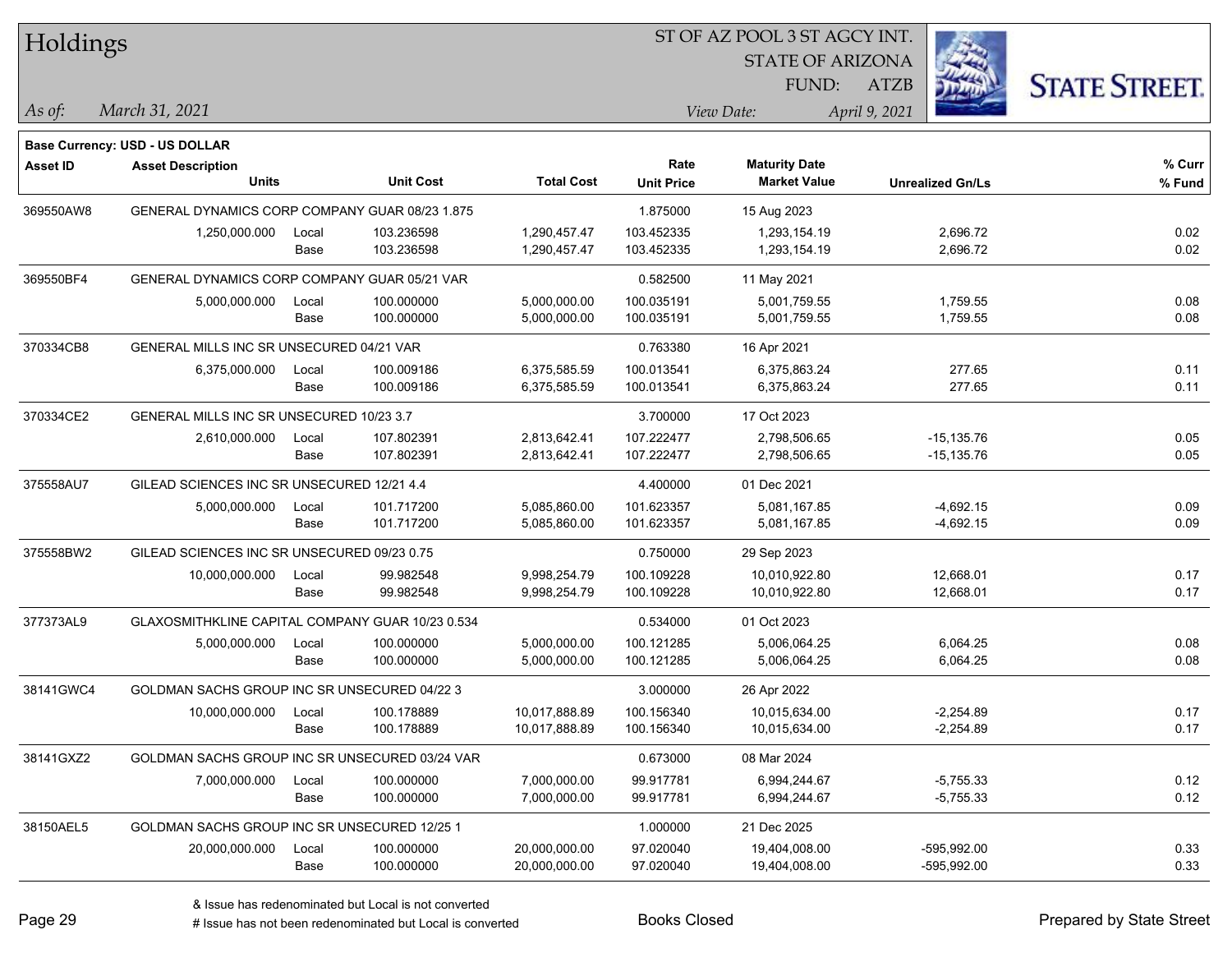| Ź.<br><b>STATE OF ARIZONA</b><br><b>STATE STREET.</b><br>FUND:<br>ATZB<br>March 31, 2021<br>View Date:<br>April 9, 2021<br>As of:<br>Base Currency: USD - US DOLLAR<br>% Curr<br><b>Maturity Date</b><br>Rate<br><b>Asset ID</b><br><b>Asset Description</b><br><b>Units</b><br><b>Total Cost</b><br><b>Unit Cost</b><br><b>Market Value</b><br><b>Unit Price</b><br>% Fund<br><b>Unrealized Gn/Ls</b><br>369550AW8<br>GENERAL DYNAMICS CORP COMPANY GUAR 08/23 1.875<br>1.875000<br>15 Aug 2023<br>103.452335<br>0.02<br>1,250,000.000<br>103.236598<br>1,290,457.47<br>2,696.72<br>Local<br>1,293,154.19<br>103.236598<br>2,696.72<br>0.02<br>Base<br>1,290,457.47<br>103.452335<br>1,293,154.19<br>369550BF4<br>GENERAL DYNAMICS CORP COMPANY GUAR 05/21 VAR<br>0.582500<br>11 May 2021<br>100.035191<br>0.08<br>5,000,000.000<br>100.000000<br>5,000,000.00<br>5,001,759.55<br>1,759.55<br>Local<br>0.08<br>100.000000<br>5,000,000.00<br>100.035191<br>5,001,759.55<br>1,759.55<br>Base<br>370334CB8<br>GENERAL MILLS INC SR UNSECURED 04/21 VAR<br>0.763380<br>16 Apr 2021<br>6,375,000.000<br>6,375,585.59<br>100.013541<br>6,375,863.24<br>277.65<br>0.11<br>100.009186<br>Local<br>0.11<br>100.009186<br>6,375,863.24<br>277.65<br>Base<br>6,375,585.59<br>100.013541<br>370334CE2<br>GENERAL MILLS INC SR UNSECURED 10/23 3.7<br>3.700000<br>17 Oct 2023<br>0.05<br>2,610,000.000<br>107.802391<br>2,813,642.41<br>107.222477<br>$-15, 135.76$<br>Local<br>2,798,506.65<br>107.802391<br>0.05<br>Base<br>2,813,642.41<br>107.222477<br>2,798,506.65<br>$-15,135.76$<br>GILEAD SCIENCES INC SR UNSECURED 12/21 4.4<br>375558AU7<br>4.400000<br>01 Dec 2021<br>101.623357<br>$-4,692.15$<br>0.09<br>101.717200<br>5,085,860.00<br>5,081,167.85<br>5,000,000.000<br>Local<br>101.717200<br>101.623357<br>0.09<br>5,085,860.00<br>5,081,167.85<br>$-4,692.15$<br>Base<br>375558BW2<br>GILEAD SCIENCES INC SR UNSECURED 09/23 0.75<br>0.750000<br>29 Sep 2023<br>0.17<br>10,000,000.000<br>99.982548<br>9,998,254.79<br>100.109228<br>10,010,922.80<br>12,668.01<br>Local<br>0.17<br>Base<br>99.982548<br>100.109228<br>10,010,922.80<br>12,668.01<br>9,998,254.79<br>GLAXOSMITHKLINE CAPITAL COMPANY GUAR 10/23 0.534<br>0.534000<br>01 Oct 2023<br>5,000,000.000<br>100.000000<br>5,000,000.00<br>100.121285<br>5,006,064.25<br>6,064.25<br>0.08<br>Local<br>0.08<br>Base<br>100.000000<br>5,000,000.00<br>100.121285<br>5,006,064.25<br>6,064.25<br>GOLDMAN SACHS GROUP INC SR UNSECURED 04/22 3<br>38141GWC4<br>3.000000<br>26 Apr 2022<br>100.156340<br>$-2,254.89$<br>0.17<br>10,000,000.000<br>100.178889<br>10,017,888.89<br>10,015,634.00<br>Local<br>0.17<br>100.178889<br>100.156340<br>$-2.254.89$<br>10,017,888.89<br>10,015,634.00<br>Base<br>38141GXZ2<br>GOLDMAN SACHS GROUP INC SR UNSECURED 03/24 VAR<br>0.673000<br>08 Mar 2024<br>99.917781<br>0.12<br>7,000,000.000<br>100.000000<br>7,000,000.00<br>6,994,244.67<br>$-5,755.33$<br>Local<br>0.12<br>Base<br>100.000000<br>7,000,000.00<br>99.917781<br>6,994,244.67<br>$-5,755.33$<br>1.000000<br>GOLDMAN SACHS GROUP INC SR UNSECURED 12/25 1<br>21 Dec 2025<br>97.020040<br>100.000000<br>20,000,000.00<br>19,404,008.00<br>-595,992.00<br>0.33<br>20,000,000.000<br>Local<br>0.33<br>Base<br>100.000000<br>20,000,000.00<br>97.020040<br>19,404,008.00<br>-595,992.00 | <b>Holdings</b> |  |  | 51 OF AZ POOL 3 51 AGCY INT. |  |  |  |  |  |
|-----------------------------------------------------------------------------------------------------------------------------------------------------------------------------------------------------------------------------------------------------------------------------------------------------------------------------------------------------------------------------------------------------------------------------------------------------------------------------------------------------------------------------------------------------------------------------------------------------------------------------------------------------------------------------------------------------------------------------------------------------------------------------------------------------------------------------------------------------------------------------------------------------------------------------------------------------------------------------------------------------------------------------------------------------------------------------------------------------------------------------------------------------------------------------------------------------------------------------------------------------------------------------------------------------------------------------------------------------------------------------------------------------------------------------------------------------------------------------------------------------------------------------------------------------------------------------------------------------------------------------------------------------------------------------------------------------------------------------------------------------------------------------------------------------------------------------------------------------------------------------------------------------------------------------------------------------------------------------------------------------------------------------------------------------------------------------------------------------------------------------------------------------------------------------------------------------------------------------------------------------------------------------------------------------------------------------------------------------------------------------------------------------------------------------------------------------------------------------------------------------------------------------------------------------------------------------------------------------------------------------------------------------------------------------------------------------------------------------------------------------------------------------------------------------------------------------------------------------------------------------------------------------------------------------------------------------------------------------------------------------------------------------------------------------------------------------------------------------------------------------------------------------------------------------------------------------------------------------------------------------------------------------------------------------------------------------------------------------|-----------------|--|--|------------------------------|--|--|--|--|--|
|                                                                                                                                                                                                                                                                                                                                                                                                                                                                                                                                                                                                                                                                                                                                                                                                                                                                                                                                                                                                                                                                                                                                                                                                                                                                                                                                                                                                                                                                                                                                                                                                                                                                                                                                                                                                                                                                                                                                                                                                                                                                                                                                                                                                                                                                                                                                                                                                                                                                                                                                                                                                                                                                                                                                                                                                                                                                                                                                                                                                                                                                                                                                                                                                                                                                                                                                                     |                 |  |  |                              |  |  |  |  |  |
|                                                                                                                                                                                                                                                                                                                                                                                                                                                                                                                                                                                                                                                                                                                                                                                                                                                                                                                                                                                                                                                                                                                                                                                                                                                                                                                                                                                                                                                                                                                                                                                                                                                                                                                                                                                                                                                                                                                                                                                                                                                                                                                                                                                                                                                                                                                                                                                                                                                                                                                                                                                                                                                                                                                                                                                                                                                                                                                                                                                                                                                                                                                                                                                                                                                                                                                                                     |                 |  |  |                              |  |  |  |  |  |
|                                                                                                                                                                                                                                                                                                                                                                                                                                                                                                                                                                                                                                                                                                                                                                                                                                                                                                                                                                                                                                                                                                                                                                                                                                                                                                                                                                                                                                                                                                                                                                                                                                                                                                                                                                                                                                                                                                                                                                                                                                                                                                                                                                                                                                                                                                                                                                                                                                                                                                                                                                                                                                                                                                                                                                                                                                                                                                                                                                                                                                                                                                                                                                                                                                                                                                                                                     |                 |  |  |                              |  |  |  |  |  |
|                                                                                                                                                                                                                                                                                                                                                                                                                                                                                                                                                                                                                                                                                                                                                                                                                                                                                                                                                                                                                                                                                                                                                                                                                                                                                                                                                                                                                                                                                                                                                                                                                                                                                                                                                                                                                                                                                                                                                                                                                                                                                                                                                                                                                                                                                                                                                                                                                                                                                                                                                                                                                                                                                                                                                                                                                                                                                                                                                                                                                                                                                                                                                                                                                                                                                                                                                     |                 |  |  |                              |  |  |  |  |  |
|                                                                                                                                                                                                                                                                                                                                                                                                                                                                                                                                                                                                                                                                                                                                                                                                                                                                                                                                                                                                                                                                                                                                                                                                                                                                                                                                                                                                                                                                                                                                                                                                                                                                                                                                                                                                                                                                                                                                                                                                                                                                                                                                                                                                                                                                                                                                                                                                                                                                                                                                                                                                                                                                                                                                                                                                                                                                                                                                                                                                                                                                                                                                                                                                                                                                                                                                                     |                 |  |  |                              |  |  |  |  |  |
|                                                                                                                                                                                                                                                                                                                                                                                                                                                                                                                                                                                                                                                                                                                                                                                                                                                                                                                                                                                                                                                                                                                                                                                                                                                                                                                                                                                                                                                                                                                                                                                                                                                                                                                                                                                                                                                                                                                                                                                                                                                                                                                                                                                                                                                                                                                                                                                                                                                                                                                                                                                                                                                                                                                                                                                                                                                                                                                                                                                                                                                                                                                                                                                                                                                                                                                                                     |                 |  |  |                              |  |  |  |  |  |
|                                                                                                                                                                                                                                                                                                                                                                                                                                                                                                                                                                                                                                                                                                                                                                                                                                                                                                                                                                                                                                                                                                                                                                                                                                                                                                                                                                                                                                                                                                                                                                                                                                                                                                                                                                                                                                                                                                                                                                                                                                                                                                                                                                                                                                                                                                                                                                                                                                                                                                                                                                                                                                                                                                                                                                                                                                                                                                                                                                                                                                                                                                                                                                                                                                                                                                                                                     |                 |  |  |                              |  |  |  |  |  |
|                                                                                                                                                                                                                                                                                                                                                                                                                                                                                                                                                                                                                                                                                                                                                                                                                                                                                                                                                                                                                                                                                                                                                                                                                                                                                                                                                                                                                                                                                                                                                                                                                                                                                                                                                                                                                                                                                                                                                                                                                                                                                                                                                                                                                                                                                                                                                                                                                                                                                                                                                                                                                                                                                                                                                                                                                                                                                                                                                                                                                                                                                                                                                                                                                                                                                                                                                     |                 |  |  |                              |  |  |  |  |  |
|                                                                                                                                                                                                                                                                                                                                                                                                                                                                                                                                                                                                                                                                                                                                                                                                                                                                                                                                                                                                                                                                                                                                                                                                                                                                                                                                                                                                                                                                                                                                                                                                                                                                                                                                                                                                                                                                                                                                                                                                                                                                                                                                                                                                                                                                                                                                                                                                                                                                                                                                                                                                                                                                                                                                                                                                                                                                                                                                                                                                                                                                                                                                                                                                                                                                                                                                                     |                 |  |  |                              |  |  |  |  |  |
|                                                                                                                                                                                                                                                                                                                                                                                                                                                                                                                                                                                                                                                                                                                                                                                                                                                                                                                                                                                                                                                                                                                                                                                                                                                                                                                                                                                                                                                                                                                                                                                                                                                                                                                                                                                                                                                                                                                                                                                                                                                                                                                                                                                                                                                                                                                                                                                                                                                                                                                                                                                                                                                                                                                                                                                                                                                                                                                                                                                                                                                                                                                                                                                                                                                                                                                                                     |                 |  |  |                              |  |  |  |  |  |
|                                                                                                                                                                                                                                                                                                                                                                                                                                                                                                                                                                                                                                                                                                                                                                                                                                                                                                                                                                                                                                                                                                                                                                                                                                                                                                                                                                                                                                                                                                                                                                                                                                                                                                                                                                                                                                                                                                                                                                                                                                                                                                                                                                                                                                                                                                                                                                                                                                                                                                                                                                                                                                                                                                                                                                                                                                                                                                                                                                                                                                                                                                                                                                                                                                                                                                                                                     |                 |  |  |                              |  |  |  |  |  |
|                                                                                                                                                                                                                                                                                                                                                                                                                                                                                                                                                                                                                                                                                                                                                                                                                                                                                                                                                                                                                                                                                                                                                                                                                                                                                                                                                                                                                                                                                                                                                                                                                                                                                                                                                                                                                                                                                                                                                                                                                                                                                                                                                                                                                                                                                                                                                                                                                                                                                                                                                                                                                                                                                                                                                                                                                                                                                                                                                                                                                                                                                                                                                                                                                                                                                                                                                     |                 |  |  |                              |  |  |  |  |  |
|                                                                                                                                                                                                                                                                                                                                                                                                                                                                                                                                                                                                                                                                                                                                                                                                                                                                                                                                                                                                                                                                                                                                                                                                                                                                                                                                                                                                                                                                                                                                                                                                                                                                                                                                                                                                                                                                                                                                                                                                                                                                                                                                                                                                                                                                                                                                                                                                                                                                                                                                                                                                                                                                                                                                                                                                                                                                                                                                                                                                                                                                                                                                                                                                                                                                                                                                                     |                 |  |  |                              |  |  |  |  |  |
|                                                                                                                                                                                                                                                                                                                                                                                                                                                                                                                                                                                                                                                                                                                                                                                                                                                                                                                                                                                                                                                                                                                                                                                                                                                                                                                                                                                                                                                                                                                                                                                                                                                                                                                                                                                                                                                                                                                                                                                                                                                                                                                                                                                                                                                                                                                                                                                                                                                                                                                                                                                                                                                                                                                                                                                                                                                                                                                                                                                                                                                                                                                                                                                                                                                                                                                                                     |                 |  |  |                              |  |  |  |  |  |
|                                                                                                                                                                                                                                                                                                                                                                                                                                                                                                                                                                                                                                                                                                                                                                                                                                                                                                                                                                                                                                                                                                                                                                                                                                                                                                                                                                                                                                                                                                                                                                                                                                                                                                                                                                                                                                                                                                                                                                                                                                                                                                                                                                                                                                                                                                                                                                                                                                                                                                                                                                                                                                                                                                                                                                                                                                                                                                                                                                                                                                                                                                                                                                                                                                                                                                                                                     |                 |  |  |                              |  |  |  |  |  |
|                                                                                                                                                                                                                                                                                                                                                                                                                                                                                                                                                                                                                                                                                                                                                                                                                                                                                                                                                                                                                                                                                                                                                                                                                                                                                                                                                                                                                                                                                                                                                                                                                                                                                                                                                                                                                                                                                                                                                                                                                                                                                                                                                                                                                                                                                                                                                                                                                                                                                                                                                                                                                                                                                                                                                                                                                                                                                                                                                                                                                                                                                                                                                                                                                                                                                                                                                     |                 |  |  |                              |  |  |  |  |  |
|                                                                                                                                                                                                                                                                                                                                                                                                                                                                                                                                                                                                                                                                                                                                                                                                                                                                                                                                                                                                                                                                                                                                                                                                                                                                                                                                                                                                                                                                                                                                                                                                                                                                                                                                                                                                                                                                                                                                                                                                                                                                                                                                                                                                                                                                                                                                                                                                                                                                                                                                                                                                                                                                                                                                                                                                                                                                                                                                                                                                                                                                                                                                                                                                                                                                                                                                                     |                 |  |  |                              |  |  |  |  |  |
|                                                                                                                                                                                                                                                                                                                                                                                                                                                                                                                                                                                                                                                                                                                                                                                                                                                                                                                                                                                                                                                                                                                                                                                                                                                                                                                                                                                                                                                                                                                                                                                                                                                                                                                                                                                                                                                                                                                                                                                                                                                                                                                                                                                                                                                                                                                                                                                                                                                                                                                                                                                                                                                                                                                                                                                                                                                                                                                                                                                                                                                                                                                                                                                                                                                                                                                                                     |                 |  |  |                              |  |  |  |  |  |
|                                                                                                                                                                                                                                                                                                                                                                                                                                                                                                                                                                                                                                                                                                                                                                                                                                                                                                                                                                                                                                                                                                                                                                                                                                                                                                                                                                                                                                                                                                                                                                                                                                                                                                                                                                                                                                                                                                                                                                                                                                                                                                                                                                                                                                                                                                                                                                                                                                                                                                                                                                                                                                                                                                                                                                                                                                                                                                                                                                                                                                                                                                                                                                                                                                                                                                                                                     |                 |  |  |                              |  |  |  |  |  |
|                                                                                                                                                                                                                                                                                                                                                                                                                                                                                                                                                                                                                                                                                                                                                                                                                                                                                                                                                                                                                                                                                                                                                                                                                                                                                                                                                                                                                                                                                                                                                                                                                                                                                                                                                                                                                                                                                                                                                                                                                                                                                                                                                                                                                                                                                                                                                                                                                                                                                                                                                                                                                                                                                                                                                                                                                                                                                                                                                                                                                                                                                                                                                                                                                                                                                                                                                     |                 |  |  |                              |  |  |  |  |  |
|                                                                                                                                                                                                                                                                                                                                                                                                                                                                                                                                                                                                                                                                                                                                                                                                                                                                                                                                                                                                                                                                                                                                                                                                                                                                                                                                                                                                                                                                                                                                                                                                                                                                                                                                                                                                                                                                                                                                                                                                                                                                                                                                                                                                                                                                                                                                                                                                                                                                                                                                                                                                                                                                                                                                                                                                                                                                                                                                                                                                                                                                                                                                                                                                                                                                                                                                                     |                 |  |  |                              |  |  |  |  |  |
|                                                                                                                                                                                                                                                                                                                                                                                                                                                                                                                                                                                                                                                                                                                                                                                                                                                                                                                                                                                                                                                                                                                                                                                                                                                                                                                                                                                                                                                                                                                                                                                                                                                                                                                                                                                                                                                                                                                                                                                                                                                                                                                                                                                                                                                                                                                                                                                                                                                                                                                                                                                                                                                                                                                                                                                                                                                                                                                                                                                                                                                                                                                                                                                                                                                                                                                                                     |                 |  |  |                              |  |  |  |  |  |
|                                                                                                                                                                                                                                                                                                                                                                                                                                                                                                                                                                                                                                                                                                                                                                                                                                                                                                                                                                                                                                                                                                                                                                                                                                                                                                                                                                                                                                                                                                                                                                                                                                                                                                                                                                                                                                                                                                                                                                                                                                                                                                                                                                                                                                                                                                                                                                                                                                                                                                                                                                                                                                                                                                                                                                                                                                                                                                                                                                                                                                                                                                                                                                                                                                                                                                                                                     |                 |  |  |                              |  |  |  |  |  |
|                                                                                                                                                                                                                                                                                                                                                                                                                                                                                                                                                                                                                                                                                                                                                                                                                                                                                                                                                                                                                                                                                                                                                                                                                                                                                                                                                                                                                                                                                                                                                                                                                                                                                                                                                                                                                                                                                                                                                                                                                                                                                                                                                                                                                                                                                                                                                                                                                                                                                                                                                                                                                                                                                                                                                                                                                                                                                                                                                                                                                                                                                                                                                                                                                                                                                                                                                     |                 |  |  |                              |  |  |  |  |  |
|                                                                                                                                                                                                                                                                                                                                                                                                                                                                                                                                                                                                                                                                                                                                                                                                                                                                                                                                                                                                                                                                                                                                                                                                                                                                                                                                                                                                                                                                                                                                                                                                                                                                                                                                                                                                                                                                                                                                                                                                                                                                                                                                                                                                                                                                                                                                                                                                                                                                                                                                                                                                                                                                                                                                                                                                                                                                                                                                                                                                                                                                                                                                                                                                                                                                                                                                                     | 377373AL9       |  |  |                              |  |  |  |  |  |
|                                                                                                                                                                                                                                                                                                                                                                                                                                                                                                                                                                                                                                                                                                                                                                                                                                                                                                                                                                                                                                                                                                                                                                                                                                                                                                                                                                                                                                                                                                                                                                                                                                                                                                                                                                                                                                                                                                                                                                                                                                                                                                                                                                                                                                                                                                                                                                                                                                                                                                                                                                                                                                                                                                                                                                                                                                                                                                                                                                                                                                                                                                                                                                                                                                                                                                                                                     |                 |  |  |                              |  |  |  |  |  |
|                                                                                                                                                                                                                                                                                                                                                                                                                                                                                                                                                                                                                                                                                                                                                                                                                                                                                                                                                                                                                                                                                                                                                                                                                                                                                                                                                                                                                                                                                                                                                                                                                                                                                                                                                                                                                                                                                                                                                                                                                                                                                                                                                                                                                                                                                                                                                                                                                                                                                                                                                                                                                                                                                                                                                                                                                                                                                                                                                                                                                                                                                                                                                                                                                                                                                                                                                     |                 |  |  |                              |  |  |  |  |  |
|                                                                                                                                                                                                                                                                                                                                                                                                                                                                                                                                                                                                                                                                                                                                                                                                                                                                                                                                                                                                                                                                                                                                                                                                                                                                                                                                                                                                                                                                                                                                                                                                                                                                                                                                                                                                                                                                                                                                                                                                                                                                                                                                                                                                                                                                                                                                                                                                                                                                                                                                                                                                                                                                                                                                                                                                                                                                                                                                                                                                                                                                                                                                                                                                                                                                                                                                                     |                 |  |  |                              |  |  |  |  |  |
|                                                                                                                                                                                                                                                                                                                                                                                                                                                                                                                                                                                                                                                                                                                                                                                                                                                                                                                                                                                                                                                                                                                                                                                                                                                                                                                                                                                                                                                                                                                                                                                                                                                                                                                                                                                                                                                                                                                                                                                                                                                                                                                                                                                                                                                                                                                                                                                                                                                                                                                                                                                                                                                                                                                                                                                                                                                                                                                                                                                                                                                                                                                                                                                                                                                                                                                                                     |                 |  |  |                              |  |  |  |  |  |
|                                                                                                                                                                                                                                                                                                                                                                                                                                                                                                                                                                                                                                                                                                                                                                                                                                                                                                                                                                                                                                                                                                                                                                                                                                                                                                                                                                                                                                                                                                                                                                                                                                                                                                                                                                                                                                                                                                                                                                                                                                                                                                                                                                                                                                                                                                                                                                                                                                                                                                                                                                                                                                                                                                                                                                                                                                                                                                                                                                                                                                                                                                                                                                                                                                                                                                                                                     |                 |  |  |                              |  |  |  |  |  |
|                                                                                                                                                                                                                                                                                                                                                                                                                                                                                                                                                                                                                                                                                                                                                                                                                                                                                                                                                                                                                                                                                                                                                                                                                                                                                                                                                                                                                                                                                                                                                                                                                                                                                                                                                                                                                                                                                                                                                                                                                                                                                                                                                                                                                                                                                                                                                                                                                                                                                                                                                                                                                                                                                                                                                                                                                                                                                                                                                                                                                                                                                                                                                                                                                                                                                                                                                     |                 |  |  |                              |  |  |  |  |  |
|                                                                                                                                                                                                                                                                                                                                                                                                                                                                                                                                                                                                                                                                                                                                                                                                                                                                                                                                                                                                                                                                                                                                                                                                                                                                                                                                                                                                                                                                                                                                                                                                                                                                                                                                                                                                                                                                                                                                                                                                                                                                                                                                                                                                                                                                                                                                                                                                                                                                                                                                                                                                                                                                                                                                                                                                                                                                                                                                                                                                                                                                                                                                                                                                                                                                                                                                                     |                 |  |  |                              |  |  |  |  |  |
|                                                                                                                                                                                                                                                                                                                                                                                                                                                                                                                                                                                                                                                                                                                                                                                                                                                                                                                                                                                                                                                                                                                                                                                                                                                                                                                                                                                                                                                                                                                                                                                                                                                                                                                                                                                                                                                                                                                                                                                                                                                                                                                                                                                                                                                                                                                                                                                                                                                                                                                                                                                                                                                                                                                                                                                                                                                                                                                                                                                                                                                                                                                                                                                                                                                                                                                                                     |                 |  |  |                              |  |  |  |  |  |
|                                                                                                                                                                                                                                                                                                                                                                                                                                                                                                                                                                                                                                                                                                                                                                                                                                                                                                                                                                                                                                                                                                                                                                                                                                                                                                                                                                                                                                                                                                                                                                                                                                                                                                                                                                                                                                                                                                                                                                                                                                                                                                                                                                                                                                                                                                                                                                                                                                                                                                                                                                                                                                                                                                                                                                                                                                                                                                                                                                                                                                                                                                                                                                                                                                                                                                                                                     | 38150AEL5       |  |  |                              |  |  |  |  |  |
|                                                                                                                                                                                                                                                                                                                                                                                                                                                                                                                                                                                                                                                                                                                                                                                                                                                                                                                                                                                                                                                                                                                                                                                                                                                                                                                                                                                                                                                                                                                                                                                                                                                                                                                                                                                                                                                                                                                                                                                                                                                                                                                                                                                                                                                                                                                                                                                                                                                                                                                                                                                                                                                                                                                                                                                                                                                                                                                                                                                                                                                                                                                                                                                                                                                                                                                                                     |                 |  |  |                              |  |  |  |  |  |
|                                                                                                                                                                                                                                                                                                                                                                                                                                                                                                                                                                                                                                                                                                                                                                                                                                                                                                                                                                                                                                                                                                                                                                                                                                                                                                                                                                                                                                                                                                                                                                                                                                                                                                                                                                                                                                                                                                                                                                                                                                                                                                                                                                                                                                                                                                                                                                                                                                                                                                                                                                                                                                                                                                                                                                                                                                                                                                                                                                                                                                                                                                                                                                                                                                                                                                                                                     |                 |  |  |                              |  |  |  |  |  |

ST OF A Z POOL 2 ST ACCV INT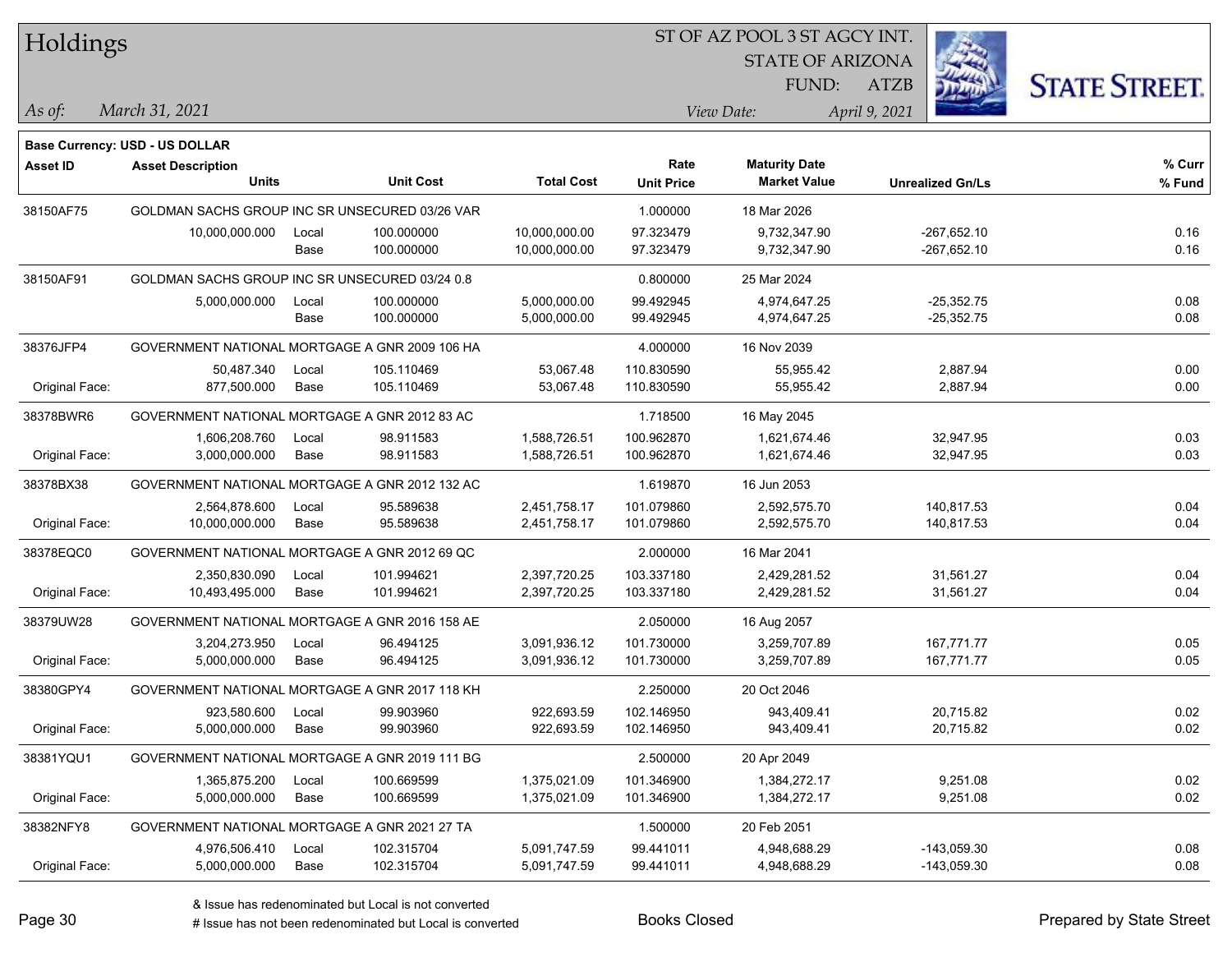| Holdings        |                                                |       |                  |                   | ST OF AZ POOL 3 ST AGCY INT. |                         |                         |                      |
|-----------------|------------------------------------------------|-------|------------------|-------------------|------------------------------|-------------------------|-------------------------|----------------------|
|                 |                                                |       |                  |                   |                              | <b>STATE OF ARIZONA</b> |                         |                      |
|                 |                                                |       |                  |                   |                              | FUND:                   | <b>ATZB</b>             | <b>STATE STREET.</b> |
| As of:          | March 31, 2021                                 |       |                  |                   |                              | View Date:              | April 9, 2021           |                      |
|                 | Base Currency: USD - US DOLLAR                 |       |                  |                   |                              |                         |                         |                      |
| <b>Asset ID</b> | <b>Asset Description</b>                       |       |                  |                   | Rate                         | <b>Maturity Date</b>    |                         | % Curr               |
|                 | <b>Units</b>                                   |       | <b>Unit Cost</b> | <b>Total Cost</b> | <b>Unit Price</b>            | <b>Market Value</b>     | <b>Unrealized Gn/Ls</b> | % Fund               |
| 38150AF75       | GOLDMAN SACHS GROUP INC SR UNSECURED 03/26 VAR |       |                  |                   | 1.000000                     | 18 Mar 2026             |                         |                      |
|                 | 10,000,000.000                                 | Local | 100.000000       | 10,000,000.00     | 97.323479                    | 9,732,347.90            | $-267,652.10$           | 0.16                 |
|                 |                                                | Base  | 100.000000       | 10,000,000.00     | 97.323479                    | 9,732,347.90            | $-267,652.10$           | 0.16                 |
| 38150AF91       | GOLDMAN SACHS GROUP INC SR UNSECURED 03/24 0.8 |       |                  |                   | 0.800000                     | 25 Mar 2024             |                         |                      |
|                 | 5,000,000.000                                  | Local | 100.000000       | 5,000,000.00      | 99.492945                    | 4,974,647.25            | $-25,352.75$            | 0.08                 |
|                 |                                                | Base  | 100.000000       | 5,000,000.00      | 99.492945                    | 4,974,647.25            | $-25,352.75$            | 0.08                 |
| 38376JFP4       | GOVERNMENT NATIONAL MORTGAGE A GNR 2009 106 HA |       |                  |                   | 4.000000                     | 16 Nov 2039             |                         |                      |
|                 | 50,487.340                                     | Local | 105.110469       | 53,067.48         | 110.830590                   | 55,955.42               | 2,887.94                | 0.00                 |
| Original Face:  | 877,500.000                                    | Base  | 105.110469       | 53,067.48         | 110.830590                   | 55,955.42               | 2,887.94                | 0.00                 |
| 38378BWR6       | GOVERNMENT NATIONAL MORTGAGE A GNR 2012 83 AC  |       |                  |                   | 1.718500                     | 16 May 2045             |                         |                      |
|                 | 1,606,208.760                                  | Local | 98.911583        | 1,588,726.51      | 100.962870                   | 1,621,674.46            | 32,947.95               | 0.03                 |
| Original Face:  | 3,000,000.000                                  | Base  | 98.911583        | 1,588,726.51      | 100.962870                   | 1,621,674.46            | 32,947.95               | 0.03                 |
| 38378BX38       | GOVERNMENT NATIONAL MORTGAGE A GNR 2012 132 AC |       |                  |                   | 1.619870                     | 16 Jun 2053             |                         |                      |
|                 | 2,564,878.600                                  | Local | 95.589638        | 2,451,758.17      | 101.079860                   | 2,592,575.70            | 140,817.53              | 0.04                 |
| Original Face:  | 10,000,000.000                                 | Base  | 95.589638        | 2,451,758.17      | 101.079860                   | 2,592,575.70            | 140,817.53              | 0.04                 |
| 38378EQC0       | GOVERNMENT NATIONAL MORTGAGE A GNR 2012 69 QC  |       |                  |                   | 2.000000                     | 16 Mar 2041             |                         |                      |
|                 | 2,350,830.090                                  | Local | 101.994621       | 2,397,720.25      | 103.337180                   | 2,429,281.52            | 31,561.27               | 0.04                 |
| Original Face:  | 10,493,495.000                                 | Base  | 101.994621       | 2,397,720.25      | 103.337180                   | 2,429,281.52            | 31,561.27               | 0.04                 |
| 38379UW28       | GOVERNMENT NATIONAL MORTGAGE A GNR 2016 158 AE |       |                  |                   | 2.050000                     | 16 Aug 2057             |                         |                      |
|                 | 3,204,273.950                                  | Local | 96.494125        | 3,091,936.12      | 101.730000                   | 3,259,707.89            | 167,771.77              | 0.05                 |
| Original Face:  | 5,000,000.000                                  | Base  | 96.494125        | 3,091,936.12      | 101.730000                   | 3,259,707.89            | 167,771.77              | 0.05                 |
| 38380GPY4       | GOVERNMENT NATIONAL MORTGAGE A GNR 2017 118 KH |       |                  |                   | 2.250000                     | 20 Oct 2046             |                         |                      |
|                 | 923,580.600                                    | Local | 99.903960        | 922,693.59        | 102.146950                   | 943,409.41              | 20,715.82               | 0.02                 |
| Original Face:  | 5,000,000.000                                  | Base  | 99.903960        | 922,693.59        | 102.146950                   | 943,409.41              | 20,715.82               | 0.02                 |
| 38381YQU1       | GOVERNMENT NATIONAL MORTGAGE A GNR 2019 111 BG |       |                  |                   | 2.500000                     | 20 Apr 2049             |                         |                      |
|                 | 1,365,875.200                                  | Local | 100.669599       | 1,375,021.09      | 101.346900                   | 1,384,272.17            | 9,251.08                | 0.02                 |
| Original Face:  | 5,000,000.000                                  | Base  | 100.669599       | 1,375,021.09      | 101.346900                   | 1,384,272.17            | 9,251.08                | 0.02                 |
| 38382NFY8       | GOVERNMENT NATIONAL MORTGAGE A GNR 2021 27 TA  |       |                  |                   | 1.500000                     | 20 Feb 2051             |                         |                      |
|                 | 4,976,506.410                                  | Local | 102.315704       | 5,091,747.59      | 99.441011                    | 4,948,688.29            | $-143,059.30$           | 0.08                 |
| Original Face:  | 5,000,000.000                                  | Base  | 102.315704       | 5,091,747.59      | 99.441011                    | 4,948,688.29            | $-143,059.30$           | 0.08                 |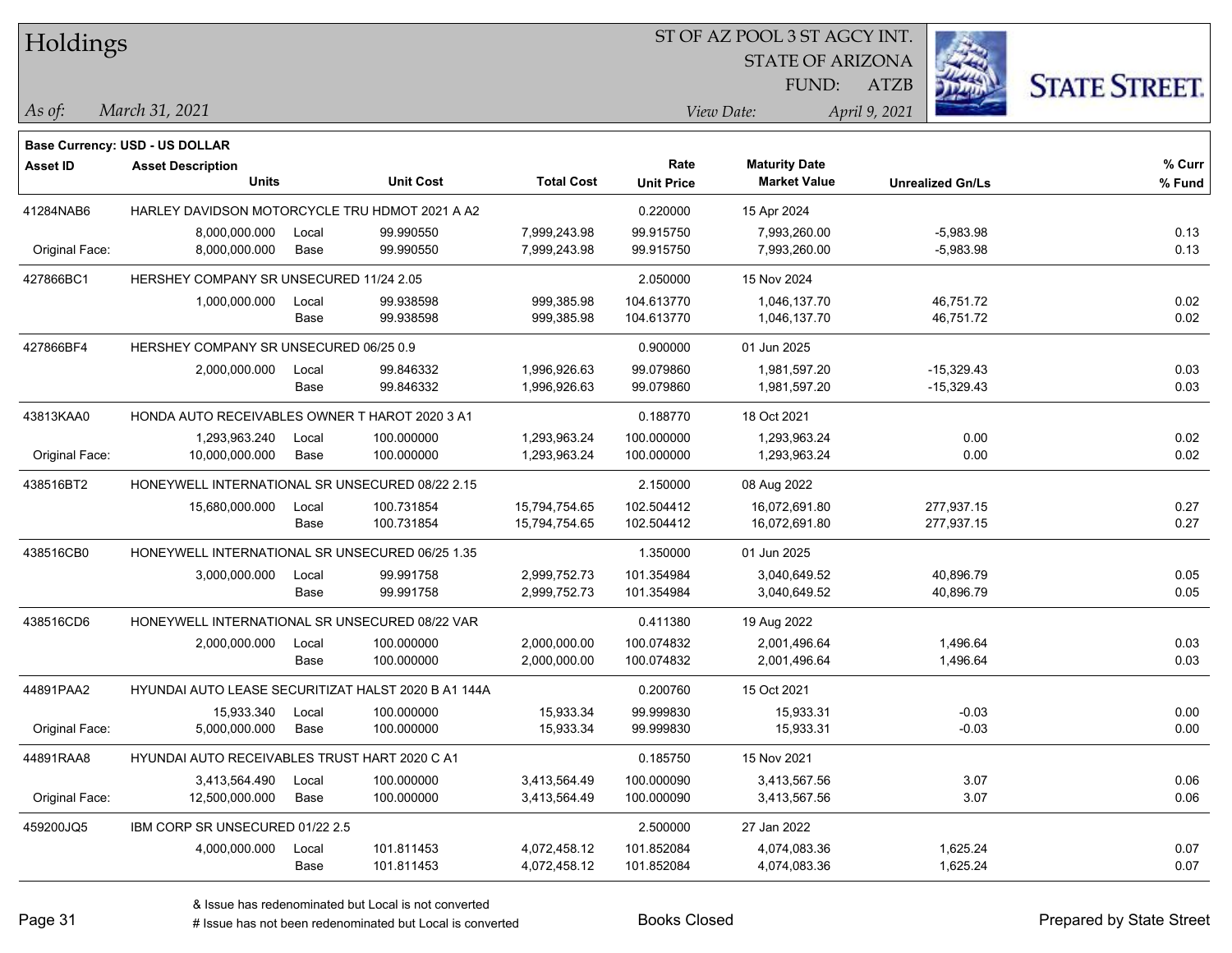| Holdings |
|----------|
|----------|

#### ST OF AZ POOL 3 ST AGCY INT.

STATE OF ARIZONA FUND:



*March 31, 2021 As of: View Date: April 9, 2021*

**Base Currency: USD - US DOLLAR**

ATZB

| Asset ID       | <b>Asset Description</b>                            |       |                  |                   | Rate              | <b>Maturity Date</b> |                         | % Curr |
|----------------|-----------------------------------------------------|-------|------------------|-------------------|-------------------|----------------------|-------------------------|--------|
|                | Units                                               |       | <b>Unit Cost</b> | <b>Total Cost</b> | <b>Unit Price</b> | <b>Market Value</b>  | <b>Unrealized Gn/Ls</b> | % Fund |
| 41284NAB6      | HARLEY DAVIDSON MOTORCYCLE TRU HDMOT 2021 A A2      |       |                  |                   | 0.220000          | 15 Apr 2024          |                         |        |
|                | 8,000,000.000                                       | Local | 99.990550        | 7,999,243.98      | 99.915750         | 7,993,260.00         | $-5,983.98$             | 0.13   |
| Original Face: | 8,000,000.000                                       | Base  | 99.990550        | 7,999,243.98      | 99.915750         | 7,993,260.00         | $-5,983.98$             | 0.13   |
| 427866BC1      | HERSHEY COMPANY SR UNSECURED 11/24 2.05             |       |                  |                   | 2.050000          | 15 Nov 2024          |                         |        |
|                | 1,000,000.000                                       | Local | 99.938598        | 999,385.98        | 104.613770        | 1,046,137.70         | 46,751.72               | 0.02   |
|                |                                                     | Base  | 99.938598        | 999,385.98        | 104.613770        | 1,046,137.70         | 46,751.72               | 0.02   |
| 427866BF4      | HERSHEY COMPANY SR UNSECURED 06/25 0.9              |       |                  |                   | 0.900000          | 01 Jun 2025          |                         |        |
|                | 2,000,000.000                                       | Local | 99.846332        | 1,996,926.63      | 99.079860         | 1,981,597.20         | $-15,329.43$            | 0.03   |
|                |                                                     | Base  | 99.846332        | 1,996,926.63      | 99.079860         | 1,981,597.20         | $-15,329.43$            | 0.03   |
| 43813KAA0      | HONDA AUTO RECEIVABLES OWNER T HAROT 2020 3 A1      |       |                  |                   | 0.188770          | 18 Oct 2021          |                         |        |
|                | 1,293,963.240                                       | Local | 100.000000       | 1,293,963.24      | 100.000000        | 1.293.963.24         | 0.00                    | 0.02   |
| Original Face: | 10,000,000.000                                      | Base  | 100.000000       | 1,293,963.24      | 100.000000        | 1,293,963.24         | 0.00                    | 0.02   |
| 438516BT2      | HONEYWELL INTERNATIONAL SR UNSECURED 08/22 2.15     |       |                  |                   | 2.150000          | 08 Aug 2022          |                         |        |
|                | 15,680,000.000                                      | Local | 100.731854       | 15,794,754.65     | 102.504412        | 16,072,691.80        | 277,937.15              | 0.27   |
|                |                                                     | Base  | 100.731854       | 15,794,754.65     | 102.504412        | 16,072,691.80        | 277,937.15              | 0.27   |
| 438516CB0      | HONEYWELL INTERNATIONAL SR UNSECURED 06/25 1.35     |       |                  |                   | 1.350000          | 01 Jun 2025          |                         |        |
|                | 3,000,000.000                                       | Local | 99.991758        | 2,999,752.73      | 101.354984        | 3,040,649.52         | 40,896.79               | 0.05   |
|                |                                                     | Base  | 99.991758        | 2,999,752.73      | 101.354984        | 3,040,649.52         | 40,896.79               | 0.05   |
| 438516CD6      | HONEYWELL INTERNATIONAL SR UNSECURED 08/22 VAR      |       |                  |                   | 0.411380          | 19 Aug 2022          |                         |        |
|                | 2,000,000.000                                       | Local | 100.000000       | 2,000,000.00      | 100.074832        | 2,001,496.64         | 1,496.64                | 0.03   |
|                |                                                     | Base  | 100.000000       | 2,000,000.00      | 100.074832        | 2,001,496.64         | 1,496.64                | 0.03   |
| 44891PAA2      | HYUNDAI AUTO LEASE SECURITIZAT HALST 2020 B A1 144A |       |                  |                   | 0.200760          | 15 Oct 2021          |                         |        |
|                | 15,933.340                                          | Local | 100.000000       | 15,933.34         | 99.999830         | 15,933.31            | $-0.03$                 | 0.00   |
| Original Face: | 5,000,000.000                                       | Base  | 100.000000       | 15,933.34         | 99.999830         | 15,933.31            | $-0.03$                 | 0.00   |
| 44891RAA8      | HYUNDAI AUTO RECEIVABLES TRUST HART 2020 C A1       |       |                  |                   | 0.185750          | 15 Nov 2021          |                         |        |
|                | 3,413,564.490                                       | Local | 100.000000       | 3,413,564.49      | 100.000090        | 3,413,567.56         | 3.07                    | 0.06   |
| Original Face: | 12,500,000.000                                      | Base  | 100.000000       | 3,413,564.49      | 100.000090        | 3,413,567.56         | 3.07                    | 0.06   |
| 459200JQ5      | IBM CORP SR UNSECURED 01/22 2.5                     |       |                  |                   | 2.500000          | 27 Jan 2022          |                         |        |
|                | 4,000,000.000                                       | Local | 101.811453       | 4,072,458.12      | 101.852084        | 4,074,083.36         | 1,625.24                | 0.07   |
|                |                                                     | Base  | 101.811453       | 4,072,458.12      | 101.852084        | 4,074,083.36         | 1,625.24                | 0.07   |

# Issue has not been redenominated but Local is converted Books Closed Prepared by State Street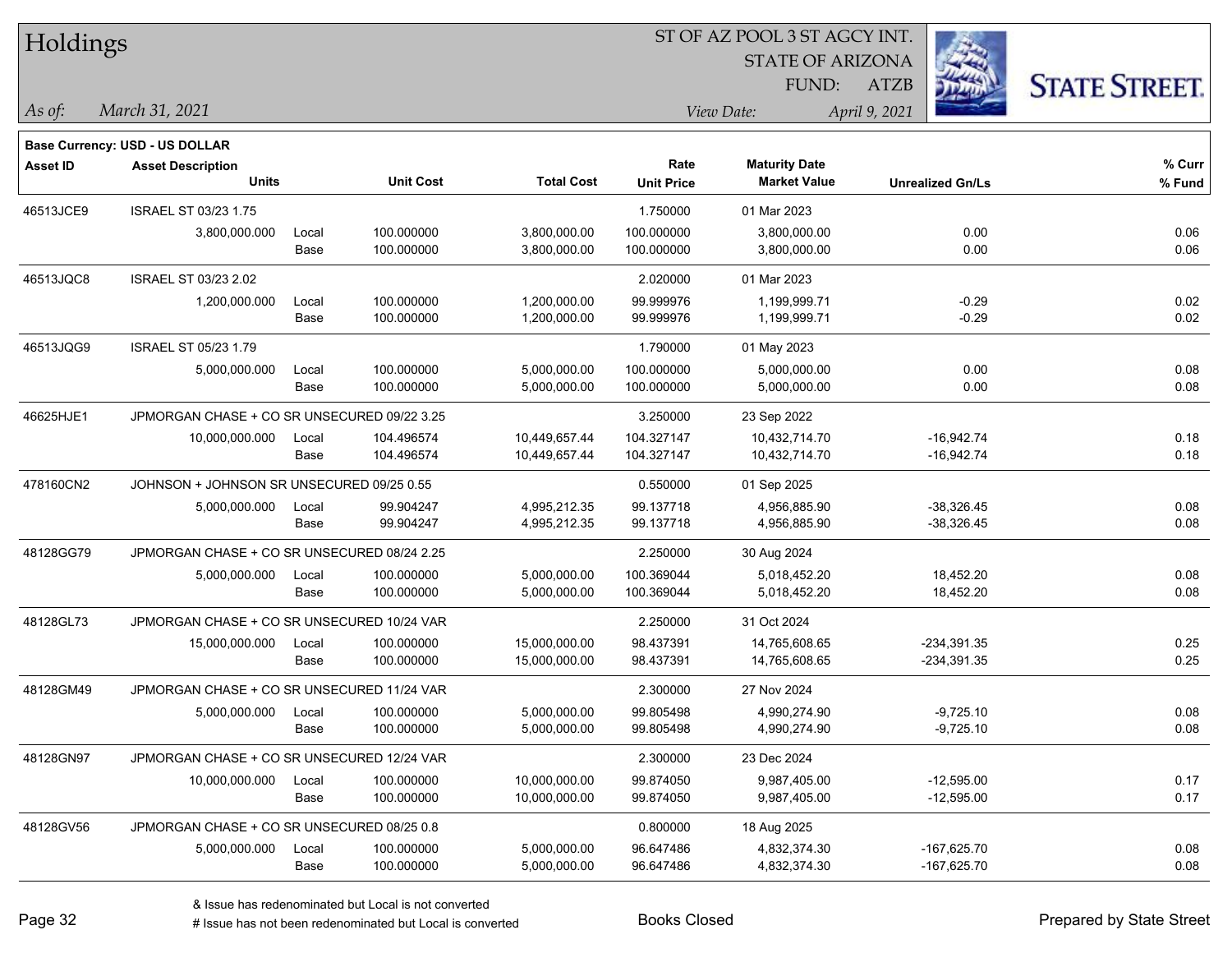| Holdings        |                                             |       |                  |                   |                           | ST OF AZ POOL 3 ST AGCY INT.                |                         |                      |  |
|-----------------|---------------------------------------------|-------|------------------|-------------------|---------------------------|---------------------------------------------|-------------------------|----------------------|--|
|                 |                                             |       |                  |                   |                           | <b>STATE OF ARIZONA</b>                     |                         |                      |  |
|                 |                                             |       |                  |                   |                           | FUND:                                       | <b>ATZB</b>             | <b>STATE STREET.</b> |  |
| As of:          | March 31, 2021                              |       |                  |                   |                           | View Date:                                  | April 9, 2021           |                      |  |
|                 |                                             |       |                  |                   |                           |                                             |                         |                      |  |
|                 | <b>Base Currency: USD - US DOLLAR</b>       |       |                  |                   |                           |                                             |                         |                      |  |
| <b>Asset ID</b> | <b>Asset Description</b><br><b>Units</b>    |       | <b>Unit Cost</b> | <b>Total Cost</b> | Rate<br><b>Unit Price</b> | <b>Maturity Date</b><br><b>Market Value</b> | <b>Unrealized Gn/Ls</b> | % Curr<br>% Fund     |  |
| 46513JCE9       | ISRAEL ST 03/23 1.75                        |       |                  |                   | 1.750000                  | 01 Mar 2023                                 |                         |                      |  |
|                 | 3,800,000.000                               | Local | 100.000000       | 3,800,000.00      | 100.000000                | 3,800,000.00                                | 0.00                    | 0.06                 |  |
|                 |                                             | Base  | 100.000000       | 3,800,000.00      | 100.000000                | 3,800,000.00                                | 0.00                    | 0.06                 |  |
| 46513JQC8       | ISRAEL ST 03/23 2.02                        |       |                  |                   | 2.020000                  | 01 Mar 2023                                 |                         |                      |  |
|                 | 1,200,000.000                               | Local | 100.000000       | 1,200,000.00      | 99.999976                 | 1,199,999.71                                | $-0.29$                 | 0.02                 |  |
|                 |                                             | Base  | 100.000000       | 1,200,000.00      | 99.999976                 | 1,199,999.71                                | $-0.29$                 | 0.02                 |  |
| 46513JQG9       | ISRAEL ST 05/23 1.79                        |       |                  |                   | 1.790000                  | 01 May 2023                                 |                         |                      |  |
|                 | 5,000,000.000                               | Local | 100.000000       | 5,000,000.00      | 100.000000                | 5,000,000.00                                | 0.00                    | 0.08                 |  |
|                 |                                             | Base  | 100.000000       | 5,000,000.00      | 100.000000                | 5,000,000.00                                | 0.00                    | 0.08                 |  |
| 46625HJE1       | JPMORGAN CHASE + CO SR UNSECURED 09/22 3.25 |       |                  |                   | 3.250000                  | 23 Sep 2022                                 |                         |                      |  |
|                 | 10,000,000.000                              | Local | 104.496574       | 10,449,657.44     | 104.327147                | 10,432,714.70                               | $-16,942.74$            | 0.18                 |  |
|                 |                                             | Base  | 104.496574       | 10,449,657.44     | 104.327147                | 10,432,714.70                               | $-16,942.74$            | 0.18                 |  |
| 478160CN2       | JOHNSON + JOHNSON SR UNSECURED 09/25 0.55   |       |                  |                   | 0.550000                  | 01 Sep 2025                                 |                         |                      |  |
|                 | 5,000,000.000                               | Local | 99.904247        | 4,995,212.35      | 99.137718                 | 4,956,885.90                                | $-38,326.45$            | 0.08                 |  |
|                 |                                             | Base  | 99.904247        | 4,995,212.35      | 99.137718                 | 4,956,885.90                                | $-38,326.45$            | 0.08                 |  |
| 48128GG79       | JPMORGAN CHASE + CO SR UNSECURED 08/24 2.25 |       |                  |                   | 2.250000                  | 30 Aug 2024                                 |                         |                      |  |
|                 | 5,000,000.000                               | Local | 100.000000       | 5,000,000.00      | 100.369044                | 5,018,452.20                                | 18,452.20               | 0.08                 |  |
|                 |                                             | Base  | 100.000000       | 5,000,000.00      | 100.369044                | 5,018,452.20                                | 18,452.20               | 0.08                 |  |
| 48128GL73       | JPMORGAN CHASE + CO SR UNSECURED 10/24 VAR  |       |                  |                   | 2.250000                  | 31 Oct 2024                                 |                         |                      |  |
|                 | 15,000,000.000                              | Local | 100.000000       | 15,000,000.00     | 98.437391                 | 14,765,608.65                               | $-234,391.35$           | 0.25                 |  |
|                 |                                             | Base  | 100.000000       | 15,000,000.00     | 98.437391                 | 14,765,608.65                               | -234,391.35             | 0.25                 |  |
| 48128GM49       | JPMORGAN CHASE + CO SR UNSECURED 11/24 VAR  |       |                  |                   | 2.300000                  | 27 Nov 2024                                 |                         |                      |  |
|                 | 5,000,000.000                               | Local | 100.000000       | 5,000,000.00      | 99.805498                 | 4,990,274.90                                | $-9,725.10$             | 0.08                 |  |
|                 |                                             | Base  | 100.000000       | 5,000,000.00      | 99.805498                 | 4,990,274.90                                | $-9,725.10$             | 0.08                 |  |
| 48128GN97       | JPMORGAN CHASE + CO SR UNSECURED 12/24 VAR  |       |                  |                   | 2.300000                  | 23 Dec 2024                                 |                         |                      |  |
|                 | 10,000,000.000                              | Local | 100.000000       | 10,000,000.00     | 99.874050                 | 9,987,405.00                                | $-12,595.00$            | 0.17                 |  |
|                 |                                             | Base  | 100.000000       | 10,000,000.00     | 99.874050                 | 9,987,405.00                                | $-12,595.00$            | 0.17                 |  |
| 48128GV56       | JPMORGAN CHASE + CO SR UNSECURED 08/25 0.8  |       |                  |                   | 0.800000                  | 18 Aug 2025                                 |                         |                      |  |
|                 | 5,000,000.000                               | Local | 100.000000       | 5,000,000.00      | 96.647486                 | 4,832,374.30                                | $-167,625.70$           | 0.08                 |  |
|                 |                                             | Base  | 100.000000       | 5,000,000.00      | 96.647486                 | 4,832,374.30                                | $-167,625.70$           | 0.08                 |  |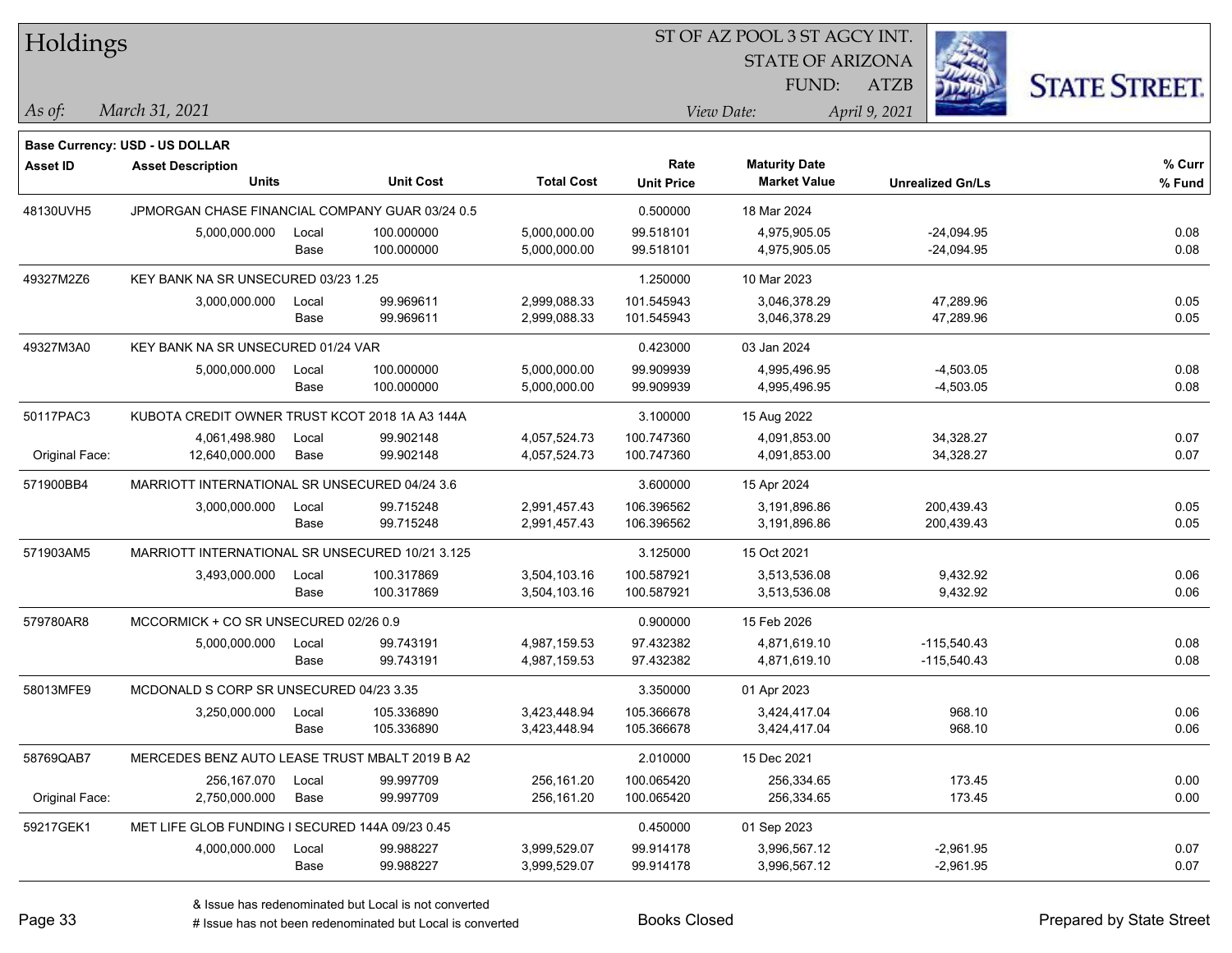| Holdings        |                                                 |       |                  |                   | ST OF AZ POOL 3 ST AGCY INT. |                         |                         |                      |
|-----------------|-------------------------------------------------|-------|------------------|-------------------|------------------------------|-------------------------|-------------------------|----------------------|
|                 |                                                 |       |                  |                   |                              | <b>STATE OF ARIZONA</b> |                         |                      |
|                 |                                                 |       |                  |                   |                              | FUND:                   | <b>ATZB</b>             | <b>STATE STREET.</b> |
| As of:          | March 31, 2021                                  |       |                  |                   |                              | View Date:              | April 9, 2021           |                      |
|                 | Base Currency: USD - US DOLLAR                  |       |                  |                   |                              |                         |                         |                      |
| <b>Asset ID</b> | <b>Asset Description</b>                        |       |                  |                   | Rate                         | <b>Maturity Date</b>    |                         | % Curr               |
|                 | <b>Units</b>                                    |       | <b>Unit Cost</b> | <b>Total Cost</b> | <b>Unit Price</b>            | <b>Market Value</b>     | <b>Unrealized Gn/Ls</b> | % Fund               |
| 48130UVH5       | JPMORGAN CHASE FINANCIAL COMPANY GUAR 03/24 0.5 |       |                  |                   | 0.500000                     | 18 Mar 2024             |                         |                      |
|                 | 5,000,000.000                                   | Local | 100.000000       | 5,000,000.00      | 99.518101                    | 4,975,905.05            | $-24,094.95$            | 0.08                 |
|                 |                                                 | Base  | 100.000000       | 5,000,000.00      | 99.518101                    | 4,975,905.05            | $-24,094.95$            | 0.08                 |
| 49327M2Z6       | KEY BANK NA SR UNSECURED 03/23 1.25             |       |                  |                   | 1.250000                     | 10 Mar 2023             |                         |                      |
|                 | 3,000,000.000                                   | Local | 99.969611        | 2,999,088.33      | 101.545943                   | 3,046,378.29            | 47,289.96               | 0.05                 |
|                 |                                                 | Base  | 99.969611        | 2,999,088.33      | 101.545943                   | 3,046,378.29            | 47,289.96               | 0.05                 |
| 49327M3A0       | KEY BANK NA SR UNSECURED 01/24 VAR              |       |                  |                   | 0.423000                     | 03 Jan 2024             |                         |                      |
|                 | 5,000,000.000                                   | Local | 100.000000       | 5,000,000.00      | 99.909939                    | 4,995,496.95            | $-4,503.05$             | 0.08                 |
|                 |                                                 | Base  | 100.000000       | 5,000,000.00      | 99.909939                    | 4,995,496.95            | $-4,503.05$             | 0.08                 |
| 50117PAC3       | KUBOTA CREDIT OWNER TRUST KCOT 2018 1A A3 144A  |       |                  |                   | 3.100000                     | 15 Aug 2022             |                         |                      |
|                 | 4,061,498.980                                   | Local | 99.902148        | 4,057,524.73      | 100.747360                   | 4,091,853.00            | 34,328.27               | 0.07                 |
| Original Face:  | 12,640,000.000                                  | Base  | 99.902148        | 4,057,524.73      | 100.747360                   | 4,091,853.00            | 34,328.27               | 0.07                 |
| 571900BB4       | MARRIOTT INTERNATIONAL SR UNSECURED 04/24 3.6   |       |                  |                   | 3.600000                     | 15 Apr 2024             |                         |                      |
|                 | 3,000,000.000                                   | Local | 99.715248        | 2,991,457.43      | 106.396562                   | 3,191,896.86            | 200,439.43              | 0.05                 |
|                 |                                                 | Base  | 99.715248        | 2,991,457.43      | 106.396562                   | 3,191,896.86            | 200,439.43              | 0.05                 |
| 571903AM5       | MARRIOTT INTERNATIONAL SR UNSECURED 10/21 3.125 |       |                  |                   | 3.125000                     | 15 Oct 2021             |                         |                      |
|                 | 3,493,000.000                                   | Local | 100.317869       | 3,504,103.16      | 100.587921                   | 3,513,536.08            | 9,432.92                | 0.06                 |
|                 |                                                 | Base  | 100.317869       | 3,504,103.16      | 100.587921                   | 3,513,536.08            | 9,432.92                | 0.06                 |
| 579780AR8       | MCCORMICK + CO SR UNSECURED 02/26 0.9           |       |                  |                   | 0.900000                     | 15 Feb 2026             |                         |                      |
|                 | 5,000,000.000                                   | Local | 99.743191        | 4,987,159.53      | 97.432382                    | 4,871,619.10            | $-115,540.43$           | 0.08                 |
|                 |                                                 | Base  | 99.743191        | 4,987,159.53      | 97.432382                    | 4,871,619.10            | $-115,540.43$           | 0.08                 |
| 58013MFE9       | MCDONALD S CORP SR UNSECURED 04/23 3.35         |       |                  |                   | 3.350000                     | 01 Apr 2023             |                         |                      |
|                 | 3,250,000.000                                   | Local | 105.336890       | 3,423,448.94      | 105.366678                   | 3,424,417.04            | 968.10                  | 0.06                 |
|                 |                                                 | Base  | 105.336890       | 3,423,448.94      | 105.366678                   | 3,424,417.04            | 968.10                  | 0.06                 |
| 58769QAB7       | MERCEDES BENZ AUTO LEASE TRUST MBALT 2019 B A2  |       |                  |                   | 2.010000                     | 15 Dec 2021             |                         |                      |
|                 | 256,167.070                                     | Local | 99.997709        | 256,161.20        | 100.065420                   | 256,334.65              | 173.45                  | 0.00                 |
| Original Face:  | 2,750,000.000                                   | Base  | 99.997709        | 256,161.20        | 100.065420                   | 256,334.65              | 173.45                  | 0.00                 |
| 59217GEK1       | MET LIFE GLOB FUNDING I SECURED 144A 09/23 0.45 |       |                  |                   | 0.450000                     | 01 Sep 2023             |                         |                      |
|                 | 4,000,000.000                                   | Local | 99.988227        | 3,999,529.07      | 99.914178                    | 3,996,567.12            | $-2,961.95$             | 0.07                 |
|                 |                                                 | Base  | 99.988227        | 3,999,529.07      | 99.914178                    | 3,996,567.12            | $-2,961.95$             | 0.07                 |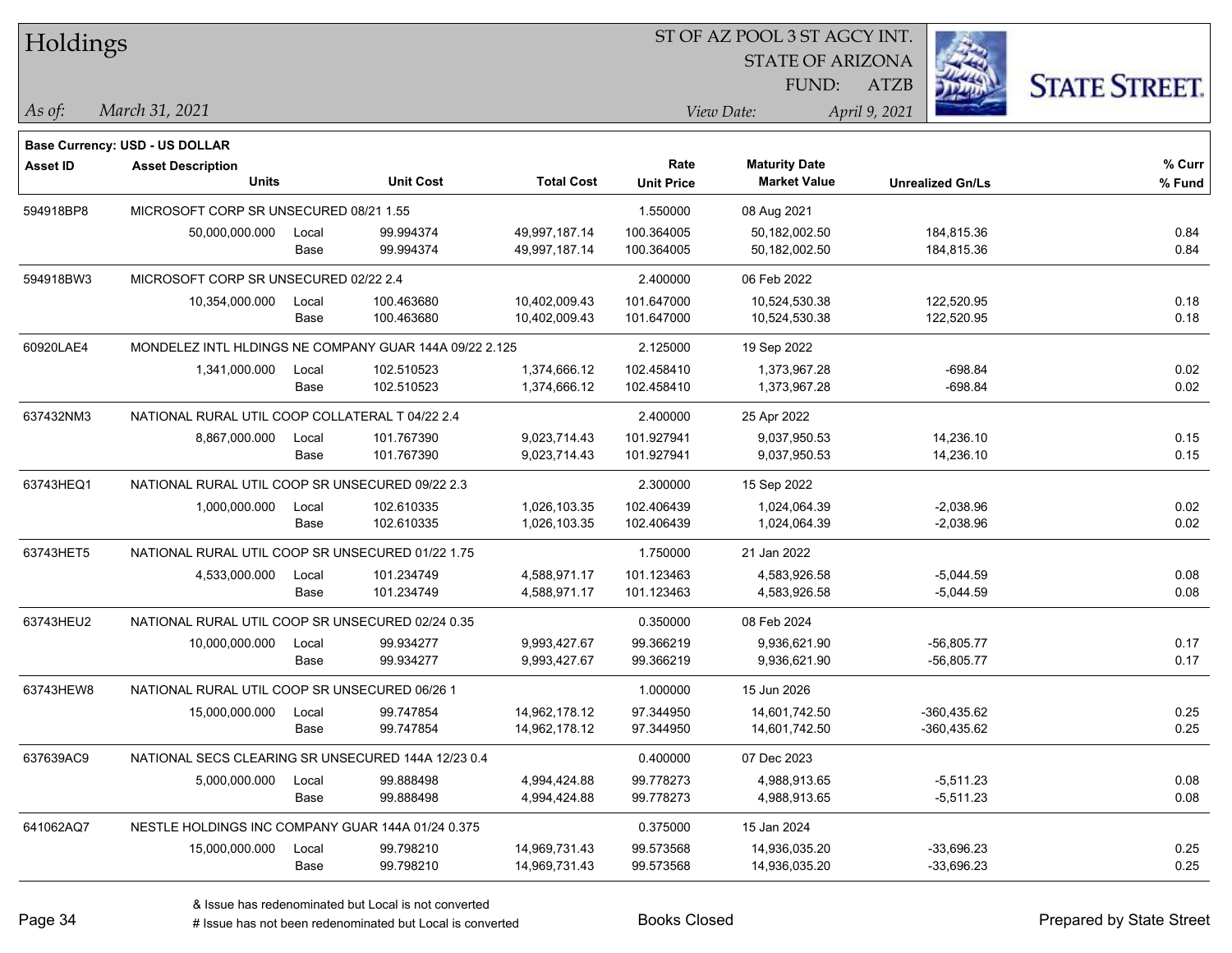| <b>Holdings</b> |                                                    |       |                                                        |                   |                   | 51 OF AZ POOL 3 51 AGCY INT. |                         |                      |
|-----------------|----------------------------------------------------|-------|--------------------------------------------------------|-------------------|-------------------|------------------------------|-------------------------|----------------------|
|                 |                                                    |       |                                                        |                   |                   | <b>STATE OF ARIZONA</b>      |                         |                      |
|                 |                                                    |       |                                                        |                   |                   | FUND:                        | ATZB                    | <b>STATE STREET.</b> |
| As of:          | March 31, 2021                                     |       |                                                        |                   |                   | View Date:                   | April 9, 2021           |                      |
|                 | Base Currency: USD - US DOLLAR                     |       |                                                        |                   |                   |                              |                         |                      |
| <b>Asset ID</b> | <b>Asset Description</b>                           |       |                                                        |                   | Rate              | <b>Maturity Date</b>         |                         | % Curr               |
|                 | <b>Units</b>                                       |       | <b>Unit Cost</b>                                       | <b>Total Cost</b> | <b>Unit Price</b> | <b>Market Value</b>          | <b>Unrealized Gn/Ls</b> | % Fund               |
| 594918BP8       | MICROSOFT CORP SR UNSECURED 08/21 1.55             |       |                                                        |                   | 1.550000          | 08 Aug 2021                  |                         |                      |
|                 | 50,000,000.000                                     | Local | 99.994374                                              | 49,997,187.14     | 100.364005        | 50,182,002.50                | 184,815.36              | 0.84                 |
|                 |                                                    | Base  | 99.994374                                              | 49,997,187.14     | 100.364005        | 50,182,002.50                | 184,815.36              | 0.84                 |
| 594918BW3       | MICROSOFT CORP SR UNSECURED 02/22 2.4              |       |                                                        |                   | 2.400000          | 06 Feb 2022                  |                         |                      |
|                 | 10,354,000.000                                     | Local | 100.463680                                             | 10,402,009.43     | 101.647000        | 10,524,530.38                | 122,520.95              | 0.18                 |
|                 |                                                    | Base  | 100.463680                                             | 10,402,009.43     | 101.647000        | 10,524,530.38                | 122,520.95              | 0.18                 |
| 60920LAE4       |                                                    |       | MONDELEZ INTL HLDINGS NE COMPANY GUAR 144A 09/22 2.125 |                   | 2.125000          | 19 Sep 2022                  |                         |                      |
|                 | 1,341,000.000                                      | Local | 102.510523                                             | 1,374,666.12      | 102.458410        | 1,373,967.28                 | $-698.84$               | 0.02                 |
|                 |                                                    | Base  | 102.510523                                             | 1,374,666.12      | 102.458410        | 1,373,967.28                 | $-698.84$               | 0.02                 |
| 637432NM3       | NATIONAL RURAL UTIL COOP COLLATERAL T 04/22 2.4    |       |                                                        |                   | 2.400000          | 25 Apr 2022                  |                         |                      |
|                 | 8,867,000.000                                      | Local | 101.767390                                             | 9,023,714.43      | 101.927941        | 9,037,950.53                 | 14,236.10               | 0.15                 |
|                 |                                                    | Base  | 101.767390                                             | 9,023,714.43      | 101.927941        | 9,037,950.53                 | 14,236.10               | 0.15                 |
| 63743HEQ1       | NATIONAL RURAL UTIL COOP SR UNSECURED 09/22 2.3    |       |                                                        |                   | 2.300000          | 15 Sep 2022                  |                         |                      |
|                 | 1,000,000.000                                      | Local | 102.610335                                             | 1,026,103.35      | 102.406439        | 1,024,064.39                 | $-2,038.96$             | 0.02                 |
|                 |                                                    | Base  | 102.610335                                             | 1,026,103.35      | 102.406439        | 1,024,064.39                 | $-2,038.96$             | 0.02                 |
| 63743HET5       | NATIONAL RURAL UTIL COOP SR UNSECURED 01/22 1.75   |       |                                                        |                   | 1.750000          | 21 Jan 2022                  |                         |                      |
|                 | 4,533,000.000                                      | Local | 101.234749                                             | 4,588,971.17      | 101.123463        | 4,583,926.58                 | $-5,044.59$             | 0.08                 |
|                 |                                                    | Base  | 101.234749                                             | 4,588,971.17      | 101.123463        | 4,583,926.58                 | $-5,044.59$             | 0.08                 |
| 63743HEU2       | NATIONAL RURAL UTIL COOP SR UNSECURED 02/24 0.35   |       |                                                        |                   | 0.350000          | 08 Feb 2024                  |                         |                      |
|                 | 10,000,000.000                                     | Local | 99.934277                                              | 9,993,427.67      | 99.366219         | 9,936,621.90                 | $-56,805.77$            | 0.17                 |
|                 |                                                    | Base  | 99.934277                                              | 9,993,427.67      | 99.366219         | 9,936,621.90                 | $-56,805.77$            | 0.17                 |
| 63743HEW8       | NATIONAL RURAL UTIL COOP SR UNSECURED 06/26 1      |       |                                                        |                   | 1.000000          | 15 Jun 2026                  |                         |                      |
|                 | 15,000,000.000                                     | Local | 99.747854                                              | 14,962,178.12     | 97.344950         | 14,601,742.50                | -360,435.62             | 0.25                 |
|                 |                                                    | Base  | 99.747854                                              | 14,962,178.12     | 97.344950         | 14,601,742.50                | -360,435.62             | 0.25                 |
| 637639AC9       | NATIONAL SECS CLEARING SR UNSECURED 144A 12/23 0.4 |       |                                                        |                   | 0.400000          | 07 Dec 2023                  |                         |                      |
|                 | 5,000,000.000                                      | Local | 99.888498                                              | 4,994,424.88      | 99.778273         | 4,988,913.65                 | $-5,511.23$             | 0.08                 |
|                 |                                                    | Base  | 99.888498                                              | 4,994,424.88      | 99.778273         | 4,988,913.65                 | $-5,511.23$             | 0.08                 |
| 641062AQ7       | NESTLE HOLDINGS INC COMPANY GUAR 144A 01/24 0.375  |       |                                                        |                   | 0.375000          | 15 Jan 2024                  |                         |                      |
|                 | 15,000,000.000                                     | Local | 99.798210                                              | 14,969,731.43     | 99.573568         | 14,936,035.20                | $-33,696.23$            | 0.25                 |
|                 |                                                    | Base  | 99.798210                                              | 14,969,731.43     | 99.573568         | 14,936,035.20                | $-33,696.23$            | 0.25                 |
|                 |                                                    |       |                                                        |                   |                   |                              |                         |                      |

 $\overline{S}$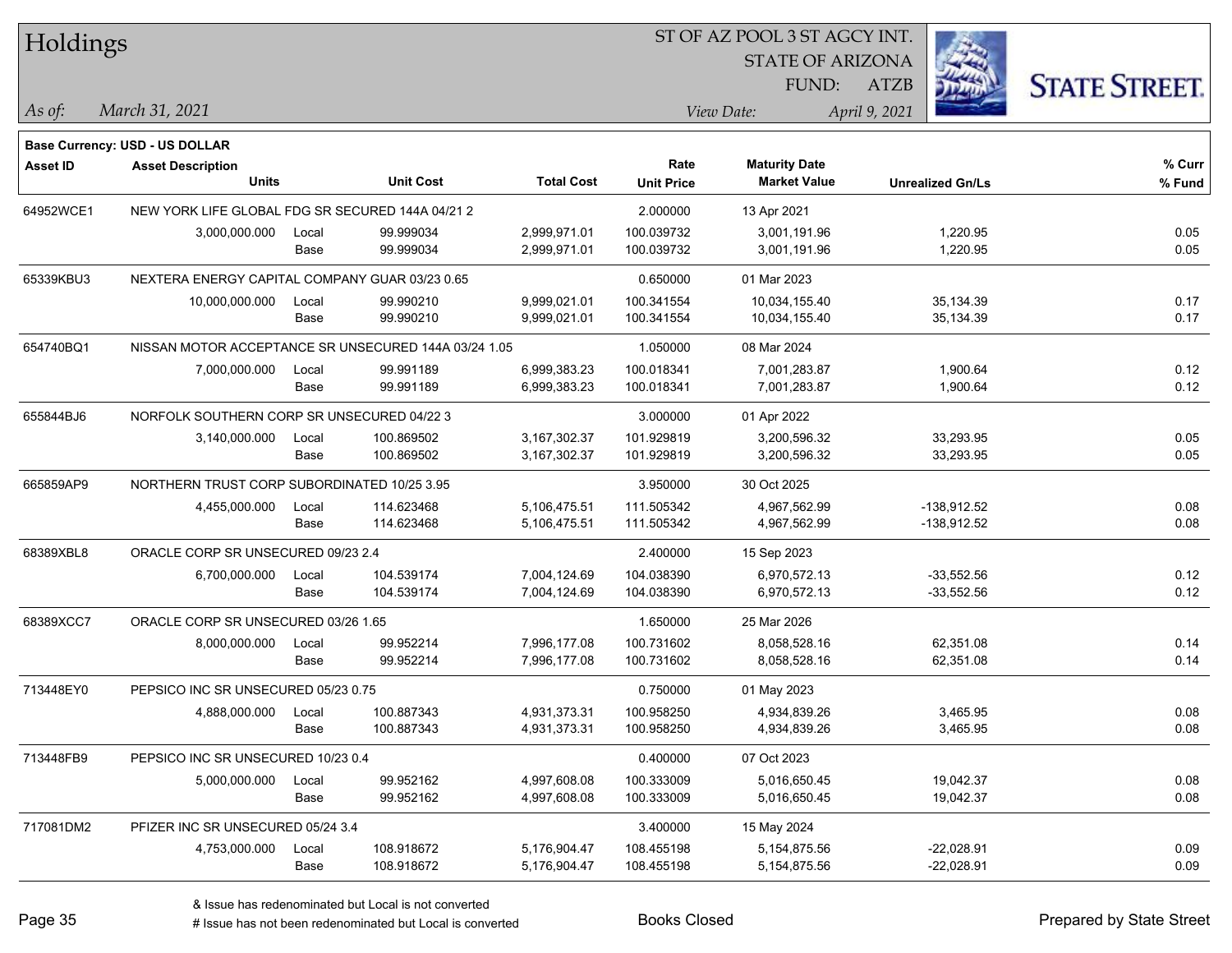| Holdings        |                                                  |       |                                                      |                   |                   | ST OF AZ POOL 3 ST AGCY INT. |                         |                      |
|-----------------|--------------------------------------------------|-------|------------------------------------------------------|-------------------|-------------------|------------------------------|-------------------------|----------------------|
|                 |                                                  |       |                                                      |                   |                   | <b>STATE OF ARIZONA</b>      |                         |                      |
|                 |                                                  |       |                                                      |                   |                   | FUND:                        | <b>ATZB</b>             | <b>STATE STREET.</b> |
| As of:          | March 31, 2021                                   |       |                                                      |                   |                   | View Date:                   | April 9, 2021           |                      |
|                 | <b>Base Currency: USD - US DOLLAR</b>            |       |                                                      |                   |                   |                              |                         |                      |
| <b>Asset ID</b> | <b>Asset Description</b>                         |       |                                                      |                   | Rate              | <b>Maturity Date</b>         |                         | % Curr               |
|                 | <b>Units</b>                                     |       | <b>Unit Cost</b>                                     | <b>Total Cost</b> | <b>Unit Price</b> | <b>Market Value</b>          | <b>Unrealized Gn/Ls</b> | % Fund               |
| 64952WCE1       | NEW YORK LIFE GLOBAL FDG SR SECURED 144A 04/21 2 |       |                                                      |                   | 2.000000          | 13 Apr 2021                  |                         |                      |
|                 | 3,000,000.000                                    | Local | 99.999034                                            | 2,999,971.01      | 100.039732        | 3,001,191.96                 | 1,220.95                | 0.05                 |
|                 |                                                  | Base  | 99.999034                                            | 2,999,971.01      | 100.039732        | 3,001,191.96                 | 1,220.95                | 0.05                 |
| 65339KBU3       | NEXTERA ENERGY CAPITAL COMPANY GUAR 03/23 0.65   |       |                                                      |                   | 0.650000          | 01 Mar 2023                  |                         |                      |
|                 | 10,000,000.000                                   | Local | 99.990210                                            | 9,999,021.01      | 100.341554        | 10,034,155.40                | 35,134.39               | 0.17                 |
|                 |                                                  | Base  | 99.990210                                            | 9,999,021.01      | 100.341554        | 10,034,155.40                | 35,134.39               | 0.17                 |
| 654740BQ1       |                                                  |       | NISSAN MOTOR ACCEPTANCE SR UNSECURED 144A 03/24 1.05 |                   | 1.050000          | 08 Mar 2024                  |                         |                      |
|                 | 7,000,000.000                                    | Local | 99.991189                                            | 6,999,383.23      | 100.018341        | 7,001,283.87                 | 1,900.64                | 0.12                 |
|                 |                                                  | Base  | 99.991189                                            | 6,999,383.23      | 100.018341        | 7,001,283.87                 | 1,900.64                | 0.12                 |
| 655844BJ6       | NORFOLK SOUTHERN CORP SR UNSECURED 04/22 3       |       |                                                      |                   | 3.000000          | 01 Apr 2022                  |                         |                      |
|                 | 3,140,000.000                                    | Local | 100.869502                                           | 3,167,302.37      | 101.929819        | 3,200,596.32                 | 33,293.95               | 0.05                 |
|                 |                                                  | Base  | 100.869502                                           | 3,167,302.37      | 101.929819        | 3,200,596.32                 | 33,293.95               | 0.05                 |
| 665859AP9       | NORTHERN TRUST CORP SUBORDINATED 10/25 3.95      |       |                                                      |                   | 3.950000          | 30 Oct 2025                  |                         |                      |
|                 | 4,455,000.000                                    | Local | 114.623468                                           | 5,106,475.51      | 111.505342        | 4,967,562.99                 | $-138,912.52$           | 0.08                 |
|                 |                                                  | Base  | 114.623468                                           | 5,106,475.51      | 111.505342        | 4,967,562.99                 | $-138,912.52$           | 0.08                 |
| 68389XBL8       | ORACLE CORP SR UNSECURED 09/23 2.4               |       |                                                      |                   | 2.400000          | 15 Sep 2023                  |                         |                      |
|                 | 6,700,000.000                                    | Local | 104.539174                                           | 7,004,124.69      | 104.038390        | 6,970,572.13                 | $-33,552.56$            | 0.12                 |
|                 |                                                  | Base  | 104.539174                                           | 7,004,124.69      | 104.038390        | 6,970,572.13                 | $-33,552.56$            | 0.12                 |
| 68389XCC7       | ORACLE CORP SR UNSECURED 03/26 1.65              |       |                                                      |                   | 1.650000          | 25 Mar 2026                  |                         |                      |
|                 | 8,000,000.000                                    | Local | 99.952214                                            | 7,996,177.08      | 100.731602        | 8,058,528.16                 | 62,351.08               | 0.14                 |
|                 |                                                  | Base  | 99.952214                                            | 7,996,177.08      | 100.731602        | 8,058,528.16                 | 62,351.08               | 0.14                 |
| 713448EY0       | PEPSICO INC SR UNSECURED 05/23 0.75              |       |                                                      |                   | 0.750000          | 01 May 2023                  |                         |                      |
|                 | 4,888,000.000                                    | Local | 100.887343                                           | 4,931,373.31      | 100.958250        | 4,934,839.26                 | 3,465.95                | 0.08                 |
|                 |                                                  | Base  | 100.887343                                           | 4,931,373.31      | 100.958250        | 4,934,839.26                 | 3,465.95                | 0.08                 |
| 713448FB9       | PEPSICO INC SR UNSECURED 10/23 0.4               |       |                                                      |                   | 0.400000          | 07 Oct 2023                  |                         |                      |
|                 | 5,000,000.000                                    | Local | 99.952162                                            | 4,997,608.08      | 100.333009        | 5,016,650.45                 | 19,042.37               | 0.08                 |
|                 |                                                  | Base  | 99.952162                                            | 4,997,608.08      | 100.333009        | 5,016,650.45                 | 19,042.37               | 0.08                 |
| 717081DM2       | PFIZER INC SR UNSECURED 05/24 3.4                |       |                                                      |                   | 3.400000          | 15 May 2024                  |                         |                      |
|                 | 4,753,000.000                                    | Local | 108.918672                                           | 5,176,904.47      | 108.455198        | 5,154,875.56                 | $-22,028.91$            | 0.09                 |
|                 |                                                  | Base  | 108.918672                                           | 5,176,904.47      | 108.455198        | 5,154,875.56                 | $-22,028.91$            | 0.09                 |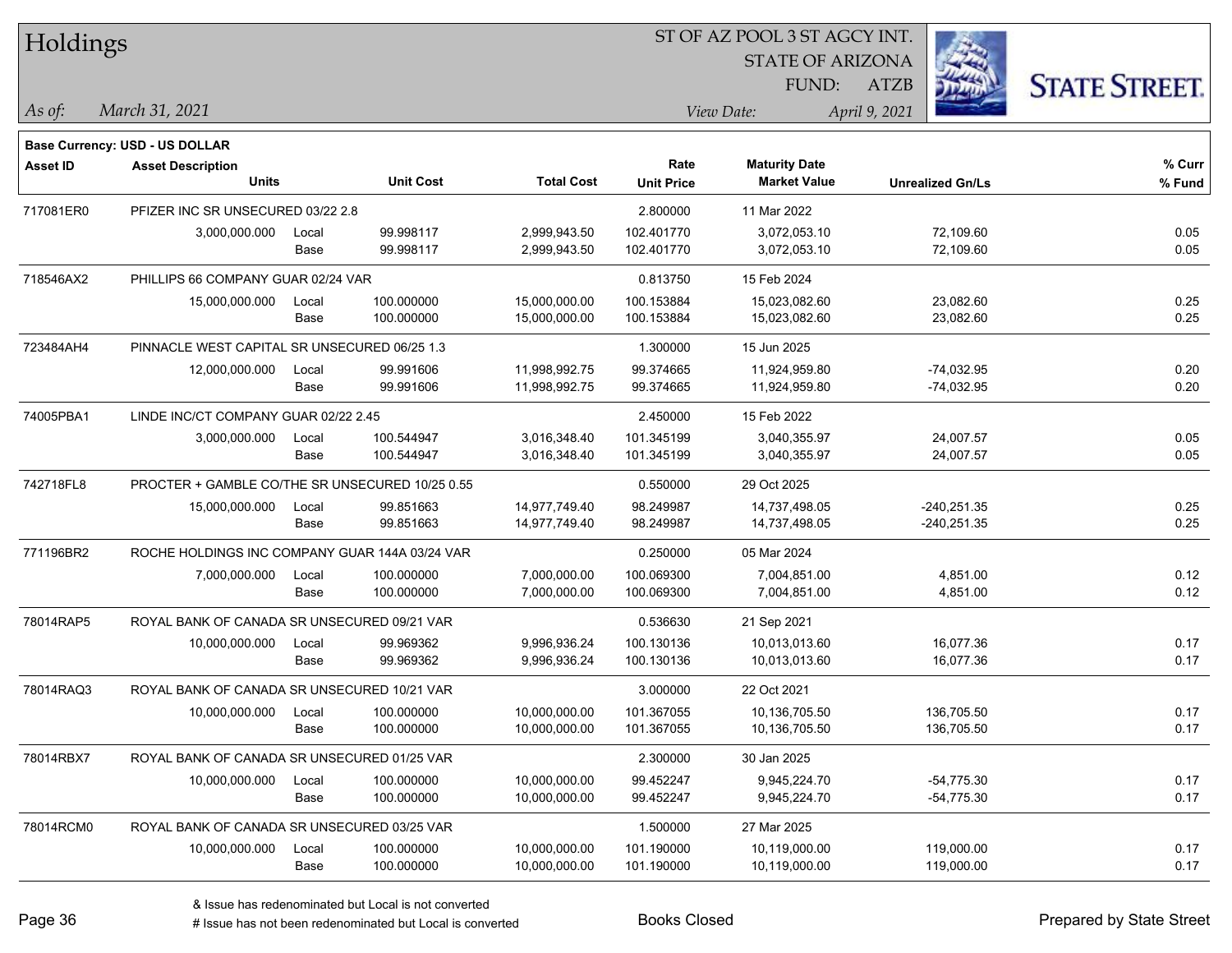| Holdings        |                                                 |       |                  |                   |                   | ST OF AZ POOL 3 ST AGCY INT. |                         |                      |  |
|-----------------|-------------------------------------------------|-------|------------------|-------------------|-------------------|------------------------------|-------------------------|----------------------|--|
|                 |                                                 |       |                  |                   |                   | <b>STATE OF ARIZONA</b>      |                         |                      |  |
|                 |                                                 |       |                  |                   |                   | FUND:                        | <b>ATZB</b>             | <b>STATE STREET.</b> |  |
| $ $ As of:      | March 31, 2021                                  |       |                  |                   |                   | View Date:                   | April 9, 2021           |                      |  |
|                 |                                                 |       |                  |                   |                   |                              |                         |                      |  |
|                 | <b>Base Currency: USD - US DOLLAR</b>           |       |                  |                   | Rate              | <b>Maturity Date</b>         |                         | % Curr               |  |
| <b>Asset ID</b> | <b>Asset Description</b><br><b>Units</b>        |       | <b>Unit Cost</b> | <b>Total Cost</b> | <b>Unit Price</b> | <b>Market Value</b>          | <b>Unrealized Gn/Ls</b> | % Fund               |  |
| 717081ER0       | PFIZER INC SR UNSECURED 03/22 2.8               |       |                  |                   | 2.800000          | 11 Mar 2022                  |                         |                      |  |
|                 | 3,000,000.000                                   | Local | 99.998117        | 2,999,943.50      | 102.401770        | 3.072.053.10                 | 72,109.60               | 0.05                 |  |
|                 |                                                 | Base  | 99.998117        | 2,999,943.50      | 102.401770        | 3,072,053.10                 | 72,109.60               | 0.05                 |  |
| 718546AX2       | PHILLIPS 66 COMPANY GUAR 02/24 VAR              |       |                  |                   | 0.813750          | 15 Feb 2024                  |                         |                      |  |
|                 | 15,000,000.000                                  | Local | 100.000000       | 15,000,000.00     | 100.153884        | 15,023,082.60                | 23,082.60               | 0.25                 |  |
|                 |                                                 | Base  | 100.000000       | 15,000,000.00     | 100.153884        | 15,023,082.60                | 23,082.60               | 0.25                 |  |
| 723484AH4       | PINNACLE WEST CAPITAL SR UNSECURED 06/25 1.3    |       |                  |                   | 1.300000          | 15 Jun 2025                  |                         |                      |  |
|                 | 12,000,000.000                                  | Local | 99.991606        | 11,998,992.75     | 99.374665         | 11,924,959.80                | $-74,032.95$            | 0.20                 |  |
|                 |                                                 | Base  | 99.991606        | 11,998,992.75     | 99.374665         | 11,924,959.80                | $-74,032.95$            | 0.20                 |  |
| 74005PBA1       | LINDE INC/CT COMPANY GUAR 02/22 2.45            |       |                  |                   | 2.450000          | 15 Feb 2022                  |                         |                      |  |
|                 | 3,000,000.000                                   | Local | 100.544947       | 3,016,348.40      | 101.345199        | 3,040,355.97                 | 24,007.57               | 0.05                 |  |
|                 |                                                 | Base  | 100.544947       | 3,016,348.40      | 101.345199        | 3,040,355.97                 | 24,007.57               | 0.05                 |  |
| 742718FL8       | PROCTER + GAMBLE CO/THE SR UNSECURED 10/25 0.55 |       |                  |                   | 0.550000          | 29 Oct 2025                  |                         |                      |  |
|                 | 15,000,000.000                                  | Local | 99.851663        | 14,977,749.40     | 98.249987         | 14,737,498.05                | $-240,251.35$           | 0.25                 |  |
|                 |                                                 | Base  | 99.851663        | 14,977,749.40     | 98.249987         | 14,737,498.05                | $-240,251.35$           | 0.25                 |  |
| 771196BR2       | ROCHE HOLDINGS INC COMPANY GUAR 144A 03/24 VAR  |       |                  |                   | 0.250000          | 05 Mar 2024                  |                         |                      |  |
|                 | 7,000,000.000                                   | Local | 100.000000       | 7,000,000.00      | 100.069300        | 7,004,851.00                 | 4,851.00                | 0.12                 |  |
|                 |                                                 | Base  | 100.000000       | 7,000,000.00      | 100.069300        | 7,004,851.00                 | 4,851.00                | 0.12                 |  |
| 78014RAP5       | ROYAL BANK OF CANADA SR UNSECURED 09/21 VAR     |       |                  |                   | 0.536630          | 21 Sep 2021                  |                         |                      |  |
|                 | 10,000,000.000                                  | Local | 99.969362        | 9,996,936.24      | 100.130136        | 10,013,013.60                | 16,077.36               | 0.17                 |  |
|                 |                                                 | Base  | 99.969362        | 9,996,936.24      | 100.130136        | 10,013,013.60                | 16,077.36               | 0.17                 |  |
| 78014RAQ3       | ROYAL BANK OF CANADA SR UNSECURED 10/21 VAR     |       |                  |                   | 3.000000          | 22 Oct 2021                  |                         |                      |  |
|                 | 10,000,000.000                                  | Local | 100.000000       | 10,000,000.00     | 101.367055        | 10,136,705.50                | 136,705.50              | 0.17                 |  |
|                 |                                                 | Base  | 100.000000       | 10,000,000.00     | 101.367055        | 10,136,705.50                | 136,705.50              | 0.17                 |  |
| 78014RBX7       | ROYAL BANK OF CANADA SR UNSECURED 01/25 VAR     |       |                  |                   | 2.300000          | 30 Jan 2025                  |                         |                      |  |
|                 | 10,000,000.000                                  | Local | 100.000000       | 10,000,000.00     | 99.452247         | 9,945,224.70                 | $-54,775.30$            | 0.17                 |  |
|                 |                                                 | Base  | 100.000000       | 10,000,000.00     | 99.452247         | 9,945,224.70                 | $-54,775.30$            | 0.17                 |  |
| 78014RCM0       | ROYAL BANK OF CANADA SR UNSECURED 03/25 VAR     |       |                  |                   | 1.500000          | 27 Mar 2025                  |                         |                      |  |
|                 | 10,000,000.000                                  | Local | 100.000000       | 10,000,000.00     | 101.190000        | 10,119,000.00                | 119,000.00              | 0.17                 |  |
|                 |                                                 | Base  | 100.000000       | 10,000,000.00     | 101.190000        | 10,119,000.00                | 119,000.00              | 0.17                 |  |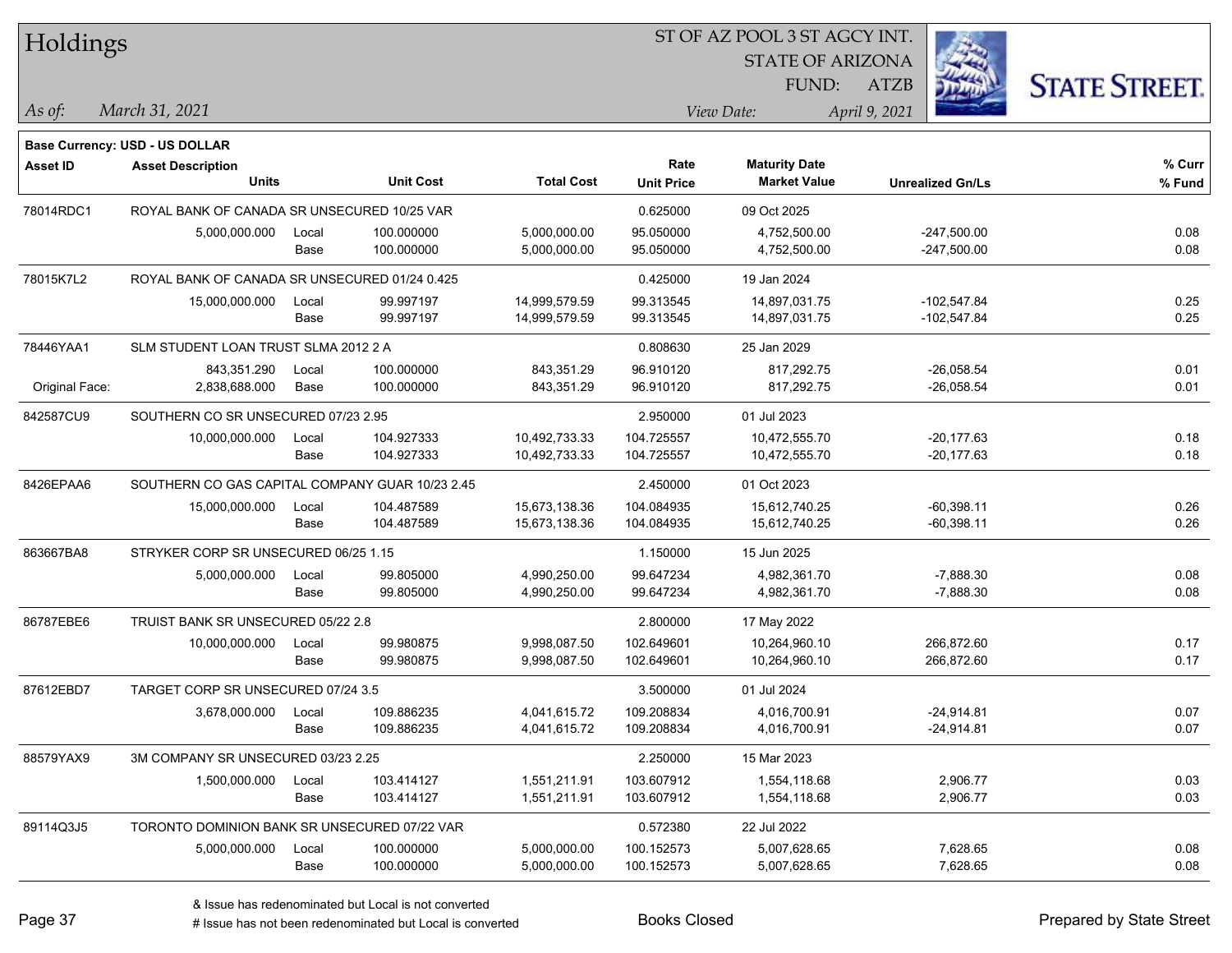| Holdings        |                                                 |       |                  |                   | ST OF AZ POOL 3 ST AGCY INT. |                         |                         |                      |  |
|-----------------|-------------------------------------------------|-------|------------------|-------------------|------------------------------|-------------------------|-------------------------|----------------------|--|
|                 |                                                 |       |                  |                   |                              | <b>STATE OF ARIZONA</b> |                         |                      |  |
|                 |                                                 |       |                  |                   |                              | FUND:                   | <b>ATZB</b>             | <b>STATE STREET.</b> |  |
| As of:          | March 31, 2021                                  |       |                  |                   |                              | View Date:              | April 9, 2021           |                      |  |
|                 | <b>Base Currency: USD - US DOLLAR</b>           |       |                  |                   |                              |                         |                         |                      |  |
| <b>Asset ID</b> | <b>Asset Description</b>                        |       |                  |                   | Rate                         | <b>Maturity Date</b>    |                         | % Curr               |  |
|                 | <b>Units</b>                                    |       | <b>Unit Cost</b> | <b>Total Cost</b> | <b>Unit Price</b>            | <b>Market Value</b>     | <b>Unrealized Gn/Ls</b> | % Fund               |  |
| 78014RDC1       | ROYAL BANK OF CANADA SR UNSECURED 10/25 VAR     |       |                  |                   | 0.625000                     | 09 Oct 2025             |                         |                      |  |
|                 | 5,000,000.000                                   | Local | 100.000000       | 5,000,000.00      | 95.050000                    | 4.752.500.00            | $-247,500.00$           | 0.08                 |  |
|                 |                                                 | Base  | 100.000000       | 5,000,000.00      | 95.050000                    | 4,752,500.00            | $-247,500.00$           | 0.08                 |  |
| 78015K7L2       | ROYAL BANK OF CANADA SR UNSECURED 01/24 0.425   |       |                  |                   | 0.425000                     | 19 Jan 2024             |                         |                      |  |
|                 | 15,000,000.000                                  | Local | 99.997197        | 14,999,579.59     | 99.313545                    | 14,897,031.75           | $-102,547.84$           | 0.25                 |  |
|                 |                                                 | Base  | 99.997197        | 14,999,579.59     | 99.313545                    | 14,897,031.75           | $-102,547.84$           | 0.25                 |  |
| 78446YAA1       | SLM STUDENT LOAN TRUST SLMA 2012 2 A            |       |                  |                   | 0.808630                     | 25 Jan 2029             |                         |                      |  |
|                 | 843,351.290                                     | Local | 100.000000       | 843,351.29        | 96.910120                    | 817,292.75              | $-26,058.54$            | 0.01                 |  |
| Original Face:  | 2,838,688.000                                   | Base  | 100.000000       | 843,351.29        | 96.910120                    | 817,292.75              | $-26,058.54$            | 0.01                 |  |
| 842587CU9       | SOUTHERN CO SR UNSECURED 07/23 2.95             |       |                  |                   | 2.950000                     | 01 Jul 2023             |                         |                      |  |
|                 | 10,000,000.000                                  | Local | 104.927333       | 10,492,733.33     | 104.725557                   | 10,472,555.70           | $-20,177.63$            | 0.18                 |  |
|                 |                                                 | Base  | 104.927333       | 10,492,733.33     | 104.725557                   | 10,472,555.70           | $-20,177.63$            | 0.18                 |  |
| 8426EPAA6       | SOUTHERN CO GAS CAPITAL COMPANY GUAR 10/23 2.45 |       |                  |                   | 2.450000                     | 01 Oct 2023             |                         |                      |  |
|                 | 15,000,000.000                                  | Local | 104.487589       | 15,673,138.36     | 104.084935                   | 15,612,740.25           | $-60,398.11$            | 0.26                 |  |
|                 |                                                 | Base  | 104.487589       | 15,673,138.36     | 104.084935                   | 15,612,740.25           | $-60,398.11$            | 0.26                 |  |
| 863667BA8       | STRYKER CORP SR UNSECURED 06/25 1.15            |       |                  |                   | 1.150000                     | 15 Jun 2025             |                         |                      |  |
|                 | 5,000,000.000                                   | Local | 99.805000        | 4,990,250.00      | 99.647234                    | 4,982,361.70            | $-7,888.30$             | 0.08                 |  |
|                 |                                                 | Base  | 99.805000        | 4,990,250.00      | 99.647234                    | 4,982,361.70            | $-7,888.30$             | 0.08                 |  |
| 86787EBE6       | TRUIST BANK SR UNSECURED 05/22 2.8              |       |                  |                   | 2.800000                     | 17 May 2022             |                         |                      |  |
|                 | 10,000,000.000                                  | Local | 99.980875        | 9,998,087.50      | 102.649601                   | 10,264,960.10           | 266,872.60              | 0.17                 |  |
|                 |                                                 | Base  | 99.980875        | 9,998,087.50      | 102.649601                   | 10,264,960.10           | 266,872.60              | 0.17                 |  |
| 87612EBD7       | TARGET CORP SR UNSECURED 07/24 3.5              |       |                  |                   | 3.500000                     | 01 Jul 2024             |                         |                      |  |
|                 | 3,678,000.000                                   | Local | 109.886235       | 4,041,615.72      | 109.208834                   | 4,016,700.91            | $-24,914.81$            | 0.07                 |  |
|                 |                                                 | Base  | 109.886235       | 4,041,615.72      | 109.208834                   | 4,016,700.91            | $-24,914.81$            | 0.07                 |  |
| 88579YAX9       | 3M COMPANY SR UNSECURED 03/23 2.25              |       |                  |                   | 2.250000                     | 15 Mar 2023             |                         |                      |  |
|                 | 1,500,000.000                                   | Local | 103.414127       | 1,551,211.91      | 103.607912                   | 1,554,118.68            | 2,906.77                | 0.03                 |  |
|                 |                                                 | Base  | 103.414127       | 1,551,211.91      | 103.607912                   | 1,554,118.68            | 2,906.77                | 0.03                 |  |
| 89114Q3J5       | TORONTO DOMINION BANK SR UNSECURED 07/22 VAR    |       |                  |                   | 0.572380                     | 22 Jul 2022             |                         |                      |  |
|                 | 5,000,000.000                                   | Local | 100.000000       | 5,000,000.00      | 100.152573                   | 5,007,628.65            | 7,628.65                | 0.08                 |  |
|                 |                                                 | Base  | 100.000000       | 5,000,000.00      | 100.152573                   | 5,007,628.65            | 7,628.65                | 0.08                 |  |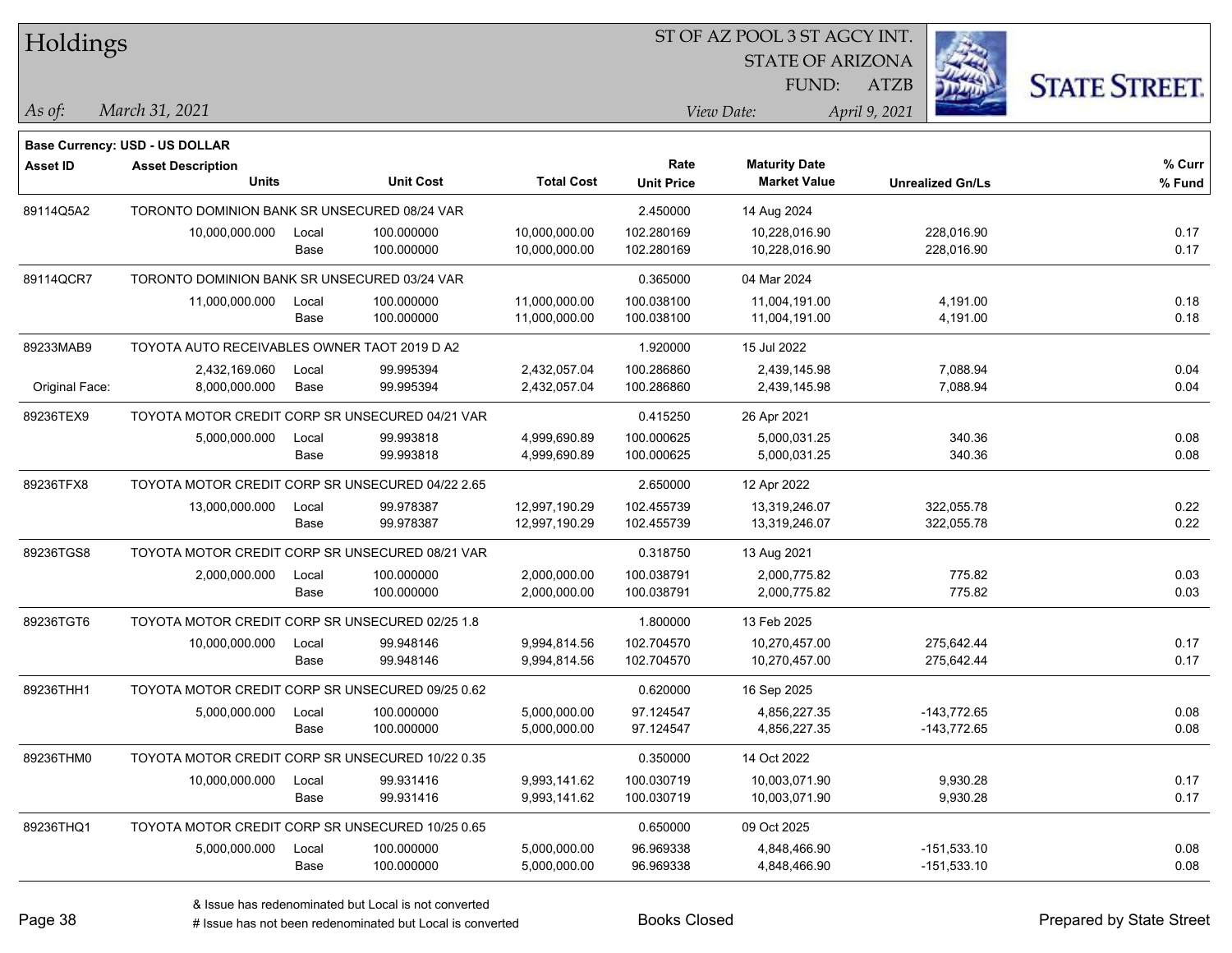| Holdings        |                                                  |       |                  |                   | 51 OF AZ POOL 3 51 AGCY INT. |                         |                         |                     |  |
|-----------------|--------------------------------------------------|-------|------------------|-------------------|------------------------------|-------------------------|-------------------------|---------------------|--|
|                 |                                                  |       |                  |                   |                              | <b>STATE OF ARIZONA</b> |                         |                     |  |
|                 |                                                  |       |                  |                   |                              | FUND:                   | <b>ATZB</b>             | <b>STATE STREET</b> |  |
| As of:          | March 31, 2021                                   |       |                  |                   |                              | View Date:              | April 9, 2021           |                     |  |
|                 | Base Currency: USD - US DOLLAR                   |       |                  |                   |                              |                         |                         |                     |  |
| <b>Asset ID</b> | <b>Asset Description</b>                         |       |                  |                   | Rate                         | <b>Maturity Date</b>    |                         | % Curr              |  |
|                 | <b>Units</b>                                     |       | <b>Unit Cost</b> | <b>Total Cost</b> | <b>Unit Price</b>            | <b>Market Value</b>     | <b>Unrealized Gn/Ls</b> | % Fund              |  |
| 89114Q5A2       | TORONTO DOMINION BANK SR UNSECURED 08/24 VAR     |       |                  |                   | 2.450000                     | 14 Aug 2024             |                         |                     |  |
|                 | 10,000,000.000                                   | Local | 100.000000       | 10,000,000.00     | 102.280169                   | 10,228,016.90           | 228,016.90              | 0.17                |  |
|                 |                                                  | Base  | 100.000000       | 10,000,000.00     | 102.280169                   | 10,228,016.90           | 228,016.90              | 0.17                |  |
| 89114QCR7       | TORONTO DOMINION BANK SR UNSECURED 03/24 VAR     |       |                  |                   | 0.365000                     | 04 Mar 2024             |                         |                     |  |
|                 | 11,000,000.000                                   | Local | 100.000000       | 11,000,000.00     | 100.038100                   | 11,004,191.00           | 4,191.00                | 0.18                |  |
|                 |                                                  | Base  | 100.000000       | 11,000,000.00     | 100.038100                   | 11,004,191.00           | 4,191.00                | 0.18                |  |
| 89233MAB9       | TOYOTA AUTO RECEIVABLES OWNER TAOT 2019 D A2     |       |                  |                   | 1.920000                     | 15 Jul 2022             |                         |                     |  |
|                 | 2,432,169.060                                    | Local | 99.995394        | 2,432,057.04      | 100.286860                   | 2,439,145.98            | 7,088.94                | 0.04                |  |
| Original Face:  | 8,000,000.000                                    | Base  | 99.995394        | 2,432,057.04      | 100.286860                   | 2,439,145.98            | 7,088.94                | 0.04                |  |
| 89236TEX9       | TOYOTA MOTOR CREDIT CORP SR UNSECURED 04/21 VAR  |       |                  |                   | 0.415250                     | 26 Apr 2021             |                         |                     |  |
|                 | 5,000,000.000                                    | Local | 99.993818        | 4,999,690.89      | 100.000625                   | 5,000,031.25            | 340.36                  | 0.08                |  |
|                 |                                                  | Base  | 99.993818        | 4,999,690.89      | 100.000625                   | 5,000,031.25            | 340.36                  | 0.08                |  |
| 89236TFX8       | TOYOTA MOTOR CREDIT CORP SR UNSECURED 04/22 2.65 |       |                  |                   | 2.650000                     | 12 Apr 2022             |                         |                     |  |
|                 | 13,000,000.000                                   | Local | 99.978387        | 12,997,190.29     | 102.455739                   | 13,319,246.07           | 322,055.78              | 0.22                |  |
|                 |                                                  | Base  | 99.978387        | 12,997,190.29     | 102.455739                   | 13,319,246.07           | 322,055.78              | 0.22                |  |
| 89236TGS8       | TOYOTA MOTOR CREDIT CORP SR UNSECURED 08/21 VAR  |       |                  |                   | 0.318750                     | 13 Aug 2021             |                         |                     |  |
|                 | 2,000,000.000                                    | Local | 100.000000       | 2,000,000.00      | 100.038791                   | 2,000,775.82            | 775.82                  | 0.03                |  |
|                 |                                                  | Base  | 100.000000       | 2,000,000.00      | 100.038791                   | 2,000,775.82            | 775.82                  | 0.03                |  |
| 89236TGT6       | TOYOTA MOTOR CREDIT CORP SR UNSECURED 02/25 1.8  |       |                  |                   | 1.800000                     | 13 Feb 2025             |                         |                     |  |
|                 | 10,000,000.000                                   | Local | 99.948146        | 9,994,814.56      | 102.704570                   | 10,270,457.00           | 275,642.44              | 0.17                |  |
|                 |                                                  | Base  | 99.948146        | 9,994,814.56      | 102.704570                   | 10,270,457.00           | 275,642.44              | 0.17                |  |
| 89236THH1       | TOYOTA MOTOR CREDIT CORP SR UNSECURED 09/25 0.62 |       |                  |                   | 0.620000                     | 16 Sep 2025             |                         |                     |  |
|                 | 5,000,000.000                                    | Local | 100.000000       | 5,000,000.00      | 97.124547                    | 4,856,227.35            | $-143,772.65$           | 0.08                |  |
|                 |                                                  | Base  | 100.000000       | 5,000,000.00      | 97.124547                    | 4,856,227.35            | -143,772.65             | 0.08                |  |
| 89236THM0       | TOYOTA MOTOR CREDIT CORP SR UNSECURED 10/22 0.35 |       |                  |                   | 0.350000                     | 14 Oct 2022             |                         |                     |  |
|                 | 10,000,000.000                                   | Local | 99.931416        | 9,993,141.62      | 100.030719                   | 10,003,071.90           | 9,930.28                | 0.17                |  |
|                 |                                                  | Base  | 99.931416        | 9,993,141.62      | 100.030719                   | 10,003,071.90           | 9,930.28                | 0.17                |  |
| 89236THQ1       | TOYOTA MOTOR CREDIT CORP SR UNSECURED 10/25 0.65 |       |                  |                   | 0.650000                     | 09 Oct 2025             |                         |                     |  |
|                 | 5,000,000.000                                    | Local | 100.000000       | 5,000,000.00      | 96.969338                    | 4,848,466.90            | $-151,533.10$           | 0.08                |  |
|                 |                                                  | Base  | 100.000000       | 5,000,000.00      | 96.969338                    | 4,848,466.90            | $-151,533.10$           | 0.08                |  |

 $STOTAT$   $17 DOOT$  3  $ST A GOX$  INT.

# Issue has not been redenominated but Local is converted Books Closed Prepared by State Street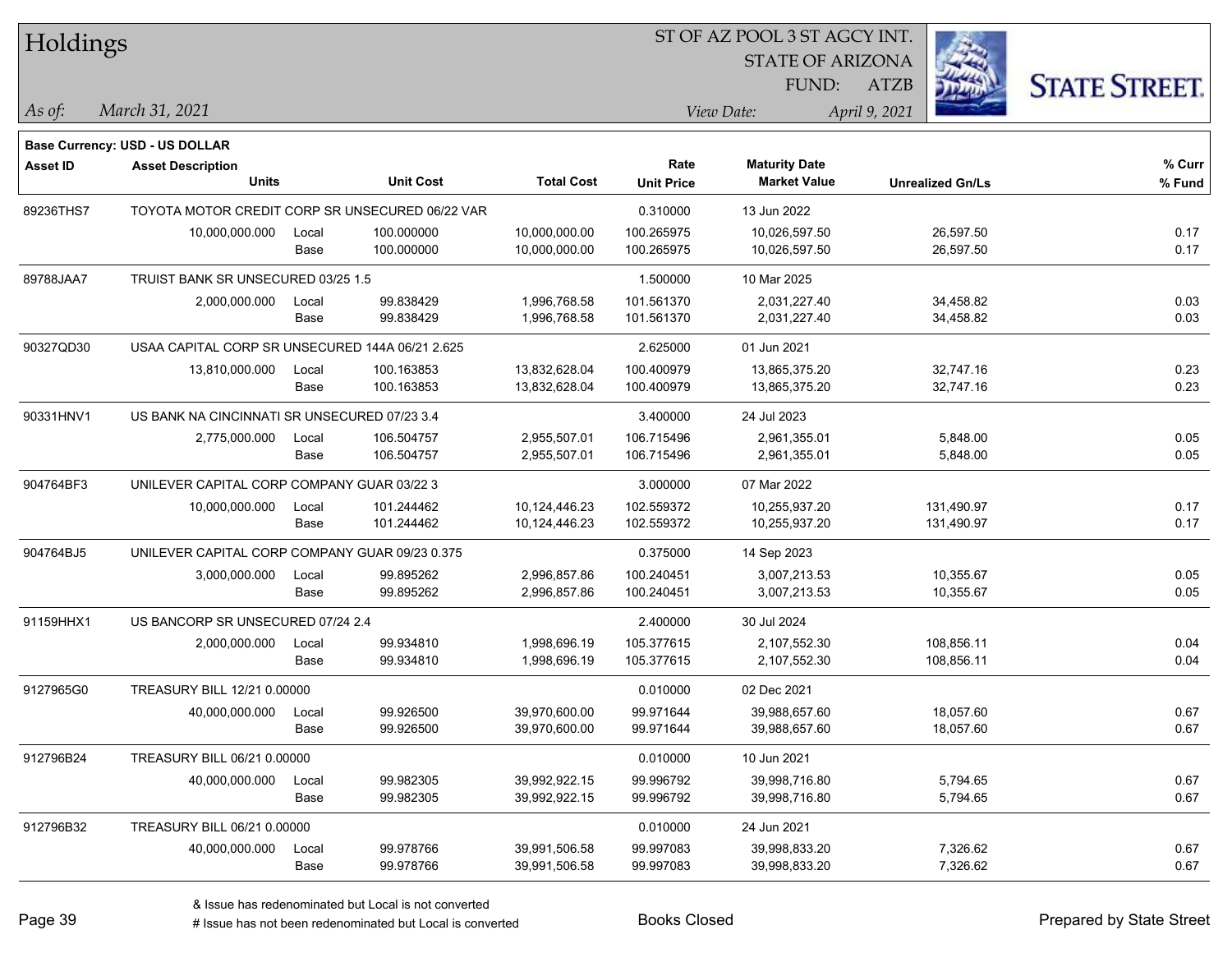| Holdings        |                                                 |       |                  |                   |                   | 51 OF AZ POOL 351 AGCY INT. |                         |                     |
|-----------------|-------------------------------------------------|-------|------------------|-------------------|-------------------|-----------------------------|-------------------------|---------------------|
|                 |                                                 |       |                  |                   |                   | <b>STATE OF ARIZONA</b>     | Ż.                      |                     |
|                 |                                                 |       |                  |                   |                   | <b>FUND:</b>                | <b>ATZB</b>             | <b>STATE STREET</b> |
| As of:          | March 31, 2021                                  |       |                  |                   |                   | View Date:                  | April 9, 2021           |                     |
|                 |                                                 |       |                  |                   |                   |                             |                         |                     |
|                 | <b>Base Currency: USD - US DOLLAR</b>           |       |                  |                   | Rate              | <b>Maturity Date</b>        |                         | % Curr              |
| <b>Asset ID</b> | <b>Asset Description</b><br><b>Units</b>        |       | <b>Unit Cost</b> | <b>Total Cost</b> | <b>Unit Price</b> | <b>Market Value</b>         | <b>Unrealized Gn/Ls</b> | % Fund              |
| 89236THS7       | TOYOTA MOTOR CREDIT CORP SR UNSECURED 06/22 VAR |       |                  |                   | 0.310000          | 13 Jun 2022                 |                         |                     |
|                 | 10,000,000.000                                  | Local | 100.000000       | 10,000,000.00     | 100.265975        | 10,026,597.50               | 26,597.50               | 0.17                |
|                 |                                                 | Base  | 100.000000       | 10,000,000.00     | 100.265975        | 10,026,597.50               | 26,597.50               | 0.17                |
| 89788JAA7       | TRUIST BANK SR UNSECURED 03/25 1.5              |       |                  |                   | 1.500000          | 10 Mar 2025                 |                         |                     |
|                 | 2,000,000.000                                   | Local | 99.838429        | 1,996,768.58      | 101.561370        | 2,031,227.40                | 34,458.82               | 0.03                |
|                 |                                                 | Base  | 99.838429        | 1,996,768.58      | 101.561370        | 2,031,227.40                | 34,458.82               | 0.03                |
| 90327QD30       | USAA CAPITAL CORP SR UNSECURED 144A 06/21 2.625 |       |                  |                   | 2.625000          | 01 Jun 2021                 |                         |                     |
|                 | 13,810,000.000                                  | Local | 100.163853       | 13,832,628.04     | 100.400979        | 13,865,375.20               | 32,747.16               | 0.23                |
|                 |                                                 | Base  | 100.163853       | 13,832,628.04     | 100.400979        | 13,865,375.20               | 32,747.16               | 0.23                |
| 90331HNV1       | US BANK NA CINCINNATI SR UNSECURED 07/23 3.4    |       |                  |                   | 3.400000          | 24 Jul 2023                 |                         |                     |
|                 | 2,775,000.000                                   | Local | 106.504757       | 2,955,507.01      | 106.715496        | 2,961,355.01                | 5,848.00                | 0.05                |
|                 |                                                 | Base  | 106.504757       | 2,955,507.01      | 106.715496        | 2,961,355.01                | 5,848.00                | 0.05                |
| 904764BF3       | UNILEVER CAPITAL CORP COMPANY GUAR 03/22 3      |       |                  | 3.000000          | 07 Mar 2022       |                             |                         |                     |
|                 | 10,000,000.000                                  | Local | 101.244462       | 10,124,446.23     | 102.559372        | 10,255,937.20               | 131,490.97              | 0.17                |
|                 |                                                 | Base  | 101.244462       | 10,124,446.23     | 102.559372        | 10,255,937.20               | 131,490.97              | 0.17                |
| 904764BJ5       | UNILEVER CAPITAL CORP COMPANY GUAR 09/23 0.375  |       |                  |                   | 0.375000          | 14 Sep 2023                 |                         |                     |
|                 | 3,000,000.000                                   | Local | 99.895262        | 2,996,857.86      | 100.240451        | 3,007,213.53                | 10,355.67               | 0.05                |
|                 |                                                 | Base  | 99.895262        | 2,996,857.86      | 100.240451        | 3,007,213.53                | 10,355.67               | 0.05                |
| 91159HHX1       | US BANCORP SR UNSECURED 07/24 2.4               |       |                  |                   | 2.400000          | 30 Jul 2024                 |                         |                     |
|                 | 2,000,000.000                                   | Local | 99.934810        | 1,998,696.19      | 105.377615        | 2,107,552.30                | 108,856.11              | 0.04                |
|                 |                                                 | Base  | 99.934810        | 1,998,696.19      | 105.377615        | 2,107,552.30                | 108,856.11              | 0.04                |
| 9127965G0       | TREASURY BILL 12/21 0.00000                     |       |                  |                   | 0.010000          | 02 Dec 2021                 |                         |                     |
|                 | 40,000,000.000                                  | Local | 99.926500        | 39,970,600.00     | 99.971644         | 39,988,657.60               | 18,057.60               | 0.67                |
|                 |                                                 | Base  | 99.926500        | 39,970,600.00     | 99.971644         | 39,988,657.60               | 18,057.60               | 0.67                |
| 912796B24       | TREASURY BILL 06/21 0.00000                     |       |                  |                   | 0.010000          | 10 Jun 2021                 |                         |                     |
|                 | 40,000,000.000                                  | Local | 99.982305        | 39,992,922.15     | 99.996792         | 39,998,716.80               | 5,794.65                | 0.67                |
|                 |                                                 | Base  | 99.982305        | 39,992,922.15     | 99.996792         | 39,998,716.80               | 5,794.65                | 0.67                |
| 912796B32       | TREASURY BILL 06/21 0.00000                     |       |                  |                   | 0.010000          | 24 Jun 2021                 |                         |                     |
|                 | 40,000,000.000                                  | Local | 99.978766        | 39,991,506.58     | 99.997083         | 39,998,833.20               | 7,326.62                | 0.67                |
|                 |                                                 | Base  | 99.978766        | 39,991,506.58     | 99.997083         | 39,998,833.20               | 7,326.62                | 0.67                |

ST OF A Z POOL 2 ST ACCV INT

**CONTRACTOR** 

# Issue has not been redenominated but Local is converted Books Closed Prepared by State Street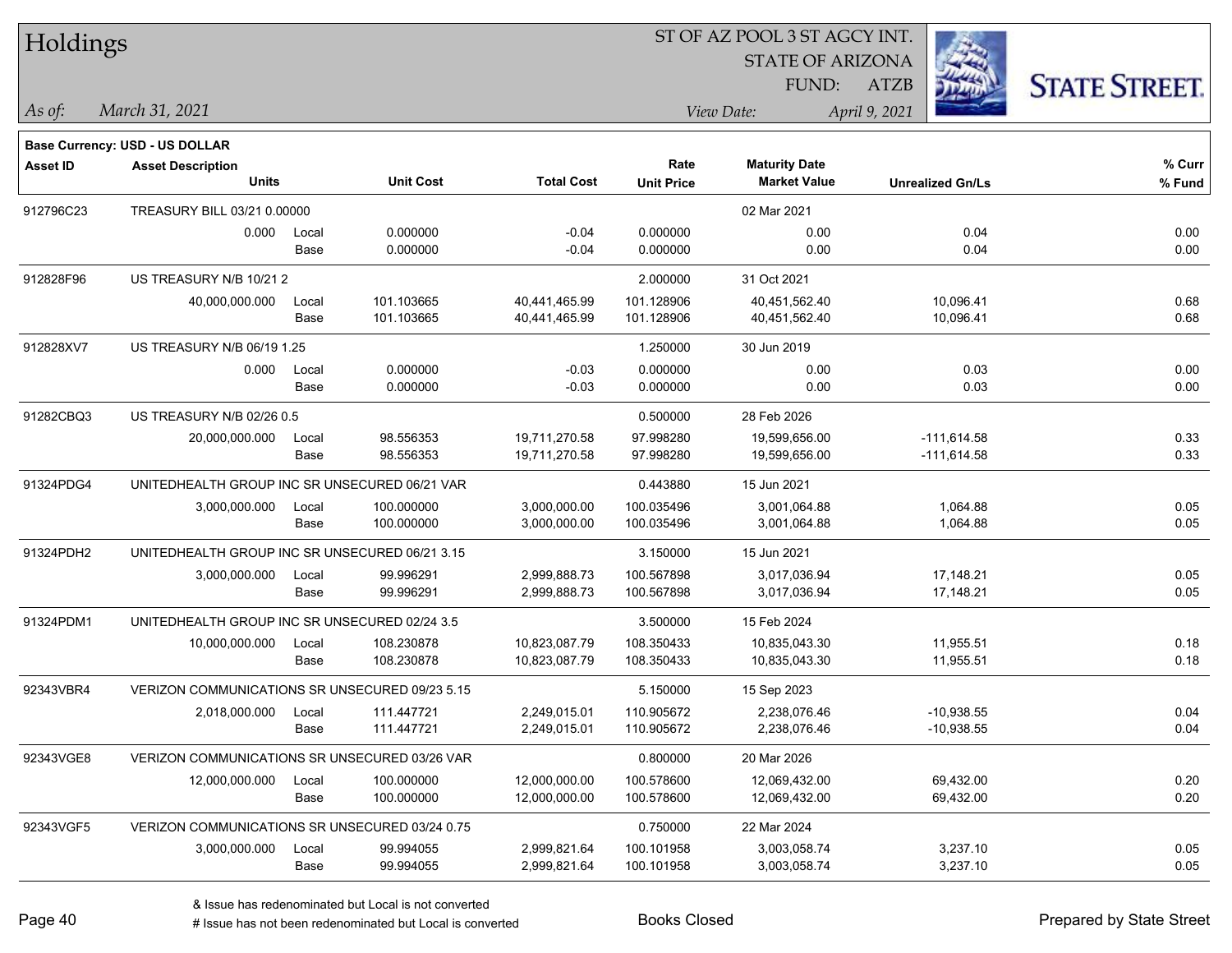| Holdings        |                                                |                                                |                  |                   |                   | ST OF AZ POOL 3 ST AGCY INT. |                         |                      |
|-----------------|------------------------------------------------|------------------------------------------------|------------------|-------------------|-------------------|------------------------------|-------------------------|----------------------|
|                 |                                                |                                                |                  |                   |                   | <b>STATE OF ARIZONA</b>      |                         |                      |
|                 |                                                |                                                |                  |                   |                   | FUND:                        | ATZB                    | <b>STATE STREET.</b> |
| As of:          | March 31, 2021                                 |                                                |                  |                   |                   | View Date:                   | April 9, 2021           |                      |
|                 | <b>Base Currency: USD - US DOLLAR</b>          |                                                |                  |                   |                   |                              |                         |                      |
| <b>Asset ID</b> | <b>Asset Description</b>                       |                                                |                  |                   | Rate              | <b>Maturity Date</b>         |                         | % Curr               |
|                 | <b>Units</b>                                   |                                                | <b>Unit Cost</b> | <b>Total Cost</b> | <b>Unit Price</b> | <b>Market Value</b>          | <b>Unrealized Gn/Ls</b> | % Fund               |
| 912796C23       | TREASURY BILL 03/21 0.00000                    |                                                |                  |                   |                   | 02 Mar 2021                  |                         |                      |
|                 | 0.000                                          | Local                                          | 0.000000         | $-0.04$           | 0.000000          | 0.00                         | 0.04                    | 0.00                 |
|                 |                                                | Base                                           | 0.000000         | $-0.04$           | 0.000000          | 0.00                         | 0.04                    | 0.00                 |
| 912828F96       | US TREASURY N/B 10/21 2                        |                                                |                  |                   | 2.000000          | 31 Oct 2021                  |                         |                      |
|                 | 40,000,000.000                                 | Local                                          | 101.103665       | 40,441,465.99     | 101.128906        | 40,451,562.40                | 10,096.41               | 0.68                 |
|                 |                                                | Base                                           | 101.103665       | 40,441,465.99     | 101.128906        | 40,451,562.40                | 10,096.41               | 0.68                 |
| 912828XV7       | US TREASURY N/B 06/19 1.25                     |                                                |                  |                   | 1.250000          | 30 Jun 2019                  |                         |                      |
|                 | 0.000                                          | Local                                          | 0.000000         | $-0.03$           | 0.000000          | 0.00                         | 0.03                    | 0.00                 |
|                 |                                                | Base                                           | 0.000000         | $-0.03$           | 0.000000          | 0.00                         | 0.03                    | 0.00                 |
| 91282CBQ3       | US TREASURY N/B 02/26 0.5                      |                                                |                  |                   | 0.500000          | 28 Feb 2026                  |                         |                      |
|                 | 20,000,000.000                                 | Local                                          | 98.556353        | 19,711,270.58     | 97.998280         | 19,599,656.00                | $-111,614.58$           | 0.33                 |
|                 |                                                | Base                                           | 98.556353        | 19,711,270.58     | 97.998280         | 19,599,656.00                | $-111,614.58$           | 0.33                 |
| 91324PDG4       | UNITEDHEALTH GROUP INC SR UNSECURED 06/21 VAR  |                                                |                  |                   | 0.443880          | 15 Jun 2021                  |                         |                      |
|                 | 3,000,000.000                                  | Local                                          | 100.000000       | 3,000,000.00      | 100.035496        | 3,001,064.88                 | 1,064.88                | 0.05                 |
|                 |                                                | Base                                           | 100.000000       | 3,000,000.00      | 100.035496        | 3,001,064.88                 | 1,064.88                | 0.05                 |
| 91324PDH2       |                                                | UNITEDHEALTH GROUP INC SR UNSECURED 06/21 3.15 |                  |                   |                   | 15 Jun 2021                  |                         |                      |
|                 | 3,000,000.000                                  | Local                                          | 99.996291        | 2,999,888.73      | 100.567898        | 3,017,036.94                 | 17,148.21               | 0.05                 |
|                 |                                                | Base                                           | 99.996291        | 2,999,888.73      | 100.567898        | 3,017,036.94                 | 17,148.21               | 0.05                 |
| 91324PDM1       | UNITEDHEALTH GROUP INC SR UNSECURED 02/24 3.5  |                                                |                  |                   | 3.500000          | 15 Feb 2024                  |                         |                      |
|                 | 10,000,000.000                                 | Local                                          | 108.230878       | 10,823,087.79     | 108.350433        | 10,835,043.30                | 11,955.51               | 0.18                 |
|                 |                                                | Base                                           | 108.230878       | 10,823,087.79     | 108.350433        | 10,835,043.30                | 11,955.51               | 0.18                 |
| 92343VBR4       | VERIZON COMMUNICATIONS SR UNSECURED 09/23 5.15 |                                                |                  |                   | 5.150000          | 15 Sep 2023                  |                         |                      |
|                 | 2,018,000.000                                  | Local                                          | 111.447721       | 2,249,015.01      | 110.905672        | 2,238,076.46                 | $-10,938.55$            | 0.04                 |
|                 |                                                | Base                                           | 111.447721       | 2,249,015.01      | 110.905672        | 2,238,076.46                 | $-10,938.55$            | 0.04                 |
| 92343VGE8       | VERIZON COMMUNICATIONS SR UNSECURED 03/26 VAR  |                                                |                  |                   | 0.800000          | 20 Mar 2026                  |                         |                      |
|                 | 12,000,000.000                                 | Local                                          | 100.000000       | 12,000,000.00     | 100.578600        | 12,069,432.00                | 69,432.00               | 0.20                 |
|                 |                                                | Base                                           | 100.000000       | 12,000,000.00     | 100.578600        | 12,069,432.00                | 69,432.00               | 0.20                 |
| 92343VGF5       | VERIZON COMMUNICATIONS SR UNSECURED 03/24 0.75 |                                                |                  |                   | 0.750000          | 22 Mar 2024                  |                         |                      |
|                 | 3,000,000.000                                  | Local                                          | 99.994055        | 2,999,821.64      | 100.101958        | 3,003,058.74                 | 3,237.10                | 0.05                 |
|                 |                                                | Base                                           | 99.994055        | 2,999,821.64      | 100.101958        | 3,003,058.74                 | 3,237.10                | 0.05                 |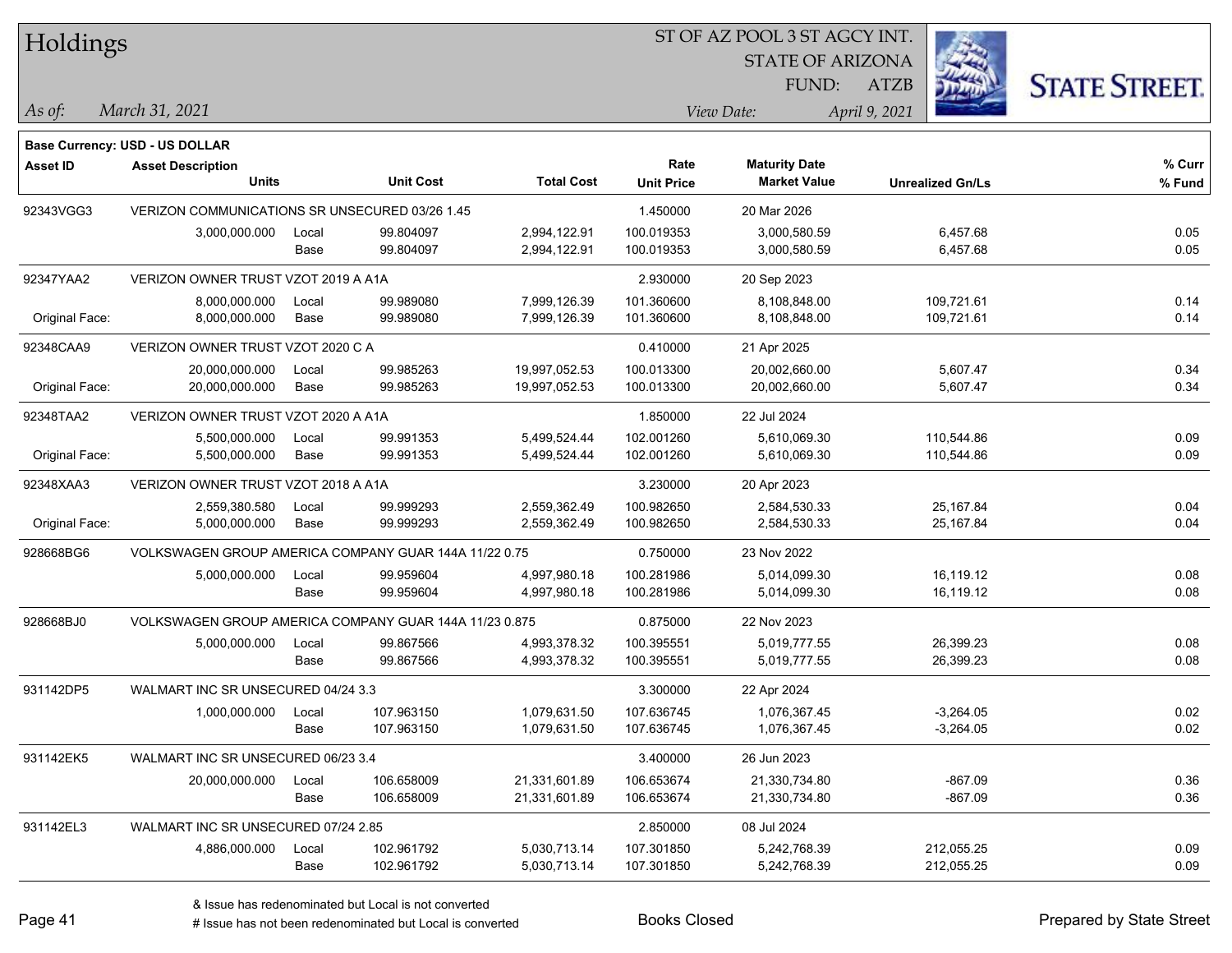Holdings

#### ST OF AZ POOL 3 ST AGCY INT.

STATE OF ARIZONA FUND:



*March 31, 2021 As of: View Date: April 9, 2021*

**Base Currency: USD - US DOLLAR**

ATZB

| Asset ID       | <b>Asset Description</b><br><b>Units</b>               |       | <b>Unit Cost</b> | <b>Total Cost</b> | Rate<br><b>Unit Price</b> | <b>Maturity Date</b><br><b>Market Value</b> | <b>Unrealized Gn/Ls</b> | % Curr<br>% Fund |
|----------------|--------------------------------------------------------|-------|------------------|-------------------|---------------------------|---------------------------------------------|-------------------------|------------------|
| 92343VGG3      | VERIZON COMMUNICATIONS SR UNSECURED 03/26 1.45         |       |                  |                   | 1.450000                  | 20 Mar 2026                                 |                         |                  |
|                | 3,000,000.000                                          | Local | 99.804097        | 2,994,122.91      | 100.019353                | 3,000,580.59                                | 6,457.68                | 0.05             |
|                |                                                        | Base  | 99.804097        | 2,994,122.91      | 100.019353                | 3,000,580.59                                | 6,457.68                | 0.05             |
| 92347YAA2      | VERIZON OWNER TRUST VZOT 2019 A A1A                    |       |                  |                   | 2.930000                  | 20 Sep 2023                                 |                         |                  |
|                | 8,000,000.000                                          | Local | 99.989080        | 7,999,126.39      | 101.360600                | 8,108,848.00                                | 109,721.61              | 0.14             |
| Original Face: | 8,000,000.000                                          | Base  | 99.989080        | 7,999,126.39      | 101.360600                | 8,108,848.00                                | 109,721.61              | 0.14             |
| 92348CAA9      | VERIZON OWNER TRUST VZOT 2020 C A                      |       |                  |                   | 0.410000                  | 21 Apr 2025                                 |                         |                  |
|                | 20,000,000.000                                         | Local | 99.985263        | 19,997,052.53     | 100.013300                | 20,002,660.00                               | 5,607.47                | 0.34             |
| Original Face: | 20,000,000.000                                         | Base  | 99.985263        | 19,997,052.53     | 100.013300                | 20,002,660.00                               | 5,607.47                | 0.34             |
| 92348TAA2      | VERIZON OWNER TRUST VZOT 2020 A A1A                    |       |                  |                   | 1.850000                  | 22 Jul 2024                                 |                         |                  |
|                | 5,500,000.000                                          | Local | 99.991353        | 5,499,524.44      | 102.001260                | 5,610,069.30                                | 110,544.86              | 0.09             |
| Original Face: | 5,500,000.000                                          | Base  | 99.991353        | 5,499,524.44      | 102.001260                | 5,610,069.30                                | 110,544.86              | 0.09             |
| 92348XAA3      | VERIZON OWNER TRUST VZOT 2018 A A1A                    |       |                  |                   | 3.230000                  | 20 Apr 2023                                 |                         |                  |
|                | 2,559,380.580                                          | Local | 99.999293        | 2,559,362.49      | 100.982650                | 2,584,530.33                                | 25,167.84               | 0.04             |
| Original Face: | 5,000,000.000                                          | Base  | 99.999293        | 2,559,362.49      | 100.982650                | 2,584,530.33                                | 25,167.84               | 0.04             |
| 928668BG6      | VOLKSWAGEN GROUP AMERICA COMPANY GUAR 144A 11/22 0.75  |       |                  |                   | 0.750000                  | 23 Nov 2022                                 |                         |                  |
|                | 5,000,000.000                                          | Local | 99.959604        | 4,997,980.18      | 100.281986                | 5,014,099.30                                | 16,119.12               | 0.08             |
|                |                                                        | Base  | 99.959604        | 4,997,980.18      | 100.281986                | 5,014,099.30                                | 16,119.12               | 0.08             |
| 928668BJ0      | VOLKSWAGEN GROUP AMERICA COMPANY GUAR 144A 11/23 0.875 |       |                  |                   | 0.875000                  | 22 Nov 2023                                 |                         |                  |
|                | 5,000,000.000                                          | Local | 99.867566        | 4,993,378.32      | 100.395551                | 5,019,777.55                                | 26,399.23               | 0.08             |
|                |                                                        | Base  | 99.867566        | 4,993,378.32      | 100.395551                | 5,019,777.55                                | 26,399.23               | 0.08             |
| 931142DP5      | WALMART INC SR UNSECURED 04/24 3.3                     |       |                  |                   | 3.300000                  | 22 Apr 2024                                 |                         |                  |
|                | 1,000,000.000                                          | Local | 107.963150       | 1,079,631.50      | 107.636745                | 1,076,367.45                                | $-3,264.05$             | 0.02             |
|                |                                                        | Base  | 107.963150       | 1,079,631.50      | 107.636745                | 1,076,367.45                                | $-3,264.05$             | 0.02             |
| 931142EK5      | WALMART INC SR UNSECURED 06/23 3.4                     |       |                  |                   | 3.400000                  | 26 Jun 2023                                 |                         |                  |
|                | 20,000,000.000                                         | Local | 106.658009       | 21,331,601.89     | 106.653674                | 21,330,734.80                               | -867.09                 | 0.36             |
|                |                                                        | Base  | 106.658009       | 21,331,601.89     | 106.653674                | 21,330,734.80                               | $-867.09$               | 0.36             |
| 931142EL3      | WALMART INC SR UNSECURED 07/24 2.85                    |       |                  |                   | 2.850000                  | 08 Jul 2024                                 |                         |                  |
|                | 4,886,000.000                                          | Local | 102.961792       | 5,030,713.14      | 107.301850                | 5,242,768.39                                | 212,055.25              | 0.09             |
|                |                                                        | Base  | 102.961792       | 5,030,713.14      | 107.301850                | 5,242,768.39                                | 212,055.25              | 0.09             |

# Issue has not been redenominated but Local is converted Books Closed Prepared by State Street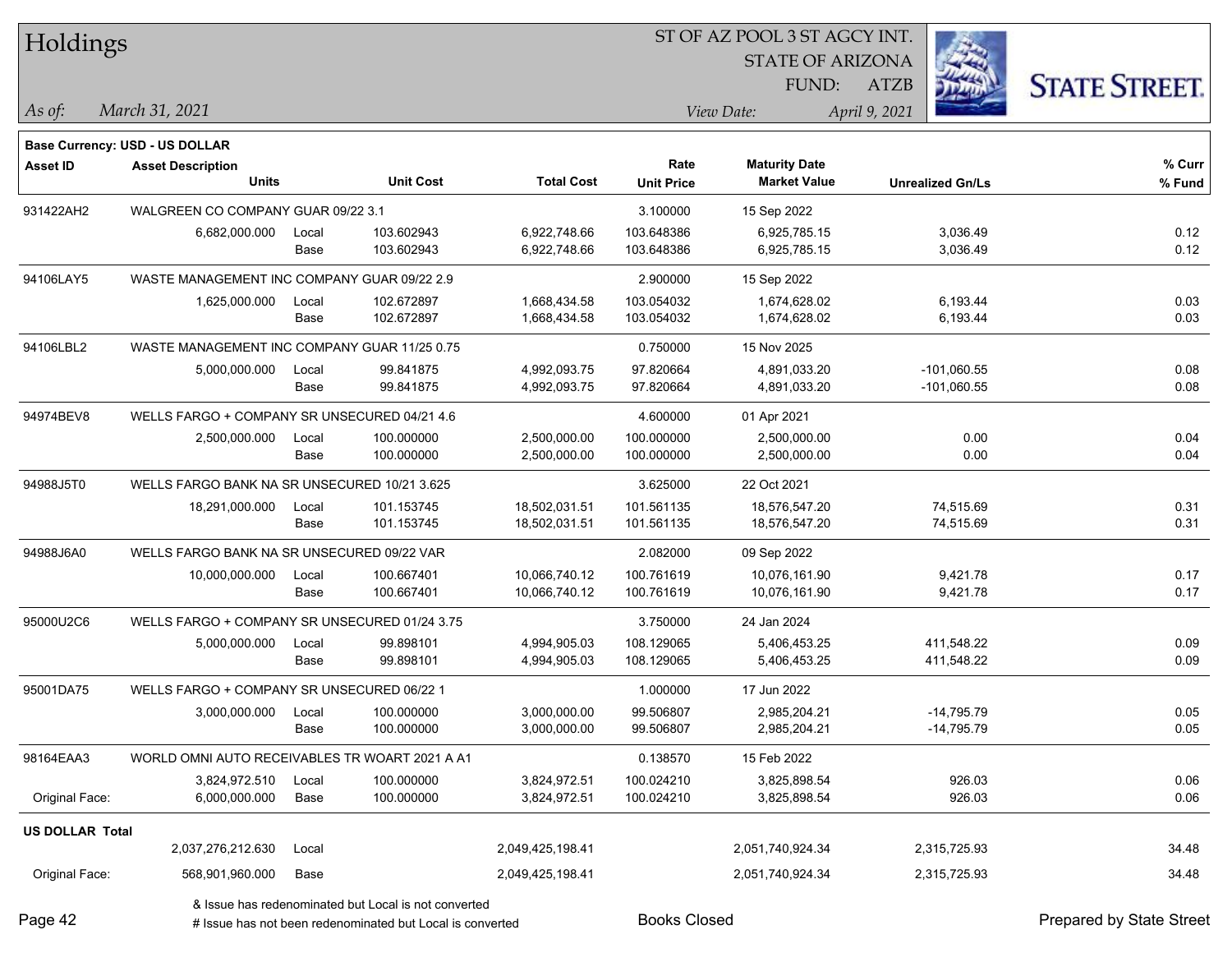| Holdings               |                                                |               |                                                           |                              |                          | ST OF AZ POOL 3 ST AGCY INT. |                              |                          |
|------------------------|------------------------------------------------|---------------|-----------------------------------------------------------|------------------------------|--------------------------|------------------------------|------------------------------|--------------------------|
|                        |                                                |               |                                                           |                              |                          | <b>STATE OF ARIZONA</b>      |                              |                          |
|                        |                                                |               |                                                           |                              |                          | FUND:                        | <b>ATZB</b>                  | <b>STATE STREET.</b>     |
| As of:                 | March 31, 2021                                 |               |                                                           |                              |                          | View Date:                   | April 9, 2021                |                          |
|                        | Base Currency: USD - US DOLLAR                 |               |                                                           |                              |                          |                              |                              |                          |
| <b>Asset ID</b>        | <b>Asset Description</b>                       |               |                                                           |                              | Rate                     | <b>Maturity Date</b>         |                              | % Curr                   |
|                        | <b>Units</b>                                   |               | <b>Unit Cost</b>                                          | <b>Total Cost</b>            | <b>Unit Price</b>        | <b>Market Value</b>          | <b>Unrealized Gn/Ls</b>      | % Fund                   |
| 931422AH2              | WALGREEN CO COMPANY GUAR 09/22 3.1             |               |                                                           |                              | 3.100000                 | 15 Sep 2022                  |                              |                          |
|                        | 6,682,000.000                                  | Local         | 103.602943                                                | 6,922,748.66                 | 103.648386               | 6,925,785.15                 | 3,036.49                     | 0.12                     |
|                        |                                                | Base          | 103.602943                                                | 6,922,748.66                 | 103.648386               | 6,925,785.15                 | 3,036.49                     | 0.12                     |
| 94106LAY5              | WASTE MANAGEMENT INC COMPANY GUAR 09/22 2.9    |               |                                                           |                              | 2.900000                 | 15 Sep 2022                  |                              |                          |
|                        | 1,625,000.000                                  | Local<br>Base | 102.672897<br>102.672897                                  | 1,668,434.58<br>1,668,434.58 | 103.054032<br>103.054032 | 1,674,628.02<br>1,674,628.02 | 6,193.44<br>6,193.44         | 0.03<br>0.03             |
|                        |                                                |               |                                                           |                              |                          |                              |                              |                          |
| 94106LBL2              | WASTE MANAGEMENT INC COMPANY GUAR 11/25 0.75   |               |                                                           |                              | 0.750000                 | 15 Nov 2025                  |                              |                          |
|                        | 5,000,000.000                                  | Local         | 99.841875<br>99.841875                                    | 4,992,093.75<br>4,992,093.75 | 97.820664                | 4,891,033.20<br>4,891,033.20 | $-101,060.55$                | 0.08<br>0.08             |
|                        |                                                | Base          |                                                           |                              | 97.820664                |                              | $-101,060.55$                |                          |
| 94974BEV8              | WELLS FARGO + COMPANY SR UNSECURED 04/21 4.6   |               |                                                           |                              | 4.600000                 | 01 Apr 2021                  |                              |                          |
|                        | 2,500,000.000                                  | Local<br>Base | 100.000000<br>100.000000                                  | 2,500,000.00<br>2,500,000.00 | 100.000000<br>100.000000 | 2,500,000.00<br>2,500,000.00 | 0.00<br>0.00                 | 0.04<br>0.04             |
|                        |                                                |               |                                                           |                              |                          |                              |                              |                          |
| 94988J5T0              | WELLS FARGO BANK NA SR UNSECURED 10/21 3.625   |               |                                                           |                              | 3.625000                 | 22 Oct 2021                  |                              |                          |
|                        | 18,291,000.000                                 | Local         | 101.153745<br>101.153745                                  | 18,502,031.51                | 101.561135               | 18,576,547.20                | 74,515.69<br>74,515.69       | 0.31<br>0.31             |
|                        |                                                | Base          |                                                           | 18,502,031.51                | 101.561135               | 18,576,547.20                |                              |                          |
| 94988J6A0              | WELLS FARGO BANK NA SR UNSECURED 09/22 VAR     |               |                                                           |                              | 2.082000                 | 09 Sep 2022                  |                              |                          |
|                        | 10,000,000.000                                 | Local         | 100.667401                                                | 10,066,740.12                | 100.761619               | 10,076,161.90                | 9,421.78                     | 0.17                     |
|                        |                                                | Base          | 100.667401                                                | 10,066,740.12                | 100.761619               | 10,076,161.90                | 9,421.78                     | 0.17                     |
| 95000U2C6              | WELLS FARGO + COMPANY SR UNSECURED 01/24 3.75  |               |                                                           |                              | 3.750000                 | 24 Jan 2024                  |                              |                          |
|                        | 5,000,000.000                                  | Local         | 99.898101<br>99.898101                                    | 4,994,905.03<br>4,994,905.03 | 108.129065<br>108.129065 | 5,406,453.25<br>5,406,453.25 | 411,548.22<br>411,548.22     | 0.09<br>0.09             |
|                        |                                                | Base          |                                                           |                              |                          |                              |                              |                          |
| 95001DA75              | WELLS FARGO + COMPANY SR UNSECURED 06/22 1     |               |                                                           |                              | 1.000000                 | 17 Jun 2022                  |                              |                          |
|                        | 3,000,000.000                                  | Local<br>Base | 100.000000<br>100.000000                                  | 3,000,000.00<br>3,000,000.00 | 99.506807<br>99.506807   | 2,985,204.21<br>2,985,204.21 | $-14,795.79$<br>$-14,795.79$ | 0.05<br>0.05             |
|                        |                                                |               |                                                           |                              |                          |                              |                              |                          |
| 98164EAA3              | WORLD OMNI AUTO RECEIVABLES TR WOART 2021 A A1 |               |                                                           |                              | 0.138570                 | 15 Feb 2022                  |                              |                          |
| Original Face:         | 3,824,972.510<br>6,000,000.000                 | Local<br>Base | 100.000000<br>100.000000                                  | 3,824,972.51<br>3,824,972.51 | 100.024210<br>100.024210 | 3,825,898.54<br>3,825,898.54 | 926.03<br>926.03             | 0.06<br>0.06             |
|                        |                                                |               |                                                           |                              |                          |                              |                              |                          |
| <b>US DOLLAR Total</b> |                                                |               |                                                           |                              |                          |                              |                              |                          |
|                        | 2,037,276,212.630                              | Local         |                                                           | 2,049,425,198.41             |                          | 2,051,740,924.34             | 2,315,725.93                 | 34.48                    |
| Original Face:         | 568,901,960.000                                | Base          |                                                           | 2,049,425,198.41             |                          | 2,051,740,924.34             | 2,315,725.93                 | 34.48                    |
|                        |                                                |               | & Issue has redenominated but Local is not converted      |                              |                          |                              |                              |                          |
| Page 42                |                                                |               | # Issue has not been redenominated but Local is converted |                              | <b>Books Closed</b>      |                              |                              | Prepared by State Street |

Page 42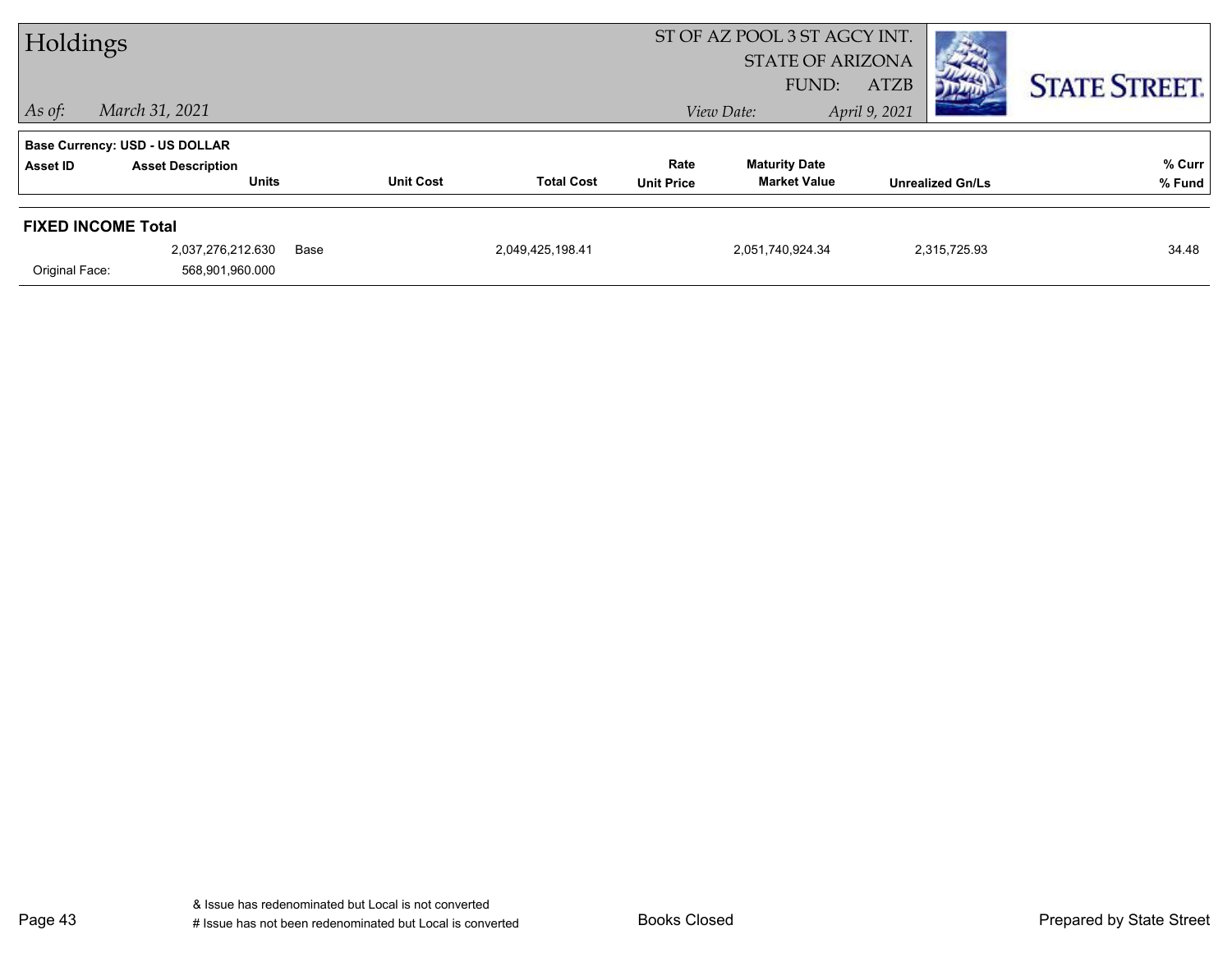| Holdings<br>$ $ As of: | March 31, 2021                                                                    |                  |                   |                           | ST OF AZ POOL 3 ST AGCY INT.<br><b>STATE OF ARIZONA</b><br>FUND:<br>View Date: | <b>ATZB</b><br>Дер<br>April 9, 2021 | <b>STATE STREET.</b> |
|------------------------|-----------------------------------------------------------------------------------|------------------|-------------------|---------------------------|--------------------------------------------------------------------------------|-------------------------------------|----------------------|
| Asset ID               | <b>Base Currency: USD - US DOLLAR</b><br><b>Asset Description</b><br><b>Units</b> | <b>Unit Cost</b> | <b>Total Cost</b> | Rate<br><b>Unit Price</b> | <b>Maturity Date</b><br><b>Market Value</b>                                    | <b>Unrealized Gn/Ls</b>             | % Curr<br>% Fund     |
| Original Face:         | <b>FIXED INCOME Total</b><br>2,037,276,212.630<br>568,901,960.000                 | Base             | 2,049,425,198.41  |                           | 2,051,740,924.34                                                               | 2,315,725.93                        | 34.48                |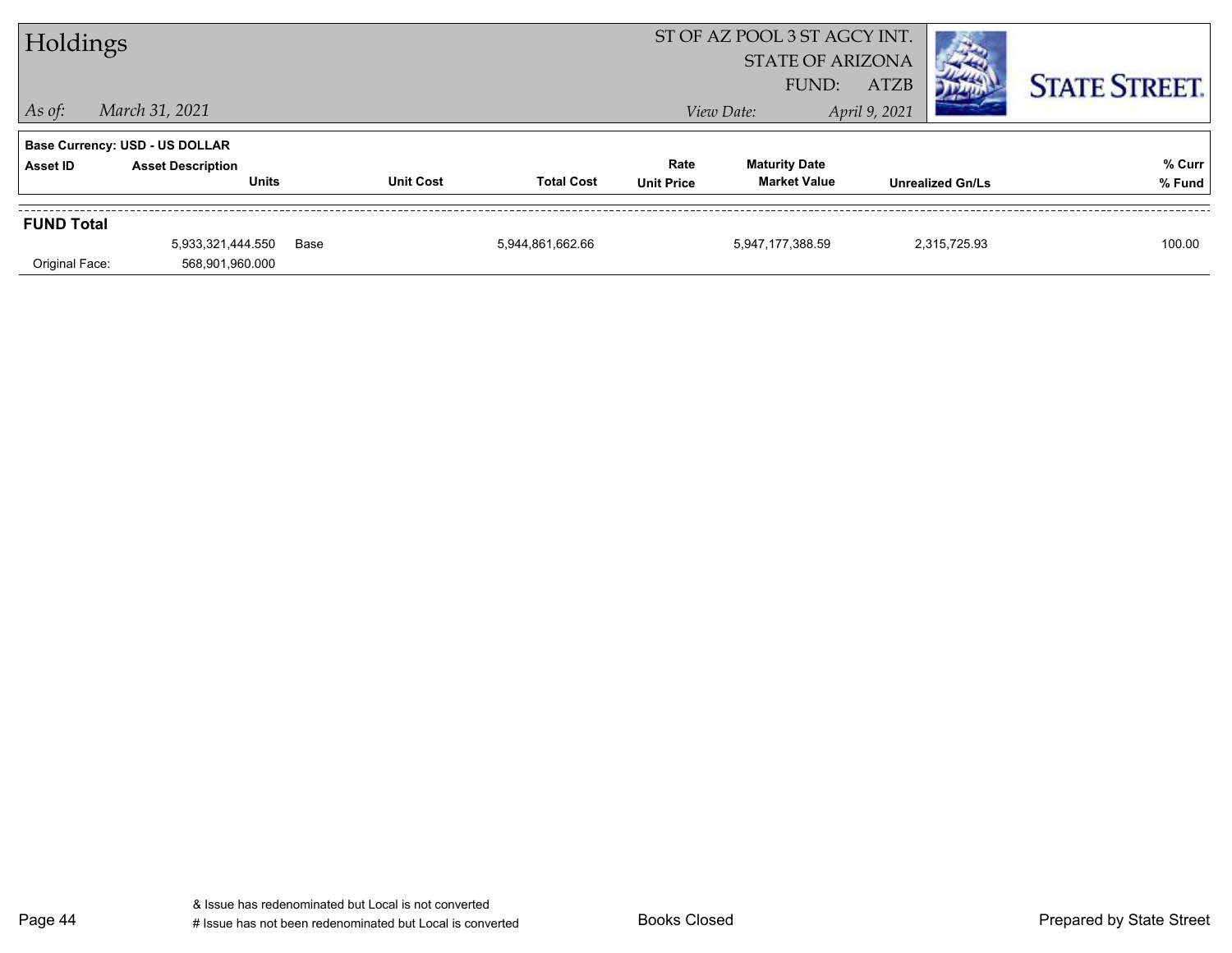| Holdings          |                                          |      |                  |                   |                           | ST OF AZ POOL 3 ST AGCY INT.<br><b>STATE OF ARIZONA</b><br>FUND: | <b>ATZB</b>             |              | <b>STATE STREET.</b> |
|-------------------|------------------------------------------|------|------------------|-------------------|---------------------------|------------------------------------------------------------------|-------------------------|--------------|----------------------|
| $ $ As of:        | March 31, 2021                           |      |                  |                   |                           | View Date:                                                       | April 9, 2021           |              |                      |
|                   | <b>Base Currency: USD - US DOLLAR</b>    |      |                  |                   |                           |                                                                  |                         |              |                      |
| Asset ID          | <b>Asset Description</b><br><b>Units</b> |      | <b>Unit Cost</b> | <b>Total Cost</b> | Rate<br><b>Unit Price</b> | <b>Maturity Date</b><br><b>Market Value</b>                      | <b>Unrealized Gn/Ls</b> |              | % Curr<br>% Fund     |
| <b>FUND Total</b> |                                          |      |                  |                   |                           |                                                                  |                         |              |                      |
| Original Face:    | 5,933,321,444.550<br>568,901,960.000     | Base |                  | 5,944,861,662.66  |                           | 5,947,177,388.59                                                 |                         | 2.315.725.93 | 100.00               |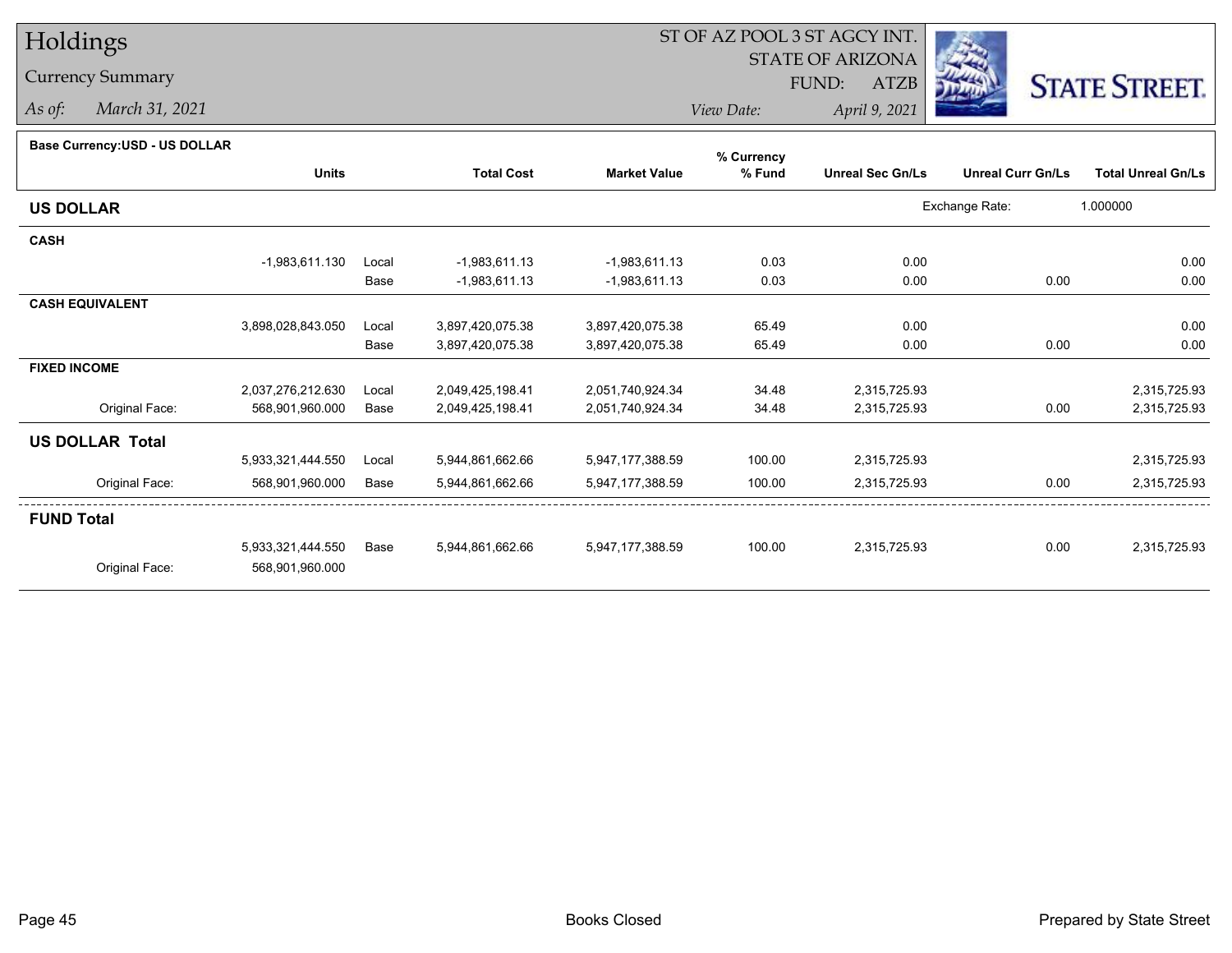# Holdings

Currency Summary

*As of: March 31, 2021*

### ST OF AZ POOL 3 ST AGCY INT.

STATE OF ARIZONA

FUND: ATZB



*View Date:April 9, 2021*

#### **Base Currency:USD - US DOLLAR**

|                        |                   |       |                   |                     | % Currency |                         |                          |                           |
|------------------------|-------------------|-------|-------------------|---------------------|------------|-------------------------|--------------------------|---------------------------|
|                        | <b>Units</b>      |       | <b>Total Cost</b> | <b>Market Value</b> | % Fund     | <b>Unreal Sec Gn/Ls</b> | <b>Unreal Curr Gn/Ls</b> | <b>Total Unreal Gn/Ls</b> |
| <b>US DOLLAR</b>       |                   |       |                   |                     |            |                         | Exchange Rate:           | 1.000000                  |
| <b>CASH</b>            |                   |       |                   |                     |            |                         |                          |                           |
|                        | $-1,983,611.130$  | Local | $-1,983,611.13$   | $-1,983,611.13$     | 0.03       | 0.00                    |                          | 0.00                      |
|                        |                   | Base  | -1,983,611.13     | $-1,983,611.13$     | 0.03       | 0.00                    | 0.00                     | 0.00                      |
| <b>CASH EQUIVALENT</b> |                   |       |                   |                     |            |                         |                          |                           |
|                        | 3,898,028,843.050 | Local | 3,897,420,075.38  | 3,897,420,075.38    | 65.49      | 0.00                    |                          | 0.00                      |
|                        |                   | Base  | 3,897,420,075.38  | 3,897,420,075.38    | 65.49      | 0.00                    | 0.00                     | 0.00                      |
| <b>FIXED INCOME</b>    |                   |       |                   |                     |            |                         |                          |                           |
|                        | 2,037,276,212.630 | Local | 2,049,425,198.41  | 2,051,740,924.34    | 34.48      | 2,315,725.93            |                          | 2,315,725.93              |
| Original Face:         | 568,901,960.000   | Base  | 2,049,425,198.41  | 2,051,740,924.34    | 34.48      | 2,315,725.93            | 0.00                     | 2,315,725.93              |
| <b>US DOLLAR Total</b> |                   |       |                   |                     |            |                         |                          |                           |
|                        | 5,933,321,444.550 | Local | 5,944,861,662.66  | 5,947,177,388.59    | 100.00     | 2,315,725.93            |                          | 2,315,725.93              |
| Original Face:         | 568,901,960.000   | Base  | 5,944,861,662.66  | 5,947,177,388.59    | 100.00     | 2,315,725.93            | 0.00                     | 2,315,725.93              |
| <b>FUND Total</b>      |                   |       |                   |                     |            |                         |                          |                           |
|                        | 5,933,321,444.550 | Base  | 5,944,861,662.66  | 5,947,177,388.59    | 100.00     | 2,315,725.93            | 0.00                     | 2,315,725.93              |
| Original Face:         | 568,901,960.000   |       |                   |                     |            |                         |                          |                           |
|                        |                   |       |                   |                     |            |                         |                          |                           |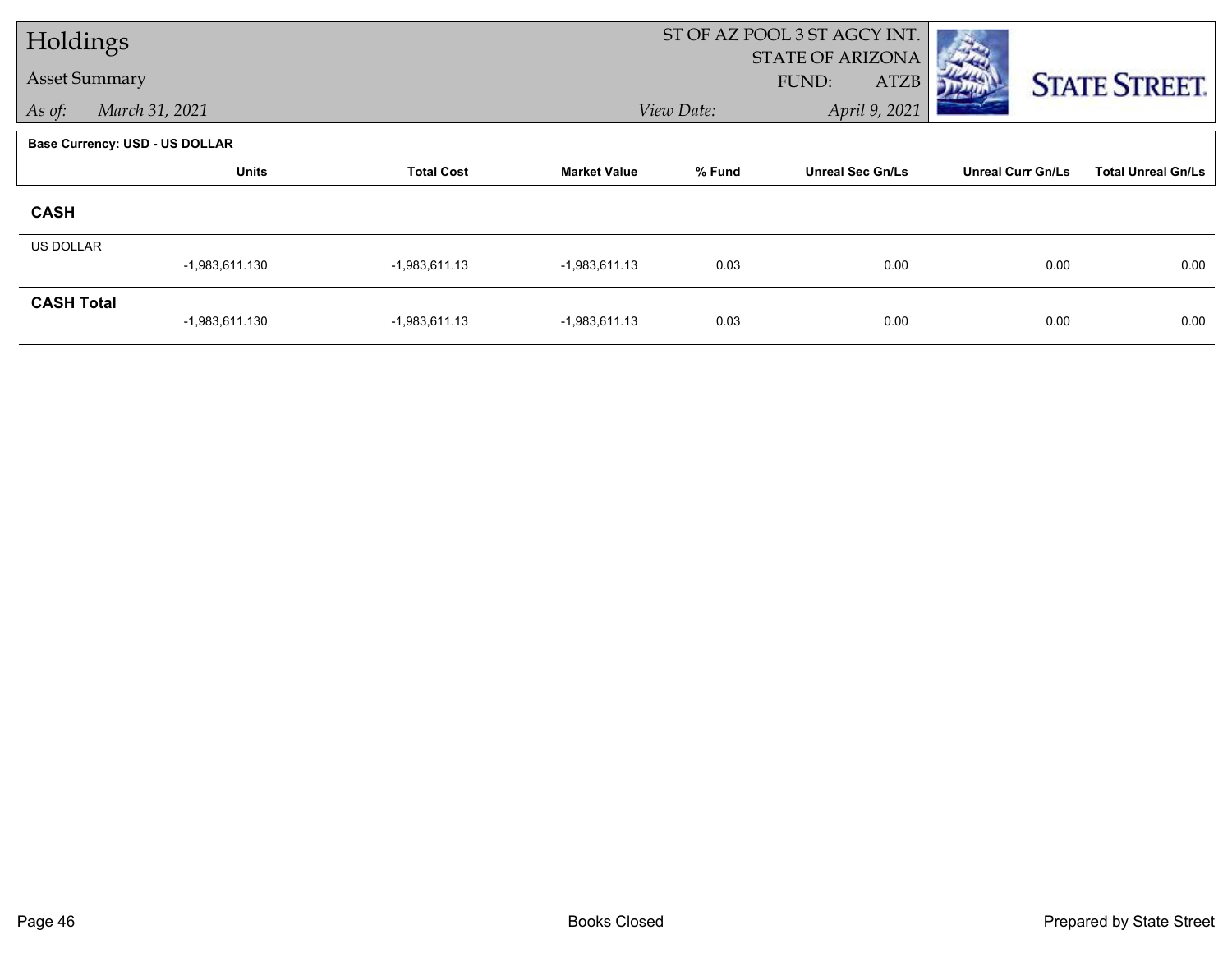| Holdings             |                                       |                             |                     |        | ST OF AZ POOL 3 ST AGCY INT.             |                          |                           |
|----------------------|---------------------------------------|-----------------------------|---------------------|--------|------------------------------------------|--------------------------|---------------------------|
| <b>Asset Summary</b> |                                       |                             |                     |        | STATE OF ARIZONA<br>FUND:<br><b>ATZB</b> |                          | <b>STATE STREET.</b>      |
| As of:               | March 31, 2021                        | April 9, 2021<br>View Date: |                     |        |                                          |                          |                           |
|                      | <b>Base Currency: USD - US DOLLAR</b> |                             |                     |        |                                          |                          |                           |
|                      | <b>Units</b>                          | <b>Total Cost</b>           | <b>Market Value</b> | % Fund | <b>Unreal Sec Gn/Ls</b>                  | <b>Unreal Curr Gn/Ls</b> | <b>Total Unreal Gn/Ls</b> |
| <b>CASH</b>          |                                       |                             |                     |        |                                          |                          |                           |
| <b>US DOLLAR</b>     |                                       |                             |                     |        |                                          |                          |                           |
|                      | $-1,983,611.130$                      | $-1,983,611.13$             | $-1,983,611.13$     | 0.03   | 0.00                                     | 0.00                     | 0.00                      |
| <b>CASH Total</b>    | $-1,983,611.130$                      | $-1,983,611.13$             | $-1,983,611.13$     | 0.03   | 0.00                                     | 0.00                     | 0.00                      |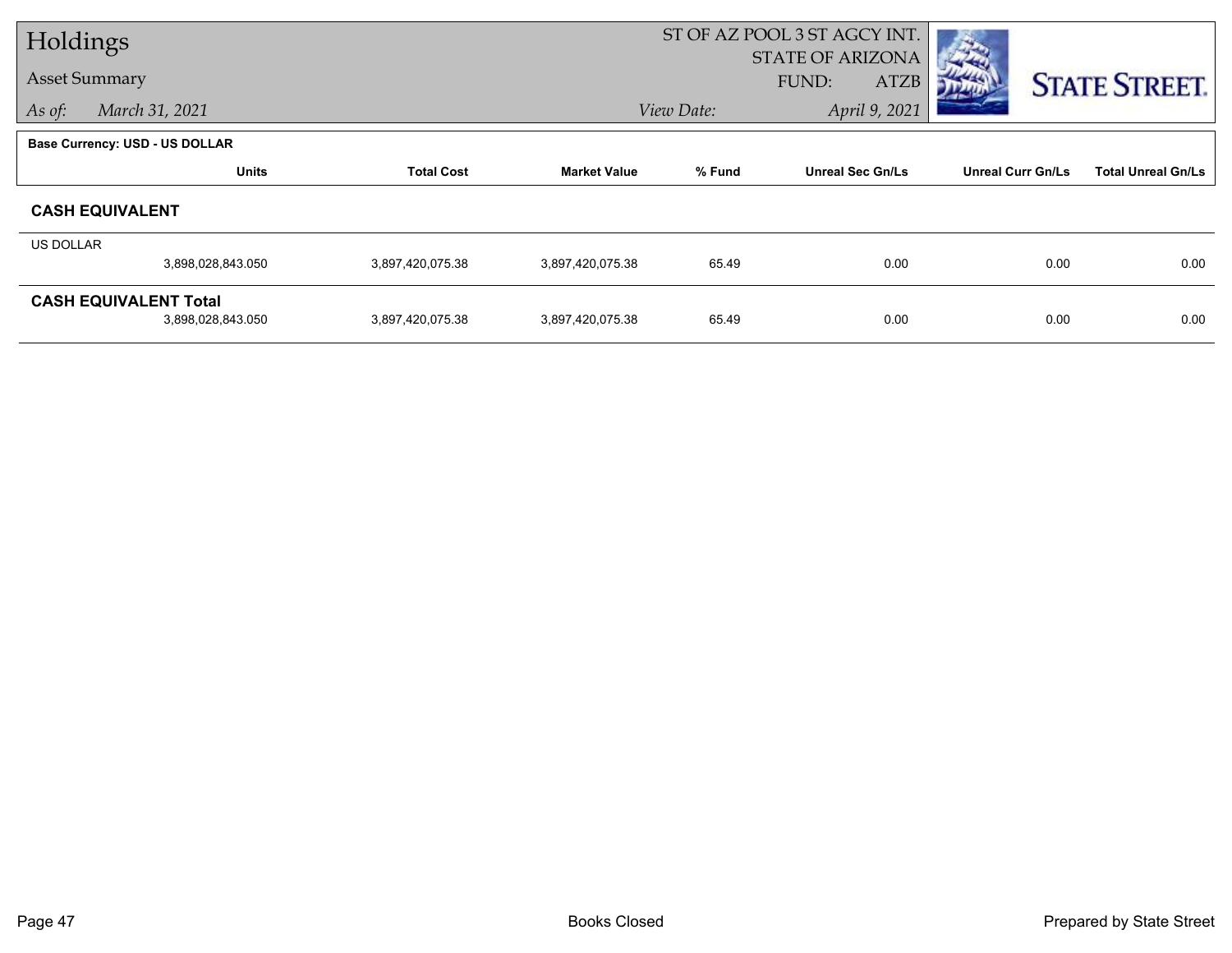| Holdings  |                                |                   |                     |                             | ST OF AZ POOL 3 ST AGCY INT. |                          |                           |  |
|-----------|--------------------------------|-------------------|---------------------|-----------------------------|------------------------------|--------------------------|---------------------------|--|
|           |                                |                   |                     |                             | <b>STATE OF ARIZONA</b>      |                          |                           |  |
|           | <b>Asset Summary</b>           |                   |                     |                             | <b>ATZB</b><br>FUND:         |                          | <b>STATE STREET.</b>      |  |
| As of:    | March 31, 2021                 |                   |                     | April 9, 2021<br>View Date: |                              |                          |                           |  |
|           | Base Currency: USD - US DOLLAR |                   |                     |                             |                              |                          |                           |  |
|           | <b>Units</b>                   | <b>Total Cost</b> | <b>Market Value</b> | % Fund                      | <b>Unreal Sec Gn/Ls</b>      | <b>Unreal Curr Gn/Ls</b> | <b>Total Unreal Gn/Ls</b> |  |
|           | <b>CASH EQUIVALENT</b>         |                   |                     |                             |                              |                          |                           |  |
| US DOLLAR |                                |                   |                     |                             |                              |                          |                           |  |
|           | 3,898,028,843.050              | 3,897,420,075.38  | 3,897,420,075.38    | 65.49                       | 0.00                         | 0.00                     | 0.00                      |  |
|           | <b>CASH EQUIVALENT Total</b>   |                   |                     |                             |                              |                          |                           |  |
|           | 3,898,028,843.050              | 3,897,420,075.38  | 3,897,420,075.38    | 65.49                       | 0.00                         | 0.00                     | 0.00                      |  |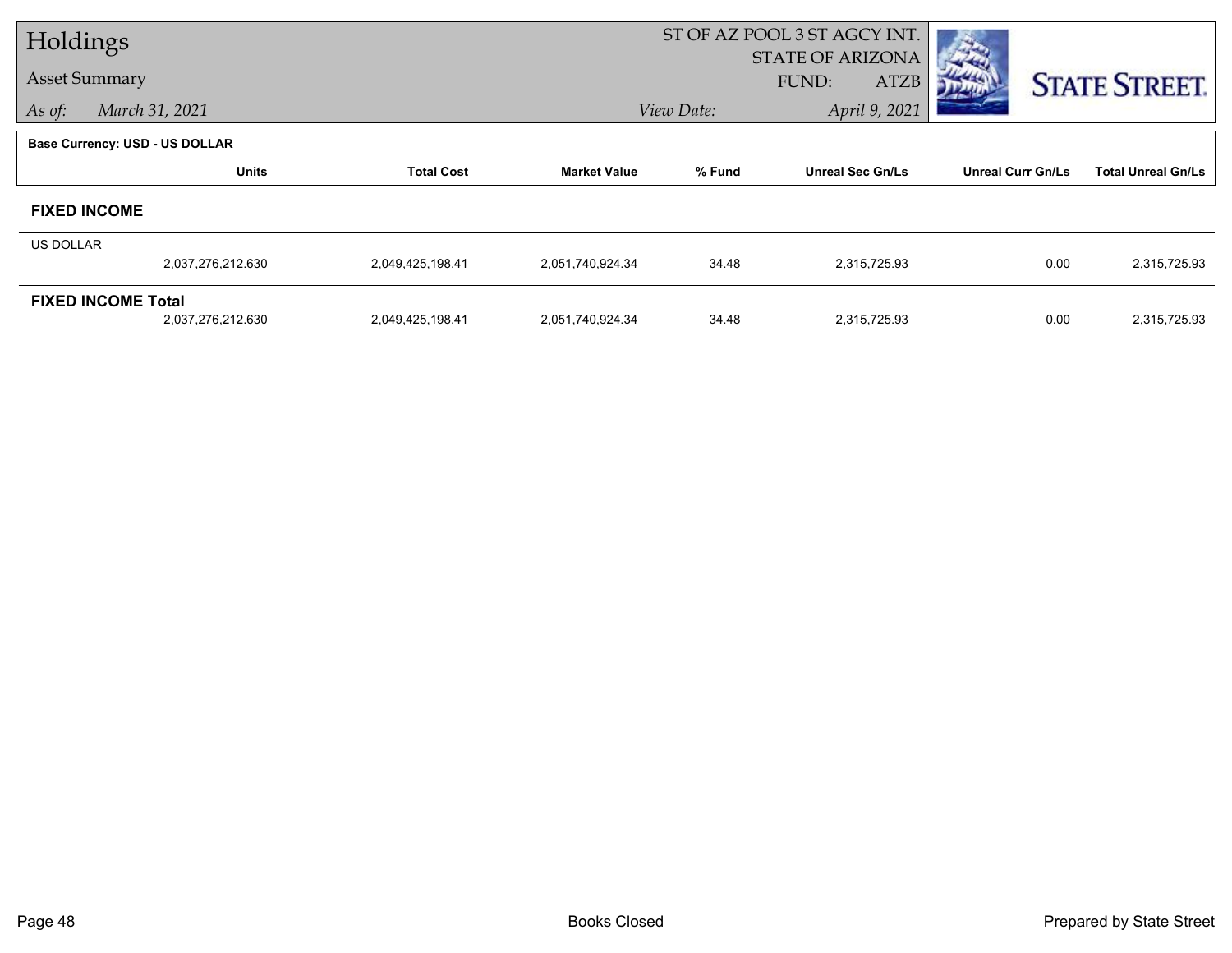| Holdings  |                                       |                   |                     | ST OF AZ POOL 3 ST AGCY INT. |                         |                          |                           |  |
|-----------|---------------------------------------|-------------------|---------------------|------------------------------|-------------------------|--------------------------|---------------------------|--|
|           | <b>Asset Summary</b>                  |                   |                     |                              | <b>STATE OF ARIZONA</b> |                          |                           |  |
|           |                                       |                   |                     |                              | <b>ATZB</b><br>FUND:    |                          | <b>STATE STREET.</b>      |  |
| As of:    | March 31, 2021                        |                   |                     | View Date:                   | April 9, 2021           |                          |                           |  |
|           | <b>Base Currency: USD - US DOLLAR</b> |                   |                     |                              |                         |                          |                           |  |
|           | <b>Units</b>                          | <b>Total Cost</b> | <b>Market Value</b> | % Fund                       | <b>Unreal Sec Gn/Ls</b> | <b>Unreal Curr Gn/Ls</b> | <b>Total Unreal Gn/Ls</b> |  |
|           | <b>FIXED INCOME</b>                   |                   |                     |                              |                         |                          |                           |  |
| US DOLLAR |                                       |                   |                     |                              |                         |                          |                           |  |
|           | 2,037,276,212.630                     | 2,049,425,198.41  | 2,051,740,924.34    | 34.48                        | 2,315,725.93            | 0.00                     | 2,315,725.93              |  |
|           | <b>FIXED INCOME Total</b>             |                   |                     |                              |                         |                          |                           |  |
|           | 2,037,276,212.630                     | 2,049,425,198.41  | 2,051,740,924.34    | 34.48                        | 2,315,725.93            | 0.00                     | 2,315,725.93              |  |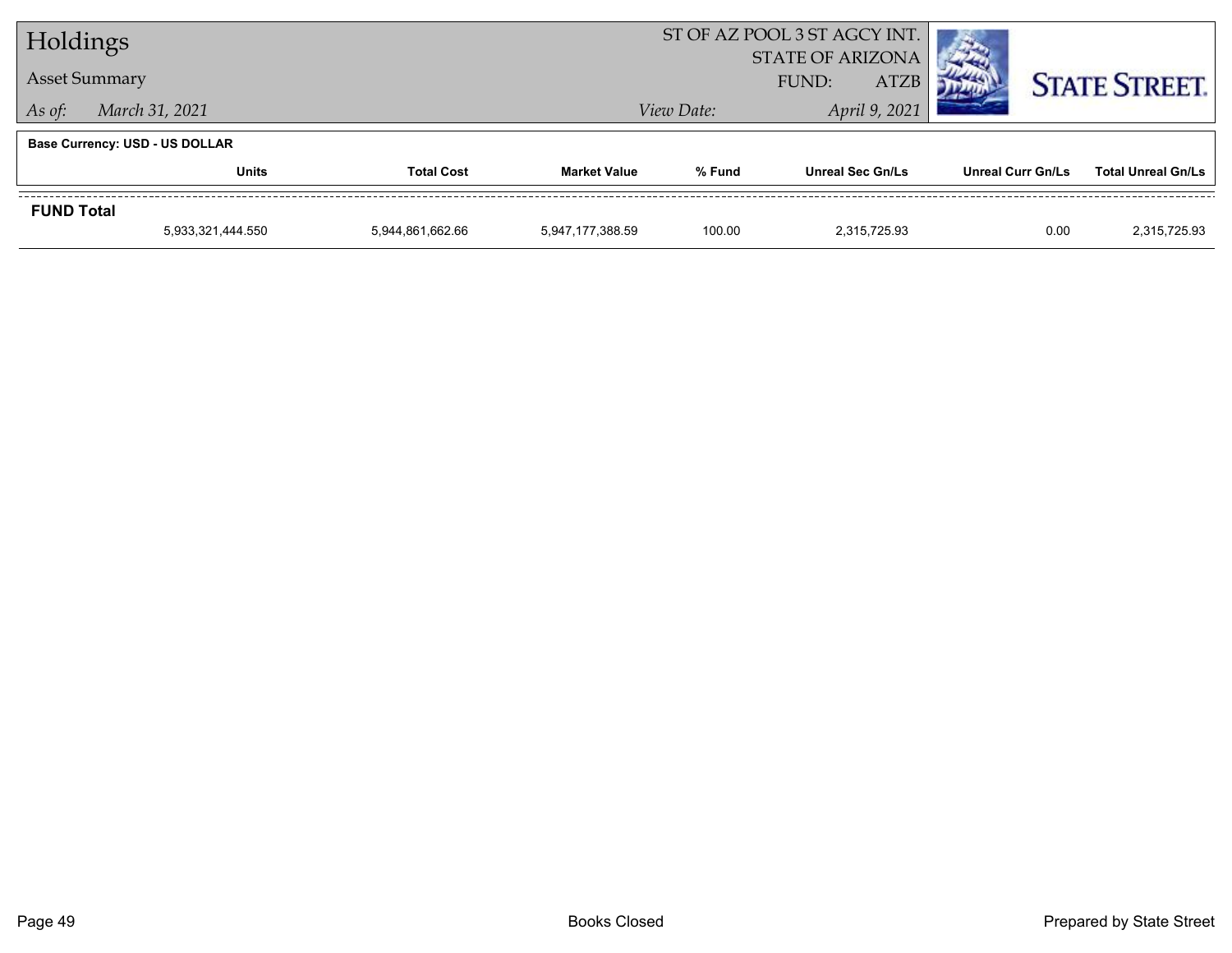| Holdings             |                                   |                  |                             | ST OF AZ POOL 3 ST AGCY INT. |                         |                      |                           |
|----------------------|-----------------------------------|------------------|-----------------------------|------------------------------|-------------------------|----------------------|---------------------------|
|                      |                                   |                  |                             | <b>STATE OF ARIZONA</b>      |                         |                      |                           |
| <b>Asset Summary</b> |                                   |                  | <b>ATZB</b><br><b>FUND:</b> |                              |                         | <b>STATE STREET.</b> |                           |
| As of:               | March 31, 2021                    | View Date:       |                             |                              | April 9, 2021           |                      |                           |
|                      | Base Currency: USD - US DOLLAR    |                  |                             |                              |                         |                      |                           |
|                      | <b>Units</b><br><b>Total Cost</b> |                  | <b>Market Value</b>         | % Fund                       | <b>Unreal Sec Gn/Ls</b> | Unreal Curr Gn/Ls    | <b>Total Unreal Gn/Ls</b> |
| <b>FUND Total</b>    |                                   |                  |                             |                              |                         |                      |                           |
|                      | 5,933,321,444.550                 | 5,944,861,662.66 | 5,947,177,388.59            | 100.00                       | 2.315.725.93            | 0.00                 | 2,315,725.93              |